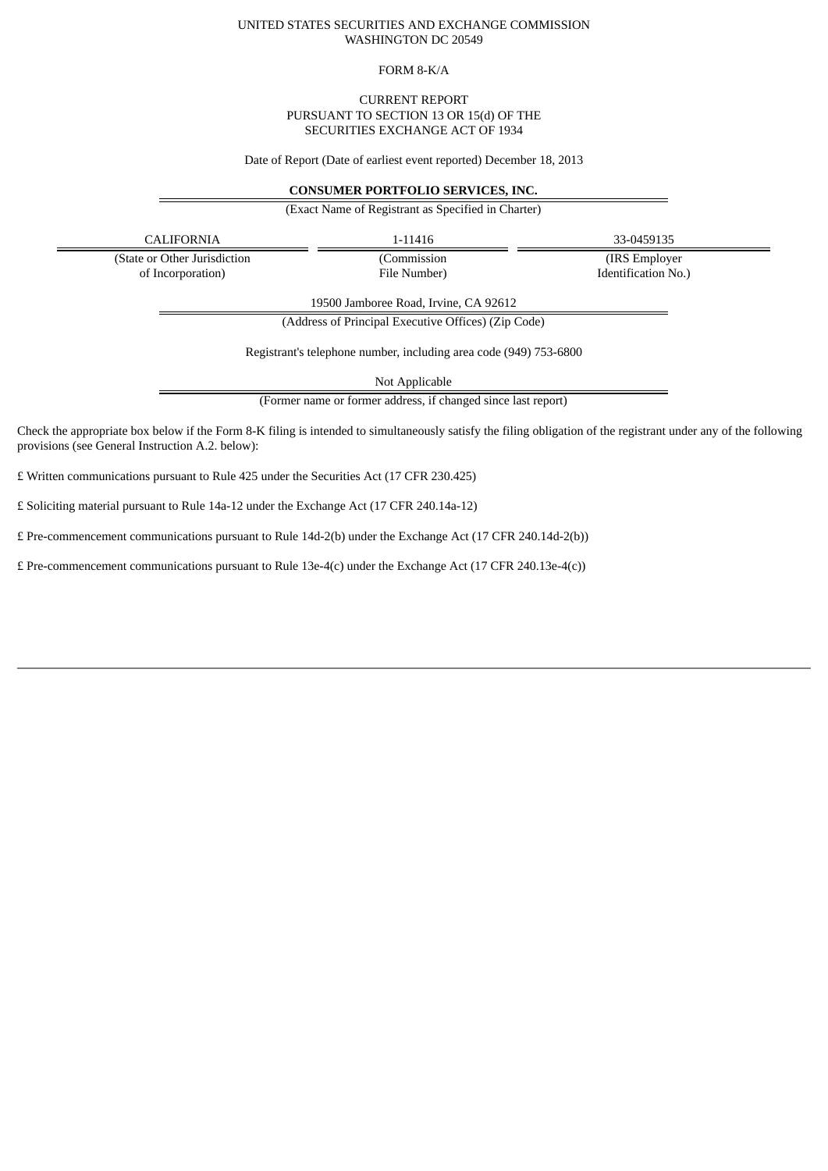### UNITED STATES SECURITIES AND EXCHANGE COMMISSION WASHINGTON DC 20549

### FORM 8-K/A

## CURRENT REPORT PURSUANT TO SECTION 13 OR 15(d) OF THE SECURITIES EXCHANGE ACT OF 1934

Date of Report (Date of earliest event reported) December 18, 2013

# **CONSUMER PORTFOLIO SERVICES, INC.**

(Exact Name of Registrant as Specified in Charter)

CALIFORNIA 1-11416 33-0459135

(State or Other Jurisdiction of Incorporation)

(Commission File Number)

(IRS Employer Identification No.)

19500 Jamboree Road, Irvine, CA 92612

(Address of Principal Executive Offices) (Zip Code)

Registrant's telephone number, including area code (949) 753-6800

Not Applicable

(Former name or former address, if changed since last report)

Check the appropriate box below if the Form 8-K filing is intended to simultaneously satisfy the filing obligation of the registrant under any of the following provisions (see General Instruction A.2. below):

£ Written communications pursuant to Rule 425 under the Securities Act (17 CFR 230.425)

£ Soliciting material pursuant to Rule 14a-12 under the Exchange Act (17 CFR 240.14a-12)

£ Pre-commencement communications pursuant to Rule 14d-2(b) under the Exchange Act (17 CFR 240.14d-2(b))

£ Pre-commencement communications pursuant to Rule 13e-4(c) under the Exchange Act (17 CFR 240.13e-4(c))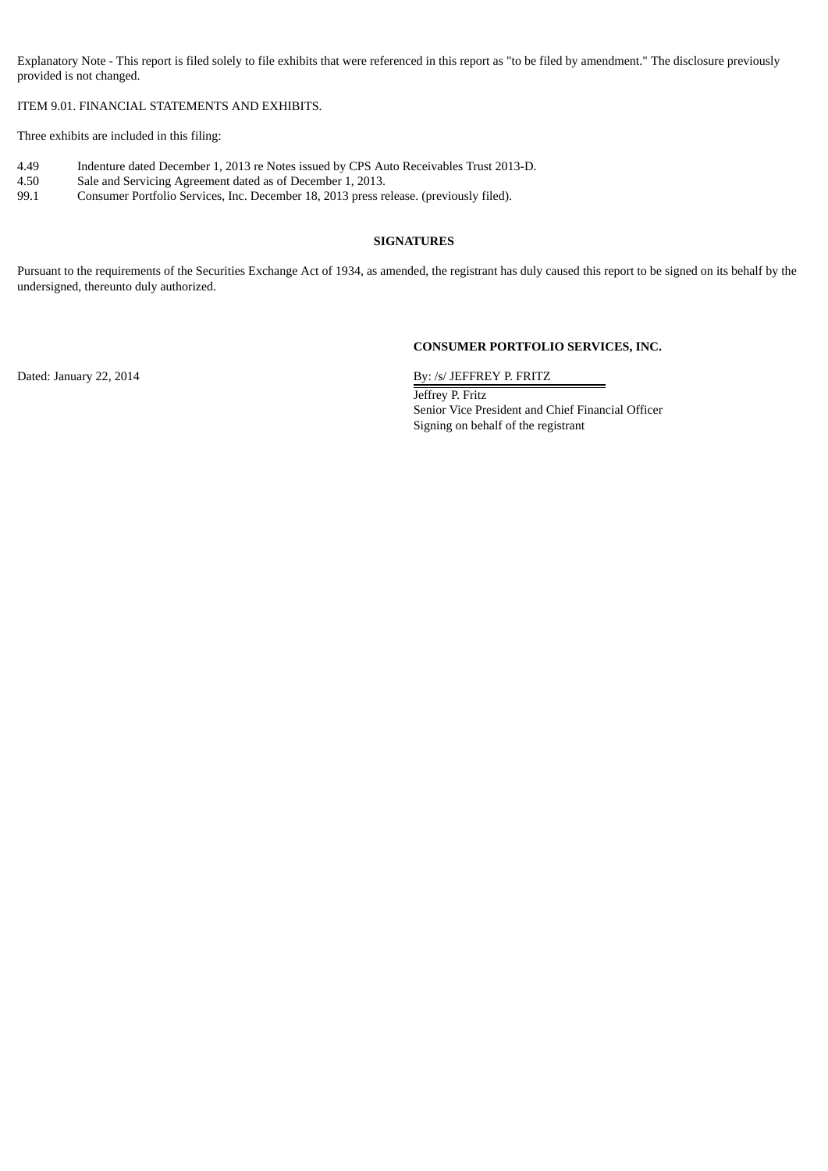Explanatory Note - This report is filed solely to file exhibits that were referenced in this report as "to be filed by amendment." The disclosure previously provided is not changed.

ITEM 9.01. FINANCIAL STATEMENTS AND EXHIBITS.

Three exhibits are included in this filing:

- 4.49 Indenture dated December 1, 2013 re Notes issued by CPS Auto Receivables Trust 2013-D.
- 4.50 Sale and Servicing Agreement dated as of December 1, 2013.<br>99.1 Consumer Portfolio Services, Inc. December 18, 2013 press re
- Consumer Portfolio Services, Inc. December 18, 2013 press release. (previously filed).

# **SIGNATURES**

Pursuant to the requirements of the Securities Exchange Act of 1934, as amended, the registrant has duly caused this report to be signed on its behalf by the undersigned, thereunto duly authorized.

# **CONSUMER PORTFOLIO SERVICES, INC.**

Dated: January 22, 2014 By: /s/ JEFFREY P. FRITZ

Jeffrey P. Fritz Senior Vice President and Chief Financial Officer Signing on behalf of the registrant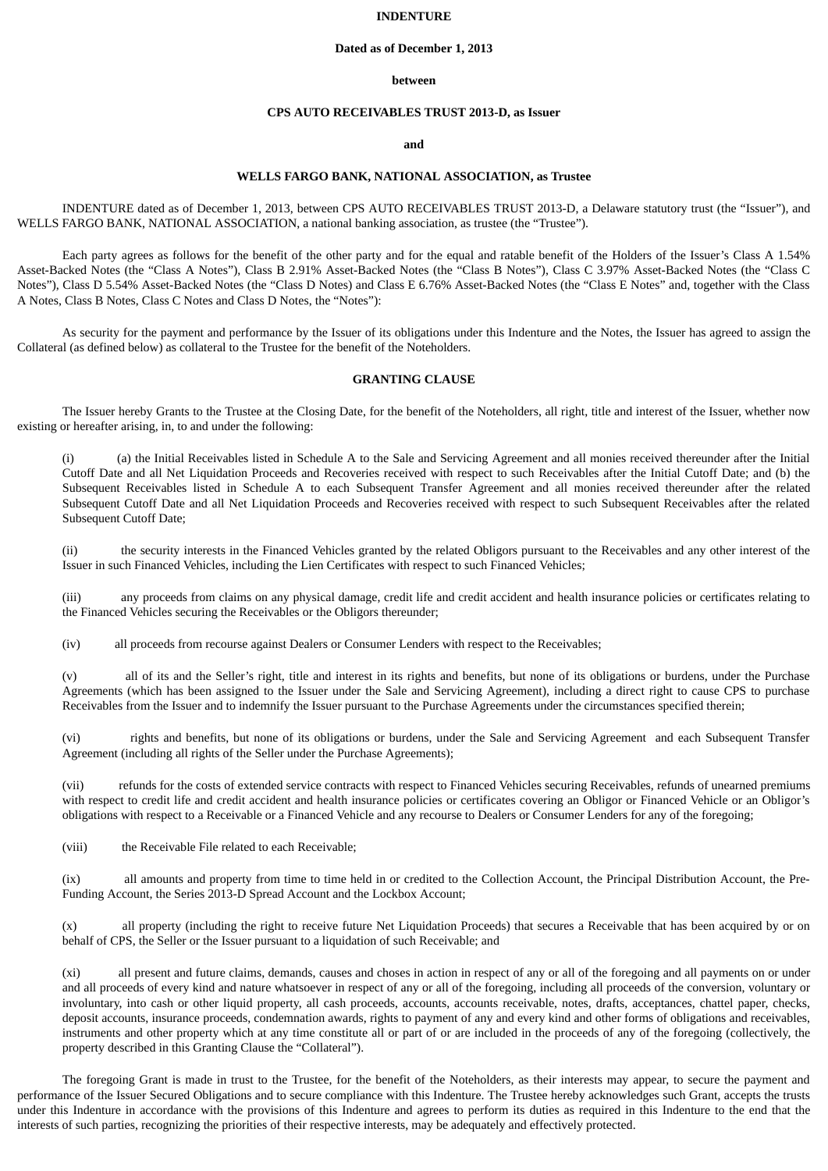### **INDENTURE**

#### **Dated as of December 1, 2013**

#### **between**

### **CPS AUTO RECEIVABLES TRUST 2013-D, as Issuer**

# **and**

# **WELLS FARGO BANK, NATIONAL ASSOCIATION, as Trustee**

INDENTURE dated as of December 1, 2013, between CPS AUTO RECEIVABLES TRUST 2013-D, a Delaware statutory trust (the "Issuer"), and WELLS FARGO BANK, NATIONAL ASSOCIATION, a national banking association, as trustee (the "Trustee").

Each party agrees as follows for the benefit of the other party and for the equal and ratable benefit of the Holders of the Issuer's Class A 1.54% Asset-Backed Notes (the "Class A Notes"), Class B 2.91% Asset-Backed Notes (the "Class B Notes"), Class C 3.97% Asset-Backed Notes (the "Class C Notes"), Class D 5.54% Asset-Backed Notes (the "Class D Notes) and Class E 6.76% Asset-Backed Notes (the "Class E Notes" and, together with the Class A Notes, Class B Notes, Class C Notes and Class D Notes, the "Notes"):

As security for the payment and performance by the Issuer of its obligations under this Indenture and the Notes, the Issuer has agreed to assign the Collateral (as defined below) as collateral to the Trustee for the benefit of the Noteholders.

## **GRANTING CLAUSE**

The Issuer hereby Grants to the Trustee at the Closing Date, for the benefit of the Noteholders, all right, title and interest of the Issuer, whether now existing or hereafter arising, in, to and under the following:

(a) the Initial Receivables listed in Schedule A to the Sale and Servicing Agreement and all monies received thereunder after the Initial Cutoff Date and all Net Liquidation Proceeds and Recoveries received with respect to such Receivables after the Initial Cutoff Date; and (b) the Subsequent Receivables listed in Schedule A to each Subsequent Transfer Agreement and all monies received thereunder after the related Subsequent Cutoff Date and all Net Liquidation Proceeds and Recoveries received with respect to such Subsequent Receivables after the related Subsequent Cutoff Date;

(ii) the security interests in the Financed Vehicles granted by the related Obligors pursuant to the Receivables and any other interest of the Issuer in such Financed Vehicles, including the Lien Certificates with respect to such Financed Vehicles;

(iii) any proceeds from claims on any physical damage, credit life and credit accident and health insurance policies or certificates relating to the Financed Vehicles securing the Receivables or the Obligors thereunder;

(iv) all proceeds from recourse against Dealers or Consumer Lenders with respect to the Receivables;

(v) all of its and the Seller's right, title and interest in its rights and benefits, but none of its obligations or burdens, under the Purchase Agreements (which has been assigned to the Issuer under the Sale and Servicing Agreement), including a direct right to cause CPS to purchase Receivables from the Issuer and to indemnify the Issuer pursuant to the Purchase Agreements under the circumstances specified therein;

(vi) rights and benefits, but none of its obligations or burdens, under the Sale and Servicing Agreement and each Subsequent Transfer Agreement (including all rights of the Seller under the Purchase Agreements);

(vii) refunds for the costs of extended service contracts with respect to Financed Vehicles securing Receivables, refunds of unearned premiums with respect to credit life and credit accident and health insurance policies or certificates covering an Obligor or Financed Vehicle or an Obligor's obligations with respect to a Receivable or a Financed Vehicle and any recourse to Dealers or Consumer Lenders for any of the foregoing;

(viii) the Receivable File related to each Receivable;

(ix) all amounts and property from time to time held in or credited to the Collection Account, the Principal Distribution Account, the Pre-Funding Account, the Series 2013-D Spread Account and the Lockbox Account;

(x) all property (including the right to receive future Net Liquidation Proceeds) that secures a Receivable that has been acquired by or on behalf of CPS, the Seller or the Issuer pursuant to a liquidation of such Receivable; and

(xi) all present and future claims, demands, causes and choses in action in respect of any or all of the foregoing and all payments on or under and all proceeds of every kind and nature whatsoever in respect of any or all of the foregoing, including all proceeds of the conversion, voluntary or involuntary, into cash or other liquid property, all cash proceeds, accounts, accounts receivable, notes, drafts, acceptances, chattel paper, checks, deposit accounts, insurance proceeds, condemnation awards, rights to payment of any and every kind and other forms of obligations and receivables, instruments and other property which at any time constitute all or part of or are included in the proceeds of any of the foregoing (collectively, the property described in this Granting Clause the "Collateral").

The foregoing Grant is made in trust to the Trustee, for the benefit of the Noteholders, as their interests may appear, to secure the payment and performance of the Issuer Secured Obligations and to secure compliance with this Indenture. The Trustee hereby acknowledges such Grant, accepts the trusts under this Indenture in accordance with the provisions of this Indenture and agrees to perform its duties as required in this Indenture to the end that the interests of such parties, recognizing the priorities of their respective interests, may be adequately and effectively protected.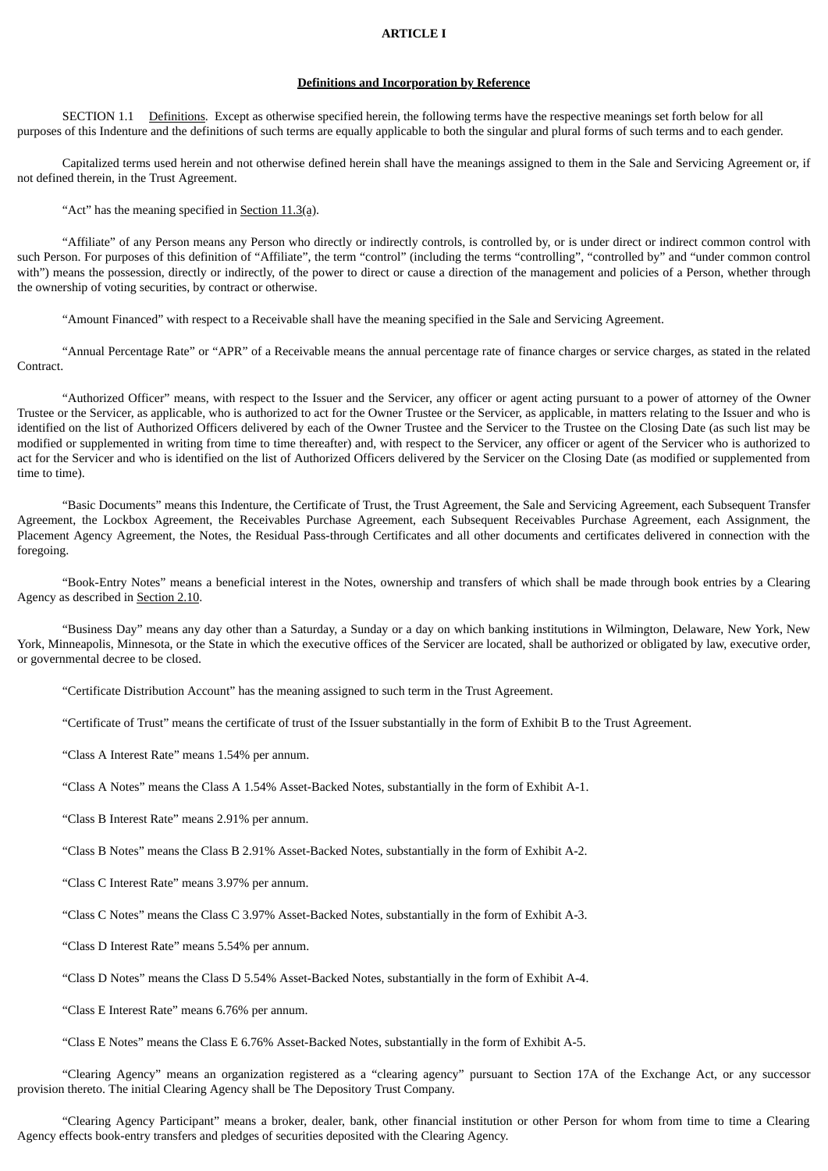#### **ARTICLE I**

# **Definitions and Incorporation by Reference**

SECTION 1.1 Definitions. Except as otherwise specified herein, the following terms have the respective meanings set forth below for all purposes of this Indenture and the definitions of such terms are equally applicable to both the singular and plural forms of such terms and to each gender.

Capitalized terms used herein and not otherwise defined herein shall have the meanings assigned to them in the Sale and Servicing Agreement or, if not defined therein, in the Trust Agreement.

"Act" has the meaning specified in Section 11.3(a).

"Affiliate" of any Person means any Person who directly or indirectly controls, is controlled by, or is under direct or indirect common control with such Person. For purposes of this definition of "Affiliate", the term "control" (including the terms "controlling", "controlled by" and "under common control with") means the possession, directly or indirectly, of the power to direct or cause a direction of the management and policies of a Person, whether through the ownership of voting securities, by contract or otherwise.

"Amount Financed" with respect to a Receivable shall have the meaning specified in the Sale and Servicing Agreement.

"Annual Percentage Rate" or "APR" of a Receivable means the annual percentage rate of finance charges or service charges, as stated in the related Contract.

"Authorized Officer" means, with respect to the Issuer and the Servicer, any officer or agent acting pursuant to a power of attorney of the Owner Trustee or the Servicer, as applicable, who is authorized to act for the Owner Trustee or the Servicer, as applicable, in matters relating to the Issuer and who is identified on the list of Authorized Officers delivered by each of the Owner Trustee and the Servicer to the Trustee on the Closing Date (as such list may be modified or supplemented in writing from time to time thereafter) and, with respect to the Servicer, any officer or agent of the Servicer who is authorized to act for the Servicer and who is identified on the list of Authorized Officers delivered by the Servicer on the Closing Date (as modified or supplemented from time to time).

"Basic Documents" means this Indenture, the Certificate of Trust, the Trust Agreement, the Sale and Servicing Agreement, each Subsequent Transfer Agreement, the Lockbox Agreement, the Receivables Purchase Agreement, each Subsequent Receivables Purchase Agreement, each Assignment, the Placement Agency Agreement, the Notes, the Residual Pass-through Certificates and all other documents and certificates delivered in connection with the foregoing.

"Book-Entry Notes" means a beneficial interest in the Notes, ownership and transfers of which shall be made through book entries by a Clearing Agency as described in Section 2.10.

"Business Day" means any day other than a Saturday, a Sunday or a day on which banking institutions in Wilmington, Delaware, New York, New York, Minneapolis, Minnesota, or the State in which the executive offices of the Servicer are located, shall be authorized or obligated by law, executive order, or governmental decree to be closed.

"Certificate Distribution Account" has the meaning assigned to such term in the Trust Agreement.

"Certificate of Trust" means the certificate of trust of the Issuer substantially in the form of Exhibit B to the Trust Agreement.

"Class A Interest Rate" means 1.54% per annum.

"Class A Notes" means the Class A 1.54% Asset-Backed Notes, substantially in the form of Exhibit A-1.

"Class B Interest Rate" means 2.91% per annum.

"Class B Notes" means the Class B 2.91% Asset-Backed Notes, substantially in the form of Exhibit A-2.

"Class C Interest Rate" means 3.97% per annum.

"Class C Notes" means the Class C 3.97% Asset-Backed Notes, substantially in the form of Exhibit A-3.

"Class D Interest Rate" means 5.54% per annum.

"Class D Notes" means the Class D 5.54% Asset-Backed Notes, substantially in the form of Exhibit A-4.

"Class E Interest Rate" means 6.76% per annum.

"Class E Notes" means the Class E 6.76% Asset-Backed Notes, substantially in the form of Exhibit A-5.

"Clearing Agency" means an organization registered as a "clearing agency" pursuant to Section 17A of the Exchange Act, or any successor provision thereto. The initial Clearing Agency shall be The Depository Trust Company.

"Clearing Agency Participant" means a broker, dealer, bank, other financial institution or other Person for whom from time to time a Clearing Agency effects book-entry transfers and pledges of securities deposited with the Clearing Agency.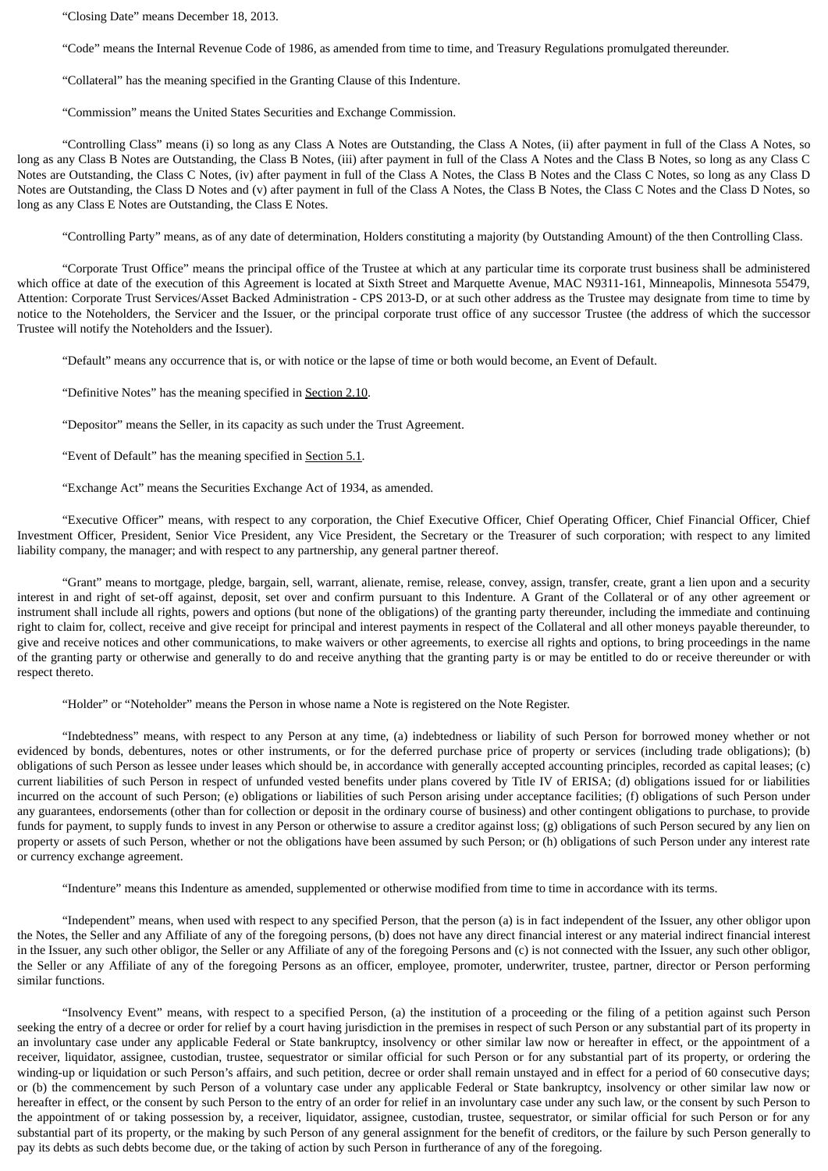"Closing Date" means December 18, 2013.

"Code" means the Internal Revenue Code of 1986, as amended from time to time, and Treasury Regulations promulgated thereunder.

"Collateral" has the meaning specified in the Granting Clause of this Indenture.

"Commission" means the United States Securities and Exchange Commission.

"Controlling Class" means (i) so long as any Class A Notes are Outstanding, the Class A Notes, (ii) after payment in full of the Class A Notes, so long as any Class B Notes are Outstanding, the Class B Notes, (iii) after payment in full of the Class A Notes and the Class B Notes, so long as any Class C Notes are Outstanding, the Class C Notes, (iv) after payment in full of the Class A Notes, the Class B Notes and the Class C Notes, so long as any Class D Notes are Outstanding, the Class D Notes and (v) after payment in full of the Class A Notes, the Class B Notes, the Class C Notes and the Class D Notes, so long as any Class E Notes are Outstanding, the Class E Notes.

"Controlling Party" means, as of any date of determination, Holders constituting a majority (by Outstanding Amount) of the then Controlling Class.

"Corporate Trust Office" means the principal office of the Trustee at which at any particular time its corporate trust business shall be administered which office at date of the execution of this Agreement is located at Sixth Street and Marquette Avenue, MAC N9311-161, Minneapolis, Minnesota 55479, Attention: Corporate Trust Services/Asset Backed Administration - CPS 2013-D, or at such other address as the Trustee may designate from time to time by notice to the Noteholders, the Servicer and the Issuer, or the principal corporate trust office of any successor Trustee (the address of which the successor Trustee will notify the Noteholders and the Issuer).

"Default" means any occurrence that is, or with notice or the lapse of time or both would become, an Event of Default.

"Definitive Notes" has the meaning specified in Section 2.10.

"Depositor" means the Seller, in its capacity as such under the Trust Agreement.

"Event of Default" has the meaning specified in Section 5.1.

"Exchange Act" means the Securities Exchange Act of 1934, as amended.

"Executive Officer" means, with respect to any corporation, the Chief Executive Officer, Chief Operating Officer, Chief Financial Officer, Chief Investment Officer, President, Senior Vice President, any Vice President, the Secretary or the Treasurer of such corporation; with respect to any limited liability company, the manager; and with respect to any partnership, any general partner thereof.

"Grant" means to mortgage, pledge, bargain, sell, warrant, alienate, remise, release, convey, assign, transfer, create, grant a lien upon and a security interest in and right of set-off against, deposit, set over and confirm pursuant to this Indenture. A Grant of the Collateral or of any other agreement or instrument shall include all rights, powers and options (but none of the obligations) of the granting party thereunder, including the immediate and continuing right to claim for, collect, receive and give receipt for principal and interest payments in respect of the Collateral and all other moneys payable thereunder, to give and receive notices and other communications, to make waivers or other agreements, to exercise all rights and options, to bring proceedings in the name of the granting party or otherwise and generally to do and receive anything that the granting party is or may be entitled to do or receive thereunder or with respect thereto.

"Holder" or "Noteholder" means the Person in whose name a Note is registered on the Note Register.

"Indebtedness" means, with respect to any Person at any time, (a) indebtedness or liability of such Person for borrowed money whether or not evidenced by bonds, debentures, notes or other instruments, or for the deferred purchase price of property or services (including trade obligations); (b) obligations of such Person as lessee under leases which should be, in accordance with generally accepted accounting principles, recorded as capital leases; (c) current liabilities of such Person in respect of unfunded vested benefits under plans covered by Title IV of ERISA; (d) obligations issued for or liabilities incurred on the account of such Person; (e) obligations or liabilities of such Person arising under acceptance facilities; (f) obligations of such Person under any guarantees, endorsements (other than for collection or deposit in the ordinary course of business) and other contingent obligations to purchase, to provide funds for payment, to supply funds to invest in any Person or otherwise to assure a creditor against loss; (g) obligations of such Person secured by any lien on property or assets of such Person, whether or not the obligations have been assumed by such Person; or (h) obligations of such Person under any interest rate or currency exchange agreement.

"Indenture" means this Indenture as amended, supplemented or otherwise modified from time to time in accordance with its terms.

"Independent" means, when used with respect to any specified Person, that the person (a) is in fact independent of the Issuer, any other obligor upon the Notes, the Seller and any Affiliate of any of the foregoing persons, (b) does not have any direct financial interest or any material indirect financial interest in the Issuer, any such other obligor, the Seller or any Affiliate of any of the foregoing Persons and (c) is not connected with the Issuer, any such other obligor, the Seller or any Affiliate of any of the foregoing Persons as an officer, employee, promoter, underwriter, trustee, partner, director or Person performing similar functions.

"Insolvency Event" means, with respect to a specified Person, (a) the institution of a proceeding or the filing of a petition against such Person seeking the entry of a decree or order for relief by a court having jurisdiction in the premises in respect of such Person or any substantial part of its property in an involuntary case under any applicable Federal or State bankruptcy, insolvency or other similar law now or hereafter in effect, or the appointment of a receiver, liquidator, assignee, custodian, trustee, sequestrator or similar official for such Person or for any substantial part of its property, or ordering the winding-up or liquidation or such Person's affairs, and such petition, decree or order shall remain unstayed and in effect for a period of 60 consecutive days; or (b) the commencement by such Person of a voluntary case under any applicable Federal or State bankruptcy, insolvency or other similar law now or hereafter in effect, or the consent by such Person to the entry of an order for relief in an involuntary case under any such law, or the consent by such Person to the appointment of or taking possession by, a receiver, liquidator, assignee, custodian, trustee, sequestrator, or similar official for such Person or for any substantial part of its property, or the making by such Person of any general assignment for the benefit of creditors, or the failure by such Person generally to pay its debts as such debts become due, or the taking of action by such Person in furtherance of any of the foregoing.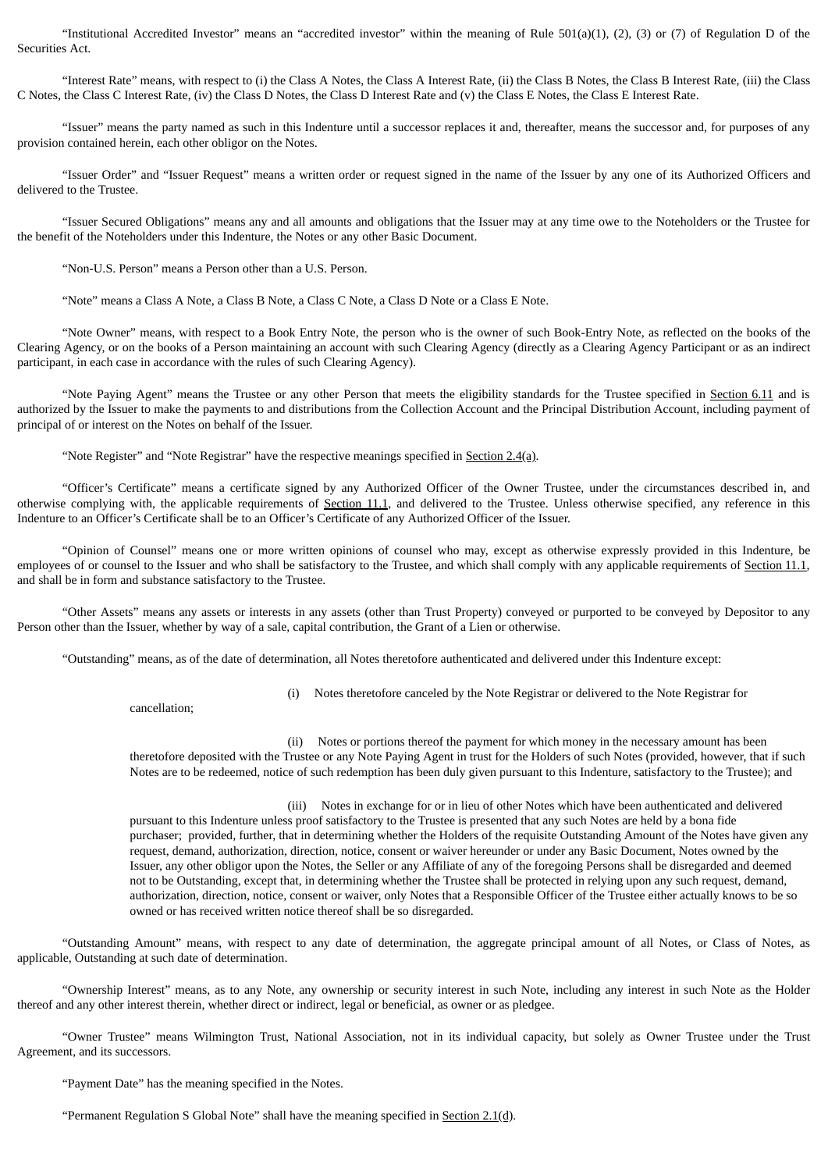"Institutional Accredited Investor" means an "accredited investor" within the meaning of Rule 501(a)(1), (2), (3) or (7) of Regulation D of the Securities Act.

"Interest Rate" means, with respect to (i) the Class A Notes, the Class A Interest Rate, (ii) the Class B Notes, the Class B Interest Rate, (iii) the Class C Notes, the Class C Interest Rate, (iv) the Class D Notes, the Class D Interest Rate and (v) the Class E Notes, the Class E Interest Rate.

"Issuer" means the party named as such in this Indenture until a successor replaces it and, thereafter, means the successor and, for purposes of any provision contained herein, each other obligor on the Notes.

"Issuer Order" and "Issuer Request" means a written order or request signed in the name of the Issuer by any one of its Authorized Officers and delivered to the Trustee.

"Issuer Secured Obligations" means any and all amounts and obligations that the Issuer may at any time owe to the Noteholders or the Trustee for the benefit of the Noteholders under this Indenture, the Notes or any other Basic Document.

"Non-U.S. Person" means a Person other than a U.S. Person.

"Note" means a Class A Note, a Class B Note, a Class C Note, a Class D Note or a Class E Note.

"Note Owner" means, with respect to a Book Entry Note, the person who is the owner of such Book-Entry Note, as reflected on the books of the Clearing Agency, or on the books of a Person maintaining an account with such Clearing Agency (directly as a Clearing Agency Participant or as an indirect participant, in each case in accordance with the rules of such Clearing Agency).

"Note Paying Agent" means the Trustee or any other Person that meets the eligibility standards for the Trustee specified in Section 6.11 and is authorized by the Issuer to make the payments to and distributions from the Collection Account and the Principal Distribution Account, including payment of principal of or interest on the Notes on behalf of the Issuer.

"Note Register" and "Note Registrar" have the respective meanings specified in Section 2.4(a).

"Officer's Certificate" means a certificate signed by any Authorized Officer of the Owner Trustee, under the circumstances described in, and otherwise complying with, the applicable requirements of Section 11.1, and delivered to the Trustee. Unless otherwise specified, any reference in this Indenture to an Officer's Certificate shall be to an Officer's Certificate of any Authorized Officer of the Issuer.

"Opinion of Counsel" means one or more written opinions of counsel who may, except as otherwise expressly provided in this Indenture, be employees of or counsel to the Issuer and who shall be satisfactory to the Trustee, and which shall comply with any applicable requirements of Section 11.1, and shall be in form and substance satisfactory to the Trustee.

"Other Assets" means any assets or interests in any assets (other than Trust Property) conveyed or purported to be conveyed by Depositor to any Person other than the Issuer, whether by way of a sale, capital contribution, the Grant of a Lien or otherwise.

"Outstanding" means, as of the date of determination, all Notes theretofore authenticated and delivered under this Indenture except:

cancellation;

(i) Notes theretofore canceled by the Note Registrar or delivered to the Note Registrar for

(ii) Notes or portions thereof the payment for which money in the necessary amount has been theretofore deposited with the Trustee or any Note Paying Agent in trust for the Holders of such Notes (provided, however, that if such Notes are to be redeemed, notice of such redemption has been duly given pursuant to this Indenture, satisfactory to the Trustee); and

(iii) Notes in exchange for or in lieu of other Notes which have been authenticated and delivered pursuant to this Indenture unless proof satisfactory to the Trustee is presented that any such Notes are held by a bona fide purchaser; provided, further, that in determining whether the Holders of the requisite Outstanding Amount of the Notes have given any request, demand, authorization, direction, notice, consent or waiver hereunder or under any Basic Document, Notes owned by the Issuer, any other obligor upon the Notes, the Seller or any Affiliate of any of the foregoing Persons shall be disregarded and deemed not to be Outstanding, except that, in determining whether the Trustee shall be protected in relying upon any such request, demand, authorization, direction, notice, consent or waiver, only Notes that a Responsible Officer of the Trustee either actually knows to be so owned or has received written notice thereof shall be so disregarded.

"Outstanding Amount" means, with respect to any date of determination, the aggregate principal amount of all Notes, or Class of Notes, as applicable, Outstanding at such date of determination.

"Ownership Interest" means, as to any Note, any ownership or security interest in such Note, including any interest in such Note as the Holder thereof and any other interest therein, whether direct or indirect, legal or beneficial, as owner or as pledgee.

"Owner Trustee" means Wilmington Trust, National Association, not in its individual capacity, but solely as Owner Trustee under the Trust Agreement, and its successors.

"Payment Date" has the meaning specified in the Notes.

"Permanent Regulation S Global Note" shall have the meaning specified in Section  $2.1(d)$ .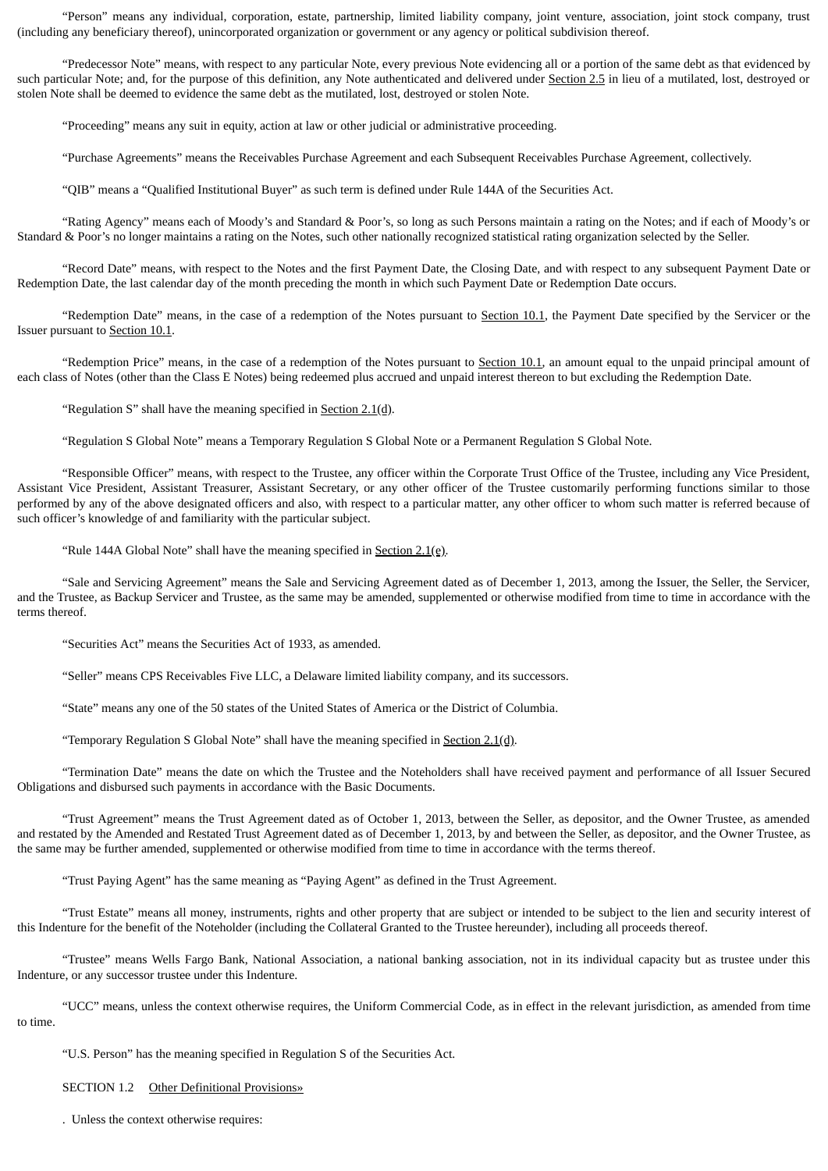"Person" means any individual, corporation, estate, partnership, limited liability company, joint venture, association, joint stock company, trust (including any beneficiary thereof), unincorporated organization or government or any agency or political subdivision thereof.

"Predecessor Note" means, with respect to any particular Note, every previous Note evidencing all or a portion of the same debt as that evidenced by such particular Note; and, for the purpose of this definition, any Note authenticated and delivered under Section 2.5 in lieu of a mutilated, lost, destroyed or stolen Note shall be deemed to evidence the same debt as the mutilated, lost, destroyed or stolen Note.

"Proceeding" means any suit in equity, action at law or other judicial or administrative proceeding.

"Purchase Agreements" means the Receivables Purchase Agreement and each Subsequent Receivables Purchase Agreement, collectively.

"QIB" means a "Qualified Institutional Buyer" as such term is defined under Rule 144A of the Securities Act.

"Rating Agency" means each of Moody's and Standard & Poor's, so long as such Persons maintain a rating on the Notes; and if each of Moody's or Standard & Poor's no longer maintains a rating on the Notes, such other nationally recognized statistical rating organization selected by the Seller.

"Record Date" means, with respect to the Notes and the first Payment Date, the Closing Date, and with respect to any subsequent Payment Date or Redemption Date, the last calendar day of the month preceding the month in which such Payment Date or Redemption Date occurs.

"Redemption Date" means, in the case of a redemption of the Notes pursuant to Section 10.1, the Payment Date specified by the Servicer or the Issuer pursuant to Section 10.1.

"Redemption Price" means, in the case of a redemption of the Notes pursuant to Section 10.1, an amount equal to the unpaid principal amount of each class of Notes (other than the Class E Notes) being redeemed plus accrued and unpaid interest thereon to but excluding the Redemption Date.

"Regulation S" shall have the meaning specified in Section 2.1(d).

"Regulation S Global Note" means a Temporary Regulation S Global Note or a Permanent Regulation S Global Note.

"Responsible Officer" means, with respect to the Trustee, any officer within the Corporate Trust Office of the Trustee, including any Vice President, Assistant Vice President, Assistant Treasurer, Assistant Secretary, or any other officer of the Trustee customarily performing functions similar to those performed by any of the above designated officers and also, with respect to a particular matter, any other officer to whom such matter is referred because of such officer's knowledge of and familiarity with the particular subject.

"Rule 144A Global Note" shall have the meaning specified in **Section 2.1(e)**.

"Sale and Servicing Agreement" means the Sale and Servicing Agreement dated as of December 1, 2013, among the Issuer, the Seller, the Servicer, and the Trustee, as Backup Servicer and Trustee, as the same may be amended, supplemented or otherwise modified from time to time in accordance with the terms thereof.

"Securities Act" means the Securities Act of 1933, as amended.

"Seller" means CPS Receivables Five LLC, a Delaware limited liability company, and its successors.

"State" means any one of the 50 states of the United States of America or the District of Columbia.

"Temporary Regulation S Global Note" shall have the meaning specified in Section 2.1(d).

"Termination Date" means the date on which the Trustee and the Noteholders shall have received payment and performance of all Issuer Secured Obligations and disbursed such payments in accordance with the Basic Documents.

"Trust Agreement" means the Trust Agreement dated as of October 1, 2013, between the Seller, as depositor, and the Owner Trustee, as amended and restated by the Amended and Restated Trust Agreement dated as of December 1, 2013, by and between the Seller, as depositor, and the Owner Trustee, as the same may be further amended, supplemented or otherwise modified from time to time in accordance with the terms thereof.

"Trust Paying Agent" has the same meaning as "Paying Agent" as defined in the Trust Agreement.

"Trust Estate" means all money, instruments, rights and other property that are subject or intended to be subject to the lien and security interest of this Indenture for the benefit of the Noteholder (including the Collateral Granted to the Trustee hereunder), including all proceeds thereof.

"Trustee" means Wells Fargo Bank, National Association, a national banking association, not in its individual capacity but as trustee under this Indenture, or any successor trustee under this Indenture.

"UCC" means, unless the context otherwise requires, the Uniform Commercial Code, as in effect in the relevant jurisdiction, as amended from time to time.

"U.S. Person" has the meaning specified in Regulation S of the Securities Act.

SECTION 1.2 Other Definitional Provisions»

. Unless the context otherwise requires: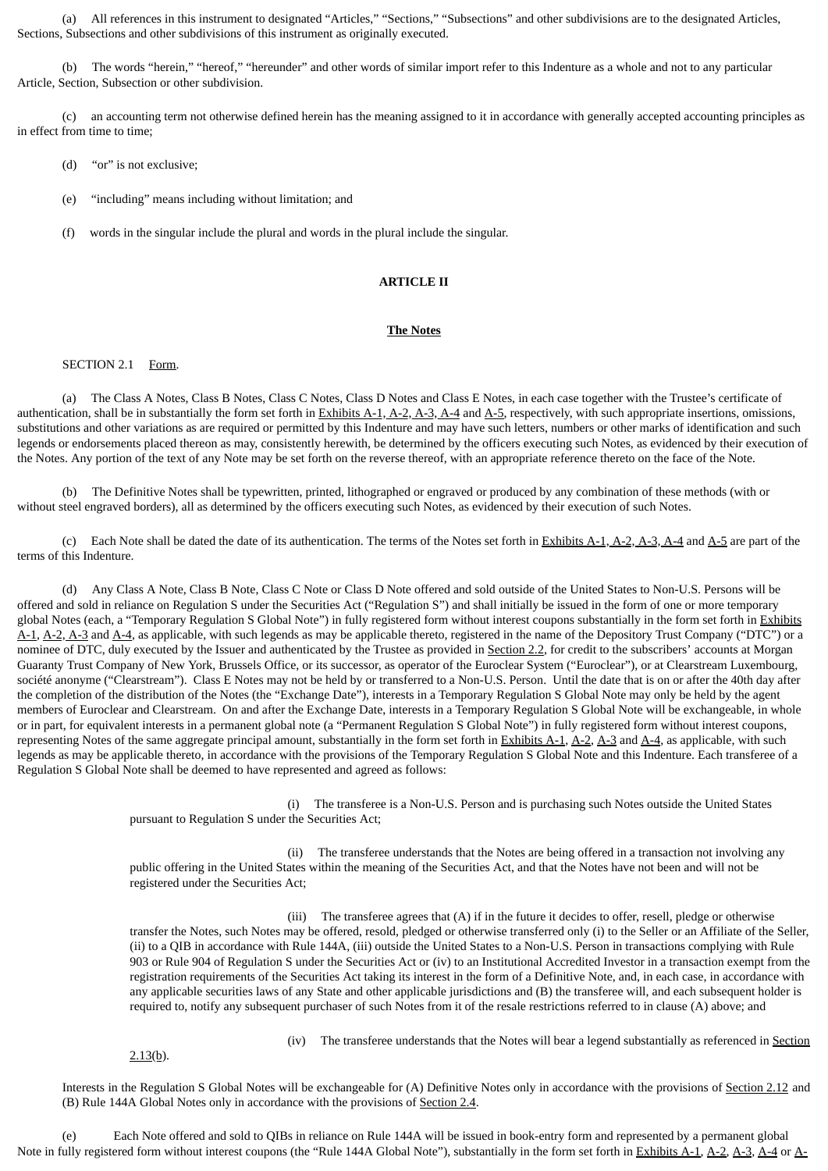(a) All references in this instrument to designated "Articles," "Sections," "Subsections" and other subdivisions are to the designated Articles, Sections, Subsections and other subdivisions of this instrument as originally executed.

(b) The words "herein," "hereof," "hereunder" and other words of similar import refer to this Indenture as a whole and not to any particular Article, Section, Subsection or other subdivision.

(c) an accounting term not otherwise defined herein has the meaning assigned to it in accordance with generally accepted accounting principles as in effect from time to time;

- (d) "or" is not exclusive;
- (e) "including" means including without limitation; and
- (f) words in the singular include the plural and words in the plural include the singular.

## **ARTICLE II**

#### **The Notes**

# SECTION 2.1 Form.

(a) The Class A Notes, Class B Notes, Class C Notes, Class D Notes and Class E Notes, in each case together with the Trustee's certificate of authentication, shall be in substantially the form set forth in Exhibits A-1, A-2, A-3, A-4 and A-5, respectively, with such appropriate insertions, omissions, substitutions and other variations as are required or permitted by this Indenture and may have such letters, numbers or other marks of identification and such legends or endorsements placed thereon as may, consistently herewith, be determined by the officers executing such Notes, as evidenced by their execution of the Notes. Any portion of the text of any Note may be set forth on the reverse thereof, with an appropriate reference thereto on the face of the Note.

(b) The Definitive Notes shall be typewritten, printed, lithographed or engraved or produced by any combination of these methods (with or without steel engraved borders), all as determined by the officers executing such Notes, as evidenced by their execution of such Notes.

(c) Each Note shall be dated the date of its authentication. The terms of the Notes set forth in Exhibits A-1, A-2, A-3, A-4 and A-5 are part of the terms of this Indenture.

(d) Any Class A Note, Class B Note, Class C Note or Class D Note offered and sold outside of the United States to Non-U.S. Persons will be offered and sold in reliance on Regulation S under the Securities Act ("Regulation S") and shall initially be issued in the form of one or more temporary global Notes (each, a "Temporary Regulation S Global Note") in fully registered form without interest coupons substantially in the form set forth in Exhibits A-1, A-2, A-3 and A-4, as applicable, with such legends as may be applicable thereto, registered in the name of the Depository Trust Company ("DTC") or a nominee of DTC, duly executed by the Issuer and authenticated by the Trustee as provided in Section 2.2, for credit to the subscribers' accounts at Morgan Guaranty Trust Company of New York, Brussels Office, or its successor, as operator of the Euroclear System ("Euroclear"), or at Clearstream Luxembourg, société anonyme ("Clearstream"). Class E Notes may not be held by or transferred to a Non-U.S. Person. Until the date that is on or after the 40th day after the completion of the distribution of the Notes (the "Exchange Date"), interests in a Temporary Regulation S Global Note may only be held by the agent members of Euroclear and Clearstream. On and after the Exchange Date, interests in a Temporary Regulation S Global Note will be exchangeable, in whole or in part, for equivalent interests in a permanent global note (a "Permanent Regulation S Global Note") in fully registered form without interest coupons, representing Notes of the same aggregate principal amount, substantially in the form set forth in **Exhibits A-1**,  $A$ -2,  $A$ -3 and  $A$ -4, as applicable, with such legends as may be applicable thereto, in accordance with the provisions of the Temporary Regulation S Global Note and this Indenture. Each transferee of a Regulation S Global Note shall be deemed to have represented and agreed as follows:

> (i) The transferee is a Non-U.S. Person and is purchasing such Notes outside the United States pursuant to Regulation S under the Securities Act;

(ii) The transferee understands that the Notes are being offered in a transaction not involving any public offering in the United States within the meaning of the Securities Act, and that the Notes have not been and will not be registered under the Securities Act;

(iii) The transferee agrees that (A) if in the future it decides to offer, resell, pledge or otherwise transfer the Notes, such Notes may be offered, resold, pledged or otherwise transferred only (i) to the Seller or an Affiliate of the Seller, (ii) to a QIB in accordance with Rule 144A, (iii) outside the United States to a Non-U.S. Person in transactions complying with Rule 903 or Rule 904 of Regulation S under the Securities Act or (iv) to an Institutional Accredited Investor in a transaction exempt from the registration requirements of the Securities Act taking its interest in the form of a Definitive Note, and, in each case, in accordance with any applicable securities laws of any State and other applicable jurisdictions and (B) the transferee will, and each subsequent holder is required to, notify any subsequent purchaser of such Notes from it of the resale restrictions referred to in clause (A) above; and

 $2.13(b)$ .

(iv) The transferee understands that the Notes will bear a legend substantially as referenced in **Section** 

Interests in the Regulation S Global Notes will be exchangeable for (A) Definitive Notes only in accordance with the provisions of Section 2.12 and (B) Rule 144A Global Notes only in accordance with the provisions of Section 2.4.

(e) Each Note offered and sold to QIBs in reliance on Rule 144A will be issued in book-entry form and represented by a permanent global Note in fully registered form without interest coupons (the "Rule 144A Global Note"), substantially in the form set forth in Exhibits A-1, A-2, A-3, A-4 or A-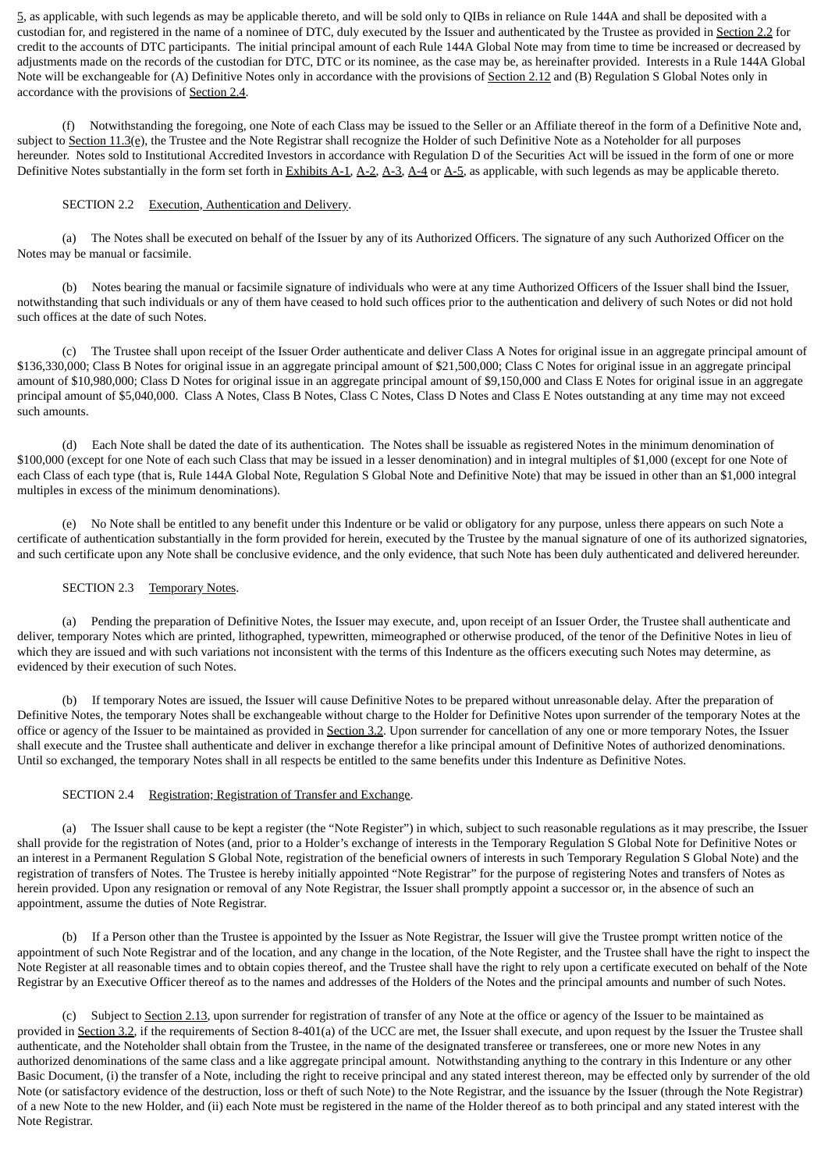5, as applicable, with such legends as may be applicable thereto, and will be sold only to QIBs in reliance on Rule 144A and shall be deposited with a custodian for, and registered in the name of a nominee of DTC, duly executed by the Issuer and authenticated by the Trustee as provided in Section 2.2 for credit to the accounts of DTC participants. The initial principal amount of each Rule 144A Global Note may from time to time be increased or decreased by adjustments made on the records of the custodian for DTC, DTC or its nominee, as the case may be, as hereinafter provided. Interests in a Rule 144A Global Note will be exchangeable for (A) Definitive Notes only in accordance with the provisions of Section 2.12 and (B) Regulation S Global Notes only in accordance with the provisions of Section 2.4.

(f) Notwithstanding the foregoing, one Note of each Class may be issued to the Seller or an Affiliate thereof in the form of a Definitive Note and, subject to Section 11.3(e), the Trustee and the Note Registrar shall recognize the Holder of such Definitive Note as a Noteholder for all purposes hereunder. Notes sold to Institutional Accredited Investors in accordance with Regulation D of the Securities Act will be issued in the form of one or more Definitive Notes substantially in the form set forth in Exhibits A-1, A-2, A-3, A-4 or A-5, as applicable, with such legends as may be applicable thereto.

# SECTION 2.2 Execution, Authentication and Delivery.

(a) The Notes shall be executed on behalf of the Issuer by any of its Authorized Officers. The signature of any such Authorized Officer on the Notes may be manual or facsimile.

(b) Notes bearing the manual or facsimile signature of individuals who were at any time Authorized Officers of the Issuer shall bind the Issuer, notwithstanding that such individuals or any of them have ceased to hold such offices prior to the authentication and delivery of such Notes or did not hold such offices at the date of such Notes.

(c) The Trustee shall upon receipt of the Issuer Order authenticate and deliver Class A Notes for original issue in an aggregate principal amount of \$136,330,000; Class B Notes for original issue in an aggregate principal amount of \$21,500,000; Class C Notes for original issue in an aggregate principal amount of \$10,980,000; Class D Notes for original issue in an aggregate principal amount of \$9,150,000 and Class E Notes for original issue in an aggregate principal amount of \$5,040,000. Class A Notes, Class B Notes, Class C Notes, Class D Notes and Class E Notes outstanding at any time may not exceed such amounts.

(d) Each Note shall be dated the date of its authentication. The Notes shall be issuable as registered Notes in the minimum denomination of \$100,000 (except for one Note of each such Class that may be issued in a lesser denomination) and in integral multiples of \$1,000 (except for one Note of each Class of each type (that is, Rule 144A Global Note, Regulation S Global Note and Definitive Note) that may be issued in other than an \$1,000 integral multiples in excess of the minimum denominations).

(e) No Note shall be entitled to any benefit under this Indenture or be valid or obligatory for any purpose, unless there appears on such Note a certificate of authentication substantially in the form provided for herein, executed by the Trustee by the manual signature of one of its authorized signatories, and such certificate upon any Note shall be conclusive evidence, and the only evidence, that such Note has been duly authenticated and delivered hereunder.

# SECTION 2.3 Temporary Notes.

(a) Pending the preparation of Definitive Notes, the Issuer may execute, and, upon receipt of an Issuer Order, the Trustee shall authenticate and deliver, temporary Notes which are printed, lithographed, typewritten, mimeographed or otherwise produced, of the tenor of the Definitive Notes in lieu of which they are issued and with such variations not inconsistent with the terms of this Indenture as the officers executing such Notes may determine, as evidenced by their execution of such Notes.

(b) If temporary Notes are issued, the Issuer will cause Definitive Notes to be prepared without unreasonable delay. After the preparation of Definitive Notes, the temporary Notes shall be exchangeable without charge to the Holder for Definitive Notes upon surrender of the temporary Notes at the office or agency of the Issuer to be maintained as provided in Section 3.2. Upon surrender for cancellation of any one or more temporary Notes, the Issuer shall execute and the Trustee shall authenticate and deliver in exchange therefor a like principal amount of Definitive Notes of authorized denominations. Until so exchanged, the temporary Notes shall in all respects be entitled to the same benefits under this Indenture as Definitive Notes.

## SECTION 2.4 Registration; Registration of Transfer and Exchange.

(a) The Issuer shall cause to be kept a register (the "Note Register") in which, subject to such reasonable regulations as it may prescribe, the Issuer shall provide for the registration of Notes (and, prior to a Holder's exchange of interests in the Temporary Regulation S Global Note for Definitive Notes or an interest in a Permanent Regulation S Global Note, registration of the beneficial owners of interests in such Temporary Regulation S Global Note) and the registration of transfers of Notes. The Trustee is hereby initially appointed "Note Registrar" for the purpose of registering Notes and transfers of Notes as herein provided. Upon any resignation or removal of any Note Registrar, the Issuer shall promptly appoint a successor or, in the absence of such an appointment, assume the duties of Note Registrar.

(b) If a Person other than the Trustee is appointed by the Issuer as Note Registrar, the Issuer will give the Trustee prompt written notice of the appointment of such Note Registrar and of the location, and any change in the location, of the Note Register, and the Trustee shall have the right to inspect the Note Register at all reasonable times and to obtain copies thereof, and the Trustee shall have the right to rely upon a certificate executed on behalf of the Note Registrar by an Executive Officer thereof as to the names and addresses of the Holders of the Notes and the principal amounts and number of such Notes.

(c) Subject to Section 2.13, upon surrender for registration of transfer of any Note at the office or agency of the Issuer to be maintained as provided in Section 3.2, if the requirements of Section 8-401(a) of the UCC are met, the Issuer shall execute, and upon request by the Issuer the Trustee shall authenticate, and the Noteholder shall obtain from the Trustee, in the name of the designated transferee or transferees, one or more new Notes in any authorized denominations of the same class and a like aggregate principal amount. Notwithstanding anything to the contrary in this Indenture or any other Basic Document, (i) the transfer of a Note, including the right to receive principal and any stated interest thereon, may be effected only by surrender of the old Note (or satisfactory evidence of the destruction, loss or theft of such Note) to the Note Registrar, and the issuance by the Issuer (through the Note Registrar) of a new Note to the new Holder, and (ii) each Note must be registered in the name of the Holder thereof as to both principal and any stated interest with the Note Registrar.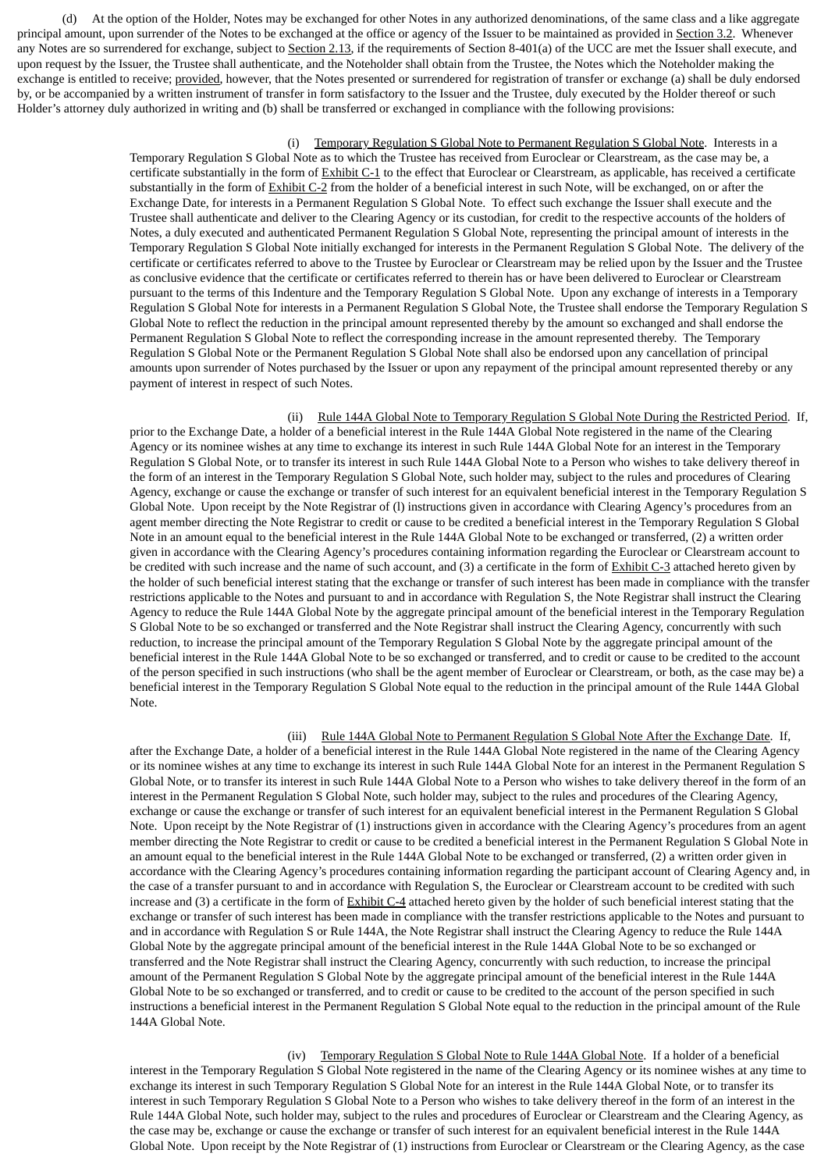(d) At the option of the Holder, Notes may be exchanged for other Notes in any authorized denominations, of the same class and a like aggregate principal amount, upon surrender of the Notes to be exchanged at the office or agency of the Issuer to be maintained as provided in Section 3.2. Whenever any Notes are so surrendered for exchange, subject to Section 2.13, if the requirements of Section 8-401(a) of the UCC are met the Issuer shall execute, and upon request by the Issuer, the Trustee shall authenticate, and the Noteholder shall obtain from the Trustee, the Notes which the Noteholder making the exchange is entitled to receive; provided, however, that the Notes presented or surrendered for registration of transfer or exchange (a) shall be duly endorsed by, or be accompanied by a written instrument of transfer in form satisfactory to the Issuer and the Trustee, duly executed by the Holder thereof or such Holder's attorney duly authorized in writing and (b) shall be transferred or exchanged in compliance with the following provisions:

## (i) Temporary Regulation S Global Note to Permanent Regulation S Global Note. Interests in a

Temporary Regulation S Global Note as to which the Trustee has received from Euroclear or Clearstream, as the case may be, a certificate substantially in the form of Exhibit C-1 to the effect that Euroclear or Clearstream, as applicable, has received a certificate substantially in the form of Exhibit C-2 from the holder of a beneficial interest in such Note, will be exchanged, on or after the Exchange Date, for interests in a Permanent Regulation S Global Note. To effect such exchange the Issuer shall execute and the Trustee shall authenticate and deliver to the Clearing Agency or its custodian, for credit to the respective accounts of the holders of Notes, a duly executed and authenticated Permanent Regulation S Global Note, representing the principal amount of interests in the Temporary Regulation S Global Note initially exchanged for interests in the Permanent Regulation S Global Note. The delivery of the certificate or certificates referred to above to the Trustee by Euroclear or Clearstream may be relied upon by the Issuer and the Trustee as conclusive evidence that the certificate or certificates referred to therein has or have been delivered to Euroclear or Clearstream pursuant to the terms of this Indenture and the Temporary Regulation S Global Note. Upon any exchange of interests in a Temporary Regulation S Global Note for interests in a Permanent Regulation S Global Note, the Trustee shall endorse the Temporary Regulation S Global Note to reflect the reduction in the principal amount represented thereby by the amount so exchanged and shall endorse the Permanent Regulation S Global Note to reflect the corresponding increase in the amount represented thereby. The Temporary Regulation S Global Note or the Permanent Regulation S Global Note shall also be endorsed upon any cancellation of principal amounts upon surrender of Notes purchased by the Issuer or upon any repayment of the principal amount represented thereby or any payment of interest in respect of such Notes.

(ii) Rule 144A Global Note to Temporary Regulation S Global Note During the Restricted Period. If, prior to the Exchange Date, a holder of a beneficial interest in the Rule 144A Global Note registered in the name of the Clearing Agency or its nominee wishes at any time to exchange its interest in such Rule 144A Global Note for an interest in the Temporary Regulation S Global Note, or to transfer its interest in such Rule 144A Global Note to a Person who wishes to take delivery thereof in the form of an interest in the Temporary Regulation S Global Note, such holder may, subject to the rules and procedures of Clearing Agency, exchange or cause the exchange or transfer of such interest for an equivalent beneficial interest in the Temporary Regulation S Global Note. Upon receipt by the Note Registrar of (l) instructions given in accordance with Clearing Agency's procedures from an agent member directing the Note Registrar to credit or cause to be credited a beneficial interest in the Temporary Regulation S Global Note in an amount equal to the beneficial interest in the Rule 144A Global Note to be exchanged or transferred, (2) a written order given in accordance with the Clearing Agency's procedures containing information regarding the Euroclear or Clearstream account to be credited with such increase and the name of such account, and (3) a certificate in the form of Exhibit C-3 attached hereto given by the holder of such beneficial interest stating that the exchange or transfer of such interest has been made in compliance with the transfer restrictions applicable to the Notes and pursuant to and in accordance with Regulation S, the Note Registrar shall instruct the Clearing Agency to reduce the Rule 144A Global Note by the aggregate principal amount of the beneficial interest in the Temporary Regulation S Global Note to be so exchanged or transferred and the Note Registrar shall instruct the Clearing Agency, concurrently with such reduction, to increase the principal amount of the Temporary Regulation S Global Note by the aggregate principal amount of the beneficial interest in the Rule 144A Global Note to be so exchanged or transferred, and to credit or cause to be credited to the account of the person specified in such instructions (who shall be the agent member of Euroclear or Clearstream, or both, as the case may be) a beneficial interest in the Temporary Regulation S Global Note equal to the reduction in the principal amount of the Rule 144A Global Note.

# (iii) Rule 144A Global Note to Permanent Regulation S Global Note After the Exchange Date. If,

after the Exchange Date, a holder of a beneficial interest in the Rule 144A Global Note registered in the name of the Clearing Agency or its nominee wishes at any time to exchange its interest in such Rule 144A Global Note for an interest in the Permanent Regulation S Global Note, or to transfer its interest in such Rule 144A Global Note to a Person who wishes to take delivery thereof in the form of an interest in the Permanent Regulation S Global Note, such holder may, subject to the rules and procedures of the Clearing Agency, exchange or cause the exchange or transfer of such interest for an equivalent beneficial interest in the Permanent Regulation S Global Note. Upon receipt by the Note Registrar of (1) instructions given in accordance with the Clearing Agency's procedures from an agent member directing the Note Registrar to credit or cause to be credited a beneficial interest in the Permanent Regulation S Global Note in an amount equal to the beneficial interest in the Rule 144A Global Note to be exchanged or transferred, (2) a written order given in accordance with the Clearing Agency's procedures containing information regarding the participant account of Clearing Agency and, in the case of a transfer pursuant to and in accordance with Regulation S, the Euroclear or Clearstream account to be credited with such increase and (3) a certificate in the form of Exhibit C-4 attached hereto given by the holder of such beneficial interest stating that the exchange or transfer of such interest has been made in compliance with the transfer restrictions applicable to the Notes and pursuant to and in accordance with Regulation S or Rule 144A, the Note Registrar shall instruct the Clearing Agency to reduce the Rule 144A Global Note by the aggregate principal amount of the beneficial interest in the Rule 144A Global Note to be so exchanged or transferred and the Note Registrar shall instruct the Clearing Agency, concurrently with such reduction, to increase the principal amount of the Permanent Regulation S Global Note by the aggregate principal amount of the beneficial interest in the Rule 144A Global Note to be so exchanged or transferred, and to credit or cause to be credited to the account of the person specified in such instructions a beneficial interest in the Permanent Regulation S Global Note equal to the reduction in the principal amount of the Rule 144A Global Note.

(iv) Temporary Regulation S Global Note to Rule 144A Global Note. If a holder of a beneficial interest in the Temporary Regulation S Global Note registered in the name of the Clearing Agency or its nominee wishes at any time to exchange its interest in such Temporary Regulation S Global Note for an interest in the Rule 144A Global Note, or to transfer its interest in such Temporary Regulation S Global Note to a Person who wishes to take delivery thereof in the form of an interest in the Rule 144A Global Note, such holder may, subject to the rules and procedures of Euroclear or Clearstream and the Clearing Agency, as the case may be, exchange or cause the exchange or transfer of such interest for an equivalent beneficial interest in the Rule 144A Global Note. Upon receipt by the Note Registrar of (1) instructions from Euroclear or Clearstream or the Clearing Agency, as the case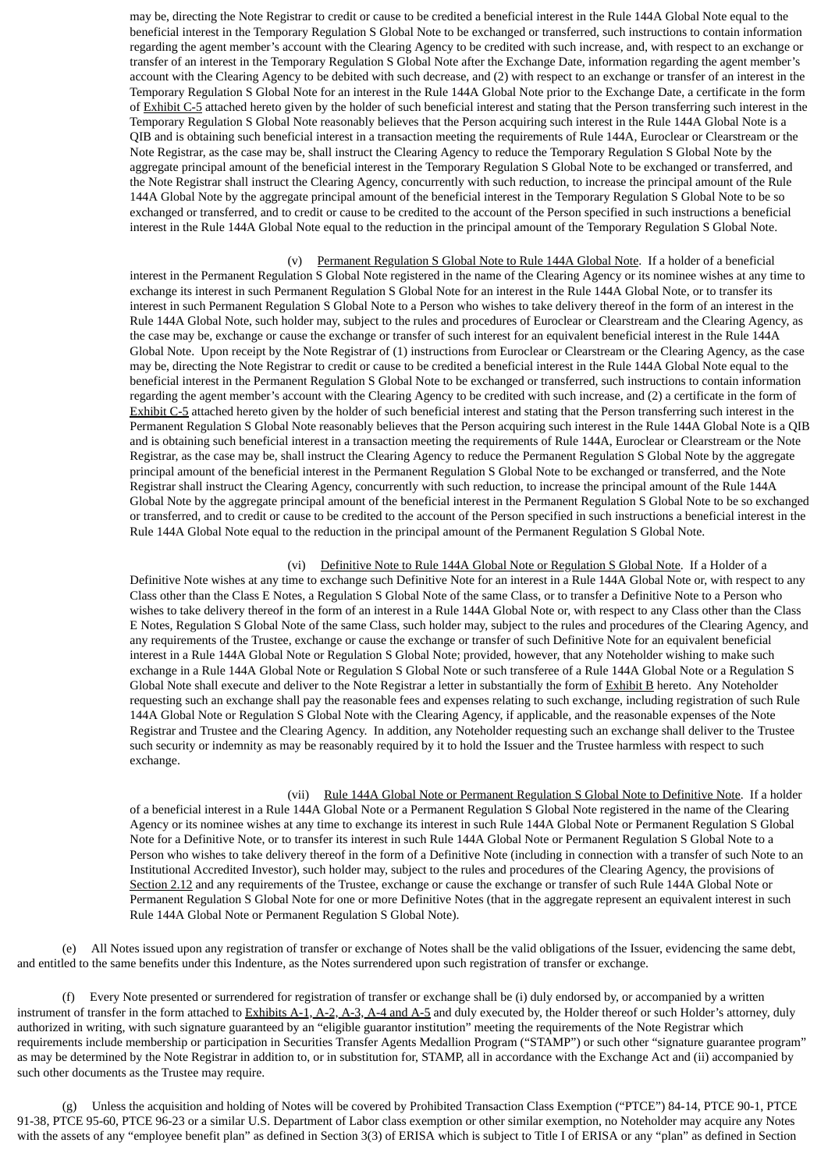may be, directing the Note Registrar to credit or cause to be credited a beneficial interest in the Rule 144A Global Note equal to the beneficial interest in the Temporary Regulation S Global Note to be exchanged or transferred, such instructions to contain information regarding the agent member's account with the Clearing Agency to be credited with such increase, and, with respect to an exchange or transfer of an interest in the Temporary Regulation S Global Note after the Exchange Date, information regarding the agent member's account with the Clearing Agency to be debited with such decrease, and (2) with respect to an exchange or transfer of an interest in the Temporary Regulation S Global Note for an interest in the Rule 144A Global Note prior to the Exchange Date, a certificate in the form of Exhibit C-5 attached hereto given by the holder of such beneficial interest and stating that the Person transferring such interest in the Temporary Regulation S Global Note reasonably believes that the Person acquiring such interest in the Rule 144A Global Note is a QIB and is obtaining such beneficial interest in a transaction meeting the requirements of Rule 144A, Euroclear or Clearstream or the Note Registrar, as the case may be, shall instruct the Clearing Agency to reduce the Temporary Regulation S Global Note by the aggregate principal amount of the beneficial interest in the Temporary Regulation S Global Note to be exchanged or transferred, and the Note Registrar shall instruct the Clearing Agency, concurrently with such reduction, to increase the principal amount of the Rule 144A Global Note by the aggregate principal amount of the beneficial interest in the Temporary Regulation S Global Note to be so exchanged or transferred, and to credit or cause to be credited to the account of the Person specified in such instructions a beneficial interest in the Rule 144A Global Note equal to the reduction in the principal amount of the Temporary Regulation S Global Note.

(v) Permanent Regulation S Global Note to Rule 144A Global Note. If a holder of a beneficial interest in the Permanent Regulation S Global Note registered in the name of the Clearing Agency or its nominee wishes at any time to exchange its interest in such Permanent Regulation S Global Note for an interest in the Rule 144A Global Note, or to transfer its interest in such Permanent Regulation S Global Note to a Person who wishes to take delivery thereof in the form of an interest in the Rule 144A Global Note, such holder may, subject to the rules and procedures of Euroclear or Clearstream and the Clearing Agency, as the case may be, exchange or cause the exchange or transfer of such interest for an equivalent beneficial interest in the Rule 144A Global Note. Upon receipt by the Note Registrar of (1) instructions from Euroclear or Clearstream or the Clearing Agency, as the case may be, directing the Note Registrar to credit or cause to be credited a beneficial interest in the Rule 144A Global Note equal to the beneficial interest in the Permanent Regulation S Global Note to be exchanged or transferred, such instructions to contain information regarding the agent member's account with the Clearing Agency to be credited with such increase, and (2) a certificate in the form of Exhibit C-5 attached hereto given by the holder of such beneficial interest and stating that the Person transferring such interest in the Permanent Regulation S Global Note reasonably believes that the Person acquiring such interest in the Rule 144A Global Note is a QIB and is obtaining such beneficial interest in a transaction meeting the requirements of Rule 144A, Euroclear or Clearstream or the Note Registrar, as the case may be, shall instruct the Clearing Agency to reduce the Permanent Regulation S Global Note by the aggregate principal amount of the beneficial interest in the Permanent Regulation S Global Note to be exchanged or transferred, and the Note Registrar shall instruct the Clearing Agency, concurrently with such reduction, to increase the principal amount of the Rule 144A Global Note by the aggregate principal amount of the beneficial interest in the Permanent Regulation S Global Note to be so exchanged or transferred, and to credit or cause to be credited to the account of the Person specified in such instructions a beneficial interest in the Rule 144A Global Note equal to the reduction in the principal amount of the Permanent Regulation S Global Note.

(vi) Definitive Note to Rule 144A Global Note or Regulation S Global Note. If a Holder of a Definitive Note wishes at any time to exchange such Definitive Note for an interest in a Rule 144A Global Note or, with respect to any Class other than the Class E Notes, a Regulation S Global Note of the same Class, or to transfer a Definitive Note to a Person who wishes to take delivery thereof in the form of an interest in a Rule 144A Global Note or, with respect to any Class other than the Class E Notes, Regulation S Global Note of the same Class, such holder may, subject to the rules and procedures of the Clearing Agency, and any requirements of the Trustee, exchange or cause the exchange or transfer of such Definitive Note for an equivalent beneficial interest in a Rule 144A Global Note or Regulation S Global Note; provided, however, that any Noteholder wishing to make such exchange in a Rule 144A Global Note or Regulation S Global Note or such transferee of a Rule 144A Global Note or a Regulation S Global Note shall execute and deliver to the Note Registrar a letter in substantially the form of Exhibit B hereto. Any Noteholder requesting such an exchange shall pay the reasonable fees and expenses relating to such exchange, including registration of such Rule 144A Global Note or Regulation S Global Note with the Clearing Agency, if applicable, and the reasonable expenses of the Note Registrar and Trustee and the Clearing Agency. In addition, any Noteholder requesting such an exchange shall deliver to the Trustee such security or indemnity as may be reasonably required by it to hold the Issuer and the Trustee harmless with respect to such exchange.

(vii) Rule 144A Global Note or Permanent Regulation S Global Note to Definitive Note. If a holder of a beneficial interest in a Rule 144A Global Note or a Permanent Regulation S Global Note registered in the name of the Clearing Agency or its nominee wishes at any time to exchange its interest in such Rule 144A Global Note or Permanent Regulation S Global Note for a Definitive Note, or to transfer its interest in such Rule 144A Global Note or Permanent Regulation S Global Note to a Person who wishes to take delivery thereof in the form of a Definitive Note (including in connection with a transfer of such Note to an Institutional Accredited Investor), such holder may, subject to the rules and procedures of the Clearing Agency, the provisions of Section 2.12 and any requirements of the Trustee, exchange or cause the exchange or transfer of such Rule 144A Global Note or Permanent Regulation S Global Note for one or more Definitive Notes (that in the aggregate represent an equivalent interest in such Rule 144A Global Note or Permanent Regulation S Global Note).

(e) All Notes issued upon any registration of transfer or exchange of Notes shall be the valid obligations of the Issuer, evidencing the same debt, and entitled to the same benefits under this Indenture, as the Notes surrendered upon such registration of transfer or exchange.

(f) Every Note presented or surrendered for registration of transfer or exchange shall be (i) duly endorsed by, or accompanied by a written instrument of transfer in the form attached to Exhibits A-1, A-2, A-3, A-4 and A-5 and duly executed by, the Holder thereof or such Holder's attorney, duly authorized in writing, with such signature guaranteed by an "eligible guarantor institution" meeting the requirements of the Note Registrar which requirements include membership or participation in Securities Transfer Agents Medallion Program ("STAMP") or such other "signature guarantee program" as may be determined by the Note Registrar in addition to, or in substitution for, STAMP, all in accordance with the Exchange Act and (ii) accompanied by such other documents as the Trustee may require.

(g) Unless the acquisition and holding of Notes will be covered by Prohibited Transaction Class Exemption ("PTCE") 84-14, PTCE 90-1, PTCE 91-38, PTCE 95-60, PTCE 96-23 or a similar U.S. Department of Labor class exemption or other similar exemption, no Noteholder may acquire any Notes with the assets of any "employee benefit plan" as defined in Section 3(3) of ERISA which is subject to Title I of ERISA or any "plan" as defined in Section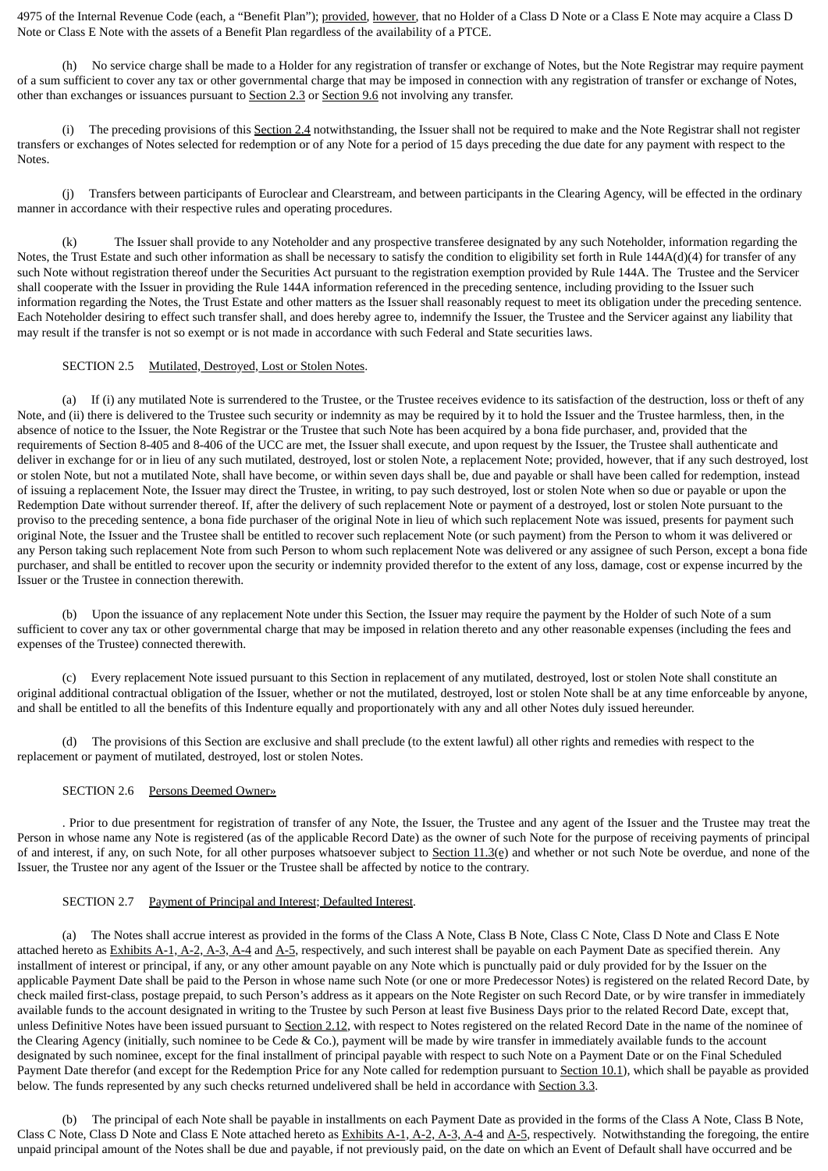4975 of the Internal Revenue Code (each, a "Benefit Plan"); provided, however, that no Holder of a Class D Note or a Class E Note may acquire a Class D Note or Class E Note with the assets of a Benefit Plan regardless of the availability of a PTCE.

(h) No service charge shall be made to a Holder for any registration of transfer or exchange of Notes, but the Note Registrar may require payment of a sum sufficient to cover any tax or other governmental charge that may be imposed in connection with any registration of transfer or exchange of Notes, other than exchanges or issuances pursuant to Section 2.3 or Section 9.6 not involving any transfer.

(i) The preceding provisions of this Section 2.4 notwithstanding, the Issuer shall not be required to make and the Note Registrar shall not register transfers or exchanges of Notes selected for redemption or of any Note for a period of 15 days preceding the due date for any payment with respect to the Notes.

(j) Transfers between participants of Euroclear and Clearstream, and between participants in the Clearing Agency, will be effected in the ordinary manner in accordance with their respective rules and operating procedures.

(k) The Issuer shall provide to any Noteholder and any prospective transferee designated by any such Noteholder, information regarding the Notes, the Trust Estate and such other information as shall be necessary to satisfy the condition to eligibility set forth in Rule 144A(d)(4) for transfer of any such Note without registration thereof under the Securities Act pursuant to the registration exemption provided by Rule 144A. The Trustee and the Servicer shall cooperate with the Issuer in providing the Rule 144A information referenced in the preceding sentence, including providing to the Issuer such information regarding the Notes, the Trust Estate and other matters as the Issuer shall reasonably request to meet its obligation under the preceding sentence. Each Noteholder desiring to effect such transfer shall, and does hereby agree to, indemnify the Issuer, the Trustee and the Servicer against any liability that may result if the transfer is not so exempt or is not made in accordance with such Federal and State securities laws.

## SECTION 2.5 Mutilated, Destroyed, Lost or Stolen Notes.

(a) If (i) any mutilated Note is surrendered to the Trustee, or the Trustee receives evidence to its satisfaction of the destruction, loss or theft of any Note, and (ii) there is delivered to the Trustee such security or indemnity as may be required by it to hold the Issuer and the Trustee harmless, then, in the absence of notice to the Issuer, the Note Registrar or the Trustee that such Note has been acquired by a bona fide purchaser, and, provided that the requirements of Section 8-405 and 8-406 of the UCC are met, the Issuer shall execute, and upon request by the Issuer, the Trustee shall authenticate and deliver in exchange for or in lieu of any such mutilated, destroyed, lost or stolen Note, a replacement Note; provided, however, that if any such destroyed, lost or stolen Note, but not a mutilated Note, shall have become, or within seven days shall be, due and payable or shall have been called for redemption, instead of issuing a replacement Note, the Issuer may direct the Trustee, in writing, to pay such destroyed, lost or stolen Note when so due or payable or upon the Redemption Date without surrender thereof. If, after the delivery of such replacement Note or payment of a destroyed, lost or stolen Note pursuant to the proviso to the preceding sentence, a bona fide purchaser of the original Note in lieu of which such replacement Note was issued, presents for payment such original Note, the Issuer and the Trustee shall be entitled to recover such replacement Note (or such payment) from the Person to whom it was delivered or any Person taking such replacement Note from such Person to whom such replacement Note was delivered or any assignee of such Person, except a bona fide purchaser, and shall be entitled to recover upon the security or indemnity provided therefor to the extent of any loss, damage, cost or expense incurred by the Issuer or the Trustee in connection therewith.

(b) Upon the issuance of any replacement Note under this Section, the Issuer may require the payment by the Holder of such Note of a sum sufficient to cover any tax or other governmental charge that may be imposed in relation thereto and any other reasonable expenses (including the fees and expenses of the Trustee) connected therewith.

(c) Every replacement Note issued pursuant to this Section in replacement of any mutilated, destroyed, lost or stolen Note shall constitute an original additional contractual obligation of the Issuer, whether or not the mutilated, destroyed, lost or stolen Note shall be at any time enforceable by anyone, and shall be entitled to all the benefits of this Indenture equally and proportionately with any and all other Notes duly issued hereunder.

(d) The provisions of this Section are exclusive and shall preclude (to the extent lawful) all other rights and remedies with respect to the replacement or payment of mutilated, destroyed, lost or stolen Notes.

### SECTION 2.6 Persons Deemed Owner»

. Prior to due presentment for registration of transfer of any Note, the Issuer, the Trustee and any agent of the Issuer and the Trustee may treat the Person in whose name any Note is registered (as of the applicable Record Date) as the owner of such Note for the purpose of receiving payments of principal of and interest, if any, on such Note, for all other purposes whatsoever subject to Section 11.3(e) and whether or not such Note be overdue, and none of the Issuer, the Trustee nor any agent of the Issuer or the Trustee shall be affected by notice to the contrary.

### SECTION 2.7 Payment of Principal and Interest; Defaulted Interest.

(a) The Notes shall accrue interest as provided in the forms of the Class A Note, Class B Note, Class C Note, Class D Note and Class E Note attached hereto as Exhibits A-1, A-2, A-3, A-4 and A-5, respectively, and such interest shall be payable on each Payment Date as specified therein. Any installment of interest or principal, if any, or any other amount payable on any Note which is punctually paid or duly provided for by the Issuer on the applicable Payment Date shall be paid to the Person in whose name such Note (or one or more Predecessor Notes) is registered on the related Record Date, by check mailed first-class, postage prepaid, to such Person's address as it appears on the Note Register on such Record Date, or by wire transfer in immediately available funds to the account designated in writing to the Trustee by such Person at least five Business Days prior to the related Record Date, except that, unless Definitive Notes have been issued pursuant to Section 2.12, with respect to Notes registered on the related Record Date in the name of the nominee of the Clearing Agency (initially, such nominee to be Cede & Co.), payment will be made by wire transfer in immediately available funds to the account designated by such nominee, except for the final installment of principal payable with respect to such Note on a Payment Date or on the Final Scheduled Payment Date therefor (and except for the Redemption Price for any Note called for redemption pursuant to Section 10.1), which shall be payable as provided below. The funds represented by any such checks returned undelivered shall be held in accordance with Section 3.3.

(b) The principal of each Note shall be payable in installments on each Payment Date as provided in the forms of the Class A Note, Class B Note, Class C Note, Class D Note and Class E Note attached hereto as  $\frac{Exhibits A-1, A-2, A-3, A-4}{2}$  and  $A-5$ , respectively. Notwithstanding the foregoing, the entire unpaid principal amount of the Notes shall be due and payable, if not previously paid, on the date on which an Event of Default shall have occurred and be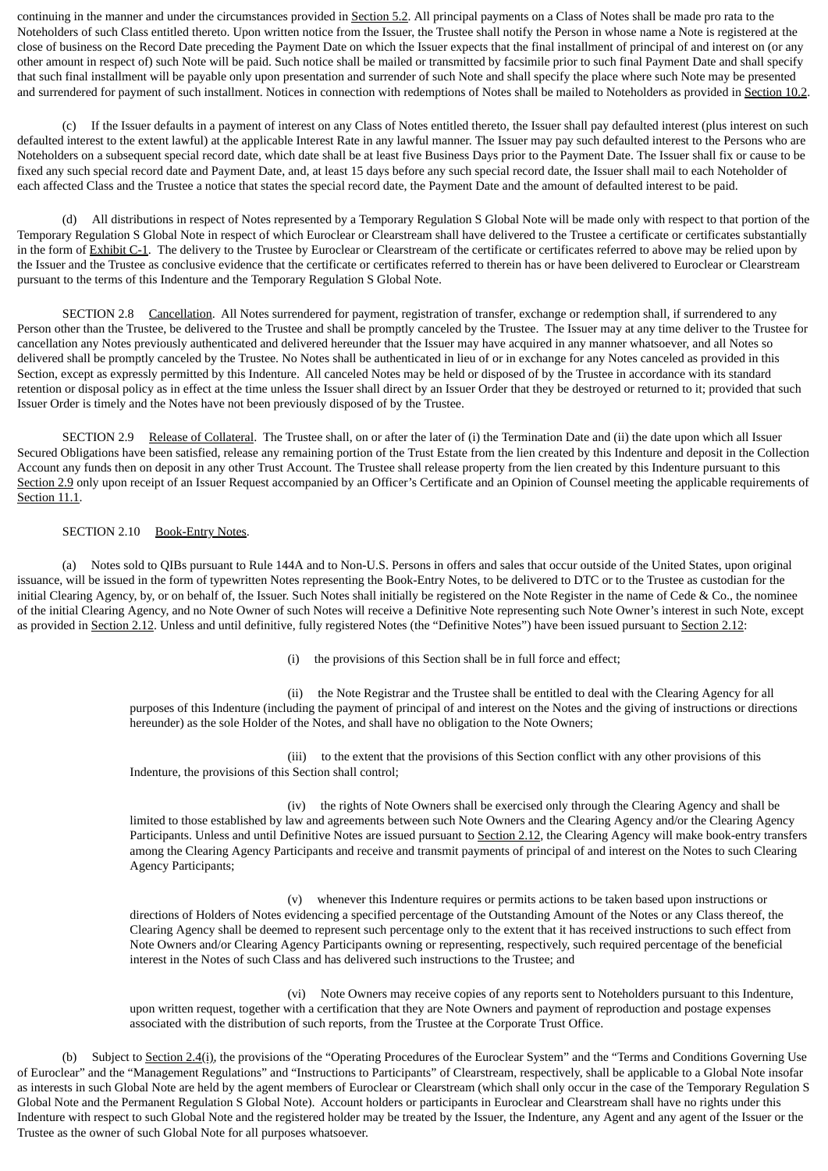continuing in the manner and under the circumstances provided in **Section 5.2**. All principal payments on a Class of Notes shall be made pro rata to the Noteholders of such Class entitled thereto. Upon written notice from the Issuer, the Trustee shall notify the Person in whose name a Note is registered at the close of business on the Record Date preceding the Payment Date on which the Issuer expects that the final installment of principal of and interest on (or any other amount in respect of) such Note will be paid. Such notice shall be mailed or transmitted by facsimile prior to such final Payment Date and shall specify that such final installment will be payable only upon presentation and surrender of such Note and shall specify the place where such Note may be presented and surrendered for payment of such installment. Notices in connection with redemptions of Notes shall be mailed to Noteholders as provided in Section 10.2.

(c) If the Issuer defaults in a payment of interest on any Class of Notes entitled thereto, the Issuer shall pay defaulted interest (plus interest on such defaulted interest to the extent lawful) at the applicable Interest Rate in any lawful manner. The Issuer may pay such defaulted interest to the Persons who are Noteholders on a subsequent special record date, which date shall be at least five Business Days prior to the Payment Date. The Issuer shall fix or cause to be fixed any such special record date and Payment Date, and, at least 15 days before any such special record date, the Issuer shall mail to each Noteholder of each affected Class and the Trustee a notice that states the special record date, the Payment Date and the amount of defaulted interest to be paid.

(d) All distributions in respect of Notes represented by a Temporary Regulation S Global Note will be made only with respect to that portion of the Temporary Regulation S Global Note in respect of which Euroclear or Clearstream shall have delivered to the Trustee a certificate or certificates substantially in the form of Exhibit C-1. The delivery to the Trustee by Euroclear or Clearstream of the certificate or certificates referred to above may be relied upon by the Issuer and the Trustee as conclusive evidence that the certificate or certificates referred to therein has or have been delivered to Euroclear or Clearstream pursuant to the terms of this Indenture and the Temporary Regulation S Global Note.

SECTION 2.8 Cancellation. All Notes surrendered for payment, registration of transfer, exchange or redemption shall, if surrendered to any Person other than the Trustee, be delivered to the Trustee and shall be promptly canceled by the Trustee. The Issuer may at any time deliver to the Trustee for cancellation any Notes previously authenticated and delivered hereunder that the Issuer may have acquired in any manner whatsoever, and all Notes so delivered shall be promptly canceled by the Trustee. No Notes shall be authenticated in lieu of or in exchange for any Notes canceled as provided in this Section, except as expressly permitted by this Indenture. All canceled Notes may be held or disposed of by the Trustee in accordance with its standard retention or disposal policy as in effect at the time unless the Issuer shall direct by an Issuer Order that they be destroyed or returned to it; provided that such Issuer Order is timely and the Notes have not been previously disposed of by the Trustee.

SECTION 2.9 Release of Collateral. The Trustee shall, on or after the later of (i) the Termination Date and (ii) the date upon which all Issuer Secured Obligations have been satisfied, release any remaining portion of the Trust Estate from the lien created by this Indenture and deposit in the Collection Account any funds then on deposit in any other Trust Account. The Trustee shall release property from the lien created by this Indenture pursuant to this Section 2.9 only upon receipt of an Issuer Request accompanied by an Officer's Certificate and an Opinion of Counsel meeting the applicable requirements of Section 11.1.

# SECTION 2.10 Book-Entry Notes.

(a) Notes sold to QIBs pursuant to Rule 144A and to Non-U.S. Persons in offers and sales that occur outside of the United States, upon original issuance, will be issued in the form of typewritten Notes representing the Book-Entry Notes, to be delivered to DTC or to the Trustee as custodian for the initial Clearing Agency, by, or on behalf of, the Issuer. Such Notes shall initially be registered on the Note Register in the name of Cede & Co., the nominee of the initial Clearing Agency, and no Note Owner of such Notes will receive a Definitive Note representing such Note Owner's interest in such Note, except as provided in Section 2.12. Unless and until definitive, fully registered Notes (the "Definitive Notes") have been issued pursuant to Section 2.12:

(i) the provisions of this Section shall be in full force and effect;

(ii) the Note Registrar and the Trustee shall be entitled to deal with the Clearing Agency for all purposes of this Indenture (including the payment of principal of and interest on the Notes and the giving of instructions or directions hereunder) as the sole Holder of the Notes, and shall have no obligation to the Note Owners;

(iii) to the extent that the provisions of this Section conflict with any other provisions of this Indenture, the provisions of this Section shall control;

(iv) the rights of Note Owners shall be exercised only through the Clearing Agency and shall be limited to those established by law and agreements between such Note Owners and the Clearing Agency and/or the Clearing Agency Participants. Unless and until Definitive Notes are issued pursuant to Section 2.12, the Clearing Agency will make book-entry transfers among the Clearing Agency Participants and receive and transmit payments of principal of and interest on the Notes to such Clearing Agency Participants;

(v) whenever this Indenture requires or permits actions to be taken based upon instructions or directions of Holders of Notes evidencing a specified percentage of the Outstanding Amount of the Notes or any Class thereof, the Clearing Agency shall be deemed to represent such percentage only to the extent that it has received instructions to such effect from Note Owners and/or Clearing Agency Participants owning or representing, respectively, such required percentage of the beneficial interest in the Notes of such Class and has delivered such instructions to the Trustee; and

(vi) Note Owners may receive copies of any reports sent to Noteholders pursuant to this Indenture, upon written request, together with a certification that they are Note Owners and payment of reproduction and postage expenses associated with the distribution of such reports, from the Trustee at the Corporate Trust Office.

(b) Subject to Section 2.4(i), the provisions of the "Operating Procedures of the Euroclear System" and the "Terms and Conditions Governing Use of Euroclear" and the "Management Regulations" and "Instructions to Participants" of Clearstream, respectively, shall be applicable to a Global Note insofar as interests in such Global Note are held by the agent members of Euroclear or Clearstream (which shall only occur in the case of the Temporary Regulation S Global Note and the Permanent Regulation S Global Note). Account holders or participants in Euroclear and Clearstream shall have no rights under this Indenture with respect to such Global Note and the registered holder may be treated by the Issuer, the Indenture, any Agent and any agent of the Issuer or the Trustee as the owner of such Global Note for all purposes whatsoever.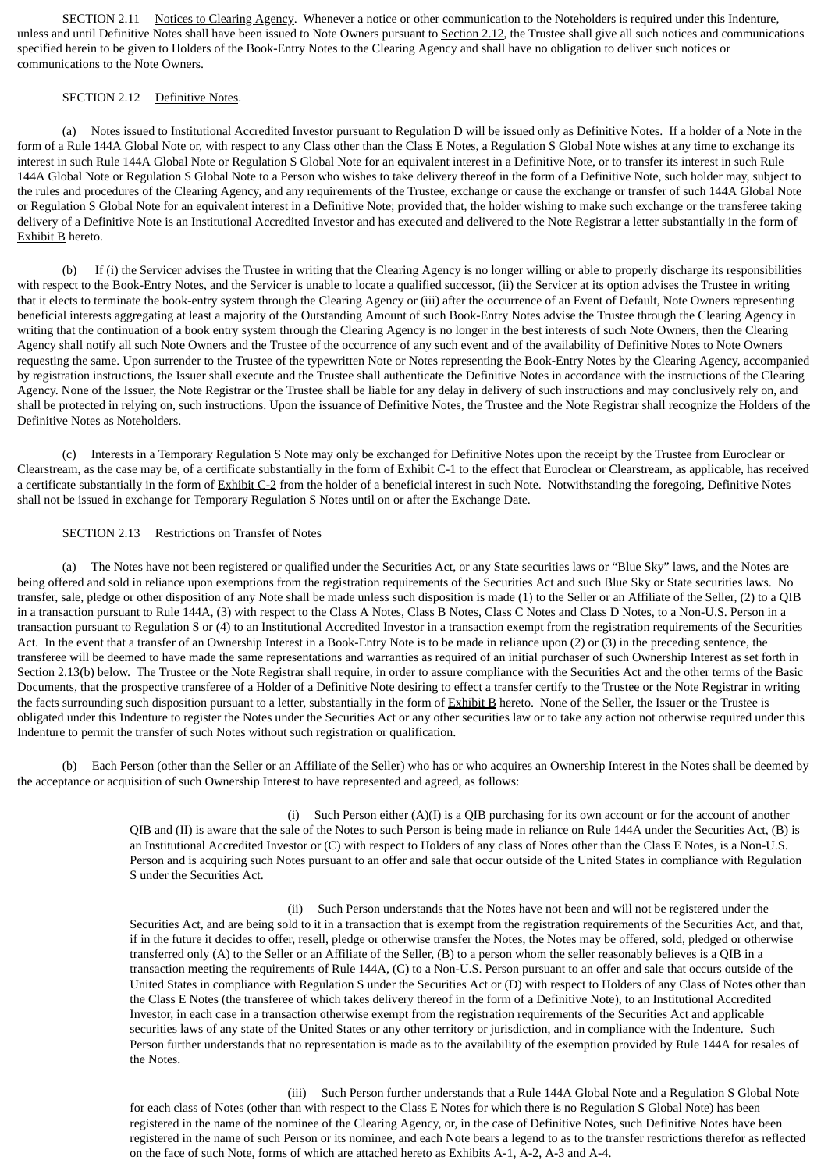SECTION 2.11 Notices to Clearing Agency. Whenever a notice or other communication to the Noteholders is required under this Indenture, unless and until Definitive Notes shall have been issued to Note Owners pursuant to Section 2.12, the Trustee shall give all such notices and communications specified herein to be given to Holders of the Book-Entry Notes to the Clearing Agency and shall have no obligation to deliver such notices or communications to the Note Owners.

# SECTION 2.12 Definitive Notes.

(a) Notes issued to Institutional Accredited Investor pursuant to Regulation D will be issued only as Definitive Notes. If a holder of a Note in the form of a Rule 144A Global Note or, with respect to any Class other than the Class E Notes, a Regulation S Global Note wishes at any time to exchange its interest in such Rule 144A Global Note or Regulation S Global Note for an equivalent interest in a Definitive Note, or to transfer its interest in such Rule 144A Global Note or Regulation S Global Note to a Person who wishes to take delivery thereof in the form of a Definitive Note, such holder may, subject to the rules and procedures of the Clearing Agency, and any requirements of the Trustee, exchange or cause the exchange or transfer of such 144A Global Note or Regulation S Global Note for an equivalent interest in a Definitive Note; provided that, the holder wishing to make such exchange or the transferee taking delivery of a Definitive Note is an Institutional Accredited Investor and has executed and delivered to the Note Registrar a letter substantially in the form of Exhibit B hereto.

(b) If (i) the Servicer advises the Trustee in writing that the Clearing Agency is no longer willing or able to properly discharge its responsibilities with respect to the Book-Entry Notes, and the Servicer is unable to locate a qualified successor, (ii) the Servicer at its option advises the Trustee in writing that it elects to terminate the book-entry system through the Clearing Agency or (iii) after the occurrence of an Event of Default, Note Owners representing beneficial interests aggregating at least a majority of the Outstanding Amount of such Book-Entry Notes advise the Trustee through the Clearing Agency in writing that the continuation of a book entry system through the Clearing Agency is no longer in the best interests of such Note Owners, then the Clearing Agency shall notify all such Note Owners and the Trustee of the occurrence of any such event and of the availability of Definitive Notes to Note Owners requesting the same. Upon surrender to the Trustee of the typewritten Note or Notes representing the Book-Entry Notes by the Clearing Agency, accompanied by registration instructions, the Issuer shall execute and the Trustee shall authenticate the Definitive Notes in accordance with the instructions of the Clearing Agency. None of the Issuer, the Note Registrar or the Trustee shall be liable for any delay in delivery of such instructions and may conclusively rely on, and shall be protected in relying on, such instructions. Upon the issuance of Definitive Notes, the Trustee and the Note Registrar shall recognize the Holders of the Definitive Notes as Noteholders.

(c) Interests in a Temporary Regulation S Note may only be exchanged for Definitive Notes upon the receipt by the Trustee from Euroclear or Clearstream, as the case may be, of a certificate substantially in the form of Exhibit C-1 to the effect that Euroclear or Clearstream, as applicable, has received a certificate substantially in the form of Exhibit C-2 from the holder of a beneficial interest in such Note. Notwithstanding the foregoing, Definitive Notes shall not be issued in exchange for Temporary Regulation S Notes until on or after the Exchange Date.

### SECTION 2.13 Restrictions on Transfer of Notes

(a) The Notes have not been registered or qualified under the Securities Act, or any State securities laws or "Blue Sky" laws, and the Notes are being offered and sold in reliance upon exemptions from the registration requirements of the Securities Act and such Blue Sky or State securities laws. No transfer, sale, pledge or other disposition of any Note shall be made unless such disposition is made (1) to the Seller or an Affiliate of the Seller, (2) to a QIB in a transaction pursuant to Rule 144A, (3) with respect to the Class A Notes, Class B Notes, Class C Notes and Class D Notes, to a Non-U.S. Person in a transaction pursuant to Regulation S or (4) to an Institutional Accredited Investor in a transaction exempt from the registration requirements of the Securities Act. In the event that a transfer of an Ownership Interest in a Book-Entry Note is to be made in reliance upon (2) or (3) in the preceding sentence, the transferee will be deemed to have made the same representations and warranties as required of an initial purchaser of such Ownership Interest as set forth in Section 2.13(b) below. The Trustee or the Note Registrar shall require, in order to assure compliance with the Securities Act and the other terms of the Basic Documents, that the prospective transferee of a Holder of a Definitive Note desiring to effect a transfer certify to the Trustee or the Note Registrar in writing the facts surrounding such disposition pursuant to a letter, substantially in the form of Exhibit B hereto. None of the Seller, the Issuer or the Trustee is obligated under this Indenture to register the Notes under the Securities Act or any other securities law or to take any action not otherwise required under this Indenture to permit the transfer of such Notes without such registration or qualification.

(b) Each Person (other than the Seller or an Affiliate of the Seller) who has or who acquires an Ownership Interest in the Notes shall be deemed by the acceptance or acquisition of such Ownership Interest to have represented and agreed, as follows:

> (i) Such Person either (A)(I) is a QIB purchasing for its own account or for the account of another QIB and (II) is aware that the sale of the Notes to such Person is being made in reliance on Rule 144A under the Securities Act, (B) is an Institutional Accredited Investor or (C) with respect to Holders of any class of Notes other than the Class E Notes, is a Non-U.S. Person and is acquiring such Notes pursuant to an offer and sale that occur outside of the United States in compliance with Regulation S under the Securities Act.

> (ii) Such Person understands that the Notes have not been and will not be registered under the Securities Act, and are being sold to it in a transaction that is exempt from the registration requirements of the Securities Act, and that, if in the future it decides to offer, resell, pledge or otherwise transfer the Notes, the Notes may be offered, sold, pledged or otherwise transferred only (A) to the Seller or an Affiliate of the Seller, (B) to a person whom the seller reasonably believes is a QIB in a transaction meeting the requirements of Rule 144A, (C) to a Non-U.S. Person pursuant to an offer and sale that occurs outside of the United States in compliance with Regulation S under the Securities Act or (D) with respect to Holders of any Class of Notes other than the Class E Notes (the transferee of which takes delivery thereof in the form of a Definitive Note), to an Institutional Accredited Investor, in each case in a transaction otherwise exempt from the registration requirements of the Securities Act and applicable securities laws of any state of the United States or any other territory or jurisdiction, and in compliance with the Indenture. Such Person further understands that no representation is made as to the availability of the exemption provided by Rule 144A for resales of the Notes.

> (iii) Such Person further understands that a Rule 144A Global Note and a Regulation S Global Note for each class of Notes (other than with respect to the Class E Notes for which there is no Regulation S Global Note) has been registered in the name of the nominee of the Clearing Agency, or, in the case of Definitive Notes, such Definitive Notes have been registered in the name of such Person or its nominee, and each Note bears a legend to as to the transfer restrictions therefor as reflected on the face of such Note, forms of which are attached hereto as Exhibits A-1, A-2, A-3 and A-4.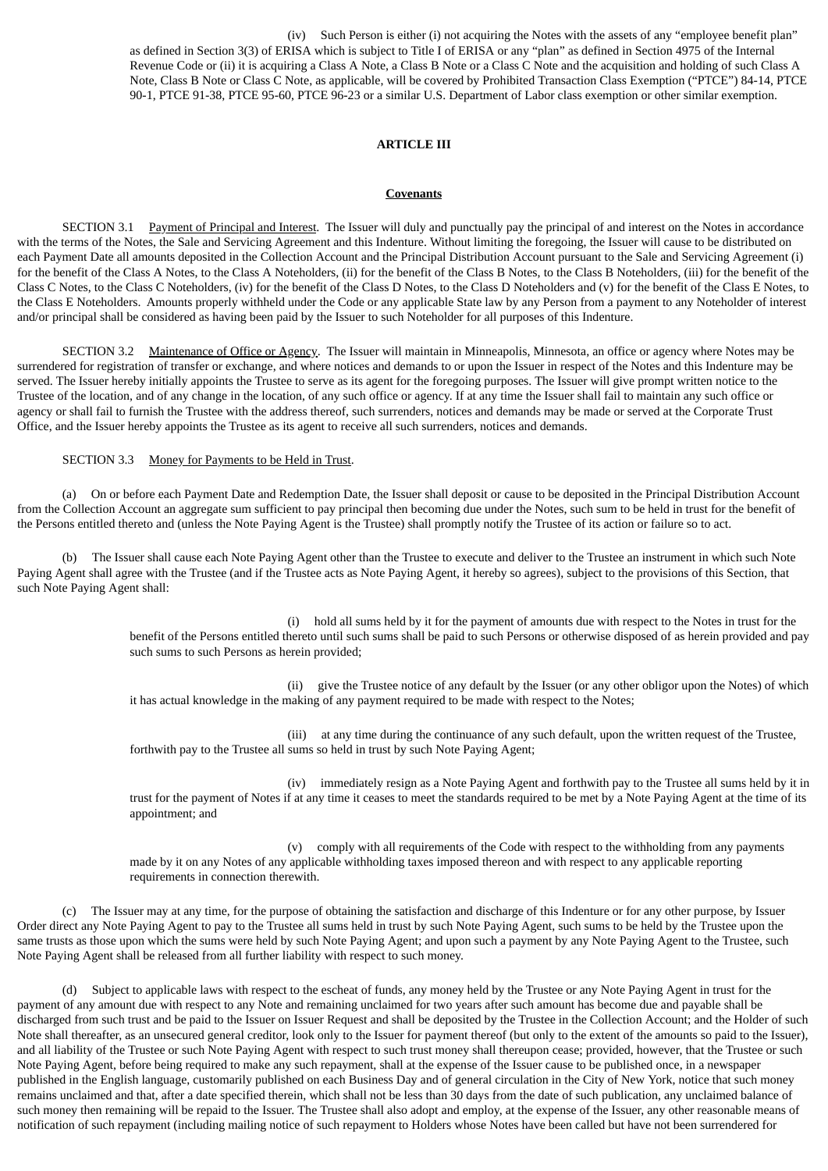(iv) Such Person is either (i) not acquiring the Notes with the assets of any "employee benefit plan" as defined in Section 3(3) of ERISA which is subject to Title I of ERISA or any "plan" as defined in Section 4975 of the Internal Revenue Code or (ii) it is acquiring a Class A Note, a Class B Note or a Class C Note and the acquisition and holding of such Class A Note, Class B Note or Class C Note, as applicable, will be covered by Prohibited Transaction Class Exemption ("PTCE") 84-14, PTCE 90-1, PTCE 91-38, PTCE 95-60, PTCE 96-23 or a similar U.S. Department of Labor class exemption or other similar exemption.

# **ARTICLE III**

#### **Covenants**

SECTION 3.1 Payment of Principal and Interest. The Issuer will duly and punctually pay the principal of and interest on the Notes in accordance with the terms of the Notes, the Sale and Servicing Agreement and this Indenture. Without limiting the foregoing, the Issuer will cause to be distributed on each Payment Date all amounts deposited in the Collection Account and the Principal Distribution Account pursuant to the Sale and Servicing Agreement (i) for the benefit of the Class A Notes, to the Class A Noteholders, (ii) for the benefit of the Class B Notes, to the Class B Noteholders, (iii) for the benefit of the Class C Notes, to the Class C Noteholders, (iv) for the benefit of the Class D Notes, to the Class D Noteholders and (v) for the benefit of the Class E Notes, to the Class E Noteholders. Amounts properly withheld under the Code or any applicable State law by any Person from a payment to any Noteholder of interest and/or principal shall be considered as having been paid by the Issuer to such Noteholder for all purposes of this Indenture.

SECTION 3.2 Maintenance of Office or Agency. The Issuer will maintain in Minneapolis, Minnesota, an office or agency where Notes may be surrendered for registration of transfer or exchange, and where notices and demands to or upon the Issuer in respect of the Notes and this Indenture may be served. The Issuer hereby initially appoints the Trustee to serve as its agent for the foregoing purposes. The Issuer will give prompt written notice to the Trustee of the location, and of any change in the location, of any such office or agency. If at any time the Issuer shall fail to maintain any such office or agency or shall fail to furnish the Trustee with the address thereof, such surrenders, notices and demands may be made or served at the Corporate Trust Office, and the Issuer hereby appoints the Trustee as its agent to receive all such surrenders, notices and demands.

#### SECTION 3.3 Money for Payments to be Held in Trust.

(a) On or before each Payment Date and Redemption Date, the Issuer shall deposit or cause to be deposited in the Principal Distribution Account from the Collection Account an aggregate sum sufficient to pay principal then becoming due under the Notes, such sum to be held in trust for the benefit of the Persons entitled thereto and (unless the Note Paying Agent is the Trustee) shall promptly notify the Trustee of its action or failure so to act.

(b) The Issuer shall cause each Note Paying Agent other than the Trustee to execute and deliver to the Trustee an instrument in which such Note Paying Agent shall agree with the Trustee (and if the Trustee acts as Note Paying Agent, it hereby so agrees), subject to the provisions of this Section, that such Note Paying Agent shall:

> (i) hold all sums held by it for the payment of amounts due with respect to the Notes in trust for the benefit of the Persons entitled thereto until such sums shall be paid to such Persons or otherwise disposed of as herein provided and pay such sums to such Persons as herein provided;

> (ii) give the Trustee notice of any default by the Issuer (or any other obligor upon the Notes) of which it has actual knowledge in the making of any payment required to be made with respect to the Notes;

(iii) at any time during the continuance of any such default, upon the written request of the Trustee, forthwith pay to the Trustee all sums so held in trust by such Note Paying Agent;

(iv) immediately resign as a Note Paying Agent and forthwith pay to the Trustee all sums held by it in trust for the payment of Notes if at any time it ceases to meet the standards required to be met by a Note Paying Agent at the time of its appointment; and

(v) comply with all requirements of the Code with respect to the withholding from any payments made by it on any Notes of any applicable withholding taxes imposed thereon and with respect to any applicable reporting requirements in connection therewith.

(c) The Issuer may at any time, for the purpose of obtaining the satisfaction and discharge of this Indenture or for any other purpose, by Issuer Order direct any Note Paying Agent to pay to the Trustee all sums held in trust by such Note Paying Agent, such sums to be held by the Trustee upon the same trusts as those upon which the sums were held by such Note Paying Agent; and upon such a payment by any Note Paying Agent to the Trustee, such Note Paying Agent shall be released from all further liability with respect to such money.

(d) Subject to applicable laws with respect to the escheat of funds, any money held by the Trustee or any Note Paying Agent in trust for the payment of any amount due with respect to any Note and remaining unclaimed for two years after such amount has become due and payable shall be discharged from such trust and be paid to the Issuer on Issuer Request and shall be deposited by the Trustee in the Collection Account; and the Holder of such Note shall thereafter, as an unsecured general creditor, look only to the Issuer for payment thereof (but only to the extent of the amounts so paid to the Issuer), and all liability of the Trustee or such Note Paying Agent with respect to such trust money shall thereupon cease; provided, however, that the Trustee or such Note Paying Agent, before being required to make any such repayment, shall at the expense of the Issuer cause to be published once, in a newspaper published in the English language, customarily published on each Business Day and of general circulation in the City of New York, notice that such money remains unclaimed and that, after a date specified therein, which shall not be less than 30 days from the date of such publication, any unclaimed balance of such money then remaining will be repaid to the Issuer. The Trustee shall also adopt and employ, at the expense of the Issuer, any other reasonable means of notification of such repayment (including mailing notice of such repayment to Holders whose Notes have been called but have not been surrendered for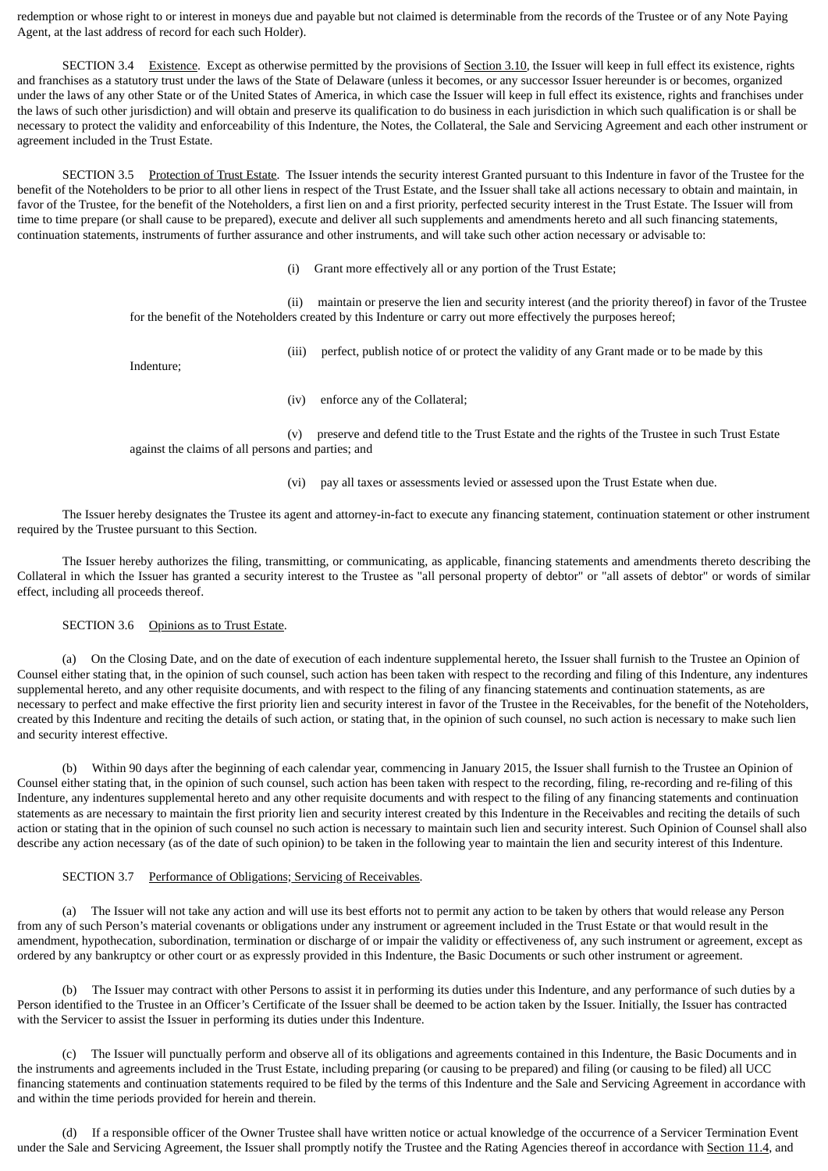redemption or whose right to or interest in moneys due and payable but not claimed is determinable from the records of the Trustee or of any Note Paying Agent, at the last address of record for each such Holder).

SECTION 3.4 Existence. Except as otherwise permitted by the provisions of Section 3.10, the Issuer will keep in full effect its existence, rights and franchises as a statutory trust under the laws of the State of Delaware (unless it becomes, or any successor Issuer hereunder is or becomes, organized under the laws of any other State or of the United States of America, in which case the Issuer will keep in full effect its existence, rights and franchises under the laws of such other jurisdiction) and will obtain and preserve its qualification to do business in each jurisdiction in which such qualification is or shall be necessary to protect the validity and enforceability of this Indenture, the Notes, the Collateral, the Sale and Servicing Agreement and each other instrument or agreement included in the Trust Estate.

SECTION 3.5 Protection of Trust Estate. The Issuer intends the security interest Granted pursuant to this Indenture in favor of the Trustee for the benefit of the Noteholders to be prior to all other liens in respect of the Trust Estate, and the Issuer shall take all actions necessary to obtain and maintain, in favor of the Trustee, for the benefit of the Noteholders, a first lien on and a first priority, perfected security interest in the Trust Estate. The Issuer will from time to time prepare (or shall cause to be prepared), execute and deliver all such supplements and amendments hereto and all such financing statements, continuation statements, instruments of further assurance and other instruments, and will take such other action necessary or advisable to:

(i) Grant more effectively all or any portion of the Trust Estate;

(ii) maintain or preserve the lien and security interest (and the priority thereof) in favor of the Trustee for the benefit of the Noteholders created by this Indenture or carry out more effectively the purposes hereof;

(iii) perfect, publish notice of or protect the validity of any Grant made or to be made by this

Indenture;

(iv) enforce any of the Collateral;

(v) preserve and defend title to the Trust Estate and the rights of the Trustee in such Trust Estate against the claims of all persons and parties; and

(vi) pay all taxes or assessments levied or assessed upon the Trust Estate when due.

The Issuer hereby designates the Trustee its agent and attorney-in-fact to execute any financing statement, continuation statement or other instrument required by the Trustee pursuant to this Section.

The Issuer hereby authorizes the filing, transmitting, or communicating, as applicable, financing statements and amendments thereto describing the Collateral in which the Issuer has granted a security interest to the Trustee as "all personal property of debtor" or "all assets of debtor" or words of similar effect, including all proceeds thereof.

### SECTION 3.6 Opinions as to Trust Estate.

(a) On the Closing Date, and on the date of execution of each indenture supplemental hereto, the Issuer shall furnish to the Trustee an Opinion of Counsel either stating that, in the opinion of such counsel, such action has been taken with respect to the recording and filing of this Indenture, any indentures supplemental hereto, and any other requisite documents, and with respect to the filing of any financing statements and continuation statements, as are necessary to perfect and make effective the first priority lien and security interest in favor of the Trustee in the Receivables, for the benefit of the Noteholders, created by this Indenture and reciting the details of such action, or stating that, in the opinion of such counsel, no such action is necessary to make such lien and security interest effective.

(b) Within 90 days after the beginning of each calendar year, commencing in January 2015, the Issuer shall furnish to the Trustee an Opinion of Counsel either stating that, in the opinion of such counsel, such action has been taken with respect to the recording, filing, re-recording and re-filing of this Indenture, any indentures supplemental hereto and any other requisite documents and with respect to the filing of any financing statements and continuation statements as are necessary to maintain the first priority lien and security interest created by this Indenture in the Receivables and reciting the details of such action or stating that in the opinion of such counsel no such action is necessary to maintain such lien and security interest. Such Opinion of Counsel shall also describe any action necessary (as of the date of such opinion) to be taken in the following year to maintain the lien and security interest of this Indenture.

# SECTION 3.7 Performance of Obligations; Servicing of Receivables.

(a) The Issuer will not take any action and will use its best efforts not to permit any action to be taken by others that would release any Person from any of such Person's material covenants or obligations under any instrument or agreement included in the Trust Estate or that would result in the amendment, hypothecation, subordination, termination or discharge of or impair the validity or effectiveness of, any such instrument or agreement, except as ordered by any bankruptcy or other court or as expressly provided in this Indenture, the Basic Documents or such other instrument or agreement.

(b) The Issuer may contract with other Persons to assist it in performing its duties under this Indenture, and any performance of such duties by a Person identified to the Trustee in an Officer's Certificate of the Issuer shall be deemed to be action taken by the Issuer. Initially, the Issuer has contracted with the Servicer to assist the Issuer in performing its duties under this Indenture.

(c) The Issuer will punctually perform and observe all of its obligations and agreements contained in this Indenture, the Basic Documents and in the instruments and agreements included in the Trust Estate, including preparing (or causing to be prepared) and filing (or causing to be filed) all UCC financing statements and continuation statements required to be filed by the terms of this Indenture and the Sale and Servicing Agreement in accordance with and within the time periods provided for herein and therein.

(d) If a responsible officer of the Owner Trustee shall have written notice or actual knowledge of the occurrence of a Servicer Termination Event under the Sale and Servicing Agreement, the Issuer shall promptly notify the Trustee and the Rating Agencies thereof in accordance with Section 11.4, and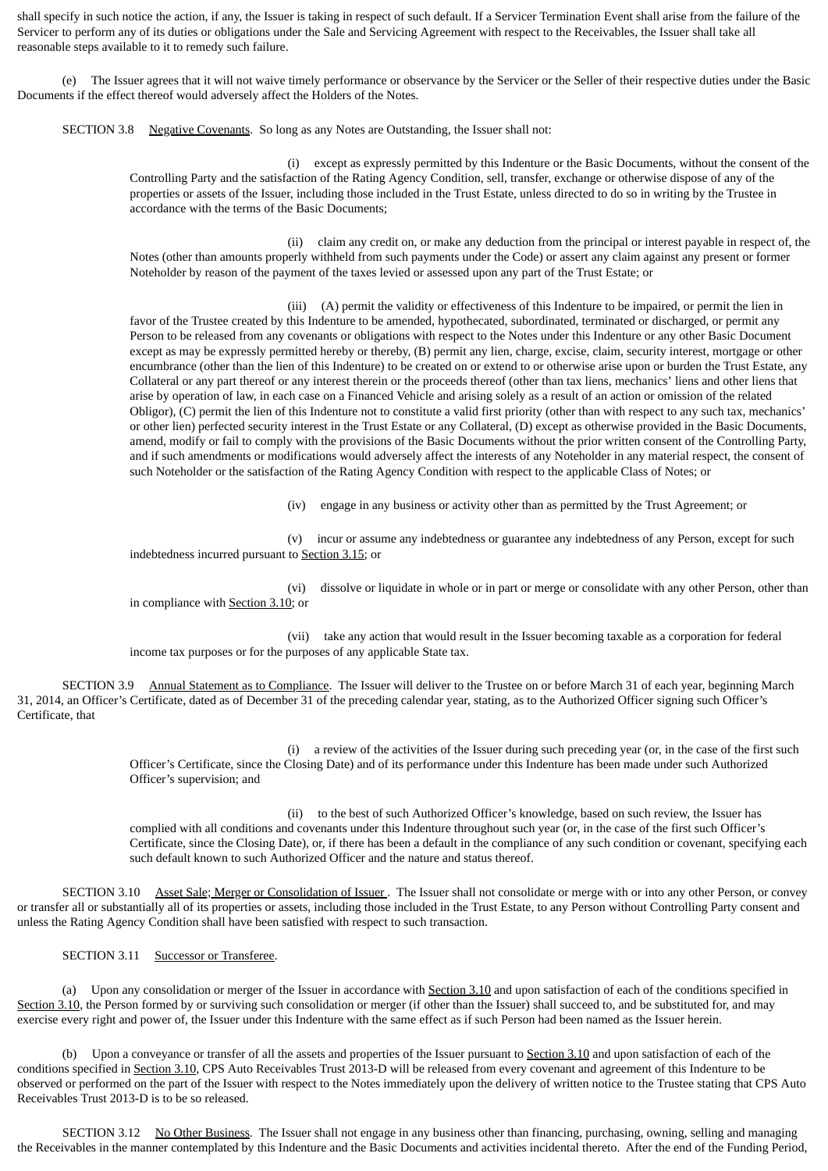shall specify in such notice the action, if any, the Issuer is taking in respect of such default. If a Servicer Termination Event shall arise from the failure of the Servicer to perform any of its duties or obligations under the Sale and Servicing Agreement with respect to the Receivables, the Issuer shall take all reasonable steps available to it to remedy such failure.

(e) The Issuer agrees that it will not waive timely performance or observance by the Servicer or the Seller of their respective duties under the Basic Documents if the effect thereof would adversely affect the Holders of the Notes.

SECTION 3.8 Negative Covenants. So long as any Notes are Outstanding, the Issuer shall not:

(i) except as expressly permitted by this Indenture or the Basic Documents, without the consent of the Controlling Party and the satisfaction of the Rating Agency Condition, sell, transfer, exchange or otherwise dispose of any of the properties or assets of the Issuer, including those included in the Trust Estate, unless directed to do so in writing by the Trustee in accordance with the terms of the Basic Documents;

(ii) claim any credit on, or make any deduction from the principal or interest payable in respect of, the Notes (other than amounts properly withheld from such payments under the Code) or assert any claim against any present or former Noteholder by reason of the payment of the taxes levied or assessed upon any part of the Trust Estate; or

(iii) (A) permit the validity or effectiveness of this Indenture to be impaired, or permit the lien in favor of the Trustee created by this Indenture to be amended, hypothecated, subordinated, terminated or discharged, or permit any Person to be released from any covenants or obligations with respect to the Notes under this Indenture or any other Basic Document except as may be expressly permitted hereby or thereby, (B) permit any lien, charge, excise, claim, security interest, mortgage or other encumbrance (other than the lien of this Indenture) to be created on or extend to or otherwise arise upon or burden the Trust Estate, any Collateral or any part thereof or any interest therein or the proceeds thereof (other than tax liens, mechanics' liens and other liens that arise by operation of law, in each case on a Financed Vehicle and arising solely as a result of an action or omission of the related Obligor), (C) permit the lien of this Indenture not to constitute a valid first priority (other than with respect to any such tax, mechanics' or other lien) perfected security interest in the Trust Estate or any Collateral, (D) except as otherwise provided in the Basic Documents, amend, modify or fail to comply with the provisions of the Basic Documents without the prior written consent of the Controlling Party, and if such amendments or modifications would adversely affect the interests of any Noteholder in any material respect, the consent of such Noteholder or the satisfaction of the Rating Agency Condition with respect to the applicable Class of Notes; or

(iv) engage in any business or activity other than as permitted by the Trust Agreement; or

(v) incur or assume any indebtedness or guarantee any indebtedness of any Person, except for such indebtedness incurred pursuant to Section 3.15; or

(vi) dissolve or liquidate in whole or in part or merge or consolidate with any other Person, other than in compliance with Section 3.10; or

(vii) take any action that would result in the Issuer becoming taxable as a corporation for federal income tax purposes or for the purposes of any applicable State tax.

SECTION 3.9 Annual Statement as to Compliance. The Issuer will deliver to the Trustee on or before March 31 of each year, beginning March 31, 2014, an Officer's Certificate, dated as of December 31 of the preceding calendar year, stating, as to the Authorized Officer signing such Officer's Certificate, that

> (i) a review of the activities of the Issuer during such preceding year (or, in the case of the first such Officer's Certificate, since the Closing Date) and of its performance under this Indenture has been made under such Authorized Officer's supervision; and

(ii) to the best of such Authorized Officer's knowledge, based on such review, the Issuer has complied with all conditions and covenants under this Indenture throughout such year (or, in the case of the first such Officer's Certificate, since the Closing Date), or, if there has been a default in the compliance of any such condition or covenant, specifying each such default known to such Authorized Officer and the nature and status thereof.

SECTION 3.10 Asset Sale; Merger or Consolidation of Issuer . The Issuer shall not consolidate or merge with or into any other Person, or convey or transfer all or substantially all of its properties or assets, including those included in the Trust Estate, to any Person without Controlling Party consent and unless the Rating Agency Condition shall have been satisfied with respect to such transaction.

SECTION 3.11 Successor or Transferee.

(a) Upon any consolidation or merger of the Issuer in accordance with Section 3.10 and upon satisfaction of each of the conditions specified in Section 3.10, the Person formed by or surviving such consolidation or merger (if other than the Issuer) shall succeed to, and be substituted for, and may exercise every right and power of, the Issuer under this Indenture with the same effect as if such Person had been named as the Issuer herein.

(b) Upon a conveyance or transfer of all the assets and properties of the Issuer pursuant to Section 3.10 and upon satisfaction of each of the conditions specified in Section 3.10, CPS Auto Receivables Trust 2013-D will be released from every covenant and agreement of this Indenture to be observed or performed on the part of the Issuer with respect to the Notes immediately upon the delivery of written notice to the Trustee stating that CPS Auto Receivables Trust 2013-D is to be so released.

SECTION 3.12 No Other Business. The Issuer shall not engage in any business other than financing, purchasing, owning, selling and managing the Receivables in the manner contemplated by this Indenture and the Basic Documents and activities incidental thereto. After the end of the Funding Period,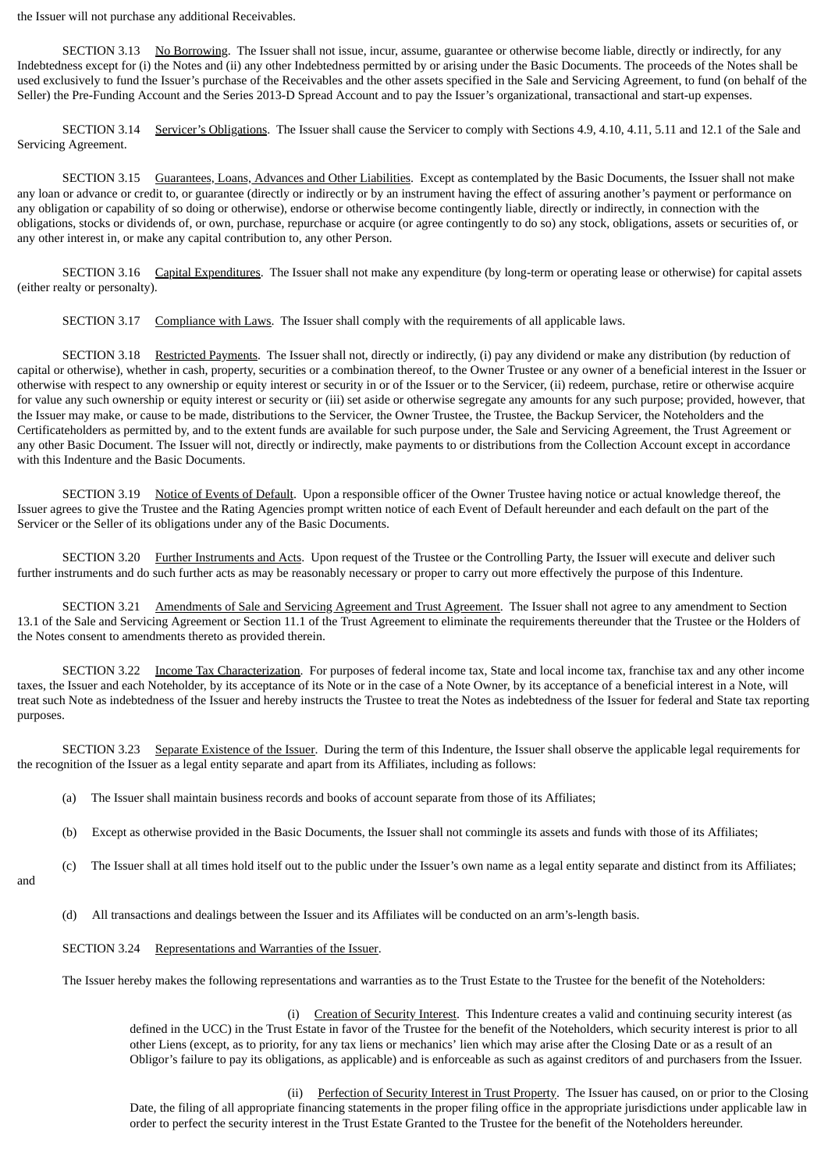the Issuer will not purchase any additional Receivables.

SECTION 3.13 No Borrowing. The Issuer shall not issue, incur, assume, guarantee or otherwise become liable, directly or indirectly, for any Indebtedness except for (i) the Notes and (ii) any other Indebtedness permitted by or arising under the Basic Documents. The proceeds of the Notes shall be used exclusively to fund the Issuer's purchase of the Receivables and the other assets specified in the Sale and Servicing Agreement, to fund (on behalf of the Seller) the Pre-Funding Account and the Series 2013-D Spread Account and to pay the Issuer's organizational, transactional and start-up expenses.

SECTION 3.14 Servicer's Obligations. The Issuer shall cause the Servicer to comply with Sections 4.9, 4.10, 4.11, 5.11 and 12.1 of the Sale and Servicing Agreement.

SECTION 3.15 Guarantees, Loans, Advances and Other Liabilities. Except as contemplated by the Basic Documents, the Issuer shall not make any loan or advance or credit to, or guarantee (directly or indirectly or by an instrument having the effect of assuring another's payment or performance on any obligation or capability of so doing or otherwise), endorse or otherwise become contingently liable, directly or indirectly, in connection with the obligations, stocks or dividends of, or own, purchase, repurchase or acquire (or agree contingently to do so) any stock, obligations, assets or securities of, or any other interest in, or make any capital contribution to, any other Person.

SECTION 3.16 Capital Expenditures. The Issuer shall not make any expenditure (by long-term or operating lease or otherwise) for capital assets (either realty or personalty).

SECTION 3.17 Compliance with Laws. The Issuer shall comply with the requirements of all applicable laws.

SECTION 3.18 Restricted Payments. The Issuer shall not, directly or indirectly, (i) pay any dividend or make any distribution (by reduction of capital or otherwise), whether in cash, property, securities or a combination thereof, to the Owner Trustee or any owner of a beneficial interest in the Issuer or otherwise with respect to any ownership or equity interest or security in or of the Issuer or to the Servicer, (ii) redeem, purchase, retire or otherwise acquire for value any such ownership or equity interest or security or (iii) set aside or otherwise segregate any amounts for any such purpose; provided, however, that the Issuer may make, or cause to be made, distributions to the Servicer, the Owner Trustee, the Trustee, the Backup Servicer, the Noteholders and the Certificateholders as permitted by, and to the extent funds are available for such purpose under, the Sale and Servicing Agreement, the Trust Agreement or any other Basic Document. The Issuer will not, directly or indirectly, make payments to or distributions from the Collection Account except in accordance with this Indenture and the Basic Documents.

SECTION 3.19 Notice of Events of Default. Upon a responsible officer of the Owner Trustee having notice or actual knowledge thereof, the Issuer agrees to give the Trustee and the Rating Agencies prompt written notice of each Event of Default hereunder and each default on the part of the Servicer or the Seller of its obligations under any of the Basic Documents.

SECTION 3.20 Further Instruments and Acts. Upon request of the Trustee or the Controlling Party, the Issuer will execute and deliver such further instruments and do such further acts as may be reasonably necessary or proper to carry out more effectively the purpose of this Indenture.

SECTION 3.21 Amendments of Sale and Servicing Agreement and Trust Agreement. The Issuer shall not agree to any amendment to Section 13.1 of the Sale and Servicing Agreement or Section 11.1 of the Trust Agreement to eliminate the requirements thereunder that the Trustee or the Holders of the Notes consent to amendments thereto as provided therein.

SECTION 3.22 Income Tax Characterization. For purposes of federal income tax, State and local income tax, franchise tax and any other income taxes, the Issuer and each Noteholder, by its acceptance of its Note or in the case of a Note Owner, by its acceptance of a beneficial interest in a Note, will treat such Note as indebtedness of the Issuer and hereby instructs the Trustee to treat the Notes as indebtedness of the Issuer for federal and State tax reporting purposes.

SECTION 3.23 Separate Existence of the Issuer. During the term of this Indenture, the Issuer shall observe the applicable legal requirements for the recognition of the Issuer as a legal entity separate and apart from its Affiliates, including as follows:

- (a) The Issuer shall maintain business records and books of account separate from those of its Affiliates;
- (b) Except as otherwise provided in the Basic Documents, the Issuer shall not commingle its assets and funds with those of its Affiliates;
- (c) The Issuer shall at all times hold itself out to the public under the Issuer's own name as a legal entity separate and distinct from its Affiliates;
- and
- (d) All transactions and dealings between the Issuer and its Affiliates will be conducted on an arm's-length basis.
- SECTION 3.24 Representations and Warranties of the Issuer.

The Issuer hereby makes the following representations and warranties as to the Trust Estate to the Trustee for the benefit of the Noteholders:

(i) Creation of Security Interest. This Indenture creates a valid and continuing security interest (as defined in the UCC) in the Trust Estate in favor of the Trustee for the benefit of the Noteholders, which security interest is prior to all other Liens (except, as to priority, for any tax liens or mechanics' lien which may arise after the Closing Date or as a result of an Obligor's failure to pay its obligations, as applicable) and is enforceable as such as against creditors of and purchasers from the Issuer.

(ii) Perfection of Security Interest in Trust Property. The Issuer has caused, on or prior to the Closing Date, the filing of all appropriate financing statements in the proper filing office in the appropriate jurisdictions under applicable law in order to perfect the security interest in the Trust Estate Granted to the Trustee for the benefit of the Noteholders hereunder.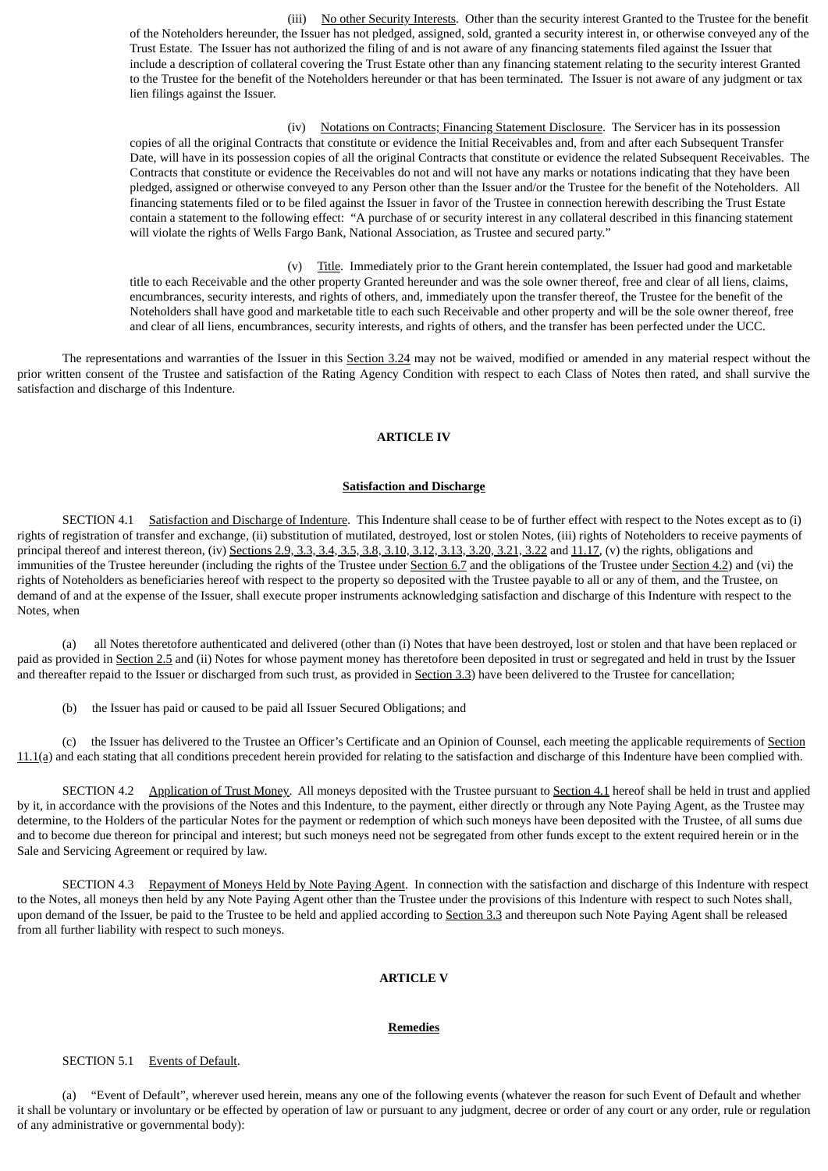(iii) No other Security Interests. Other than the security interest Granted to the Trustee for the benefit of the Noteholders hereunder, the Issuer has not pledged, assigned, sold, granted a security interest in, or otherwise conveyed any of the Trust Estate. The Issuer has not authorized the filing of and is not aware of any financing statements filed against the Issuer that include a description of collateral covering the Trust Estate other than any financing statement relating to the security interest Granted to the Trustee for the benefit of the Noteholders hereunder or that has been terminated. The Issuer is not aware of any judgment or tax lien filings against the Issuer.

(iv) Notations on Contracts; Financing Statement Disclosure. The Servicer has in its possession copies of all the original Contracts that constitute or evidence the Initial Receivables and, from and after each Subsequent Transfer Date, will have in its possession copies of all the original Contracts that constitute or evidence the related Subsequent Receivables. The Contracts that constitute or evidence the Receivables do not and will not have any marks or notations indicating that they have been pledged, assigned or otherwise conveyed to any Person other than the Issuer and/or the Trustee for the benefit of the Noteholders. All financing statements filed or to be filed against the Issuer in favor of the Trustee in connection herewith describing the Trust Estate contain a statement to the following effect: "A purchase of or security interest in any collateral described in this financing statement will violate the rights of Wells Fargo Bank, National Association, as Trustee and secured party."

(v) Title. Immediately prior to the Grant herein contemplated, the Issuer had good and marketable title to each Receivable and the other property Granted hereunder and was the sole owner thereof, free and clear of all liens, claims, encumbrances, security interests, and rights of others, and, immediately upon the transfer thereof, the Trustee for the benefit of the Noteholders shall have good and marketable title to each such Receivable and other property and will be the sole owner thereof, free and clear of all liens, encumbrances, security interests, and rights of others, and the transfer has been perfected under the UCC.

The representations and warranties of the Issuer in this Section 3.24 may not be waived, modified or amended in any material respect without the prior written consent of the Trustee and satisfaction of the Rating Agency Condition with respect to each Class of Notes then rated, and shall survive the satisfaction and discharge of this Indenture.

# **ARTICLE IV**

### **Satisfaction and Discharge**

SECTION 4.1 Satisfaction and Discharge of Indenture. This Indenture shall cease to be of further effect with respect to the Notes except as to (i) rights of registration of transfer and exchange, (ii) substitution of mutilated, destroyed, lost or stolen Notes, (iii) rights of Noteholders to receive payments of principal thereof and interest thereon, (iv) Sections 2.9, 3.3, 3.4, 3.5, 3.8, 3.10, 3.12, 3.13, 3.20, 3.21, 3.22 and 11.17, (v) the rights, obligations and immunities of the Trustee hereunder (including the rights of the Trustee under Section 6.7 and the obligations of the Trustee under Section 4.2) and (vi) the rights of Noteholders as beneficiaries hereof with respect to the property so deposited with the Trustee payable to all or any of them, and the Trustee, on demand of and at the expense of the Issuer, shall execute proper instruments acknowledging satisfaction and discharge of this Indenture with respect to the Notes, when

(a) all Notes theretofore authenticated and delivered (other than (i) Notes that have been destroyed, lost or stolen and that have been replaced or paid as provided in Section 2.5 and (ii) Notes for whose payment money has theretofore been deposited in trust or segregated and held in trust by the Issuer and thereafter repaid to the Issuer or discharged from such trust, as provided in Section 3.3) have been delivered to the Trustee for cancellation;

(b) the Issuer has paid or caused to be paid all Issuer Secured Obligations; and

(c) the Issuer has delivered to the Trustee an Officer's Certificate and an Opinion of Counsel, each meeting the applicable requirements of Section 11.1(a) and each stating that all conditions precedent herein provided for relating to the satisfaction and discharge of this Indenture have been complied with.

SECTION 4.2 Application of Trust Money. All moneys deposited with the Trustee pursuant to Section 4.1 hereof shall be held in trust and applied by it, in accordance with the provisions of the Notes and this Indenture, to the payment, either directly or through any Note Paying Agent, as the Trustee may determine, to the Holders of the particular Notes for the payment or redemption of which such moneys have been deposited with the Trustee, of all sums due and to become due thereon for principal and interest; but such moneys need not be segregated from other funds except to the extent required herein or in the Sale and Servicing Agreement or required by law.

SECTION 4.3 Repayment of Moneys Held by Note Paying Agent. In connection with the satisfaction and discharge of this Indenture with respect to the Notes, all moneys then held by any Note Paying Agent other than the Trustee under the provisions of this Indenture with respect to such Notes shall, upon demand of the Issuer, be paid to the Trustee to be held and applied according to Section 3.3 and thereupon such Note Paying Agent shall be released from all further liability with respect to such moneys.

### **ARTICLE V**

## **Remedies**

### SECTION 5.1 Events of Default.

(a) "Event of Default", wherever used herein, means any one of the following events (whatever the reason for such Event of Default and whether it shall be voluntary or involuntary or be effected by operation of law or pursuant to any judgment, decree or order of any court or any order, rule or regulation of any administrative or governmental body):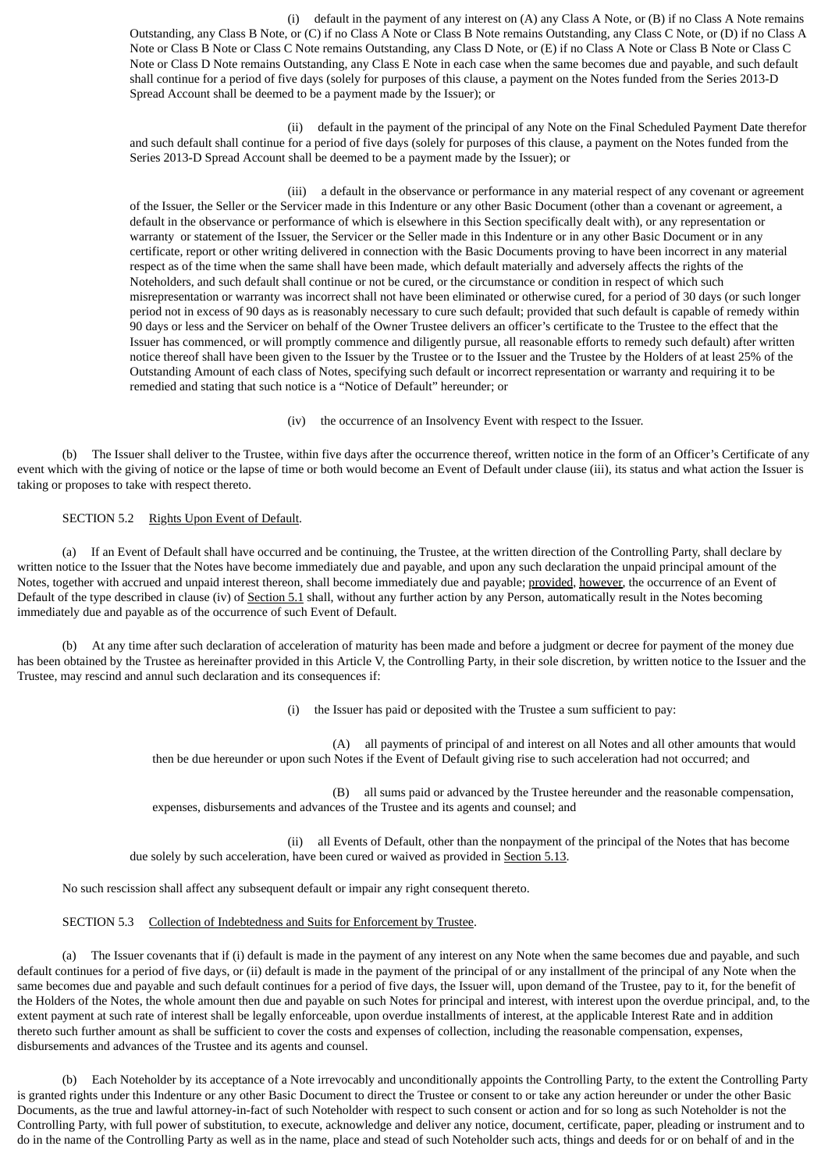(i) default in the payment of any interest on (A) any Class A Note, or (B) if no Class A Note remains Outstanding, any Class B Note, or (C) if no Class A Note or Class B Note remains Outstanding, any Class C Note, or (D) if no Class A Note or Class B Note or Class C Note remains Outstanding, any Class D Note, or (E) if no Class A Note or Class B Note or Class C Note or Class D Note remains Outstanding, any Class E Note in each case when the same becomes due and payable, and such default shall continue for a period of five days (solely for purposes of this clause, a payment on the Notes funded from the Series 2013-D Spread Account shall be deemed to be a payment made by the Issuer); or

(ii) default in the payment of the principal of any Note on the Final Scheduled Payment Date therefor and such default shall continue for a period of five days (solely for purposes of this clause, a payment on the Notes funded from the Series 2013-D Spread Account shall be deemed to be a payment made by the Issuer); or

(iii) a default in the observance or performance in any material respect of any covenant or agreement of the Issuer, the Seller or the Servicer made in this Indenture or any other Basic Document (other than a covenant or agreement, a default in the observance or performance of which is elsewhere in this Section specifically dealt with), or any representation or warranty or statement of the Issuer, the Servicer or the Seller made in this Indenture or in any other Basic Document or in any certificate, report or other writing delivered in connection with the Basic Documents proving to have been incorrect in any material respect as of the time when the same shall have been made, which default materially and adversely affects the rights of the Noteholders, and such default shall continue or not be cured, or the circumstance or condition in respect of which such misrepresentation or warranty was incorrect shall not have been eliminated or otherwise cured, for a period of 30 days (or such longer period not in excess of 90 days as is reasonably necessary to cure such default; provided that such default is capable of remedy within 90 days or less and the Servicer on behalf of the Owner Trustee delivers an officer's certificate to the Trustee to the effect that the Issuer has commenced, or will promptly commence and diligently pursue, all reasonable efforts to remedy such default) after written notice thereof shall have been given to the Issuer by the Trustee or to the Issuer and the Trustee by the Holders of at least 25% of the Outstanding Amount of each class of Notes, specifying such default or incorrect representation or warranty and requiring it to be remedied and stating that such notice is a "Notice of Default" hereunder; or

(iv) the occurrence of an Insolvency Event with respect to the Issuer.

(b) The Issuer shall deliver to the Trustee, within five days after the occurrence thereof, written notice in the form of an Officer's Certificate of any event which with the giving of notice or the lapse of time or both would become an Event of Default under clause (iii), its status and what action the Issuer is taking or proposes to take with respect thereto.

SECTION 5.2 Rights Upon Event of Default.

(a) If an Event of Default shall have occurred and be continuing, the Trustee, at the written direction of the Controlling Party, shall declare by written notice to the Issuer that the Notes have become immediately due and payable, and upon any such declaration the unpaid principal amount of the Notes, together with accrued and unpaid interest thereon, shall become immediately due and payable; provided, however, the occurrence of an Event of Default of the type described in clause (iv) of Section 5.1 shall, without any further action by any Person, automatically result in the Notes becoming immediately due and payable as of the occurrence of such Event of Default.

(b) At any time after such declaration of acceleration of maturity has been made and before a judgment or decree for payment of the money due has been obtained by the Trustee as hereinafter provided in this Article V, the Controlling Party, in their sole discretion, by written notice to the Issuer and the Trustee, may rescind and annul such declaration and its consequences if:

(i) the Issuer has paid or deposited with the Trustee a sum sufficient to pay:

(A) all payments of principal of and interest on all Notes and all other amounts that would then be due hereunder or upon such Notes if the Event of Default giving rise to such acceleration had not occurred; and

(B) all sums paid or advanced by the Trustee hereunder and the reasonable compensation, expenses, disbursements and advances of the Trustee and its agents and counsel; and

(ii) all Events of Default, other than the nonpayment of the principal of the Notes that has become due solely by such acceleration, have been cured or waived as provided in Section 5.13.

No such rescission shall affect any subsequent default or impair any right consequent thereto.

SECTION 5.3 Collection of Indebtedness and Suits for Enforcement by Trustee.

(a) The Issuer covenants that if (i) default is made in the payment of any interest on any Note when the same becomes due and payable, and such default continues for a period of five days, or (ii) default is made in the payment of the principal of or any installment of the principal of any Note when the same becomes due and payable and such default continues for a period of five days, the Issuer will, upon demand of the Trustee, pay to it, for the benefit of the Holders of the Notes, the whole amount then due and payable on such Notes for principal and interest, with interest upon the overdue principal, and, to the extent payment at such rate of interest shall be legally enforceable, upon overdue installments of interest, at the applicable Interest Rate and in addition thereto such further amount as shall be sufficient to cover the costs and expenses of collection, including the reasonable compensation, expenses, disbursements and advances of the Trustee and its agents and counsel.

(b) Each Noteholder by its acceptance of a Note irrevocably and unconditionally appoints the Controlling Party, to the extent the Controlling Party is granted rights under this Indenture or any other Basic Document to direct the Trustee or consent to or take any action hereunder or under the other Basic Documents, as the true and lawful attorney-in-fact of such Noteholder with respect to such consent or action and for so long as such Noteholder is not the Controlling Party, with full power of substitution, to execute, acknowledge and deliver any notice, document, certificate, paper, pleading or instrument and to do in the name of the Controlling Party as well as in the name, place and stead of such Noteholder such acts, things and deeds for or on behalf of and in the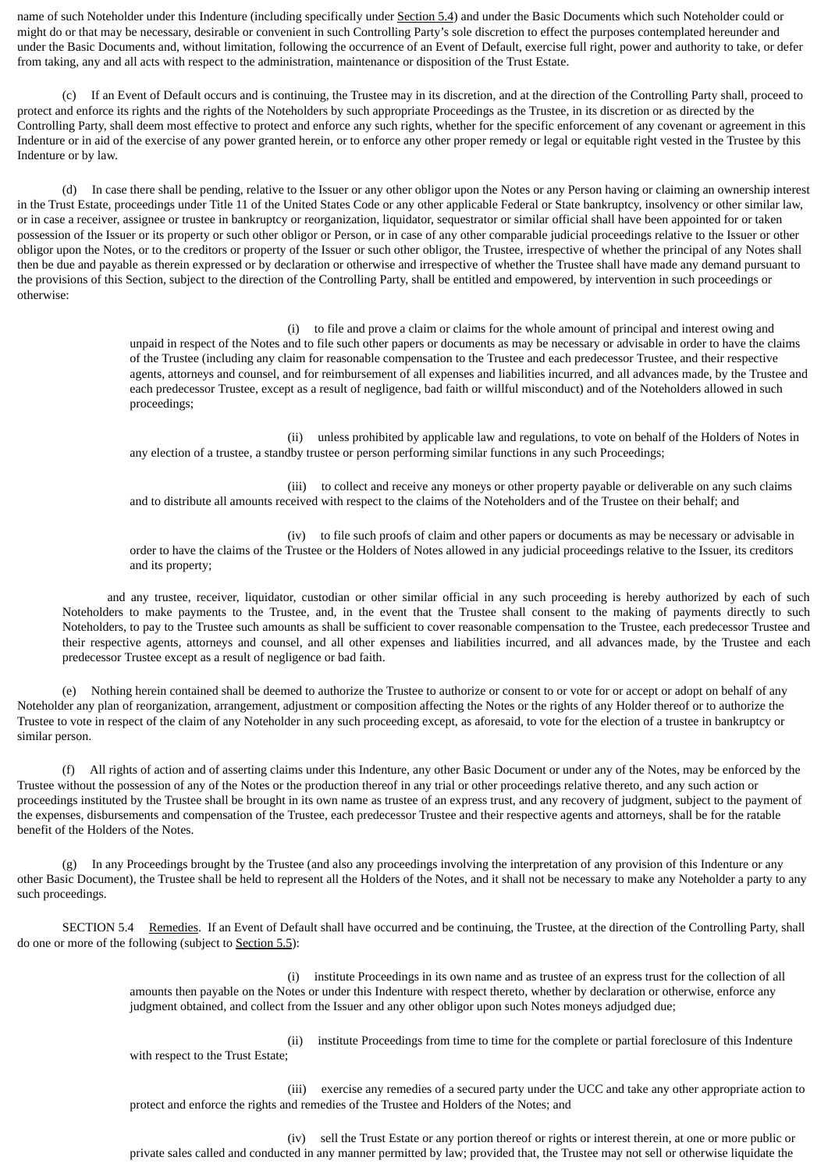name of such Noteholder under this Indenture (including specifically under Section 5.4) and under the Basic Documents which such Noteholder could or might do or that may be necessary, desirable or convenient in such Controlling Party's sole discretion to effect the purposes contemplated hereunder and under the Basic Documents and, without limitation, following the occurrence of an Event of Default, exercise full right, power and authority to take, or defer from taking, any and all acts with respect to the administration, maintenance or disposition of the Trust Estate.

(c) If an Event of Default occurs and is continuing, the Trustee may in its discretion, and at the direction of the Controlling Party shall, proceed to protect and enforce its rights and the rights of the Noteholders by such appropriate Proceedings as the Trustee, in its discretion or as directed by the Controlling Party, shall deem most effective to protect and enforce any such rights, whether for the specific enforcement of any covenant or agreement in this Indenture or in aid of the exercise of any power granted herein, or to enforce any other proper remedy or legal or equitable right vested in the Trustee by this Indenture or by law.

(d) In case there shall be pending, relative to the Issuer or any other obligor upon the Notes or any Person having or claiming an ownership interest in the Trust Estate, proceedings under Title 11 of the United States Code or any other applicable Federal or State bankruptcy, insolvency or other similar law, or in case a receiver, assignee or trustee in bankruptcy or reorganization, liquidator, sequestrator or similar official shall have been appointed for or taken possession of the Issuer or its property or such other obligor or Person, or in case of any other comparable judicial proceedings relative to the Issuer or other obligor upon the Notes, or to the creditors or property of the Issuer or such other obligor, the Trustee, irrespective of whether the principal of any Notes shall then be due and payable as therein expressed or by declaration or otherwise and irrespective of whether the Trustee shall have made any demand pursuant to the provisions of this Section, subject to the direction of the Controlling Party, shall be entitled and empowered, by intervention in such proceedings or otherwise:

> (i) to file and prove a claim or claims for the whole amount of principal and interest owing and unpaid in respect of the Notes and to file such other papers or documents as may be necessary or advisable in order to have the claims of the Trustee (including any claim for reasonable compensation to the Trustee and each predecessor Trustee, and their respective agents, attorneys and counsel, and for reimbursement of all expenses and liabilities incurred, and all advances made, by the Trustee and each predecessor Trustee, except as a result of negligence, bad faith or willful misconduct) and of the Noteholders allowed in such proceedings;

(ii) unless prohibited by applicable law and regulations, to vote on behalf of the Holders of Notes in any election of a trustee, a standby trustee or person performing similar functions in any such Proceedings;

(iii) to collect and receive any moneys or other property payable or deliverable on any such claims and to distribute all amounts received with respect to the claims of the Noteholders and of the Trustee on their behalf; and

(iv) to file such proofs of claim and other papers or documents as may be necessary or advisable in order to have the claims of the Trustee or the Holders of Notes allowed in any judicial proceedings relative to the Issuer, its creditors and its property;

and any trustee, receiver, liquidator, custodian or other similar official in any such proceeding is hereby authorized by each of such Noteholders to make payments to the Trustee, and, in the event that the Trustee shall consent to the making of payments directly to such Noteholders, to pay to the Trustee such amounts as shall be sufficient to cover reasonable compensation to the Trustee, each predecessor Trustee and their respective agents, attorneys and counsel, and all other expenses and liabilities incurred, and all advances made, by the Trustee and each predecessor Trustee except as a result of negligence or bad faith.

(e) Nothing herein contained shall be deemed to authorize the Trustee to authorize or consent to or vote for or accept or adopt on behalf of any Noteholder any plan of reorganization, arrangement, adjustment or composition affecting the Notes or the rights of any Holder thereof or to authorize the Trustee to vote in respect of the claim of any Noteholder in any such proceeding except, as aforesaid, to vote for the election of a trustee in bankruptcy or similar person.

(f) All rights of action and of asserting claims under this Indenture, any other Basic Document or under any of the Notes, may be enforced by the Trustee without the possession of any of the Notes or the production thereof in any trial or other proceedings relative thereto, and any such action or proceedings instituted by the Trustee shall be brought in its own name as trustee of an express trust, and any recovery of judgment, subject to the payment of the expenses, disbursements and compensation of the Trustee, each predecessor Trustee and their respective agents and attorneys, shall be for the ratable benefit of the Holders of the Notes.

(g) In any Proceedings brought by the Trustee (and also any proceedings involving the interpretation of any provision of this Indenture or any other Basic Document), the Trustee shall be held to represent all the Holders of the Notes, and it shall not be necessary to make any Noteholder a party to any such proceedings.

SECTION 5.4 Remedies. If an Event of Default shall have occurred and be continuing, the Trustee, at the direction of the Controlling Party, shall do one or more of the following (subject to Section 5.5):

> (i) institute Proceedings in its own name and as trustee of an express trust for the collection of all amounts then payable on the Notes or under this Indenture with respect thereto, whether by declaration or otherwise, enforce any judgment obtained, and collect from the Issuer and any other obligor upon such Notes moneys adjudged due;

with respect to the Trust Estate;

(ii) institute Proceedings from time to time for the complete or partial foreclosure of this Indenture

(iii) exercise any remedies of a secured party under the UCC and take any other appropriate action to protect and enforce the rights and remedies of the Trustee and Holders of the Notes; and

(iv) sell the Trust Estate or any portion thereof or rights or interest therein, at one or more public or private sales called and conducted in any manner permitted by law; provided that, the Trustee may not sell or otherwise liquidate the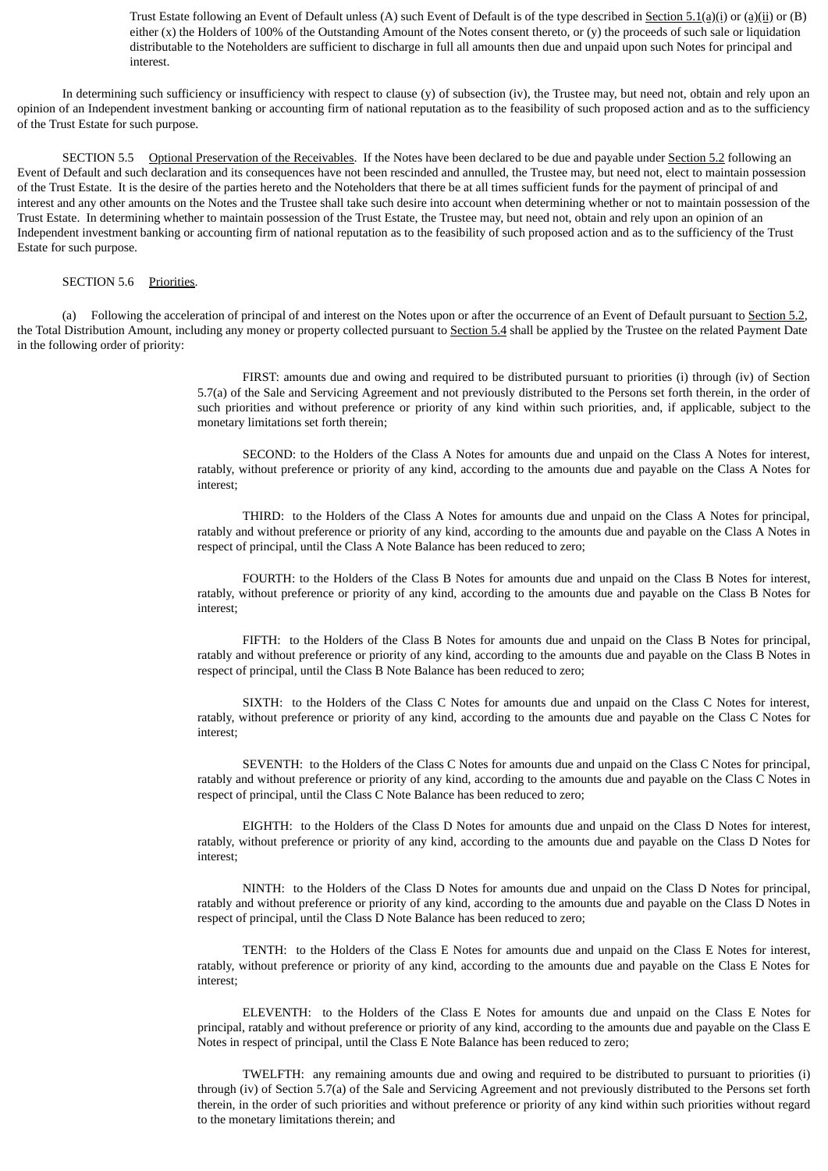Trust Estate following an Event of Default unless (A) such Event of Default is of the type described in Section 5.1(a)(i) or (a)(ii) or (B) either (x) the Holders of 100% of the Outstanding Amount of the Notes consent thereto, or (y) the proceeds of such sale or liquidation distributable to the Noteholders are sufficient to discharge in full all amounts then due and unpaid upon such Notes for principal and interest.

In determining such sufficiency or insufficiency with respect to clause (y) of subsection (iv), the Trustee may, but need not, obtain and rely upon an opinion of an Independent investment banking or accounting firm of national reputation as to the feasibility of such proposed action and as to the sufficiency of the Trust Estate for such purpose.

SECTION 5.5 Optional Preservation of the Receivables. If the Notes have been declared to be due and payable under Section 5.2 following an Event of Default and such declaration and its consequences have not been rescinded and annulled, the Trustee may, but need not, elect to maintain possession of the Trust Estate. It is the desire of the parties hereto and the Noteholders that there be at all times sufficient funds for the payment of principal of and interest and any other amounts on the Notes and the Trustee shall take such desire into account when determining whether or not to maintain possession of the Trust Estate. In determining whether to maintain possession of the Trust Estate, the Trustee may, but need not, obtain and rely upon an opinion of an Independent investment banking or accounting firm of national reputation as to the feasibility of such proposed action and as to the sufficiency of the Trust Estate for such purpose.

## SECTION 5.6 Priorities.

(a) Following the acceleration of principal of and interest on the Notes upon or after the occurrence of an Event of Default pursuant to Section 5.2, the Total Distribution Amount, including any money or property collected pursuant to Section 5.4 shall be applied by the Trustee on the related Payment Date in the following order of priority:

> FIRST: amounts due and owing and required to be distributed pursuant to priorities (i) through (iv) of Section 5.7(a) of the Sale and Servicing Agreement and not previously distributed to the Persons set forth therein, in the order of such priorities and without preference or priority of any kind within such priorities, and, if applicable, subject to the monetary limitations set forth therein;

> SECOND: to the Holders of the Class A Notes for amounts due and unpaid on the Class A Notes for interest, ratably, without preference or priority of any kind, according to the amounts due and payable on the Class A Notes for interest;

> THIRD: to the Holders of the Class A Notes for amounts due and unpaid on the Class A Notes for principal, ratably and without preference or priority of any kind, according to the amounts due and payable on the Class A Notes in respect of principal, until the Class A Note Balance has been reduced to zero;

> FOURTH: to the Holders of the Class B Notes for amounts due and unpaid on the Class B Notes for interest, ratably, without preference or priority of any kind, according to the amounts due and payable on the Class B Notes for interest;

> FIFTH: to the Holders of the Class B Notes for amounts due and unpaid on the Class B Notes for principal, ratably and without preference or priority of any kind, according to the amounts due and payable on the Class B Notes in respect of principal, until the Class B Note Balance has been reduced to zero;

> SIXTH: to the Holders of the Class C Notes for amounts due and unpaid on the Class C Notes for interest, ratably, without preference or priority of any kind, according to the amounts due and payable on the Class C Notes for interest;

> SEVENTH: to the Holders of the Class C Notes for amounts due and unpaid on the Class C Notes for principal, ratably and without preference or priority of any kind, according to the amounts due and payable on the Class C Notes in respect of principal, until the Class C Note Balance has been reduced to zero;

> EIGHTH: to the Holders of the Class D Notes for amounts due and unpaid on the Class D Notes for interest, ratably, without preference or priority of any kind, according to the amounts due and payable on the Class D Notes for interest;

> NINTH: to the Holders of the Class D Notes for amounts due and unpaid on the Class D Notes for principal, ratably and without preference or priority of any kind, according to the amounts due and payable on the Class D Notes in respect of principal, until the Class D Note Balance has been reduced to zero;

> TENTH: to the Holders of the Class E Notes for amounts due and unpaid on the Class E Notes for interest, ratably, without preference or priority of any kind, according to the amounts due and payable on the Class E Notes for interest;

> ELEVENTH: to the Holders of the Class E Notes for amounts due and unpaid on the Class E Notes for principal, ratably and without preference or priority of any kind, according to the amounts due and payable on the Class E Notes in respect of principal, until the Class E Note Balance has been reduced to zero;

> TWELFTH: any remaining amounts due and owing and required to be distributed to pursuant to priorities (i) through (iv) of Section 5.7(a) of the Sale and Servicing Agreement and not previously distributed to the Persons set forth therein, in the order of such priorities and without preference or priority of any kind within such priorities without regard to the monetary limitations therein; and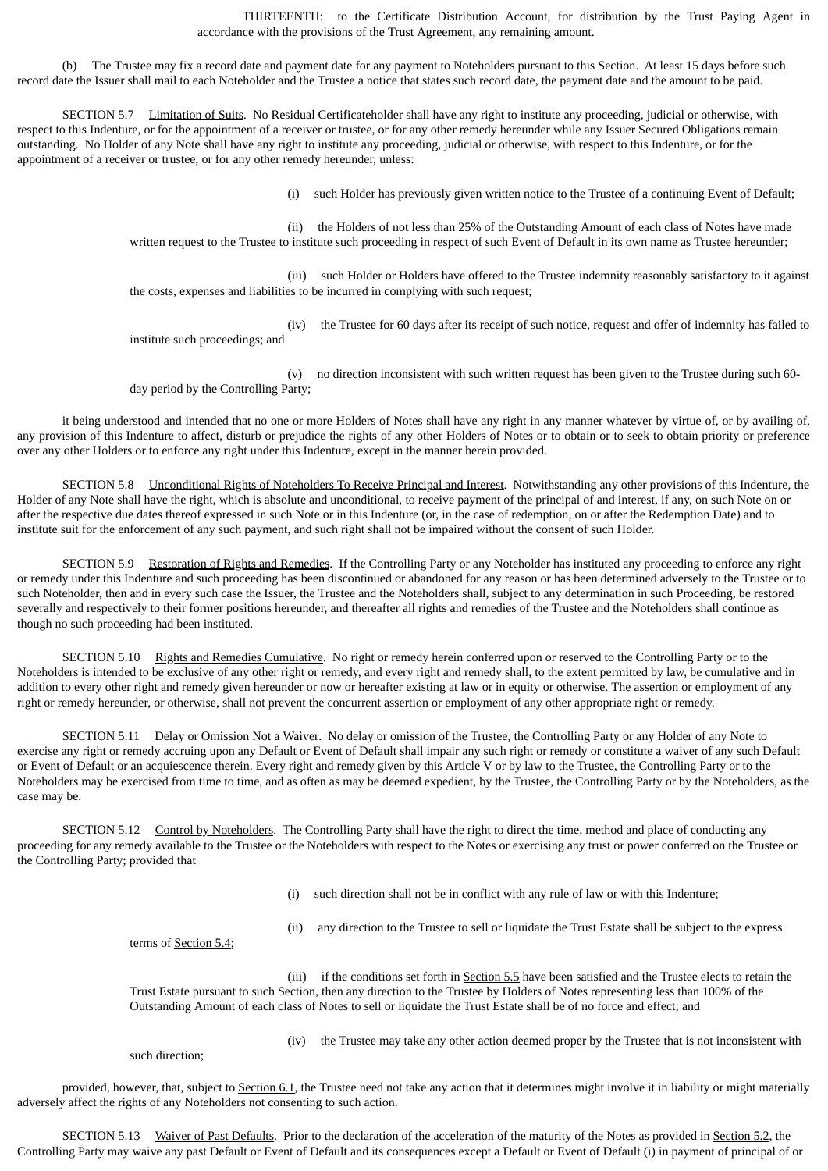THIRTEENTH: to the Certificate Distribution Account, for distribution by the Trust Paying Agent in accordance with the provisions of the Trust Agreement, any remaining amount.

(b) The Trustee may fix a record date and payment date for any payment to Noteholders pursuant to this Section. At least 15 days before such record date the Issuer shall mail to each Noteholder and the Trustee a notice that states such record date, the payment date and the amount to be paid.

SECTION 5.7 Limitation of Suits. No Residual Certificateholder shall have any right to institute any proceeding, judicial or otherwise, with respect to this Indenture, or for the appointment of a receiver or trustee, or for any other remedy hereunder while any Issuer Secured Obligations remain outstanding. No Holder of any Note shall have any right to institute any proceeding, judicial or otherwise, with respect to this Indenture, or for the appointment of a receiver or trustee, or for any other remedy hereunder, unless:

(i) such Holder has previously given written notice to the Trustee of a continuing Event of Default;

(ii) the Holders of not less than 25% of the Outstanding Amount of each class of Notes have made written request to the Trustee to institute such proceeding in respect of such Event of Default in its own name as Trustee hereunder;

(iii) such Holder or Holders have offered to the Trustee indemnity reasonably satisfactory to it against the costs, expenses and liabilities to be incurred in complying with such request;

(iv) the Trustee for 60 days after its receipt of such notice, request and offer of indemnity has failed to institute such proceedings; and

(v) no direction inconsistent with such written request has been given to the Trustee during such 60-

it being understood and intended that no one or more Holders of Notes shall have any right in any manner whatever by virtue of, or by availing of, any provision of this Indenture to affect, disturb or prejudice the rights of any other Holders of Notes or to obtain or to seek to obtain priority or preference over any other Holders or to enforce any right under this Indenture, except in the manner herein provided.

SECTION 5.8 Unconditional Rights of Noteholders To Receive Principal and Interest. Notwithstanding any other provisions of this Indenture, the Holder of any Note shall have the right, which is absolute and unconditional, to receive payment of the principal of and interest, if any, on such Note on or after the respective due dates thereof expressed in such Note or in this Indenture (or, in the case of redemption, on or after the Redemption Date) and to institute suit for the enforcement of any such payment, and such right shall not be impaired without the consent of such Holder.

SECTION 5.9 Restoration of Rights and Remedies. If the Controlling Party or any Noteholder has instituted any proceeding to enforce any right or remedy under this Indenture and such proceeding has been discontinued or abandoned for any reason or has been determined adversely to the Trustee or to such Noteholder, then and in every such case the Issuer, the Trustee and the Noteholders shall, subject to any determination in such Proceeding, be restored severally and respectively to their former positions hereunder, and thereafter all rights and remedies of the Trustee and the Noteholders shall continue as though no such proceeding had been instituted.

SECTION 5.10 Rights and Remedies Cumulative. No right or remedy herein conferred upon or reserved to the Controlling Party or to the Noteholders is intended to be exclusive of any other right or remedy, and every right and remedy shall, to the extent permitted by law, be cumulative and in addition to every other right and remedy given hereunder or now or hereafter existing at law or in equity or otherwise. The assertion or employment of any right or remedy hereunder, or otherwise, shall not prevent the concurrent assertion or employment of any other appropriate right or remedy.

SECTION 5.11 Delay or Omission Not a Waiver. No delay or omission of the Trustee, the Controlling Party or any Holder of any Note to exercise any right or remedy accruing upon any Default or Event of Default shall impair any such right or remedy or constitute a waiver of any such Default or Event of Default or an acquiescence therein. Every right and remedy given by this Article V or by law to the Trustee, the Controlling Party or to the Noteholders may be exercised from time to time, and as often as may be deemed expedient, by the Trustee, the Controlling Party or by the Noteholders, as the case may be.

SECTION 5.12 Control by Noteholders. The Controlling Party shall have the right to direct the time, method and place of conducting any proceeding for any remedy available to the Trustee or the Noteholders with respect to the Notes or exercising any trust or power conferred on the Trustee or the Controlling Party; provided that

(i) such direction shall not be in conflict with any rule of law or with this Indenture;

(ii) any direction to the Trustee to sell or liquidate the Trust Estate shall be subject to the express

terms of Section 5.4;

day period by the Controlling Party;

(iii) if the conditions set forth in Section 5.5 have been satisfied and the Trustee elects to retain the Trust Estate pursuant to such Section, then any direction to the Trustee by Holders of Notes representing less than 100% of the Outstanding Amount of each class of Notes to sell or liquidate the Trust Estate shall be of no force and effect; and

such direction;

(iv) the Trustee may take any other action deemed proper by the Trustee that is not inconsistent with

provided, however, that, subject to Section 6.1, the Trustee need not take any action that it determines might involve it in liability or might materially adversely affect the rights of any Noteholders not consenting to such action.

SECTION 5.13 Waiver of Past Defaults. Prior to the declaration of the acceleration of the maturity of the Notes as provided in Section 5.2, the Controlling Party may waive any past Default or Event of Default and its consequences except a Default or Event of Default (i) in payment of principal of or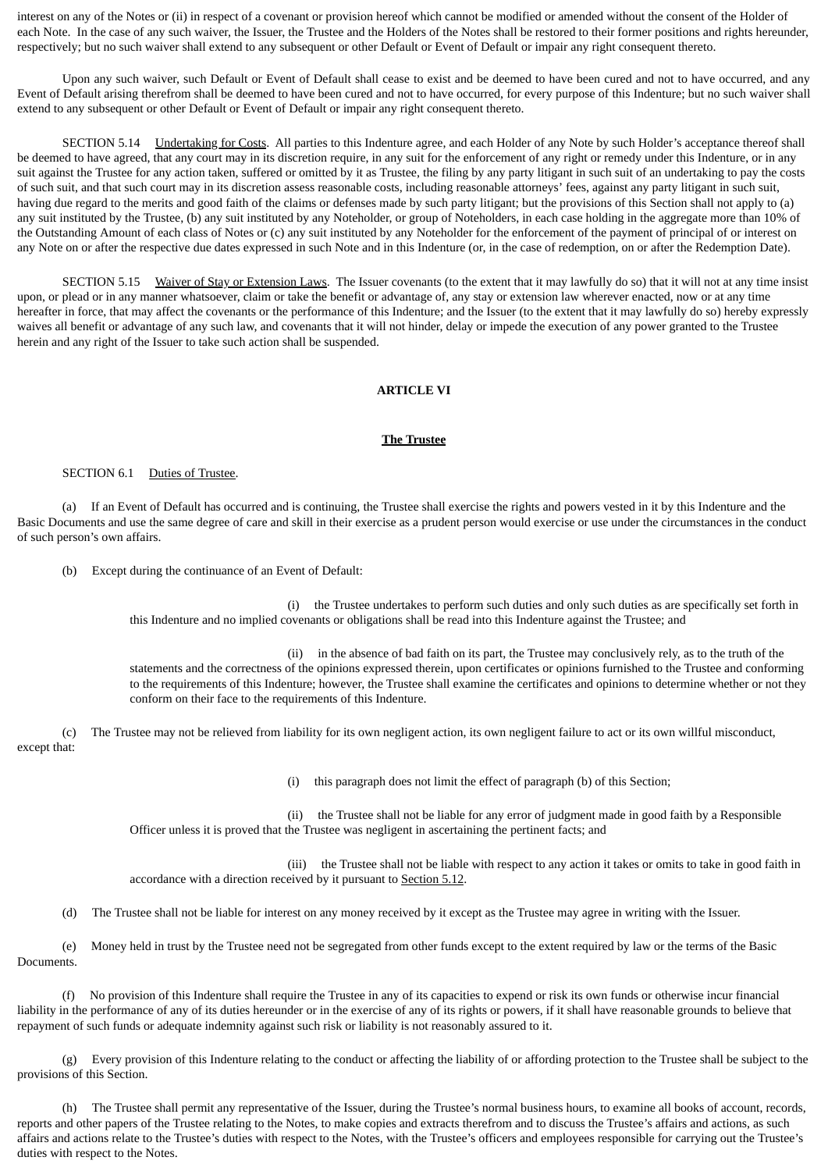interest on any of the Notes or (ii) in respect of a covenant or provision hereof which cannot be modified or amended without the consent of the Holder of each Note. In the case of any such waiver, the Issuer, the Trustee and the Holders of the Notes shall be restored to their former positions and rights hereunder, respectively; but no such waiver shall extend to any subsequent or other Default or Event of Default or impair any right consequent thereto.

Upon any such waiver, such Default or Event of Default shall cease to exist and be deemed to have been cured and not to have occurred, and any Event of Default arising therefrom shall be deemed to have been cured and not to have occurred, for every purpose of this Indenture; but no such waiver shall extend to any subsequent or other Default or Event of Default or impair any right consequent thereto.

SECTION 5.14 **Undertaking for Costs**. All parties to this Indenture agree, and each Holder of any Note by such Holder's acceptance thereof shall be deemed to have agreed, that any court may in its discretion require, in any suit for the enforcement of any right or remedy under this Indenture, or in any suit against the Trustee for any action taken, suffered or omitted by it as Trustee, the filing by any party litigant in such suit of an undertaking to pay the costs of such suit, and that such court may in its discretion assess reasonable costs, including reasonable attorneys' fees, against any party litigant in such suit, having due regard to the merits and good faith of the claims or defenses made by such party litigant; but the provisions of this Section shall not apply to (a) any suit instituted by the Trustee, (b) any suit instituted by any Noteholder, or group of Noteholders, in each case holding in the aggregate more than 10% of the Outstanding Amount of each class of Notes or (c) any suit instituted by any Noteholder for the enforcement of the payment of principal of or interest on any Note on or after the respective due dates expressed in such Note and in this Indenture (or, in the case of redemption, on or after the Redemption Date).

SECTION 5.15 Waiver of Stay or Extension Laws. The Issuer covenants (to the extent that it may lawfully do so) that it will not at any time insist upon, or plead or in any manner whatsoever, claim or take the benefit or advantage of, any stay or extension law wherever enacted, now or at any time hereafter in force, that may affect the covenants or the performance of this Indenture; and the Issuer (to the extent that it may lawfully do so) hereby expressly waives all benefit or advantage of any such law, and covenants that it will not hinder, delay or impede the execution of any power granted to the Trustee herein and any right of the Issuer to take such action shall be suspended.

# **ARTICLE VI**

## **The Trustee**

## SECTION 6.1 Duties of Trustee.

(a) If an Event of Default has occurred and is continuing, the Trustee shall exercise the rights and powers vested in it by this Indenture and the Basic Documents and use the same degree of care and skill in their exercise as a prudent person would exercise or use under the circumstances in the conduct of such person's own affairs.

(b) Except during the continuance of an Event of Default:

(i) the Trustee undertakes to perform such duties and only such duties as are specifically set forth in this Indenture and no implied covenants or obligations shall be read into this Indenture against the Trustee; and

(ii) in the absence of bad faith on its part, the Trustee may conclusively rely, as to the truth of the statements and the correctness of the opinions expressed therein, upon certificates or opinions furnished to the Trustee and conforming to the requirements of this Indenture; however, the Trustee shall examine the certificates and opinions to determine whether or not they conform on their face to the requirements of this Indenture.

(c) The Trustee may not be relieved from liability for its own negligent action, its own negligent failure to act or its own willful misconduct, except that:

(i) this paragraph does not limit the effect of paragraph (b) of this Section;

(ii) the Trustee shall not be liable for any error of judgment made in good faith by a Responsible Officer unless it is proved that the Trustee was negligent in ascertaining the pertinent facts; and

(iii) the Trustee shall not be liable with respect to any action it takes or omits to take in good faith in accordance with a direction received by it pursuant to Section 5.12.

(d) The Trustee shall not be liable for interest on any money received by it except as the Trustee may agree in writing with the Issuer.

(e) Money held in trust by the Trustee need not be segregated from other funds except to the extent required by law or the terms of the Basic Documents.

(f) No provision of this Indenture shall require the Trustee in any of its capacities to expend or risk its own funds or otherwise incur financial liability in the performance of any of its duties hereunder or in the exercise of any of its rights or powers, if it shall have reasonable grounds to believe that repayment of such funds or adequate indemnity against such risk or liability is not reasonably assured to it.

(g) Every provision of this Indenture relating to the conduct or affecting the liability of or affording protection to the Trustee shall be subject to the provisions of this Section.

(h) The Trustee shall permit any representative of the Issuer, during the Trustee's normal business hours, to examine all books of account, records, reports and other papers of the Trustee relating to the Notes, to make copies and extracts therefrom and to discuss the Trustee's affairs and actions, as such affairs and actions relate to the Trustee's duties with respect to the Notes, with the Trustee's officers and employees responsible for carrying out the Trustee's duties with respect to the Notes.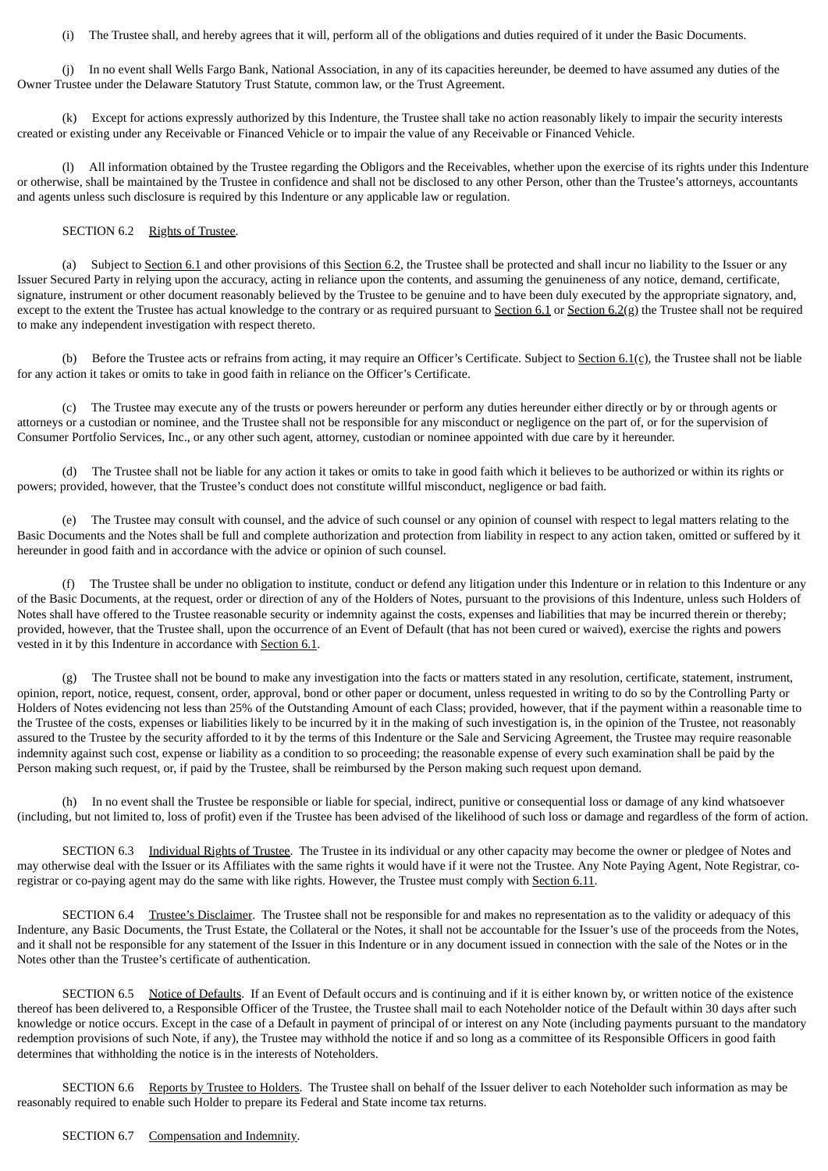(i) The Trustee shall, and hereby agrees that it will, perform all of the obligations and duties required of it under the Basic Documents.

(j) In no event shall Wells Fargo Bank, National Association, in any of its capacities hereunder, be deemed to have assumed any duties of the Owner Trustee under the Delaware Statutory Trust Statute, common law, or the Trust Agreement.

(k) Except for actions expressly authorized by this Indenture, the Trustee shall take no action reasonably likely to impair the security interests created or existing under any Receivable or Financed Vehicle or to impair the value of any Receivable or Financed Vehicle.

(l) All information obtained by the Trustee regarding the Obligors and the Receivables, whether upon the exercise of its rights under this Indenture or otherwise, shall be maintained by the Trustee in confidence and shall not be disclosed to any other Person, other than the Trustee's attorneys, accountants and agents unless such disclosure is required by this Indenture or any applicable law or regulation.

## SECTION 6.2 Rights of Trustee.

(a) Subject to Section 6.1 and other provisions of this Section 6.2, the Trustee shall be protected and shall incur no liability to the Issuer or any Issuer Secured Party in relying upon the accuracy, acting in reliance upon the contents, and assuming the genuineness of any notice, demand, certificate, signature, instrument or other document reasonably believed by the Trustee to be genuine and to have been duly executed by the appropriate signatory, and, except to the extent the Trustee has actual knowledge to the contrary or as required pursuant to  $Section 6.1$  or  $Section 6.2(g)$  the Trustee shall not be required to make any independent investigation with respect thereto.

(b) Before the Trustee acts or refrains from acting, it may require an Officer's Certificate. Subject to Section  $6.1(c)$ , the Trustee shall not be liable for any action it takes or omits to take in good faith in reliance on the Officer's Certificate.

(c) The Trustee may execute any of the trusts or powers hereunder or perform any duties hereunder either directly or by or through agents or attorneys or a custodian or nominee, and the Trustee shall not be responsible for any misconduct or negligence on the part of, or for the supervision of Consumer Portfolio Services, Inc., or any other such agent, attorney, custodian or nominee appointed with due care by it hereunder.

(d) The Trustee shall not be liable for any action it takes or omits to take in good faith which it believes to be authorized or within its rights or powers; provided, however, that the Trustee's conduct does not constitute willful misconduct, negligence or bad faith.

(e) The Trustee may consult with counsel, and the advice of such counsel or any opinion of counsel with respect to legal matters relating to the Basic Documents and the Notes shall be full and complete authorization and protection from liability in respect to any action taken, omitted or suffered by it hereunder in good faith and in accordance with the advice or opinion of such counsel.

(f) The Trustee shall be under no obligation to institute, conduct or defend any litigation under this Indenture or in relation to this Indenture or any of the Basic Documents, at the request, order or direction of any of the Holders of Notes, pursuant to the provisions of this Indenture, unless such Holders of Notes shall have offered to the Trustee reasonable security or indemnity against the costs, expenses and liabilities that may be incurred therein or thereby; provided, however, that the Trustee shall, upon the occurrence of an Event of Default (that has not been cured or waived), exercise the rights and powers vested in it by this Indenture in accordance with Section 6.1.

(g) The Trustee shall not be bound to make any investigation into the facts or matters stated in any resolution, certificate, statement, instrument, opinion, report, notice, request, consent, order, approval, bond or other paper or document, unless requested in writing to do so by the Controlling Party or Holders of Notes evidencing not less than 25% of the Outstanding Amount of each Class; provided, however, that if the payment within a reasonable time to the Trustee of the costs, expenses or liabilities likely to be incurred by it in the making of such investigation is, in the opinion of the Trustee, not reasonably assured to the Trustee by the security afforded to it by the terms of this Indenture or the Sale and Servicing Agreement, the Trustee may require reasonable indemnity against such cost, expense or liability as a condition to so proceeding; the reasonable expense of every such examination shall be paid by the Person making such request, or, if paid by the Trustee, shall be reimbursed by the Person making such request upon demand.

(h) In no event shall the Trustee be responsible or liable for special, indirect, punitive or consequential loss or damage of any kind whatsoever (including, but not limited to, loss of profit) even if the Trustee has been advised of the likelihood of such loss or damage and regardless of the form of action.

SECTION 6.3 Individual Rights of Trustee. The Trustee in its individual or any other capacity may become the owner or pledgee of Notes and may otherwise deal with the Issuer or its Affiliates with the same rights it would have if it were not the Trustee. Any Note Paying Agent, Note Registrar, coregistrar or co-paying agent may do the same with like rights. However, the Trustee must comply with Section 6.11.

SECTION 6.4 Trustee's Disclaimer. The Trustee shall not be responsible for and makes no representation as to the validity or adequacy of this Indenture, any Basic Documents, the Trust Estate, the Collateral or the Notes, it shall not be accountable for the Issuer's use of the proceeds from the Notes, and it shall not be responsible for any statement of the Issuer in this Indenture or in any document issued in connection with the sale of the Notes or in the Notes other than the Trustee's certificate of authentication.

SECTION 6.5 Notice of Defaults. If an Event of Default occurs and is continuing and if it is either known by, or written notice of the existence thereof has been delivered to, a Responsible Officer of the Trustee, the Trustee shall mail to each Noteholder notice of the Default within 30 days after such knowledge or notice occurs. Except in the case of a Default in payment of principal of or interest on any Note (including payments pursuant to the mandatory redemption provisions of such Note, if any), the Trustee may withhold the notice if and so long as a committee of its Responsible Officers in good faith determines that withholding the notice is in the interests of Noteholders.

SECTION 6.6 Reports by Trustee to Holders. The Trustee shall on behalf of the Issuer deliver to each Noteholder such information as may be reasonably required to enable such Holder to prepare its Federal and State income tax returns.

### SECTION 6.7 Compensation and Indemnity.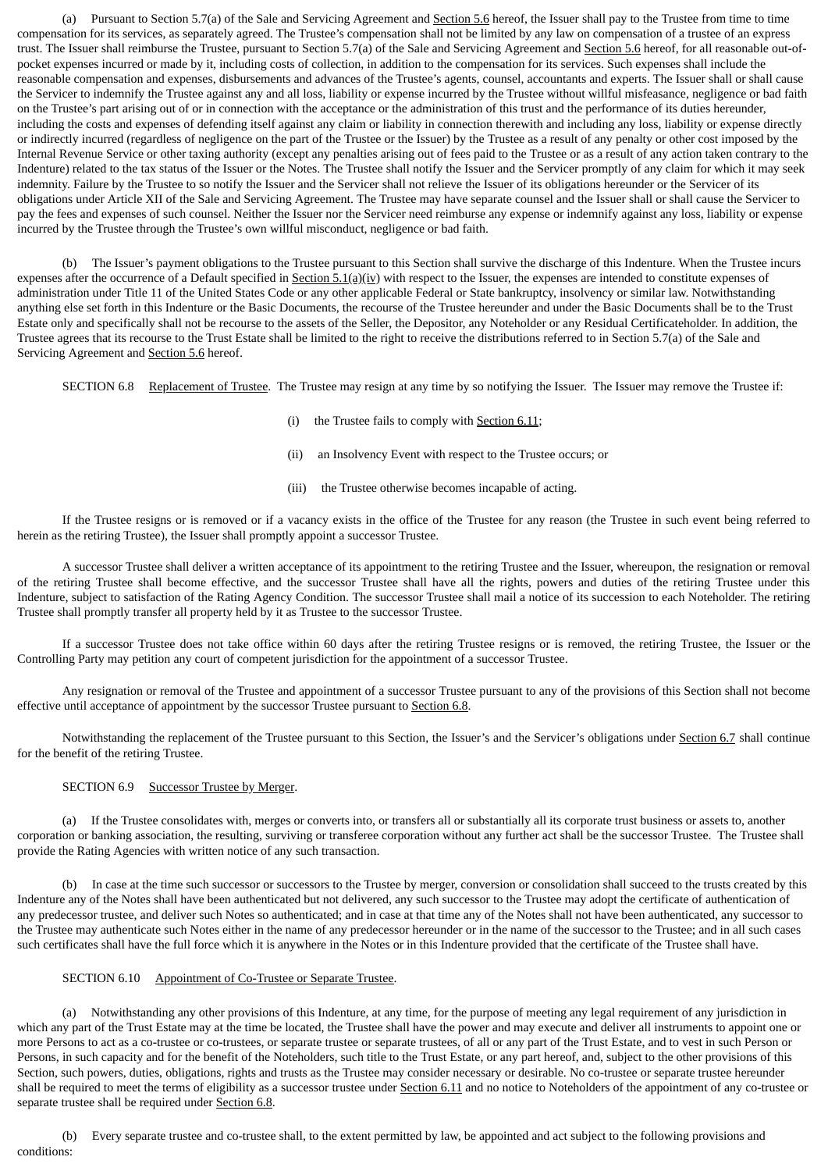(a) Pursuant to Section 5.7(a) of the Sale and Servicing Agreement and Section 5.6 hereof, the Issuer shall pay to the Trustee from time to time compensation for its services, as separately agreed. The Trustee's compensation shall not be limited by any law on compensation of a trustee of an express trust. The Issuer shall reimburse the Trustee, pursuant to Section 5.7(a) of the Sale and Servicing Agreement and Section 5.6 hereof, for all reasonable out-ofpocket expenses incurred or made by it, including costs of collection, in addition to the compensation for its services. Such expenses shall include the reasonable compensation and expenses, disbursements and advances of the Trustee's agents, counsel, accountants and experts. The Issuer shall or shall cause the Servicer to indemnify the Trustee against any and all loss, liability or expense incurred by the Trustee without willful misfeasance, negligence or bad faith on the Trustee's part arising out of or in connection with the acceptance or the administration of this trust and the performance of its duties hereunder, including the costs and expenses of defending itself against any claim or liability in connection therewith and including any loss, liability or expense directly or indirectly incurred (regardless of negligence on the part of the Trustee or the Issuer) by the Trustee as a result of any penalty or other cost imposed by the Internal Revenue Service or other taxing authority (except any penalties arising out of fees paid to the Trustee or as a result of any action taken contrary to the Indenture) related to the tax status of the Issuer or the Notes. The Trustee shall notify the Issuer and the Servicer promptly of any claim for which it may seek indemnity. Failure by the Trustee to so notify the Issuer and the Servicer shall not relieve the Issuer of its obligations hereunder or the Servicer of its obligations under Article XII of the Sale and Servicing Agreement. The Trustee may have separate counsel and the Issuer shall or shall cause the Servicer to pay the fees and expenses of such counsel. Neither the Issuer nor the Servicer need reimburse any expense or indemnify against any loss, liability or expense incurred by the Trustee through the Trustee's own willful misconduct, negligence or bad faith.

(b) The Issuer's payment obligations to the Trustee pursuant to this Section shall survive the discharge of this Indenture. When the Trustee incurs expenses after the occurrence of a Default specified in  $Section 5.1(a)(iv)$  with respect to the Issuer, the expenses are intended to constitute expenses of</u> administration under Title 11 of the United States Code or any other applicable Federal or State bankruptcy, insolvency or similar law. Notwithstanding anything else set forth in this Indenture or the Basic Documents, the recourse of the Trustee hereunder and under the Basic Documents shall be to the Trust Estate only and specifically shall not be recourse to the assets of the Seller, the Depositor, any Noteholder or any Residual Certificateholder. In addition, the Trustee agrees that its recourse to the Trust Estate shall be limited to the right to receive the distributions referred to in Section 5.7(a) of the Sale and Servicing Agreement and **Section 5.6** hereof.

SECTION 6.8 Replacement of Trustee. The Trustee may resign at any time by so notifying the Issuer. The Issuer may remove the Trustee if:

- (i) the Trustee fails to comply with Section 6.11;
- (ii) an Insolvency Event with respect to the Trustee occurs; or
- (iii) the Trustee otherwise becomes incapable of acting.

If the Trustee resigns or is removed or if a vacancy exists in the office of the Trustee for any reason (the Trustee in such event being referred to herein as the retiring Trustee), the Issuer shall promptly appoint a successor Trustee.

A successor Trustee shall deliver a written acceptance of its appointment to the retiring Trustee and the Issuer, whereupon, the resignation or removal of the retiring Trustee shall become effective, and the successor Trustee shall have all the rights, powers and duties of the retiring Trustee under this Indenture, subject to satisfaction of the Rating Agency Condition. The successor Trustee shall mail a notice of its succession to each Noteholder. The retiring Trustee shall promptly transfer all property held by it as Trustee to the successor Trustee.

If a successor Trustee does not take office within 60 days after the retiring Trustee resigns or is removed, the retiring Trustee, the Issuer or the Controlling Party may petition any court of competent jurisdiction for the appointment of a successor Trustee.

Any resignation or removal of the Trustee and appointment of a successor Trustee pursuant to any of the provisions of this Section shall not become effective until acceptance of appointment by the successor Trustee pursuant to Section 6.8.

Notwithstanding the replacement of the Trustee pursuant to this Section, the Issuer's and the Servicer's obligations under Section 6.7 shall continue for the benefit of the retiring Trustee.

# SECTION 6.9 Successor Trustee by Merger.

(a) If the Trustee consolidates with, merges or converts into, or transfers all or substantially all its corporate trust business or assets to, another corporation or banking association, the resulting, surviving or transferee corporation without any further act shall be the successor Trustee. The Trustee shall provide the Rating Agencies with written notice of any such transaction.

(b) In case at the time such successor or successors to the Trustee by merger, conversion or consolidation shall succeed to the trusts created by this Indenture any of the Notes shall have been authenticated but not delivered, any such successor to the Trustee may adopt the certificate of authentication of any predecessor trustee, and deliver such Notes so authenticated; and in case at that time any of the Notes shall not have been authenticated, any successor to the Trustee may authenticate such Notes either in the name of any predecessor hereunder or in the name of the successor to the Trustee; and in all such cases such certificates shall have the full force which it is anywhere in the Notes or in this Indenture provided that the certificate of the Trustee shall have.

### SECTION 6.10 Appointment of Co-Trustee or Separate Trustee.

(a) Notwithstanding any other provisions of this Indenture, at any time, for the purpose of meeting any legal requirement of any jurisdiction in which any part of the Trust Estate may at the time be located, the Trustee shall have the power and may execute and deliver all instruments to appoint one or more Persons to act as a co-trustee or co-trustees, or separate trustee or separate trustees, of all or any part of the Trust Estate, and to vest in such Person or Persons, in such capacity and for the benefit of the Noteholders, such title to the Trust Estate, or any part hereof, and, subject to the other provisions of this Section, such powers, duties, obligations, rights and trusts as the Trustee may consider necessary or desirable. No co-trustee or separate trustee hereunder shall be required to meet the terms of eligibility as a successor trustee under Section 6.11 and no notice to Noteholders of the appointment of any co-trustee or separate trustee shall be required under Section 6.8.

(b) Every separate trustee and co-trustee shall, to the extent permitted by law, be appointed and act subject to the following provisions and conditions: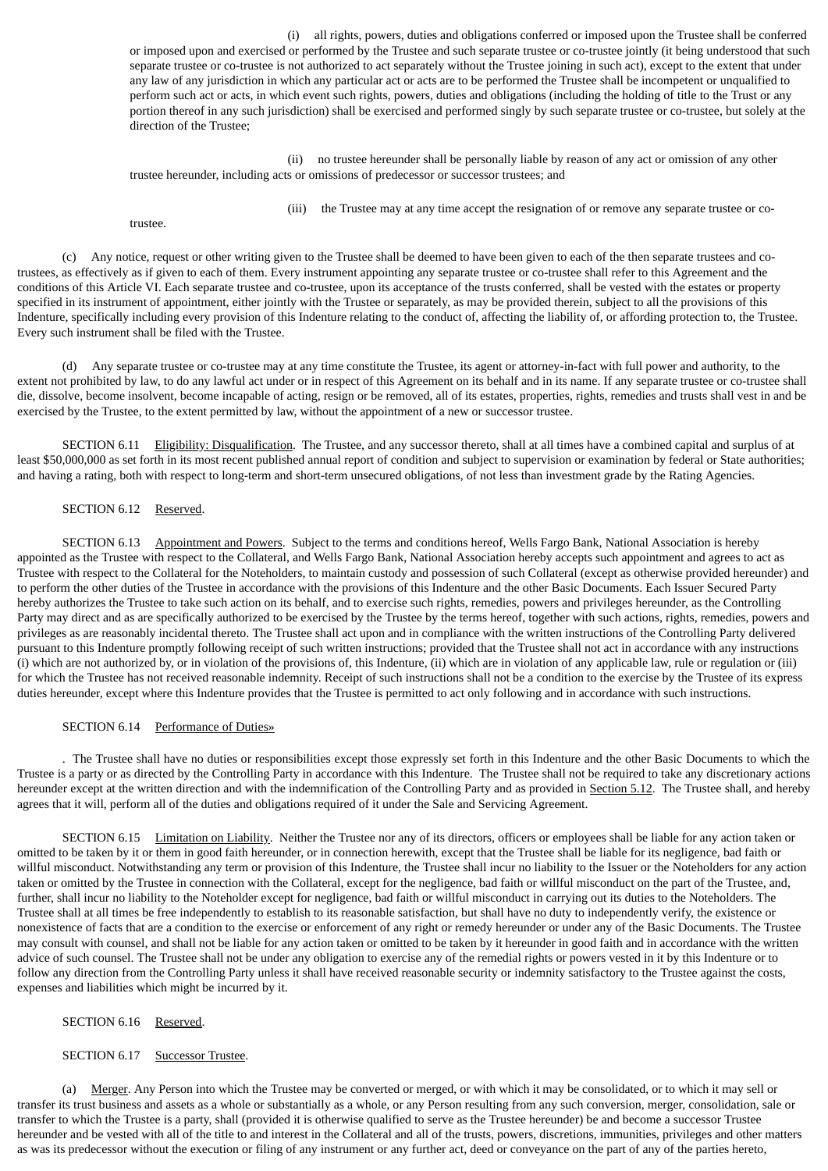(i) all rights, powers, duties and obligations conferred or imposed upon the Trustee shall be conferred or imposed upon and exercised or performed by the Trustee and such separate trustee or co-trustee jointly (it being understood that such separate trustee or co-trustee is not authorized to act separately without the Trustee joining in such act), except to the extent that under any law of any jurisdiction in which any particular act or acts are to be performed the Trustee shall be incompetent or unqualified to perform such act or acts, in which event such rights, powers, duties and obligations (including the holding of title to the Trust or any portion thereof in any such jurisdiction) shall be exercised and performed singly by such separate trustee or co-trustee, but solely at the direction of the Trustee;

(ii) no trustee hereunder shall be personally liable by reason of any act or omission of any other trustee hereunder, including acts or omissions of predecessor or successor trustees; and

(iii) the Trustee may at any time accept the resignation of or remove any separate trustee or co-

trustee.

(c) Any notice, request or other writing given to the Trustee shall be deemed to have been given to each of the then separate trustees and cotrustees, as effectively as if given to each of them. Every instrument appointing any separate trustee or co-trustee shall refer to this Agreement and the conditions of this Article VI. Each separate trustee and co-trustee, upon its acceptance of the trusts conferred, shall be vested with the estates or property specified in its instrument of appointment, either jointly with the Trustee or separately, as may be provided therein, subject to all the provisions of this Indenture, specifically including every provision of this Indenture relating to the conduct of, affecting the liability of, or affording protection to, the Trustee. Every such instrument shall be filed with the Trustee.

(d) Any separate trustee or co-trustee may at any time constitute the Trustee, its agent or attorney-in-fact with full power and authority, to the extent not prohibited by law, to do any lawful act under or in respect of this Agreement on its behalf and in its name. If any separate trustee or co-trustee shall die, dissolve, become insolvent, become incapable of acting, resign or be removed, all of its estates, properties, rights, remedies and trusts shall vest in and be exercised by the Trustee, to the extent permitted by law, without the appointment of a new or successor trustee.

SECTION 6.11 Eligibility: Disqualification. The Trustee, and any successor thereto, shall at all times have a combined capital and surplus of at least \$50,000,000 as set forth in its most recent published annual report of condition and subject to supervision or examination by federal or State authorities; and having a rating, both with respect to long-term and short-term unsecured obligations, of not less than investment grade by the Rating Agencies.

# SECTION 6.12 Reserved.

SECTION 6.13 **Appointment and Powers.** Subject to the terms and conditions hereof, Wells Fargo Bank, National Association is hereby appointed as the Trustee with respect to the Collateral, and Wells Fargo Bank, National Association hereby accepts such appointment and agrees to act as Trustee with respect to the Collateral for the Noteholders, to maintain custody and possession of such Collateral (except as otherwise provided hereunder) and to perform the other duties of the Trustee in accordance with the provisions of this Indenture and the other Basic Documents. Each Issuer Secured Party hereby authorizes the Trustee to take such action on its behalf, and to exercise such rights, remedies, powers and privileges hereunder, as the Controlling Party may direct and as are specifically authorized to be exercised by the Trustee by the terms hereof, together with such actions, rights, remedies, powers and privileges as are reasonably incidental thereto. The Trustee shall act upon and in compliance with the written instructions of the Controlling Party delivered pursuant to this Indenture promptly following receipt of such written instructions; provided that the Trustee shall not act in accordance with any instructions (i) which are not authorized by, or in violation of the provisions of, this Indenture, (ii) which are in violation of any applicable law, rule or regulation or (iii) for which the Trustee has not received reasonable indemnity. Receipt of such instructions shall not be a condition to the exercise by the Trustee of its express duties hereunder, except where this Indenture provides that the Trustee is permitted to act only following and in accordance with such instructions.

## SECTION 6.14 Performance of Duties»

. The Trustee shall have no duties or responsibilities except those expressly set forth in this Indenture and the other Basic Documents to which the Trustee is a party or as directed by the Controlling Party in accordance with this Indenture. The Trustee shall not be required to take any discretionary actions hereunder except at the written direction and with the indemnification of the Controlling Party and as provided in Section 5.12. The Trustee shall, and hereby agrees that it will, perform all of the duties and obligations required of it under the Sale and Servicing Agreement.

SECTION 6.15 Limitation on Liability. Neither the Trustee nor any of its directors, officers or employees shall be liable for any action taken or omitted to be taken by it or them in good faith hereunder, or in connection herewith, except that the Trustee shall be liable for its negligence, bad faith or willful misconduct. Notwithstanding any term or provision of this Indenture, the Trustee shall incur no liability to the Issuer or the Noteholders for any action taken or omitted by the Trustee in connection with the Collateral, except for the negligence, bad faith or willful misconduct on the part of the Trustee, and, further, shall incur no liability to the Noteholder except for negligence, bad faith or willful misconduct in carrying out its duties to the Noteholders. The Trustee shall at all times be free independently to establish to its reasonable satisfaction, but shall have no duty to independently verify, the existence or nonexistence of facts that are a condition to the exercise or enforcement of any right or remedy hereunder or under any of the Basic Documents. The Trustee may consult with counsel, and shall not be liable for any action taken or omitted to be taken by it hereunder in good faith and in accordance with the written advice of such counsel. The Trustee shall not be under any obligation to exercise any of the remedial rights or powers vested in it by this Indenture or to follow any direction from the Controlling Party unless it shall have received reasonable security or indemnity satisfactory to the Trustee against the costs, expenses and liabilities which might be incurred by it.

### SECTION 6.16 Reserved.

## SECTION 6.17 Successor Trustee.

(a) Merger. Any Person into which the Trustee may be converted or merged, or with which it may be consolidated, or to which it may sell or transfer its trust business and assets as a whole or substantially as a whole, or any Person resulting from any such conversion, merger, consolidation, sale or transfer to which the Trustee is a party, shall (provided it is otherwise qualified to serve as the Trustee hereunder) be and become a successor Trustee hereunder and be vested with all of the title to and interest in the Collateral and all of the trusts, powers, discretions, immunities, privileges and other matters as was its predecessor without the execution or filing of any instrument or any further act, deed or conveyance on the part of any of the parties hereto,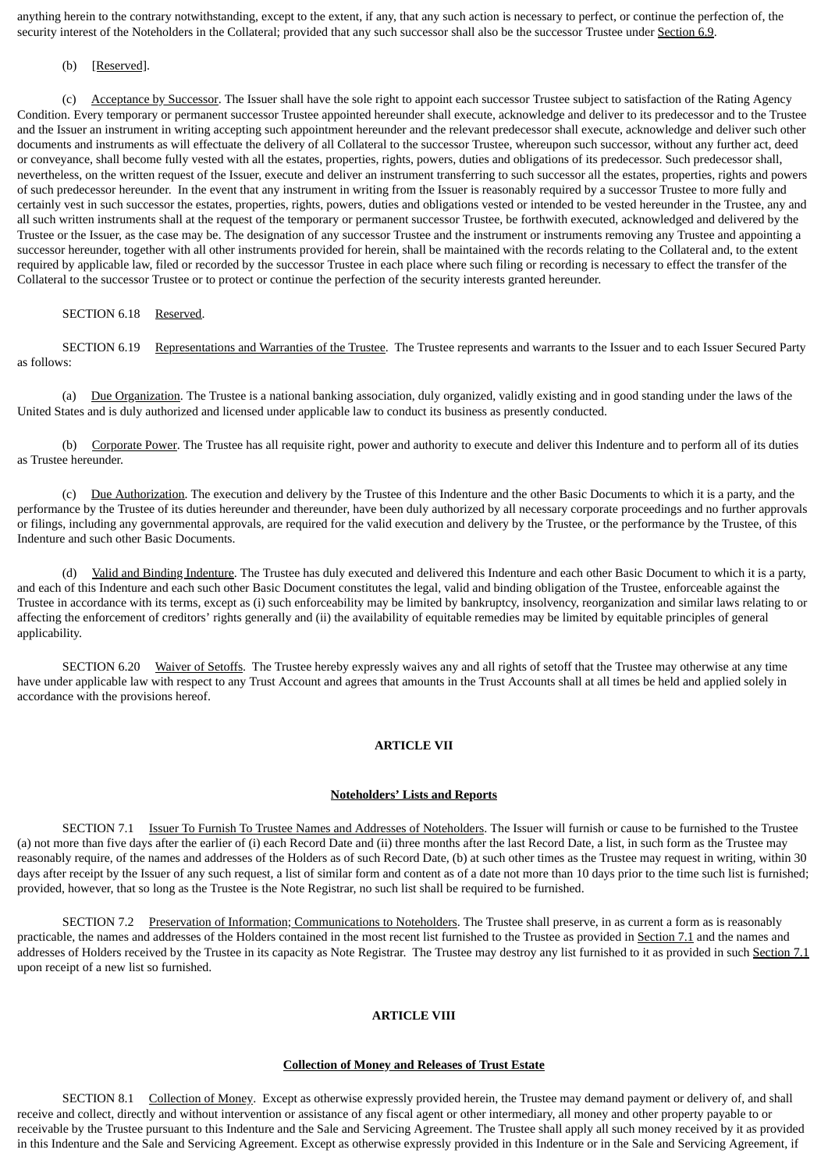anything herein to the contrary notwithstanding, except to the extent, if any, that any such action is necessary to perfect, or continue the perfection of, the security interest of the Noteholders in the Collateral; provided that any such successor shall also be the successor Trustee under Section 6.9.

### (b) [Reserved].

(c) Acceptance by Successor. The Issuer shall have the sole right to appoint each successor Trustee subject to satisfaction of the Rating Agency Condition. Every temporary or permanent successor Trustee appointed hereunder shall execute, acknowledge and deliver to its predecessor and to the Trustee and the Issuer an instrument in writing accepting such appointment hereunder and the relevant predecessor shall execute, acknowledge and deliver such other documents and instruments as will effectuate the delivery of all Collateral to the successor Trustee, whereupon such successor, without any further act, deed or conveyance, shall become fully vested with all the estates, properties, rights, powers, duties and obligations of its predecessor. Such predecessor shall, nevertheless, on the written request of the Issuer, execute and deliver an instrument transferring to such successor all the estates, properties, rights and powers of such predecessor hereunder. In the event that any instrument in writing from the Issuer is reasonably required by a successor Trustee to more fully and certainly vest in such successor the estates, properties, rights, powers, duties and obligations vested or intended to be vested hereunder in the Trustee, any and all such written instruments shall at the request of the temporary or permanent successor Trustee, be forthwith executed, acknowledged and delivered by the Trustee or the Issuer, as the case may be. The designation of any successor Trustee and the instrument or instruments removing any Trustee and appointing a successor hereunder, together with all other instruments provided for herein, shall be maintained with the records relating to the Collateral and, to the extent required by applicable law, filed or recorded by the successor Trustee in each place where such filing or recording is necessary to effect the transfer of the Collateral to the successor Trustee or to protect or continue the perfection of the security interests granted hereunder.

# SECTION 6.18 Reserved.

SECTION 6.19 Representations and Warranties of the Trustee. The Trustee represents and warrants to the Issuer and to each Issuer Secured Party as follows:

(a) Due Organization. The Trustee is a national banking association, duly organized, validly existing and in good standing under the laws of the United States and is duly authorized and licensed under applicable law to conduct its business as presently conducted.

(b) Corporate Power. The Trustee has all requisite right, power and authority to execute and deliver this Indenture and to perform all of its duties as Trustee hereunder.

(c) Due Authorization. The execution and delivery by the Trustee of this Indenture and the other Basic Documents to which it is a party, and the performance by the Trustee of its duties hereunder and thereunder, have been duly authorized by all necessary corporate proceedings and no further approvals or filings, including any governmental approvals, are required for the valid execution and delivery by the Trustee, or the performance by the Trustee, of this Indenture and such other Basic Documents.

(d) Valid and Binding Indenture. The Trustee has duly executed and delivered this Indenture and each other Basic Document to which it is a party, and each of this Indenture and each such other Basic Document constitutes the legal, valid and binding obligation of the Trustee, enforceable against the Trustee in accordance with its terms, except as (i) such enforceability may be limited by bankruptcy, insolvency, reorganization and similar laws relating to or affecting the enforcement of creditors' rights generally and (ii) the availability of equitable remedies may be limited by equitable principles of general applicability.

SECTION 6.20 Waiver of Setoffs. The Trustee hereby expressly waives any and all rights of setoff that the Trustee may otherwise at any time have under applicable law with respect to any Trust Account and agrees that amounts in the Trust Accounts shall at all times be held and applied solely in accordance with the provisions hereof.

## **ARTICLE VII**

#### **Noteholders' Lists and Reports**

SECTION 7.1 Issuer To Furnish To Trustee Names and Addresses of Noteholders. The Issuer will furnish or cause to be furnished to the Trustee (a) not more than five days after the earlier of (i) each Record Date and (ii) three months after the last Record Date, a list, in such form as the Trustee may reasonably require, of the names and addresses of the Holders as of such Record Date, (b) at such other times as the Trustee may request in writing, within 30 days after receipt by the Issuer of any such request, a list of similar form and content as of a date not more than 10 days prior to the time such list is furnished; provided, however, that so long as the Trustee is the Note Registrar, no such list shall be required to be furnished.

SECTION 7.2 Preservation of Information; Communications to Noteholders. The Trustee shall preserve, in as current a form as is reasonably practicable, the names and addresses of the Holders contained in the most recent list furnished to the Trustee as provided in Section 7.1 and the names and addresses of Holders received by the Trustee in its capacity as Note Registrar. The Trustee may destroy any list furnished to it as provided in such Section 7.1 upon receipt of a new list so furnished.

## **ARTICLE VIII**

### **Collection of Money and Releases of Trust Estate**

SECTION 8.1 Collection of Money. Except as otherwise expressly provided herein, the Trustee may demand payment or delivery of, and shall receive and collect, directly and without intervention or assistance of any fiscal agent or other intermediary, all money and other property payable to or receivable by the Trustee pursuant to this Indenture and the Sale and Servicing Agreement. The Trustee shall apply all such money received by it as provided in this Indenture and the Sale and Servicing Agreement. Except as otherwise expressly provided in this Indenture or in the Sale and Servicing Agreement, if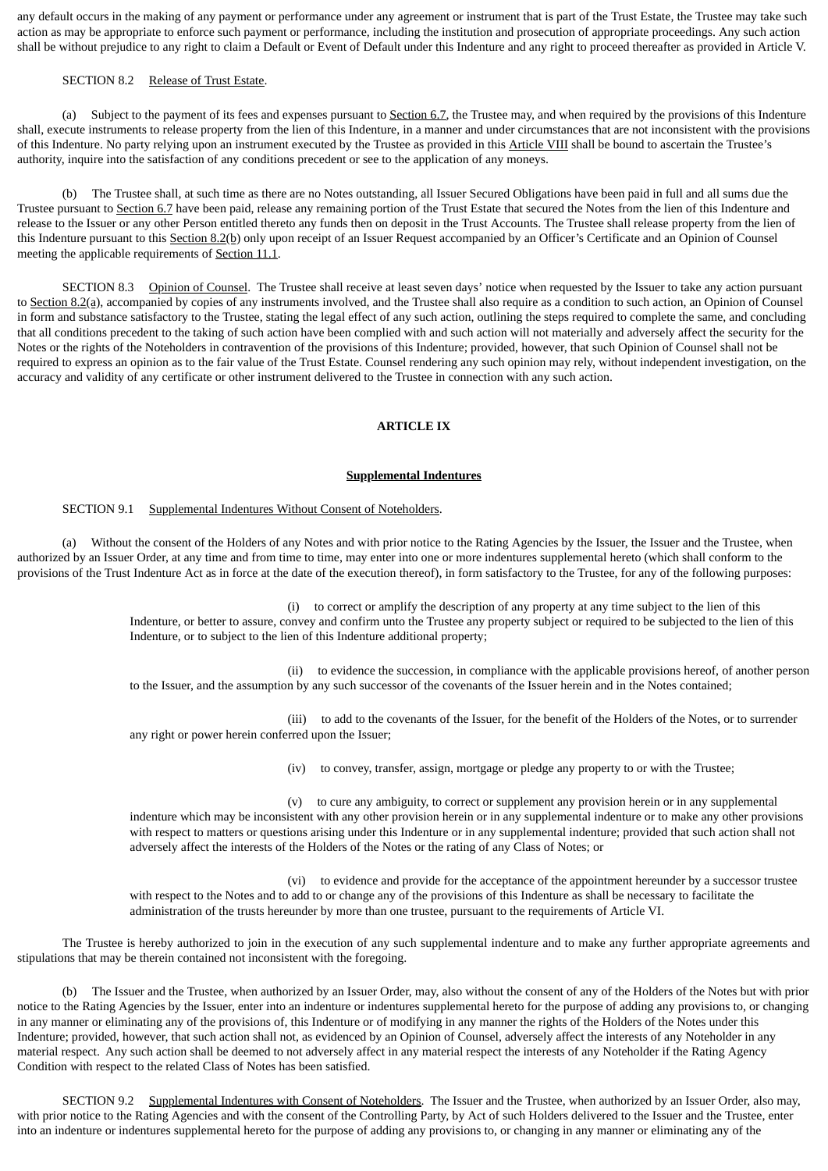any default occurs in the making of any payment or performance under any agreement or instrument that is part of the Trust Estate, the Trustee may take such action as may be appropriate to enforce such payment or performance, including the institution and prosecution of appropriate proceedings. Any such action shall be without prejudice to any right to claim a Default or Event of Default under this Indenture and any right to proceed thereafter as provided in Article V.

### SECTION 8.2 Release of Trust Estate.

(a) Subject to the payment of its fees and expenses pursuant to Section 6.7, the Trustee may, and when required by the provisions of this Indenture shall, execute instruments to release property from the lien of this Indenture, in a manner and under circumstances that are not inconsistent with the provisions of this Indenture. No party relying upon an instrument executed by the Trustee as provided in this Article VIII shall be bound to ascertain the Trustee's authority, inquire into the satisfaction of any conditions precedent or see to the application of any moneys.

(b) The Trustee shall, at such time as there are no Notes outstanding, all Issuer Secured Obligations have been paid in full and all sums due the Trustee pursuant to Section 6.7 have been paid, release any remaining portion of the Trust Estate that secured the Notes from the lien of this Indenture and release to the Issuer or any other Person entitled thereto any funds then on deposit in the Trust Accounts. The Trustee shall release property from the lien of this Indenture pursuant to this Section 8.2(b) only upon receipt of an Issuer Request accompanied by an Officer's Certificate and an Opinion of Counsel meeting the applicable requirements of Section 11.1.

SECTION 8.3 Opinion of Counsel. The Trustee shall receive at least seven days' notice when requested by the Issuer to take any action pursuant to Section 8.2(a), accompanied by copies of any instruments involved, and the Trustee shall also require as a condition to such action, an Opinion of Counsel in form and substance satisfactory to the Trustee, stating the legal effect of any such action, outlining the steps required to complete the same, and concluding that all conditions precedent to the taking of such action have been complied with and such action will not materially and adversely affect the security for the Notes or the rights of the Noteholders in contravention of the provisions of this Indenture; provided, however, that such Opinion of Counsel shall not be required to express an opinion as to the fair value of the Trust Estate. Counsel rendering any such opinion may rely, without independent investigation, on the accuracy and validity of any certificate or other instrument delivered to the Trustee in connection with any such action.

## **ARTICLE IX**

#### **Supplemental Indentures**

## SECTION 9.1 Supplemental Indentures Without Consent of Noteholders.

(a) Without the consent of the Holders of any Notes and with prior notice to the Rating Agencies by the Issuer, the Issuer and the Trustee, when authorized by an Issuer Order, at any time and from time to time, may enter into one or more indentures supplemental hereto (which shall conform to the provisions of the Trust Indenture Act as in force at the date of the execution thereof), in form satisfactory to the Trustee, for any of the following purposes:

> (i) to correct or amplify the description of any property at any time subject to the lien of this Indenture, or better to assure, convey and confirm unto the Trustee any property subject or required to be subjected to the lien of this Indenture, or to subject to the lien of this Indenture additional property;

(ii) to evidence the succession, in compliance with the applicable provisions hereof, of another person to the Issuer, and the assumption by any such successor of the covenants of the Issuer herein and in the Notes contained;

(iii) to add to the covenants of the Issuer, for the benefit of the Holders of the Notes, or to surrender any right or power herein conferred upon the Issuer;

(iv) to convey, transfer, assign, mortgage or pledge any property to or with the Trustee;

(v) to cure any ambiguity, to correct or supplement any provision herein or in any supplemental indenture which may be inconsistent with any other provision herein or in any supplemental indenture or to make any other provisions with respect to matters or questions arising under this Indenture or in any supplemental indenture; provided that such action shall not adversely affect the interests of the Holders of the Notes or the rating of any Class of Notes; or

(vi) to evidence and provide for the acceptance of the appointment hereunder by a successor trustee with respect to the Notes and to add to or change any of the provisions of this Indenture as shall be necessary to facilitate the administration of the trusts hereunder by more than one trustee, pursuant to the requirements of Article VI.

The Trustee is hereby authorized to join in the execution of any such supplemental indenture and to make any further appropriate agreements and stipulations that may be therein contained not inconsistent with the foregoing.

(b) The Issuer and the Trustee, when authorized by an Issuer Order, may, also without the consent of any of the Holders of the Notes but with prior notice to the Rating Agencies by the Issuer, enter into an indenture or indentures supplemental hereto for the purpose of adding any provisions to, or changing in any manner or eliminating any of the provisions of, this Indenture or of modifying in any manner the rights of the Holders of the Notes under this Indenture; provided, however, that such action shall not, as evidenced by an Opinion of Counsel, adversely affect the interests of any Noteholder in any material respect. Any such action shall be deemed to not adversely affect in any material respect the interests of any Noteholder if the Rating Agency Condition with respect to the related Class of Notes has been satisfied.

SECTION 9.2 Supplemental Indentures with Consent of Noteholders. The Issuer and the Trustee, when authorized by an Issuer Order, also may, with prior notice to the Rating Agencies and with the consent of the Controlling Party, by Act of such Holders delivered to the Issuer and the Trustee, enter into an indenture or indentures supplemental hereto for the purpose of adding any provisions to, or changing in any manner or eliminating any of the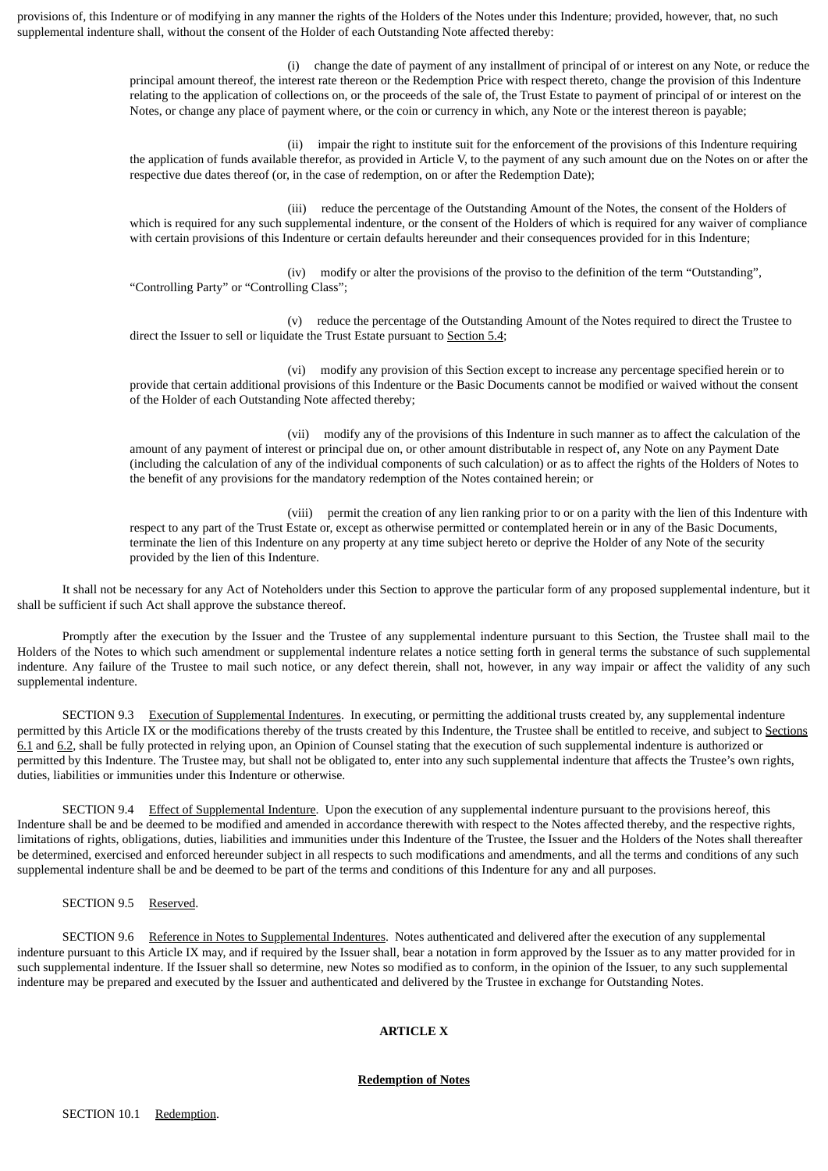provisions of, this Indenture or of modifying in any manner the rights of the Holders of the Notes under this Indenture; provided, however, that, no such supplemental indenture shall, without the consent of the Holder of each Outstanding Note affected thereby:

> (i) change the date of payment of any installment of principal of or interest on any Note, or reduce the principal amount thereof, the interest rate thereon or the Redemption Price with respect thereto, change the provision of this Indenture relating to the application of collections on, or the proceeds of the sale of, the Trust Estate to payment of principal of or interest on the Notes, or change any place of payment where, or the coin or currency in which, any Note or the interest thereon is payable;

> (ii) impair the right to institute suit for the enforcement of the provisions of this Indenture requiring the application of funds available therefor, as provided in Article V, to the payment of any such amount due on the Notes on or after the respective due dates thereof (or, in the case of redemption, on or after the Redemption Date);

> (iii) reduce the percentage of the Outstanding Amount of the Notes, the consent of the Holders of which is required for any such supplemental indenture, or the consent of the Holders of which is required for any waiver of compliance with certain provisions of this Indenture or certain defaults hereunder and their consequences provided for in this Indenture;

(iv) modify or alter the provisions of the proviso to the definition of the term "Outstanding", "Controlling Party" or "Controlling Class";

(v) reduce the percentage of the Outstanding Amount of the Notes required to direct the Trustee to direct the Issuer to sell or liquidate the Trust Estate pursuant to Section 5.4;

(vi) modify any provision of this Section except to increase any percentage specified herein or to provide that certain additional provisions of this Indenture or the Basic Documents cannot be modified or waived without the consent of the Holder of each Outstanding Note affected thereby;

(vii) modify any of the provisions of this Indenture in such manner as to affect the calculation of the amount of any payment of interest or principal due on, or other amount distributable in respect of, any Note on any Payment Date (including the calculation of any of the individual components of such calculation) or as to affect the rights of the Holders of Notes to the benefit of any provisions for the mandatory redemption of the Notes contained herein; or

(viii) permit the creation of any lien ranking prior to or on a parity with the lien of this Indenture with respect to any part of the Trust Estate or, except as otherwise permitted or contemplated herein or in any of the Basic Documents, terminate the lien of this Indenture on any property at any time subject hereto or deprive the Holder of any Note of the security provided by the lien of this Indenture.

It shall not be necessary for any Act of Noteholders under this Section to approve the particular form of any proposed supplemental indenture, but it shall be sufficient if such Act shall approve the substance thereof.

Promptly after the execution by the Issuer and the Trustee of any supplemental indenture pursuant to this Section, the Trustee shall mail to the Holders of the Notes to which such amendment or supplemental indenture relates a notice setting forth in general terms the substance of such supplemental indenture. Any failure of the Trustee to mail such notice, or any defect therein, shall not, however, in any way impair or affect the validity of any such supplemental indenture.

SECTION 9.3 Execution of Supplemental Indentures. In executing, or permitting the additional trusts created by, any supplemental indenture permitted by this Article IX or the modifications thereby of the trusts created by this Indenture, the Trustee shall be entitled to receive, and subject to Sections 6.1 and 6.2, shall be fully protected in relying upon, an Opinion of Counsel stating that the execution of such supplemental indenture is authorized or permitted by this Indenture. The Trustee may, but shall not be obligated to, enter into any such supplemental indenture that affects the Trustee's own rights, duties, liabilities or immunities under this Indenture or otherwise.

SECTION 9.4 Effect of Supplemental Indenture. Upon the execution of any supplemental indenture pursuant to the provisions hereof, this Indenture shall be and be deemed to be modified and amended in accordance therewith with respect to the Notes affected thereby, and the respective rights, limitations of rights, obligations, duties, liabilities and immunities under this Indenture of the Trustee, the Issuer and the Holders of the Notes shall thereafter be determined, exercised and enforced hereunder subject in all respects to such modifications and amendments, and all the terms and conditions of any such supplemental indenture shall be and be deemed to be part of the terms and conditions of this Indenture for any and all purposes.

# SECTION 9.5 Reserved.

SECTION 9.6 Reference in Notes to Supplemental Indentures. Notes authenticated and delivered after the execution of any supplemental indenture pursuant to this Article IX may, and if required by the Issuer shall, bear a notation in form approved by the Issuer as to any matter provided for in such supplemental indenture. If the Issuer shall so determine, new Notes so modified as to conform, in the opinion of the Issuer, to any such supplemental indenture may be prepared and executed by the Issuer and authenticated and delivered by the Trustee in exchange for Outstanding Notes.

# **ARTICLE X**

### **Redemption of Notes**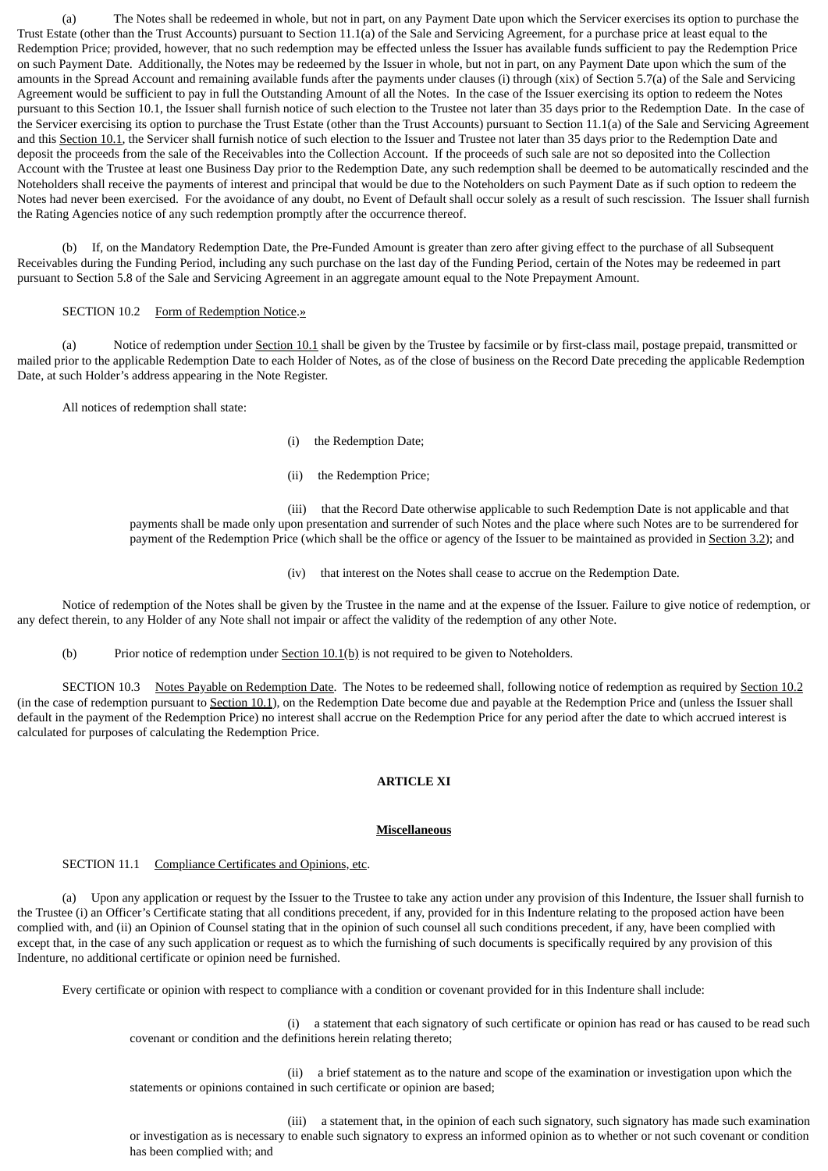(a) The Notes shall be redeemed in whole, but not in part, on any Payment Date upon which the Servicer exercises its option to purchase the Trust Estate (other than the Trust Accounts) pursuant to Section 11.1(a) of the Sale and Servicing Agreement, for a purchase price at least equal to the Redemption Price; provided, however, that no such redemption may be effected unless the Issuer has available funds sufficient to pay the Redemption Price on such Payment Date. Additionally, the Notes may be redeemed by the Issuer in whole, but not in part, on any Payment Date upon which the sum of the amounts in the Spread Account and remaining available funds after the payments under clauses (i) through (xix) of Section 5.7(a) of the Sale and Servicing Agreement would be sufficient to pay in full the Outstanding Amount of all the Notes. In the case of the Issuer exercising its option to redeem the Notes pursuant to this Section 10.1, the Issuer shall furnish notice of such election to the Trustee not later than 35 days prior to the Redemption Date. In the case of the Servicer exercising its option to purchase the Trust Estate (other than the Trust Accounts) pursuant to Section 11.1(a) of the Sale and Servicing Agreement and this Section 10.1, the Servicer shall furnish notice of such election to the Issuer and Trustee not later than 35 days prior to the Redemption Date and deposit the proceeds from the sale of the Receivables into the Collection Account. If the proceeds of such sale are not so deposited into the Collection Account with the Trustee at least one Business Day prior to the Redemption Date, any such redemption shall be deemed to be automatically rescinded and the Noteholders shall receive the payments of interest and principal that would be due to the Noteholders on such Payment Date as if such option to redeem the Notes had never been exercised. For the avoidance of any doubt, no Event of Default shall occur solely as a result of such rescission. The Issuer shall furnish the Rating Agencies notice of any such redemption promptly after the occurrence thereof.

(b) If, on the Mandatory Redemption Date, the Pre-Funded Amount is greater than zero after giving effect to the purchase of all Subsequent Receivables during the Funding Period, including any such purchase on the last day of the Funding Period, certain of the Notes may be redeemed in part pursuant to Section 5.8 of the Sale and Servicing Agreement in an aggregate amount equal to the Note Prepayment Amount.

## SECTION 10.2 Form of Redemption Notice.»

(a) Notice of redemption under Section 10.1 shall be given by the Trustee by facsimile or by first-class mail, postage prepaid, transmitted or mailed prior to the applicable Redemption Date to each Holder of Notes, as of the close of business on the Record Date preceding the applicable Redemption Date, at such Holder's address appearing in the Note Register.

All notices of redemption shall state:

- (i) the Redemption Date;
- (ii) the Redemption Price;

(iii) that the Record Date otherwise applicable to such Redemption Date is not applicable and that payments shall be made only upon presentation and surrender of such Notes and the place where such Notes are to be surrendered for payment of the Redemption Price (which shall be the office or agency of the Issuer to be maintained as provided in Section 3.2); and

(iv) that interest on the Notes shall cease to accrue on the Redemption Date.

Notice of redemption of the Notes shall be given by the Trustee in the name and at the expense of the Issuer. Failure to give notice of redemption, or any defect therein, to any Holder of any Note shall not impair or affect the validity of the redemption of any other Note.

(b) Prior notice of redemption under  $Section 10.1(b)$  is not required to be given to Noteholders.

SECTION 10.3 Notes Payable on Redemption Date. The Notes to be redeemed shall, following notice of redemption as required by Section 10.2 (in the case of redemption pursuant to Section 10.1), on the Redemption Date become due and payable at the Redemption Price and (unless the Issuer shall default in the payment of the Redemption Price) no interest shall accrue on the Redemption Price for any period after the date to which accrued interest is calculated for purposes of calculating the Redemption Price.

# **ARTICLE XI**

### **Miscellaneous**

# SECTION 11.1 Compliance Certificates and Opinions, etc.

(a) Upon any application or request by the Issuer to the Trustee to take any action under any provision of this Indenture, the Issuer shall furnish to the Trustee (i) an Officer's Certificate stating that all conditions precedent, if any, provided for in this Indenture relating to the proposed action have been complied with, and (ii) an Opinion of Counsel stating that in the opinion of such counsel all such conditions precedent, if any, have been complied with except that, in the case of any such application or request as to which the furnishing of such documents is specifically required by any provision of this Indenture, no additional certificate or opinion need be furnished.

Every certificate or opinion with respect to compliance with a condition or covenant provided for in this Indenture shall include:

(i) a statement that each signatory of such certificate or opinion has read or has caused to be read such covenant or condition and the definitions herein relating thereto;

(ii) a brief statement as to the nature and scope of the examination or investigation upon which the statements or opinions contained in such certificate or opinion are based;

(iii) a statement that, in the opinion of each such signatory, such signatory has made such examination or investigation as is necessary to enable such signatory to express an informed opinion as to whether or not such covenant or condition has been complied with; and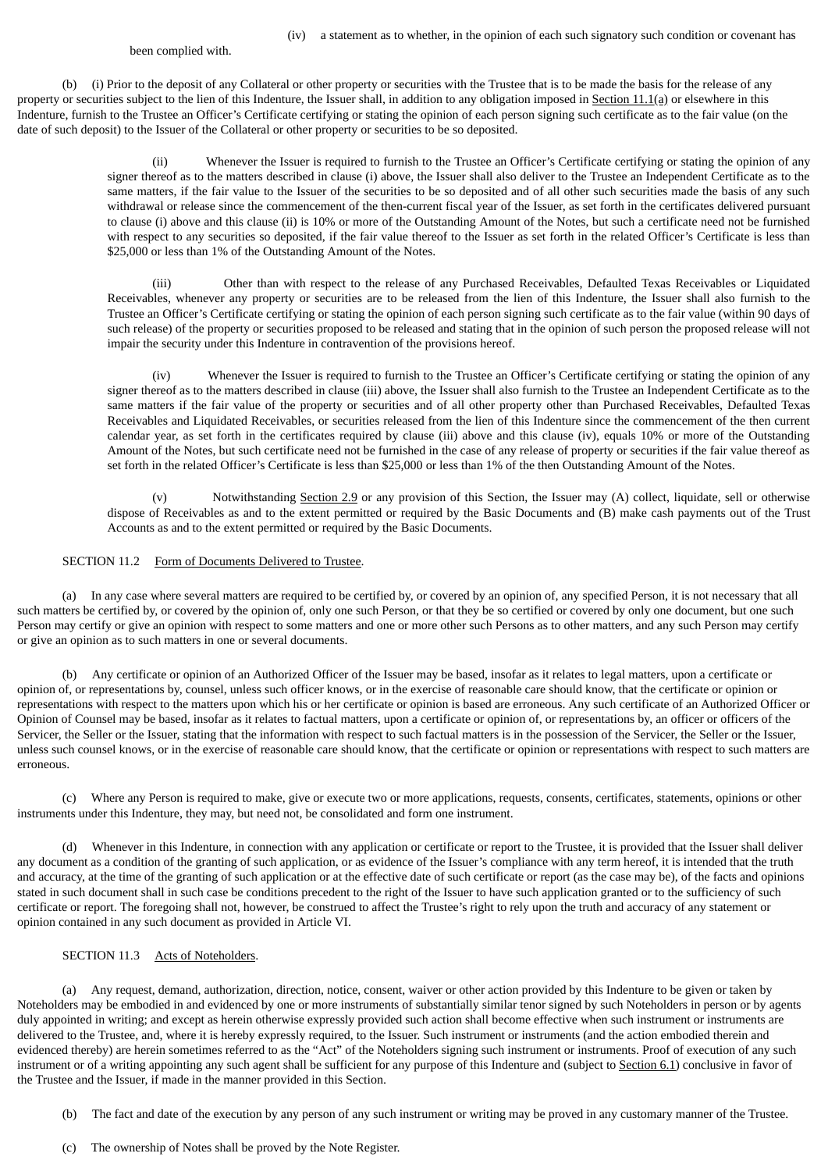been complied with.

(b) (i) Prior to the deposit of any Collateral or other property or securities with the Trustee that is to be made the basis for the release of any property or securities subject to the lien of this Indenture, the Issuer shall, in addition to any obligation imposed in Section 11.1(a) or elsewhere in this Indenture, furnish to the Trustee an Officer's Certificate certifying or stating the opinion of each person signing such certificate as to the fair value (on the date of such deposit) to the Issuer of the Collateral or other property or securities to be so deposited.

> (ii) Whenever the Issuer is required to furnish to the Trustee an Officer's Certificate certifying or stating the opinion of any signer thereof as to the matters described in clause (i) above, the Issuer shall also deliver to the Trustee an Independent Certificate as to the same matters, if the fair value to the Issuer of the securities to be so deposited and of all other such securities made the basis of any such withdrawal or release since the commencement of the then-current fiscal year of the Issuer, as set forth in the certificates delivered pursuant to clause (i) above and this clause (ii) is 10% or more of the Outstanding Amount of the Notes, but such a certificate need not be furnished with respect to any securities so deposited, if the fair value thereof to the Issuer as set forth in the related Officer's Certificate is less than \$25,000 or less than 1% of the Outstanding Amount of the Notes.

> (iii) Other than with respect to the release of any Purchased Receivables, Defaulted Texas Receivables or Liquidated Receivables, whenever any property or securities are to be released from the lien of this Indenture, the Issuer shall also furnish to the Trustee an Officer's Certificate certifying or stating the opinion of each person signing such certificate as to the fair value (within 90 days of such release) of the property or securities proposed to be released and stating that in the opinion of such person the proposed release will not impair the security under this Indenture in contravention of the provisions hereof.

> (iv) Whenever the Issuer is required to furnish to the Trustee an Officer's Certificate certifying or stating the opinion of any signer thereof as to the matters described in clause (iii) above, the Issuer shall also furnish to the Trustee an Independent Certificate as to the same matters if the fair value of the property or securities and of all other property other than Purchased Receivables, Defaulted Texas Receivables and Liquidated Receivables, or securities released from the lien of this Indenture since the commencement of the then current calendar year, as set forth in the certificates required by clause (iii) above and this clause (iv), equals 10% or more of the Outstanding Amount of the Notes, but such certificate need not be furnished in the case of any release of property or securities if the fair value thereof as set forth in the related Officer's Certificate is less than \$25,000 or less than 1% of the then Outstanding Amount of the Notes.

> (v) Notwithstanding Section 2.9 or any provision of this Section, the Issuer may (A) collect, liquidate, sell or otherwise dispose of Receivables as and to the extent permitted or required by the Basic Documents and (B) make cash payments out of the Trust Accounts as and to the extent permitted or required by the Basic Documents.

## SECTION 11.2 Form of Documents Delivered to Trustee.

(a) In any case where several matters are required to be certified by, or covered by an opinion of, any specified Person, it is not necessary that all such matters be certified by, or covered by the opinion of, only one such Person, or that they be so certified or covered by only one document, but one such Person may certify or give an opinion with respect to some matters and one or more other such Persons as to other matters, and any such Person may certify or give an opinion as to such matters in one or several documents.

(b) Any certificate or opinion of an Authorized Officer of the Issuer may be based, insofar as it relates to legal matters, upon a certificate or opinion of, or representations by, counsel, unless such officer knows, or in the exercise of reasonable care should know, that the certificate or opinion or representations with respect to the matters upon which his or her certificate or opinion is based are erroneous. Any such certificate of an Authorized Officer or Opinion of Counsel may be based, insofar as it relates to factual matters, upon a certificate or opinion of, or representations by, an officer or officers of the Servicer, the Seller or the Issuer, stating that the information with respect to such factual matters is in the possession of the Servicer, the Seller or the Issuer, unless such counsel knows, or in the exercise of reasonable care should know, that the certificate or opinion or representations with respect to such matters are erroneous.

(c) Where any Person is required to make, give or execute two or more applications, requests, consents, certificates, statements, opinions or other instruments under this Indenture, they may, but need not, be consolidated and form one instrument.

(d) Whenever in this Indenture, in connection with any application or certificate or report to the Trustee, it is provided that the Issuer shall deliver any document as a condition of the granting of such application, or as evidence of the Issuer's compliance with any term hereof, it is intended that the truth and accuracy, at the time of the granting of such application or at the effective date of such certificate or report (as the case may be), of the facts and opinions stated in such document shall in such case be conditions precedent to the right of the Issuer to have such application granted or to the sufficiency of such certificate or report. The foregoing shall not, however, be construed to affect the Trustee's right to rely upon the truth and accuracy of any statement or opinion contained in any such document as provided in Article VI.

# SECTION 11.3 Acts of Noteholders.

(a) Any request, demand, authorization, direction, notice, consent, waiver or other action provided by this Indenture to be given or taken by Noteholders may be embodied in and evidenced by one or more instruments of substantially similar tenor signed by such Noteholders in person or by agents duly appointed in writing; and except as herein otherwise expressly provided such action shall become effective when such instrument or instruments are delivered to the Trustee, and, where it is hereby expressly required, to the Issuer. Such instrument or instruments (and the action embodied therein and evidenced thereby) are herein sometimes referred to as the "Act" of the Noteholders signing such instrument or instruments. Proof of execution of any such instrument or of a writing appointing any such agent shall be sufficient for any purpose of this Indenture and (subject to Section 6.1) conclusive in favor of the Trustee and the Issuer, if made in the manner provided in this Section.

- (b) The fact and date of the execution by any person of any such instrument or writing may be proved in any customary manner of the Trustee.
- (c) The ownership of Notes shall be proved by the Note Register.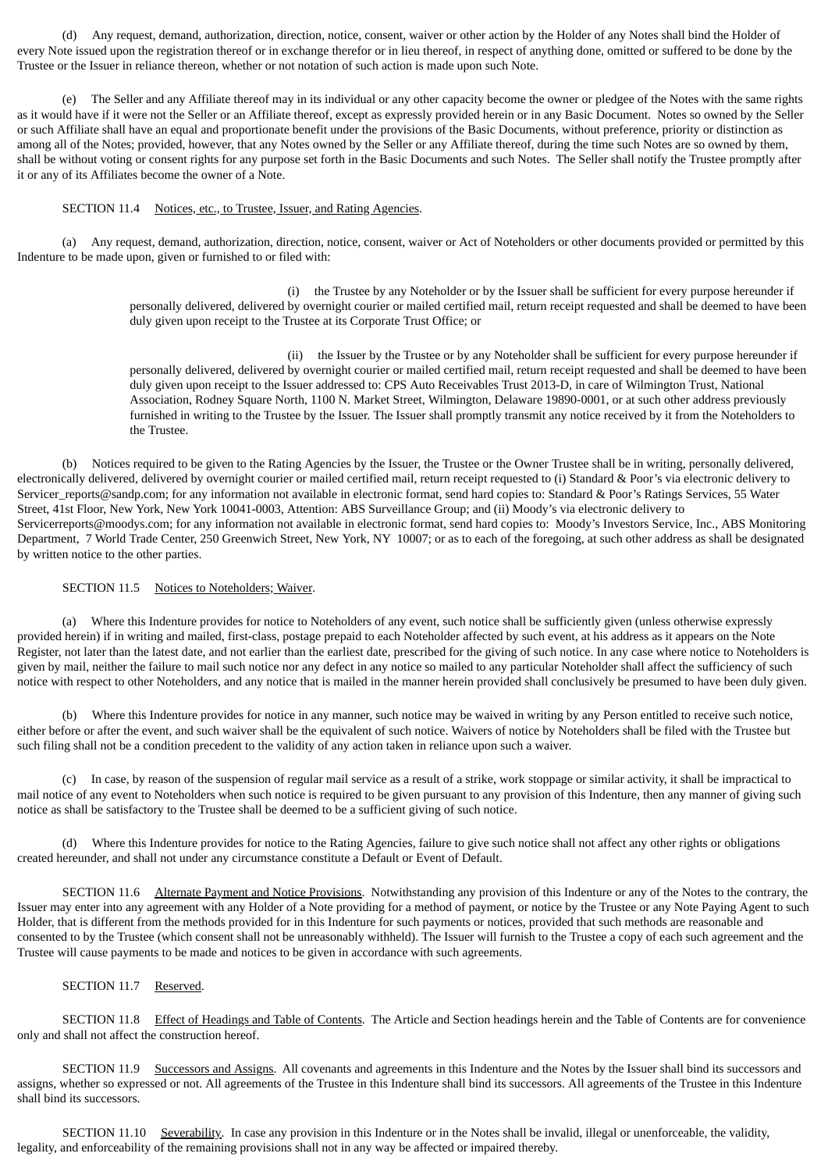(d) Any request, demand, authorization, direction, notice, consent, waiver or other action by the Holder of any Notes shall bind the Holder of every Note issued upon the registration thereof or in exchange therefor or in lieu thereof, in respect of anything done, omitted or suffered to be done by the Trustee or the Issuer in reliance thereon, whether or not notation of such action is made upon such Note.

(e) The Seller and any Affiliate thereof may in its individual or any other capacity become the owner or pledgee of the Notes with the same rights as it would have if it were not the Seller or an Affiliate thereof, except as expressly provided herein or in any Basic Document. Notes so owned by the Seller or such Affiliate shall have an equal and proportionate benefit under the provisions of the Basic Documents, without preference, priority or distinction as among all of the Notes; provided, however, that any Notes owned by the Seller or any Affiliate thereof, during the time such Notes are so owned by them, shall be without voting or consent rights for any purpose set forth in the Basic Documents and such Notes. The Seller shall notify the Trustee promptly after it or any of its Affiliates become the owner of a Note.

## SECTION 11.4 Notices, etc., to Trustee, Issuer, and Rating Agencies.

(a) Any request, demand, authorization, direction, notice, consent, waiver or Act of Noteholders or other documents provided or permitted by this Indenture to be made upon, given or furnished to or filed with:

> (i) the Trustee by any Noteholder or by the Issuer shall be sufficient for every purpose hereunder if personally delivered, delivered by overnight courier or mailed certified mail, return receipt requested and shall be deemed to have been duly given upon receipt to the Trustee at its Corporate Trust Office; or

> (ii) the Issuer by the Trustee or by any Noteholder shall be sufficient for every purpose hereunder if personally delivered, delivered by overnight courier or mailed certified mail, return receipt requested and shall be deemed to have been duly given upon receipt to the Issuer addressed to: CPS Auto Receivables Trust 2013-D, in care of Wilmington Trust, National Association, Rodney Square North, 1100 N. Market Street, Wilmington, Delaware 19890-0001, or at such other address previously furnished in writing to the Trustee by the Issuer. The Issuer shall promptly transmit any notice received by it from the Noteholders to the Trustee.

(b) Notices required to be given to the Rating Agencies by the Issuer, the Trustee or the Owner Trustee shall be in writing, personally delivered, electronically delivered, delivered by overnight courier or mailed certified mail, return receipt requested to (i) Standard & Poor's via electronic delivery to Servicer\_reports@sandp.com; for any information not available in electronic format, send hard copies to: Standard & Poor's Ratings Services, 55 Water Street, 41st Floor, New York, New York 10041-0003, Attention: ABS Surveillance Group; and (ii) Moody's via electronic delivery to Servicerreports@moodys.com; for any information not available in electronic format, send hard copies to: Moody's Investors Service, Inc., ABS Monitoring Department, 7 World Trade Center, 250 Greenwich Street, New York, NY 10007; or as to each of the foregoing, at such other address as shall be designated by written notice to the other parties.

## SECTION 11.5 Notices to Noteholders; Waiver.

(a) Where this Indenture provides for notice to Noteholders of any event, such notice shall be sufficiently given (unless otherwise expressly provided herein) if in writing and mailed, first-class, postage prepaid to each Noteholder affected by such event, at his address as it appears on the Note Register, not later than the latest date, and not earlier than the earliest date, prescribed for the giving of such notice. In any case where notice to Noteholders is given by mail, neither the failure to mail such notice nor any defect in any notice so mailed to any particular Noteholder shall affect the sufficiency of such notice with respect to other Noteholders, and any notice that is mailed in the manner herein provided shall conclusively be presumed to have been duly given.

(b) Where this Indenture provides for notice in any manner, such notice may be waived in writing by any Person entitled to receive such notice, either before or after the event, and such waiver shall be the equivalent of such notice. Waivers of notice by Noteholders shall be filed with the Trustee but such filing shall not be a condition precedent to the validity of any action taken in reliance upon such a waiver.

(c) In case, by reason of the suspension of regular mail service as a result of a strike, work stoppage or similar activity, it shall be impractical to mail notice of any event to Noteholders when such notice is required to be given pursuant to any provision of this Indenture, then any manner of giving such notice as shall be satisfactory to the Trustee shall be deemed to be a sufficient giving of such notice.

(d) Where this Indenture provides for notice to the Rating Agencies, failure to give such notice shall not affect any other rights or obligations created hereunder, and shall not under any circumstance constitute a Default or Event of Default.

SECTION 11.6 Alternate Payment and Notice Provisions. Notwithstanding any provision of this Indenture or any of the Notes to the contrary, the Issuer may enter into any agreement with any Holder of a Note providing for a method of payment, or notice by the Trustee or any Note Paying Agent to such Holder, that is different from the methods provided for in this Indenture for such payments or notices, provided that such methods are reasonable and consented to by the Trustee (which consent shall not be unreasonably withheld). The Issuer will furnish to the Trustee a copy of each such agreement and the Trustee will cause payments to be made and notices to be given in accordance with such agreements.

## SECTION 11.7 Reserved.

SECTION 11.8 Effect of Headings and Table of Contents. The Article and Section headings herein and the Table of Contents are for convenience only and shall not affect the construction hereof.

SECTION 11.9 Successors and Assigns. All covenants and agreements in this Indenture and the Notes by the Issuer shall bind its successors and assigns, whether so expressed or not. All agreements of the Trustee in this Indenture shall bind its successors. All agreements of the Trustee in this Indenture shall bind its successors.

SECTION 11.10 Severability. In case any provision in this Indenture or in the Notes shall be invalid, illegal or unenforceable, the validity, legality, and enforceability of the remaining provisions shall not in any way be affected or impaired thereby.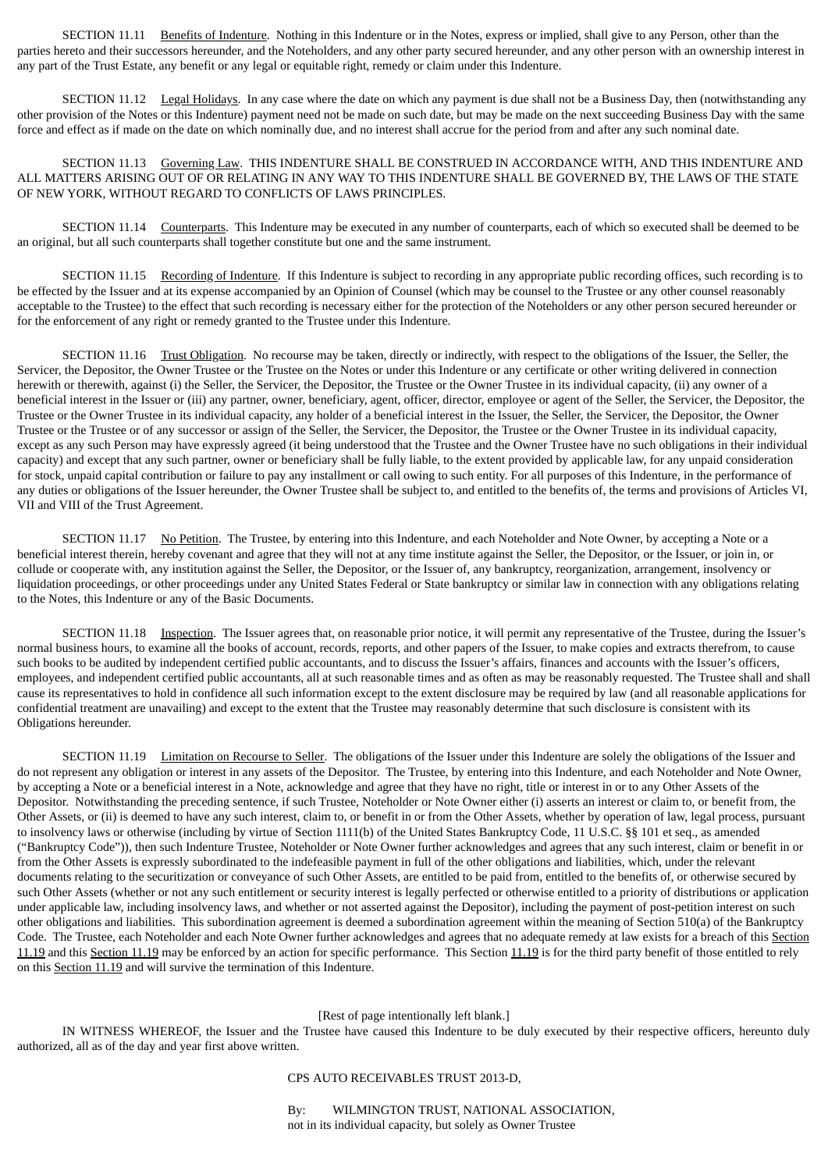SECTION 11.11 Benefits of Indenture. Nothing in this Indenture or in the Notes, express or implied, shall give to any Person, other than the parties hereto and their successors hereunder, and the Noteholders, and any other party secured hereunder, and any other person with an ownership interest in any part of the Trust Estate, any benefit or any legal or equitable right, remedy or claim under this Indenture.

SECTION 11.12 Legal Holidays. In any case where the date on which any payment is due shall not be a Business Day, then (notwithstanding any other provision of the Notes or this Indenture) payment need not be made on such date, but may be made on the next succeeding Business Day with the same force and effect as if made on the date on which nominally due, and no interest shall accrue for the period from and after any such nominal date.

SECTION 11.13 Governing Law. THIS INDENTURE SHALL BE CONSTRUED IN ACCORDANCE WITH, AND THIS INDENTURE AND ALL MATTERS ARISING OUT OF OR RELATING IN ANY WAY TO THIS INDENTURE SHALL BE GOVERNED BY, THE LAWS OF THE STATE OF NEW YORK, WITHOUT REGARD TO CONFLICTS OF LAWS PRINCIPLES.

SECTION 11.14 Counterparts. This Indenture may be executed in any number of counterparts, each of which so executed shall be deemed to be an original, but all such counterparts shall together constitute but one and the same instrument.

SECTION 11.15 Recording of Indenture. If this Indenture is subject to recording in any appropriate public recording offices, such recording is to be effected by the Issuer and at its expense accompanied by an Opinion of Counsel (which may be counsel to the Trustee or any other counsel reasonably acceptable to the Trustee) to the effect that such recording is necessary either for the protection of the Noteholders or any other person secured hereunder or for the enforcement of any right or remedy granted to the Trustee under this Indenture.

SECTION 11.16 Trust Obligation. No recourse may be taken, directly or indirectly, with respect to the obligations of the Issuer, the Seller, the Servicer, the Depositor, the Owner Trustee or the Trustee on the Notes or under this Indenture or any certificate or other writing delivered in connection herewith or therewith, against (i) the Seller, the Servicer, the Depositor, the Trustee or the Owner Trustee in its individual capacity, (ii) any owner of a beneficial interest in the Issuer or (iii) any partner, owner, beneficiary, agent, officer, director, employee or agent of the Seller, the Servicer, the Depositor, the Trustee or the Owner Trustee in its individual capacity, any holder of a beneficial interest in the Issuer, the Seller, the Servicer, the Depositor, the Owner Trustee or the Trustee or of any successor or assign of the Seller, the Servicer, the Depositor, the Trustee or the Owner Trustee in its individual capacity, except as any such Person may have expressly agreed (it being understood that the Trustee and the Owner Trustee have no such obligations in their individual capacity) and except that any such partner, owner or beneficiary shall be fully liable, to the extent provided by applicable law, for any unpaid consideration for stock, unpaid capital contribution or failure to pay any installment or call owing to such entity. For all purposes of this Indenture, in the performance of any duties or obligations of the Issuer hereunder, the Owner Trustee shall be subject to, and entitled to the benefits of, the terms and provisions of Articles VI, VII and VIII of the Trust Agreement.

SECTION 11.17 No Petition. The Trustee, by entering into this Indenture, and each Noteholder and Note Owner, by accepting a Note or a beneficial interest therein, hereby covenant and agree that they will not at any time institute against the Seller, the Depositor, or the Issuer, or join in, or collude or cooperate with, any institution against the Seller, the Depositor, or the Issuer of, any bankruptcy, reorganization, arrangement, insolvency or liquidation proceedings, or other proceedings under any United States Federal or State bankruptcy or similar law in connection with any obligations relating to the Notes, this Indenture or any of the Basic Documents.

SECTION 11.18 Inspection. The Issuer agrees that, on reasonable prior notice, it will permit any representative of the Trustee, during the Issuer's normal business hours, to examine all the books of account, records, reports, and other papers of the Issuer, to make copies and extracts therefrom, to cause such books to be audited by independent certified public accountants, and to discuss the Issuer's affairs, finances and accounts with the Issuer's officers, employees, and independent certified public accountants, all at such reasonable times and as often as may be reasonably requested. The Trustee shall and shall cause its representatives to hold in confidence all such information except to the extent disclosure may be required by law (and all reasonable applications for confidential treatment are unavailing) and except to the extent that the Trustee may reasonably determine that such disclosure is consistent with its Obligations hereunder.

SECTION 11.19 Limitation on Recourse to Seller. The obligations of the Issuer under this Indenture are solely the obligations of the Issuer and do not represent any obligation or interest in any assets of the Depositor. The Trustee, by entering into this Indenture, and each Noteholder and Note Owner, by accepting a Note or a beneficial interest in a Note, acknowledge and agree that they have no right, title or interest in or to any Other Assets of the Depositor. Notwithstanding the preceding sentence, if such Trustee, Noteholder or Note Owner either (i) asserts an interest or claim to, or benefit from, the Other Assets, or (ii) is deemed to have any such interest, claim to, or benefit in or from the Other Assets, whether by operation of law, legal process, pursuant to insolvency laws or otherwise (including by virtue of Section 1111(b) of the United States Bankruptcy Code, 11 U.S.C. §§ 101 et seq., as amended ("Bankruptcy Code")), then such Indenture Trustee, Noteholder or Note Owner further acknowledges and agrees that any such interest, claim or benefit in or from the Other Assets is expressly subordinated to the indefeasible payment in full of the other obligations and liabilities, which, under the relevant documents relating to the securitization or conveyance of such Other Assets, are entitled to be paid from, entitled to the benefits of, or otherwise secured by such Other Assets (whether or not any such entitlement or security interest is legally perfected or otherwise entitled to a priority of distributions or application under applicable law, including insolvency laws, and whether or not asserted against the Depositor), including the payment of post-petition interest on such other obligations and liabilities. This subordination agreement is deemed a subordination agreement within the meaning of Section 510(a) of the Bankruptcy Code. The Trustee, each Noteholder and each Note Owner further acknowledges and agrees that no adequate remedy at law exists for a breach of this Section 11.19 and this Section 11.19 may be enforced by an action for specific performance. This Section 11.19 is for the third party benefit of those entitled to rely on this Section 11.19 and will survive the termination of this Indenture.

## [Rest of page intentionally left blank.]

IN WITNESS WHEREOF, the Issuer and the Trustee have caused this Indenture to be duly executed by their respective officers, hereunto duly authorized, all as of the day and year first above written.

### CPS AUTO RECEIVABLES TRUST 2013-D,

By: WILMINGTON TRUST, NATIONAL ASSOCIATION, not in its individual capacity, but solely as Owner Trustee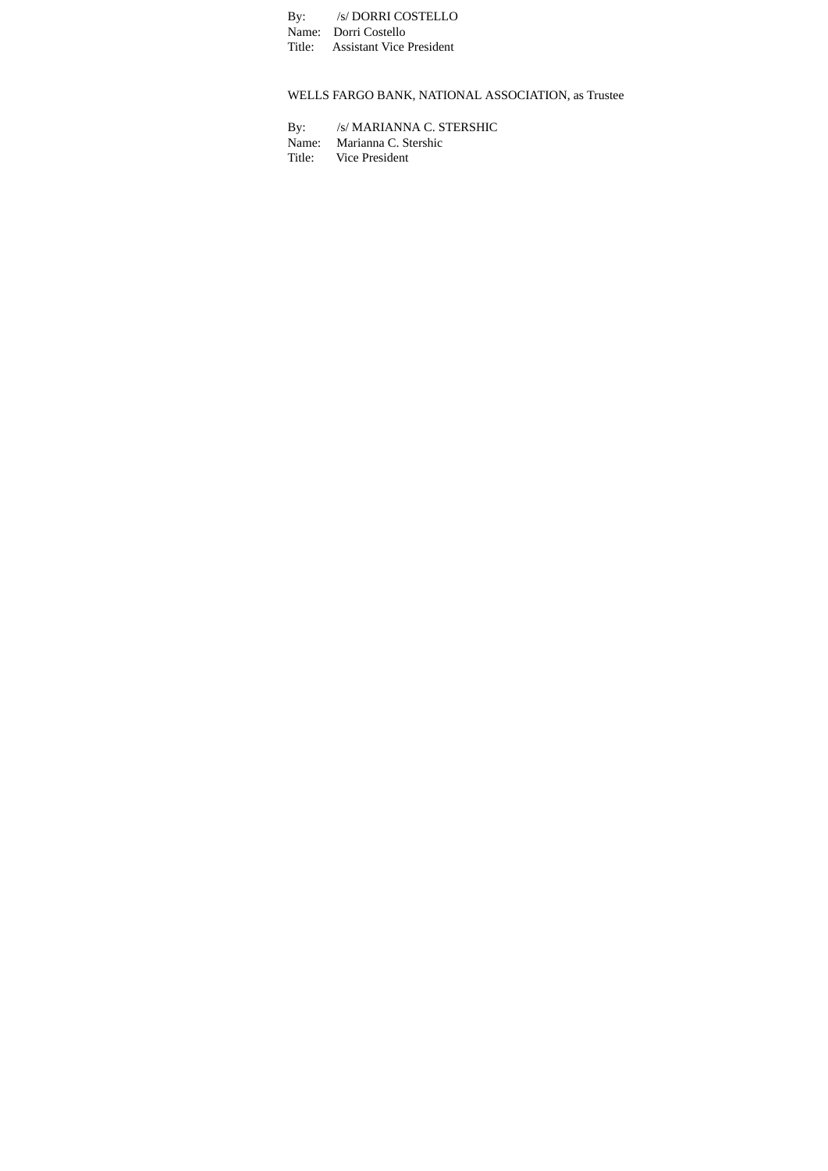By: /s/ DORRI COSTELLO Name: Dorri Costello Title: Assistant Vice President

WELLS FARGO BANK, NATIONAL ASSOCIATION, as Trustee

By: /s/ MARIANNA C. STERSHIC Name: Marianna C. Stershic Title: Vice President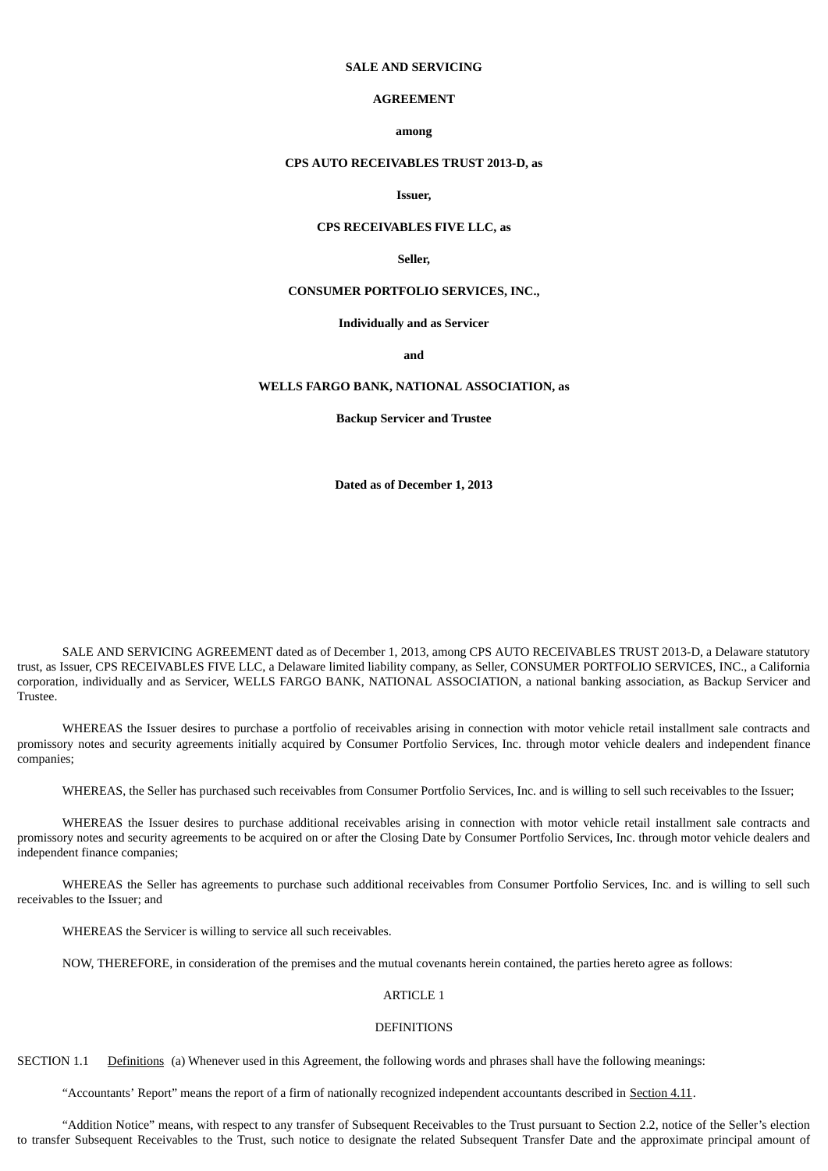## **SALE AND SERVICING**

# **AGREEMENT**

#### **among**

### **CPS AUTO RECEIVABLES TRUST 2013-D, as**

# **Issuer,**

## **CPS RECEIVABLES FIVE LLC, as**

### **Seller,**

### **CONSUMER PORTFOLIO SERVICES, INC.,**

#### **Individually and as Servicer**

**and**

# **WELLS FARGO BANK, NATIONAL ASSOCIATION, as**

**Backup Servicer and Trustee**

**Dated as of December 1, 2013**

SALE AND SERVICING AGREEMENT dated as of December 1, 2013, among CPS AUTO RECEIVABLES TRUST 2013-D, a Delaware statutory trust, as Issuer, CPS RECEIVABLES FIVE LLC, a Delaware limited liability company, as Seller, CONSUMER PORTFOLIO SERVICES, INC., a California corporation, individually and as Servicer, WELLS FARGO BANK, NATIONAL ASSOCIATION, a national banking association, as Backup Servicer and Trustee.

WHEREAS the Issuer desires to purchase a portfolio of receivables arising in connection with motor vehicle retail installment sale contracts and promissory notes and security agreements initially acquired by Consumer Portfolio Services, Inc. through motor vehicle dealers and independent finance companies;

WHEREAS, the Seller has purchased such receivables from Consumer Portfolio Services, Inc. and is willing to sell such receivables to the Issuer;

WHEREAS the Issuer desires to purchase additional receivables arising in connection with motor vehicle retail installment sale contracts and promissory notes and security agreements to be acquired on or after the Closing Date by Consumer Portfolio Services, Inc. through motor vehicle dealers and independent finance companies;

WHEREAS the Seller has agreements to purchase such additional receivables from Consumer Portfolio Services, Inc. and is willing to sell such receivables to the Issuer; and

WHEREAS the Servicer is willing to service all such receivables.

NOW, THEREFORE, in consideration of the premises and the mutual covenants herein contained, the parties hereto agree as follows:

# ARTICLE 1

#### **DEFINITIONS**

SECTION 1.1 Definitions (a) Whenever used in this Agreement, the following words and phrases shall have the following meanings:

"Accountants' Report" means the report of a firm of nationally recognized independent accountants described in Section 4.11.

"Addition Notice" means, with respect to any transfer of Subsequent Receivables to the Trust pursuant to Section 2.2, notice of the Seller's election to transfer Subsequent Receivables to the Trust, such notice to designate the related Subsequent Transfer Date and the approximate principal amount of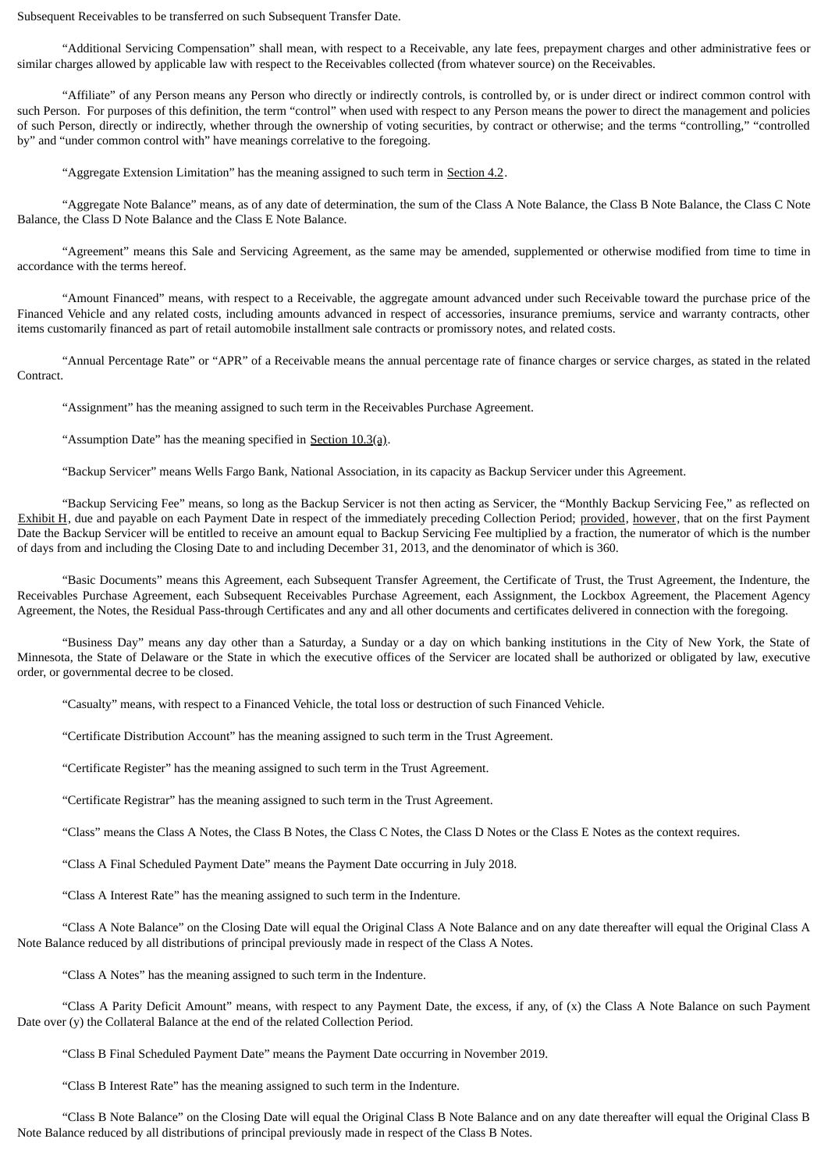Subsequent Receivables to be transferred on such Subsequent Transfer Date.

"Additional Servicing Compensation" shall mean, with respect to a Receivable, any late fees, prepayment charges and other administrative fees or similar charges allowed by applicable law with respect to the Receivables collected (from whatever source) on the Receivables.

"Affiliate" of any Person means any Person who directly or indirectly controls, is controlled by, or is under direct or indirect common control with such Person. For purposes of this definition, the term "control" when used with respect to any Person means the power to direct the management and policies of such Person, directly or indirectly, whether through the ownership of voting securities, by contract or otherwise; and the terms "controlling," "controlled by" and "under common control with" have meanings correlative to the foregoing.

"Aggregate Extension Limitation" has the meaning assigned to such term in Section 4.2.

"Aggregate Note Balance" means, as of any date of determination, the sum of the Class A Note Balance, the Class B Note Balance, the Class C Note Balance, the Class D Note Balance and the Class E Note Balance.

"Agreement" means this Sale and Servicing Agreement, as the same may be amended, supplemented or otherwise modified from time to time in accordance with the terms hereof.

"Amount Financed" means, with respect to a Receivable, the aggregate amount advanced under such Receivable toward the purchase price of the Financed Vehicle and any related costs, including amounts advanced in respect of accessories, insurance premiums, service and warranty contracts, other items customarily financed as part of retail automobile installment sale contracts or promissory notes, and related costs.

"Annual Percentage Rate" or "APR" of a Receivable means the annual percentage rate of finance charges or service charges, as stated in the related Contract.

"Assignment" has the meaning assigned to such term in the Receivables Purchase Agreement.

"Assumption Date" has the meaning specified in Section  $10.3(a)$ .

"Backup Servicer" means Wells Fargo Bank, National Association, in its capacity as Backup Servicer under this Agreement.

"Backup Servicing Fee" means, so long as the Backup Servicer is not then acting as Servicer, the "Monthly Backup Servicing Fee," as reflected on Exhibit H, due and payable on each Payment Date in respect of the immediately preceding Collection Period; provided, however, that on the first Payment Date the Backup Servicer will be entitled to receive an amount equal to Backup Servicing Fee multiplied by a fraction, the numerator of which is the number of days from and including the Closing Date to and including December 31, 2013, and the denominator of which is 360.

"Basic Documents" means this Agreement, each Subsequent Transfer Agreement, the Certificate of Trust, the Trust Agreement, the Indenture, the Receivables Purchase Agreement, each Subsequent Receivables Purchase Agreement, each Assignment, the Lockbox Agreement, the Placement Agency Agreement, the Notes, the Residual Pass-through Certificates and any and all other documents and certificates delivered in connection with the foregoing.

"Business Day" means any day other than a Saturday, a Sunday or a day on which banking institutions in the City of New York, the State of Minnesota, the State of Delaware or the State in which the executive offices of the Servicer are located shall be authorized or obligated by law, executive order, or governmental decree to be closed.

"Casualty" means, with respect to a Financed Vehicle, the total loss or destruction of such Financed Vehicle.

"Certificate Distribution Account" has the meaning assigned to such term in the Trust Agreement.

"Certificate Register" has the meaning assigned to such term in the Trust Agreement.

"Certificate Registrar" has the meaning assigned to such term in the Trust Agreement.

"Class" means the Class A Notes, the Class B Notes, the Class C Notes, the Class D Notes or the Class E Notes as the context requires.

"Class A Final Scheduled Payment Date" means the Payment Date occurring in July 2018.

"Class A Interest Rate" has the meaning assigned to such term in the Indenture.

"Class A Note Balance" on the Closing Date will equal the Original Class A Note Balance and on any date thereafter will equal the Original Class A Note Balance reduced by all distributions of principal previously made in respect of the Class A Notes.

"Class A Notes" has the meaning assigned to such term in the Indenture.

"Class A Parity Deficit Amount" means, with respect to any Payment Date, the excess, if any, of (x) the Class A Note Balance on such Payment Date over (y) the Collateral Balance at the end of the related Collection Period.

"Class B Final Scheduled Payment Date" means the Payment Date occurring in November 2019.

"Class B Interest Rate" has the meaning assigned to such term in the Indenture.

"Class B Note Balance" on the Closing Date will equal the Original Class B Note Balance and on any date thereafter will equal the Original Class B Note Balance reduced by all distributions of principal previously made in respect of the Class B Notes.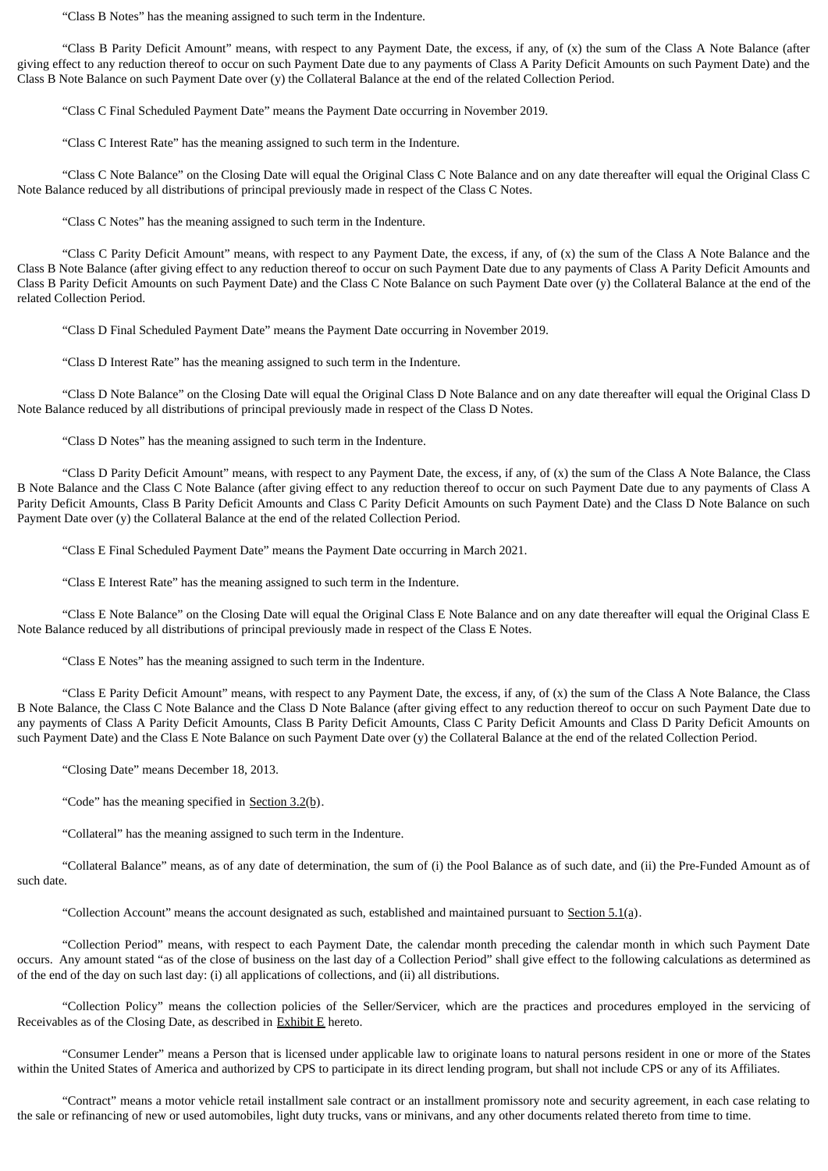"Class B Notes" has the meaning assigned to such term in the Indenture.

"Class B Parity Deficit Amount" means, with respect to any Payment Date, the excess, if any, of (x) the sum of the Class A Note Balance (after giving effect to any reduction thereof to occur on such Payment Date due to any payments of Class A Parity Deficit Amounts on such Payment Date) and the Class B Note Balance on such Payment Date over (y) the Collateral Balance at the end of the related Collection Period.

"Class C Final Scheduled Payment Date" means the Payment Date occurring in November 2019.

"Class C Interest Rate" has the meaning assigned to such term in the Indenture.

"Class C Note Balance" on the Closing Date will equal the Original Class C Note Balance and on any date thereafter will equal the Original Class C Note Balance reduced by all distributions of principal previously made in respect of the Class C Notes.

"Class C Notes" has the meaning assigned to such term in the Indenture.

"Class C Parity Deficit Amount" means, with respect to any Payment Date, the excess, if any, of (x) the sum of the Class A Note Balance and the Class B Note Balance (after giving effect to any reduction thereof to occur on such Payment Date due to any payments of Class A Parity Deficit Amounts and Class B Parity Deficit Amounts on such Payment Date) and the Class C Note Balance on such Payment Date over (y) the Collateral Balance at the end of the related Collection Period.

"Class D Final Scheduled Payment Date" means the Payment Date occurring in November 2019.

"Class D Interest Rate" has the meaning assigned to such term in the Indenture.

"Class D Note Balance" on the Closing Date will equal the Original Class D Note Balance and on any date thereafter will equal the Original Class D Note Balance reduced by all distributions of principal previously made in respect of the Class D Notes.

"Class D Notes" has the meaning assigned to such term in the Indenture.

"Class D Parity Deficit Amount" means, with respect to any Payment Date, the excess, if any, of (x) the sum of the Class A Note Balance, the Class B Note Balance and the Class C Note Balance (after giving effect to any reduction thereof to occur on such Payment Date due to any payments of Class A Parity Deficit Amounts, Class B Parity Deficit Amounts and Class C Parity Deficit Amounts on such Payment Date) and the Class D Note Balance on such Payment Date over (y) the Collateral Balance at the end of the related Collection Period.

"Class E Final Scheduled Payment Date" means the Payment Date occurring in March 2021.

"Class E Interest Rate" has the meaning assigned to such term in the Indenture.

"Class E Note Balance" on the Closing Date will equal the Original Class E Note Balance and on any date thereafter will equal the Original Class E Note Balance reduced by all distributions of principal previously made in respect of the Class E Notes.

"Class E Notes" has the meaning assigned to such term in the Indenture.

"Class E Parity Deficit Amount" means, with respect to any Payment Date, the excess, if any, of (x) the sum of the Class A Note Balance, the Class B Note Balance, the Class C Note Balance and the Class D Note Balance (after giving effect to any reduction thereof to occur on such Payment Date due to any payments of Class A Parity Deficit Amounts, Class B Parity Deficit Amounts, Class C Parity Deficit Amounts and Class D Parity Deficit Amounts on such Payment Date) and the Class E Note Balance on such Payment Date over (y) the Collateral Balance at the end of the related Collection Period.

"Closing Date" means December 18, 2013.

"Code" has the meaning specified in Section  $3.2(b)$ .

"Collateral" has the meaning assigned to such term in the Indenture.

"Collateral Balance" means, as of any date of determination, the sum of (i) the Pool Balance as of such date, and (ii) the Pre-Funded Amount as of such date.

"Collection Account" means the account designated as such, established and maintained pursuant to Section 5.1(a).

"Collection Period" means, with respect to each Payment Date, the calendar month preceding the calendar month in which such Payment Date occurs. Any amount stated "as of the close of business on the last day of a Collection Period" shall give effect to the following calculations as determined as of the end of the day on such last day: (i) all applications of collections, and (ii) all distributions.

"Collection Policy" means the collection policies of the Seller/Servicer, which are the practices and procedures employed in the servicing of Receivables as of the Closing Date, as described in  $Exhibit E$  hereto.

"Consumer Lender" means a Person that is licensed under applicable law to originate loans to natural persons resident in one or more of the States within the United States of America and authorized by CPS to participate in its direct lending program, but shall not include CPS or any of its Affiliates.

"Contract" means a motor vehicle retail installment sale contract or an installment promissory note and security agreement, in each case relating to the sale or refinancing of new or used automobiles, light duty trucks, vans or minivans, and any other documents related thereto from time to time.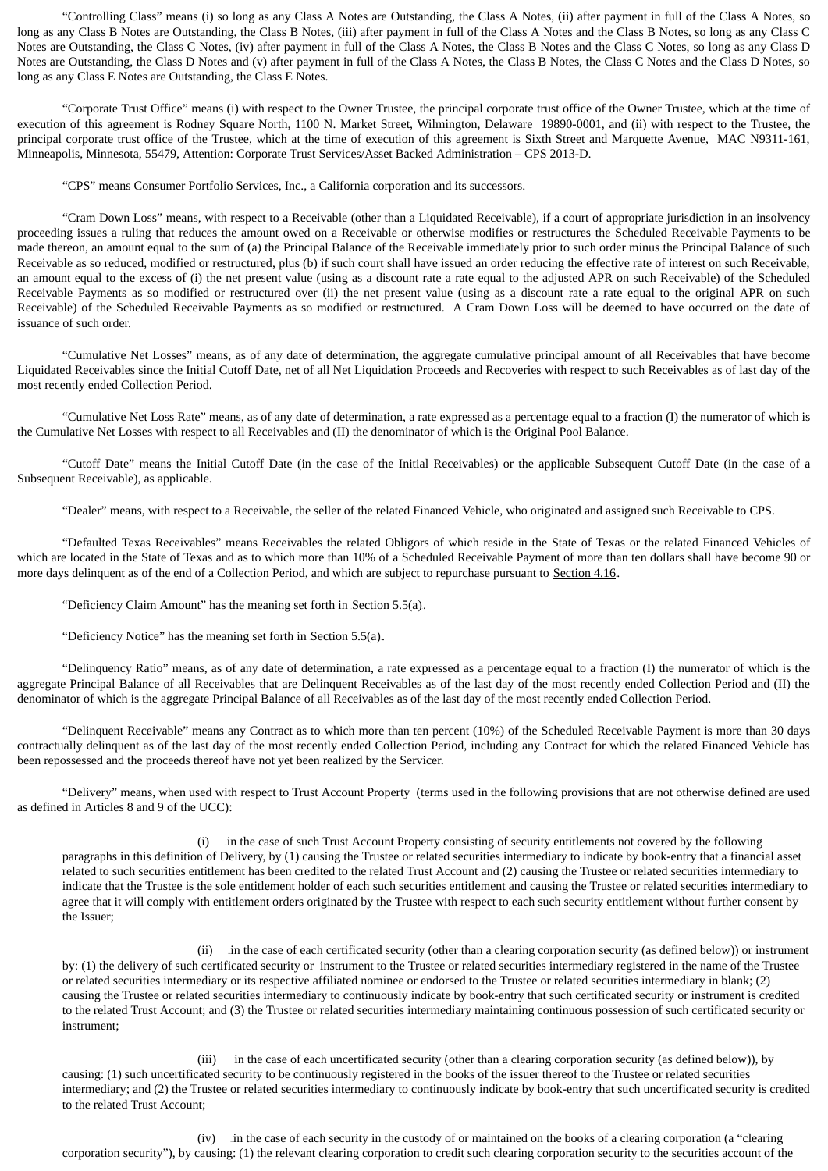"Controlling Class" means (i) so long as any Class A Notes are Outstanding, the Class A Notes, (ii) after payment in full of the Class A Notes, so long as any Class B Notes are Outstanding, the Class B Notes, (iii) after payment in full of the Class A Notes and the Class B Notes, so long as any Class C Notes are Outstanding, the Class C Notes, (iv) after payment in full of the Class A Notes, the Class B Notes and the Class C Notes, so long as any Class D Notes are Outstanding, the Class D Notes and (v) after payment in full of the Class A Notes, the Class B Notes, the Class C Notes and the Class D Notes, so long as any Class E Notes are Outstanding, the Class E Notes.

"Corporate Trust Office" means (i) with respect to the Owner Trustee, the principal corporate trust office of the Owner Trustee, which at the time of execution of this agreement is Rodney Square North, 1100 N. Market Street, Wilmington, Delaware 19890-0001, and (ii) with respect to the Trustee, the principal corporate trust office of the Trustee, which at the time of execution of this agreement is Sixth Street and Marquette Avenue, MAC N9311-161, Minneapolis, Minnesota, 55479, Attention: Corporate Trust Services/Asset Backed Administration – CPS 2013-D.

"CPS" means Consumer Portfolio Services, Inc., a California corporation and its successors.

"Cram Down Loss" means, with respect to a Receivable (other than a Liquidated Receivable), if a court of appropriate jurisdiction in an insolvency proceeding issues a ruling that reduces the amount owed on a Receivable or otherwise modifies or restructures the Scheduled Receivable Payments to be made thereon, an amount equal to the sum of (a) the Principal Balance of the Receivable immediately prior to such order minus the Principal Balance of such Receivable as so reduced, modified or restructured, plus (b) if such court shall have issued an order reducing the effective rate of interest on such Receivable, an amount equal to the excess of (i) the net present value (using as a discount rate a rate equal to the adjusted APR on such Receivable) of the Scheduled Receivable Payments as so modified or restructured over (ii) the net present value (using as a discount rate a rate equal to the original APR on such Receivable) of the Scheduled Receivable Payments as so modified or restructured. A Cram Down Loss will be deemed to have occurred on the date of issuance of such order.

"Cumulative Net Losses" means, as of any date of determination, the aggregate cumulative principal amount of all Receivables that have become Liquidated Receivables since the Initial Cutoff Date, net of all Net Liquidation Proceeds and Recoveries with respect to such Receivables as of last day of the most recently ended Collection Period.

"Cumulative Net Loss Rate" means, as of any date of determination, a rate expressed as a percentage equal to a fraction (I) the numerator of which is the Cumulative Net Losses with respect to all Receivables and (II) the denominator of which is the Original Pool Balance.

"Cutoff Date" means the Initial Cutoff Date (in the case of the Initial Receivables) or the applicable Subsequent Cutoff Date (in the case of a Subsequent Receivable), as applicable.

"Dealer" means, with respect to a Receivable, the seller of the related Financed Vehicle, who originated and assigned such Receivable to CPS.

"Defaulted Texas Receivables" means Receivables the related Obligors of which reside in the State of Texas or the related Financed Vehicles of which are located in the State of Texas and as to which more than 10% of a Scheduled Receivable Payment of more than ten dollars shall have become 90 or more days delinquent as of the end of a Collection Period, and which are subject to repurchase pursuant to Section 4.16.

"Deficiency Claim Amount" has the meaning set forth in Section  $5.5(a)$ .

"Deficiency Notice" has the meaning set forth in  $Section 5.5(a)$ .

"Delinquency Ratio" means, as of any date of determination, a rate expressed as a percentage equal to a fraction (I) the numerator of which is the aggregate Principal Balance of all Receivables that are Delinquent Receivables as of the last day of the most recently ended Collection Period and (II) the denominator of which is the aggregate Principal Balance of all Receivables as of the last day of the most recently ended Collection Period.

"Delinquent Receivable" means any Contract as to which more than ten percent (10%) of the Scheduled Receivable Payment is more than 30 days contractually delinquent as of the last day of the most recently ended Collection Period, including any Contract for which the related Financed Vehicle has been repossessed and the proceeds thereof have not yet been realized by the Servicer.

"Delivery" means, when used with respect to Trust Account Property (terms used in the following provisions that are not otherwise defined are used as defined in Articles 8 and 9 of the UCC):

(i) in the case of such Trust Account Property consisting of security entitlements not covered by the following paragraphs in this definition of Delivery, by (1) causing the Trustee or related securities intermediary to indicate by book-entry that a financial asset related to such securities entitlement has been credited to the related Trust Account and (2) causing the Trustee or related securities intermediary to indicate that the Trustee is the sole entitlement holder of each such securities entitlement and causing the Trustee or related securities intermediary to agree that it will comply with entitlement orders originated by the Trustee with respect to each such security entitlement without further consent by the Issuer;

(ii) in the case of each certificated security (other than a clearing corporation security (as defined below)) or instrument by: (1) the delivery of such certificated security or instrument to the Trustee or related securities intermediary registered in the name of the Trustee or related securities intermediary or its respective affiliated nominee or endorsed to the Trustee or related securities intermediary in blank; (2) causing the Trustee or related securities intermediary to continuously indicate by book-entry that such certificated security or instrument is credited to the related Trust Account; and (3) the Trustee or related securities intermediary maintaining continuous possession of such certificated security or instrument;

(iii) in the case of each uncertificated security (other than a clearing corporation security (as defined below)), by causing: (1) such uncertificated security to be continuously registered in the books of the issuer thereof to the Trustee or related securities intermediary; and (2) the Trustee or related securities intermediary to continuously indicate by book-entry that such uncertificated security is credited to the related Trust Account;

(iv) in the case of each security in the custody of or maintained on the books of a clearing corporation (a "clearing corporation security"), by causing: (1) the relevant clearing corporation to credit such clearing corporation security to the securities account of the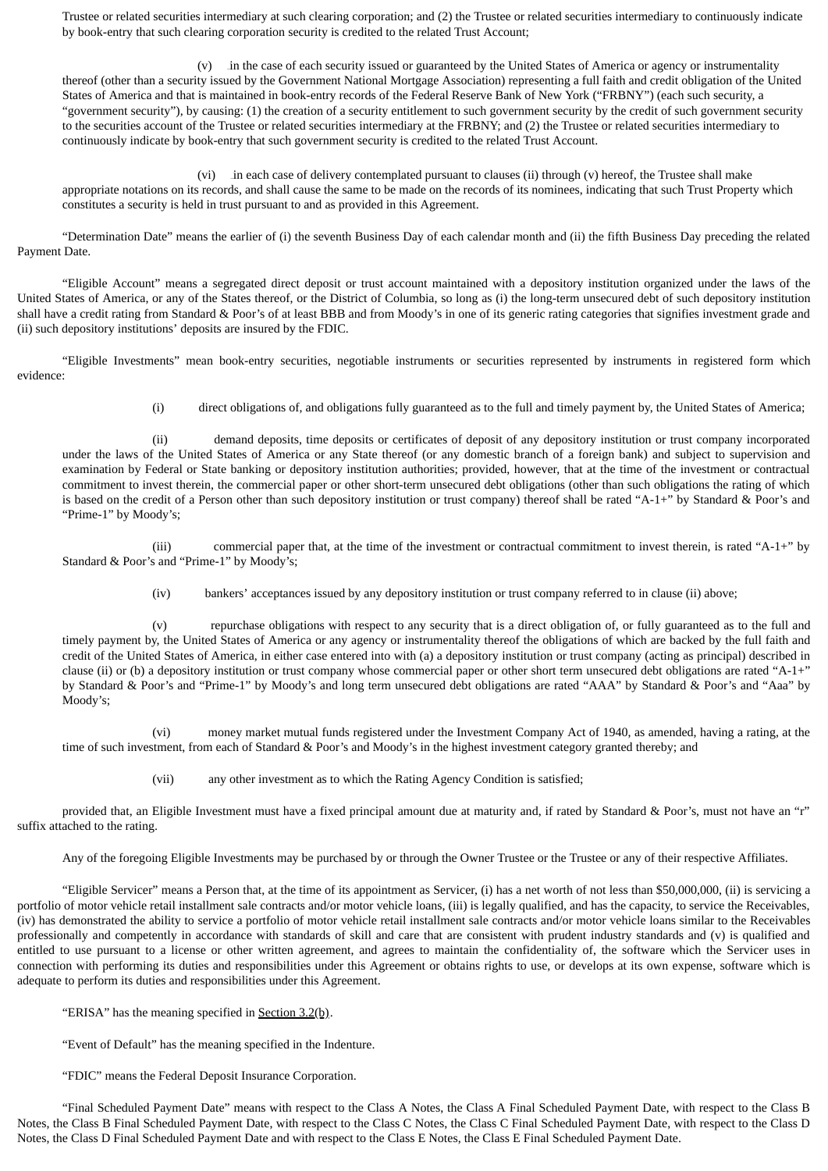Trustee or related securities intermediary at such clearing corporation; and (2) the Trustee or related securities intermediary to continuously indicate by book-entry that such clearing corporation security is credited to the related Trust Account;

(v) in the case of each security issued or guaranteed by the United States of America or agency or instrumentality thereof (other than a security issued by the Government National Mortgage Association) representing a full faith and credit obligation of the United States of America and that is maintained in book-entry records of the Federal Reserve Bank of New York ("FRBNY") (each such security, a "government security"), by causing: (1) the creation of a security entitlement to such government security by the credit of such government security to the securities account of the Trustee or related securities intermediary at the FRBNY; and (2) the Trustee or related securities intermediary to continuously indicate by book-entry that such government security is credited to the related Trust Account.

(vi) in each case of delivery contemplated pursuant to clauses (ii) through (v) hereof, the Trustee shall make appropriate notations on its records, and shall cause the same to be made on the records of its nominees, indicating that such Trust Property which constitutes a security is held in trust pursuant to and as provided in this Agreement.

"Determination Date" means the earlier of (i) the seventh Business Day of each calendar month and (ii) the fifth Business Day preceding the related Payment Date.

"Eligible Account" means a segregated direct deposit or trust account maintained with a depository institution organized under the laws of the United States of America, or any of the States thereof, or the District of Columbia, so long as (i) the long-term unsecured debt of such depository institution shall have a credit rating from Standard & Poor's of at least BBB and from Moody's in one of its generic rating categories that signifies investment grade and (ii) such depository institutions' deposits are insured by the FDIC.

"Eligible Investments" mean book-entry securities, negotiable instruments or securities represented by instruments in registered form which evidence:

(i) direct obligations of, and obligations fully guaranteed as to the full and timely payment by, the United States of America;

(ii) demand deposits, time deposits or certificates of deposit of any depository institution or trust company incorporated under the laws of the United States of America or any State thereof (or any domestic branch of a foreign bank) and subject to supervision and examination by Federal or State banking or depository institution authorities; provided, however, that at the time of the investment or contractual commitment to invest therein, the commercial paper or other short-term unsecured debt obligations (other than such obligations the rating of which is based on the credit of a Person other than such depository institution or trust company) thereof shall be rated "A-1+" by Standard & Poor's and "Prime-1" by Moody's;

(iii) commercial paper that, at the time of the investment or contractual commitment to invest therein, is rated "A-1+" by Standard & Poor's and "Prime-1" by Moody's;

(iv) bankers' acceptances issued by any depository institution or trust company referred to in clause (ii) above;

(v) repurchase obligations with respect to any security that is a direct obligation of, or fully guaranteed as to the full and timely payment by, the United States of America or any agency or instrumentality thereof the obligations of which are backed by the full faith and credit of the United States of America, in either case entered into with (a) a depository institution or trust company (acting as principal) described in clause (ii) or (b) a depository institution or trust company whose commercial paper or other short term unsecured debt obligations are rated "A-1+" by Standard & Poor's and "Prime-1" by Moody's and long term unsecured debt obligations are rated "AAA" by Standard & Poor's and "Aaa" by Moody's;

(vi) money market mutual funds registered under the Investment Company Act of 1940, as amended, having a rating, at the time of such investment, from each of Standard & Poor's and Moody's in the highest investment category granted thereby; and

(vii) any other investment as to which the Rating Agency Condition is satisfied;

provided that, an Eligible Investment must have a fixed principal amount due at maturity and, if rated by Standard & Poor's, must not have an "r" suffix attached to the rating.

Any of the foregoing Eligible Investments may be purchased by or through the Owner Trustee or the Trustee or any of their respective Affiliates.

"Eligible Servicer" means a Person that, at the time of its appointment as Servicer, (i) has a net worth of not less than \$50,000,000, (ii) is servicing a portfolio of motor vehicle retail installment sale contracts and/or motor vehicle loans, (iii) is legally qualified, and has the capacity, to service the Receivables, (iv) has demonstrated the ability to service a portfolio of motor vehicle retail installment sale contracts and/or motor vehicle loans similar to the Receivables professionally and competently in accordance with standards of skill and care that are consistent with prudent industry standards and (v) is qualified and entitled to use pursuant to a license or other written agreement, and agrees to maintain the confidentiality of, the software which the Servicer uses in connection with performing its duties and responsibilities under this Agreement or obtains rights to use, or develops at its own expense, software which is adequate to perform its duties and responsibilities under this Agreement.

"ERISA" has the meaning specified in Section  $3.2(b)$ .

"Event of Default" has the meaning specified in the Indenture.

"FDIC" means the Federal Deposit Insurance Corporation.

"Final Scheduled Payment Date" means with respect to the Class A Notes, the Class A Final Scheduled Payment Date, with respect to the Class B Notes, the Class B Final Scheduled Payment Date, with respect to the Class C Notes, the Class C Final Scheduled Payment Date, with respect to the Class D Notes, the Class D Final Scheduled Payment Date and with respect to the Class E Notes, the Class E Final Scheduled Payment Date.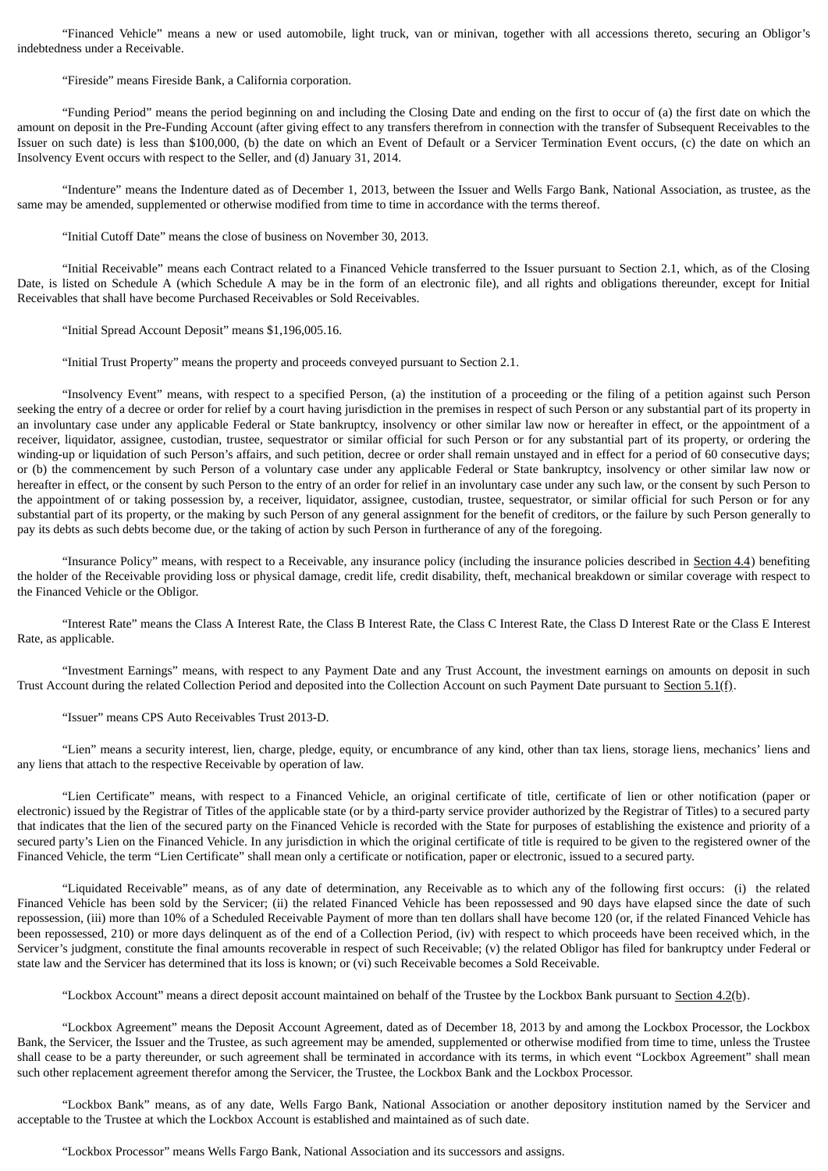"Financed Vehicle" means a new or used automobile, light truck, van or minivan, together with all accessions thereto, securing an Obligor's indebtedness under a Receivable.

"Fireside" means Fireside Bank, a California corporation.

"Funding Period" means the period beginning on and including the Closing Date and ending on the first to occur of (a) the first date on which the amount on deposit in the Pre-Funding Account (after giving effect to any transfers therefrom in connection with the transfer of Subsequent Receivables to the Issuer on such date) is less than \$100,000, (b) the date on which an Event of Default or a Servicer Termination Event occurs, (c) the date on which an Insolvency Event occurs with respect to the Seller, and (d) January 31, 2014.

"Indenture" means the Indenture dated as of December 1, 2013, between the Issuer and Wells Fargo Bank, National Association, as trustee, as the same may be amended, supplemented or otherwise modified from time to time in accordance with the terms thereof.

"Initial Cutoff Date" means the close of business on November 30, 2013.

"Initial Receivable" means each Contract related to a Financed Vehicle transferred to the Issuer pursuant to Section 2.1, which, as of the Closing Date, is listed on Schedule A (which Schedule A may be in the form of an electronic file), and all rights and obligations thereunder, except for Initial Receivables that shall have become Purchased Receivables or Sold Receivables.

"Initial Spread Account Deposit" means \$1,196,005.16.

"Initial Trust Property" means the property and proceeds conveyed pursuant to Section 2.1.

"Insolvency Event" means, with respect to a specified Person, (a) the institution of a proceeding or the filing of a petition against such Person seeking the entry of a decree or order for relief by a court having jurisdiction in the premises in respect of such Person or any substantial part of its property in an involuntary case under any applicable Federal or State bankruptcy, insolvency or other similar law now or hereafter in effect, or the appointment of a receiver, liquidator, assignee, custodian, trustee, sequestrator or similar official for such Person or for any substantial part of its property, or ordering the winding-up or liquidation of such Person's affairs, and such petition, decree or order shall remain unstayed and in effect for a period of 60 consecutive days; or (b) the commencement by such Person of a voluntary case under any applicable Federal or State bankruptcy, insolvency or other similar law now or hereafter in effect, or the consent by such Person to the entry of an order for relief in an involuntary case under any such law, or the consent by such Person to the appointment of or taking possession by, a receiver, liquidator, assignee, custodian, trustee, sequestrator, or similar official for such Person or for any substantial part of its property, or the making by such Person of any general assignment for the benefit of creditors, or the failure by such Person generally to pay its debts as such debts become due, or the taking of action by such Person in furtherance of any of the foregoing.

"Insurance Policy" means, with respect to a Receivable, any insurance policy (including the insurance policies described in Section 4.4) benefiting the holder of the Receivable providing loss or physical damage, credit life, credit disability, theft, mechanical breakdown or similar coverage with respect to the Financed Vehicle or the Obligor.

"Interest Rate" means the Class A Interest Rate, the Class B Interest Rate, the Class C Interest Rate, the Class D Interest Rate or the Class E Interest Rate, as applicable.

"Investment Earnings" means, with respect to any Payment Date and any Trust Account, the investment earnings on amounts on deposit in such Trust Account during the related Collection Period and deposited into the Collection Account on such Payment Date pursuant to Section 5.1(f).

"Issuer" means CPS Auto Receivables Trust 2013-D.

"Lien" means a security interest, lien, charge, pledge, equity, or encumbrance of any kind, other than tax liens, storage liens, mechanics' liens and any liens that attach to the respective Receivable by operation of law.

"Lien Certificate" means, with respect to a Financed Vehicle, an original certificate of title, certificate of lien or other notification (paper or electronic) issued by the Registrar of Titles of the applicable state (or by a third-party service provider authorized by the Registrar of Titles) to a secured party that indicates that the lien of the secured party on the Financed Vehicle is recorded with the State for purposes of establishing the existence and priority of a secured party's Lien on the Financed Vehicle. In any jurisdiction in which the original certificate of title is required to be given to the registered owner of the Financed Vehicle, the term "Lien Certificate" shall mean only a certificate or notification, paper or electronic, issued to a secured party.

"Liquidated Receivable" means, as of any date of determination, any Receivable as to which any of the following first occurs: (i) the related Financed Vehicle has been sold by the Servicer; (ii) the related Financed Vehicle has been repossessed and 90 days have elapsed since the date of such repossession, (iii) more than 10% of a Scheduled Receivable Payment of more than ten dollars shall have become 120 (or, if the related Financed Vehicle has been repossessed, 210) or more days delinquent as of the end of a Collection Period, (iv) with respect to which proceeds have been received which, in the Servicer's judgment, constitute the final amounts recoverable in respect of such Receivable; (v) the related Obligor has filed for bankruptcy under Federal or state law and the Servicer has determined that its loss is known; or (vi) such Receivable becomes a Sold Receivable.

"Lockbox Account" means a direct deposit account maintained on behalf of the Trustee by the Lockbox Bank pursuant to Section  $4.2(b)$ .

"Lockbox Agreement" means the Deposit Account Agreement, dated as of December 18, 2013 by and among the Lockbox Processor, the Lockbox Bank, the Servicer, the Issuer and the Trustee, as such agreement may be amended, supplemented or otherwise modified from time to time, unless the Trustee shall cease to be a party thereunder, or such agreement shall be terminated in accordance with its terms, in which event "Lockbox Agreement" shall mean such other replacement agreement therefor among the Servicer, the Trustee, the Lockbox Bank and the Lockbox Processor.

"Lockbox Bank" means, as of any date, Wells Fargo Bank, National Association or another depository institution named by the Servicer and acceptable to the Trustee at which the Lockbox Account is established and maintained as of such date.

"Lockbox Processor" means Wells Fargo Bank, National Association and its successors and assigns.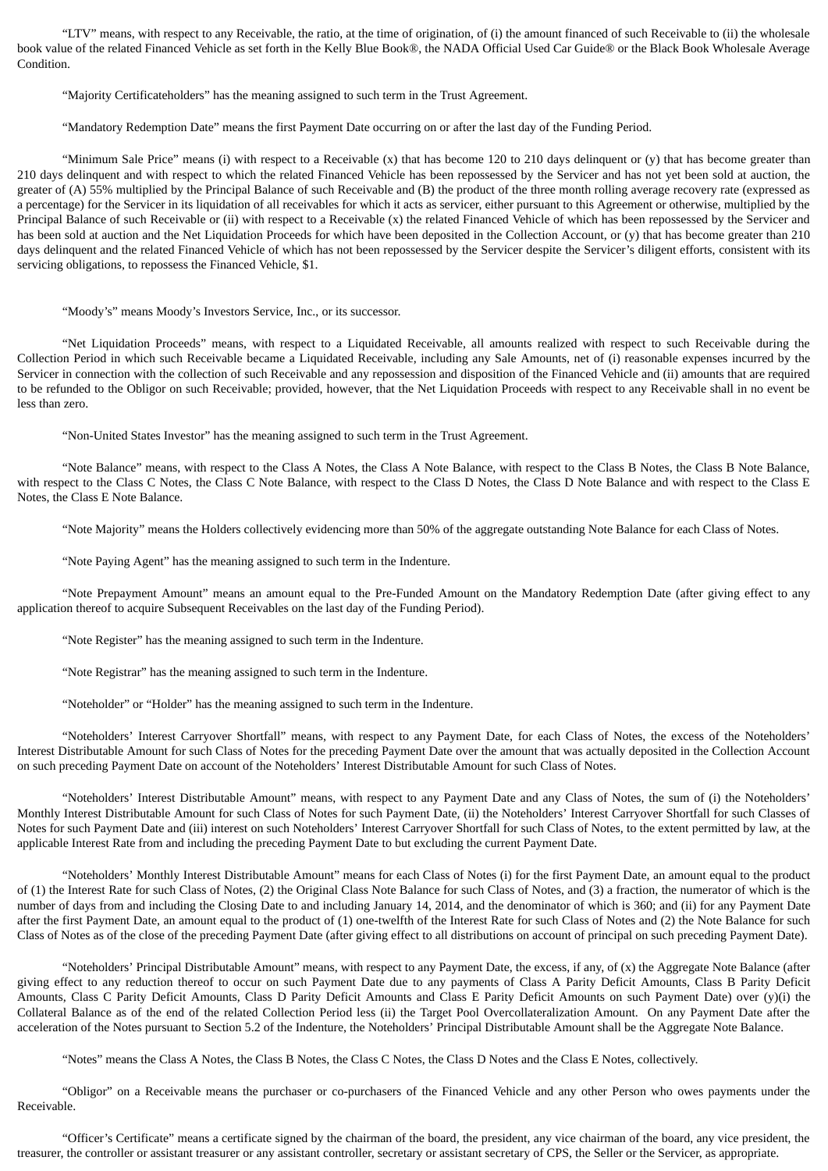"LTV" means, with respect to any Receivable, the ratio, at the time of origination, of (i) the amount financed of such Receivable to (ii) the wholesale book value of the related Financed Vehicle as set forth in the Kelly Blue Book®, the NADA Official Used Car Guide® or the Black Book Wholesale Average Condition.

"Majority Certificateholders" has the meaning assigned to such term in the Trust Agreement.

"Mandatory Redemption Date" means the first Payment Date occurring on or after the last day of the Funding Period.

"Minimum Sale Price" means (i) with respect to a Receivable (x) that has become 120 to 210 days delinquent or (y) that has become greater than 210 days delinquent and with respect to which the related Financed Vehicle has been repossessed by the Servicer and has not yet been sold at auction, the greater of (A) 55% multiplied by the Principal Balance of such Receivable and (B) the product of the three month rolling average recovery rate (expressed as a percentage) for the Servicer in its liquidation of all receivables for which it acts as servicer, either pursuant to this Agreement or otherwise, multiplied by the Principal Balance of such Receivable or (ii) with respect to a Receivable (x) the related Financed Vehicle of which has been repossessed by the Servicer and has been sold at auction and the Net Liquidation Proceeds for which have been deposited in the Collection Account, or (y) that has become greater than 210 days delinquent and the related Financed Vehicle of which has not been repossessed by the Servicer despite the Servicer's diligent efforts, consistent with its servicing obligations, to repossess the Financed Vehicle, \$1.

"Moody's" means Moody's Investors Service, Inc., or its successor.

"Net Liquidation Proceeds" means, with respect to a Liquidated Receivable, all amounts realized with respect to such Receivable during the Collection Period in which such Receivable became a Liquidated Receivable, including any Sale Amounts, net of (i) reasonable expenses incurred by the Servicer in connection with the collection of such Receivable and any repossession and disposition of the Financed Vehicle and (ii) amounts that are required to be refunded to the Obligor on such Receivable; provided, however, that the Net Liquidation Proceeds with respect to any Receivable shall in no event be less than zero.

"Non-United States Investor" has the meaning assigned to such term in the Trust Agreement.

"Note Balance" means, with respect to the Class A Notes, the Class A Note Balance, with respect to the Class B Notes, the Class B Note Balance, with respect to the Class C Notes, the Class C Note Balance, with respect to the Class D Notes, the Class D Note Balance and with respect to the Class E Notes, the Class E Note Balance.

"Note Majority" means the Holders collectively evidencing more than 50% of the aggregate outstanding Note Balance for each Class of Notes.

"Note Paying Agent" has the meaning assigned to such term in the Indenture.

"Note Prepayment Amount" means an amount equal to the Pre-Funded Amount on the Mandatory Redemption Date (after giving effect to any application thereof to acquire Subsequent Receivables on the last day of the Funding Period).

"Note Register" has the meaning assigned to such term in the Indenture.

"Note Registrar" has the meaning assigned to such term in the Indenture.

"Noteholder" or "Holder" has the meaning assigned to such term in the Indenture.

"Noteholders' Interest Carryover Shortfall" means, with respect to any Payment Date, for each Class of Notes, the excess of the Noteholders' Interest Distributable Amount for such Class of Notes for the preceding Payment Date over the amount that was actually deposited in the Collection Account on such preceding Payment Date on account of the Noteholders' Interest Distributable Amount for such Class of Notes.

"Noteholders' Interest Distributable Amount" means, with respect to any Payment Date and any Class of Notes, the sum of (i) the Noteholders' Monthly Interest Distributable Amount for such Class of Notes for such Payment Date, (ii) the Noteholders' Interest Carryover Shortfall for such Classes of Notes for such Payment Date and (iii) interest on such Noteholders' Interest Carryover Shortfall for such Class of Notes, to the extent permitted by law, at the applicable Interest Rate from and including the preceding Payment Date to but excluding the current Payment Date.

"Noteholders' Monthly Interest Distributable Amount" means for each Class of Notes (i) for the first Payment Date, an amount equal to the product of (1) the Interest Rate for such Class of Notes, (2) the Original Class Note Balance for such Class of Notes, and (3) a fraction, the numerator of which is the number of days from and including the Closing Date to and including January 14, 2014, and the denominator of which is 360; and (ii) for any Payment Date after the first Payment Date, an amount equal to the product of (1) one-twelfth of the Interest Rate for such Class of Notes and (2) the Note Balance for such Class of Notes as of the close of the preceding Payment Date (after giving effect to all distributions on account of principal on such preceding Payment Date).

"Noteholders' Principal Distributable Amount" means, with respect to any Payment Date, the excess, if any, of (x) the Aggregate Note Balance (after giving effect to any reduction thereof to occur on such Payment Date due to any payments of Class A Parity Deficit Amounts, Class B Parity Deficit Amounts, Class C Parity Deficit Amounts, Class D Parity Deficit Amounts and Class E Parity Deficit Amounts on such Payment Date) over (y)(i) the Collateral Balance as of the end of the related Collection Period less (ii) the Target Pool Overcollateralization Amount. On any Payment Date after the acceleration of the Notes pursuant to Section 5.2 of the Indenture, the Noteholders' Principal Distributable Amount shall be the Aggregate Note Balance.

"Notes" means the Class A Notes, the Class B Notes, the Class C Notes, the Class D Notes and the Class E Notes, collectively.

"Obligor" on a Receivable means the purchaser or co-purchasers of the Financed Vehicle and any other Person who owes payments under the Receivable.

"Officer's Certificate" means a certificate signed by the chairman of the board, the president, any vice chairman of the board, any vice president, the treasurer, the controller or assistant treasurer or any assistant controller, secretary or assistant secretary of CPS, the Seller or the Servicer, as appropriate.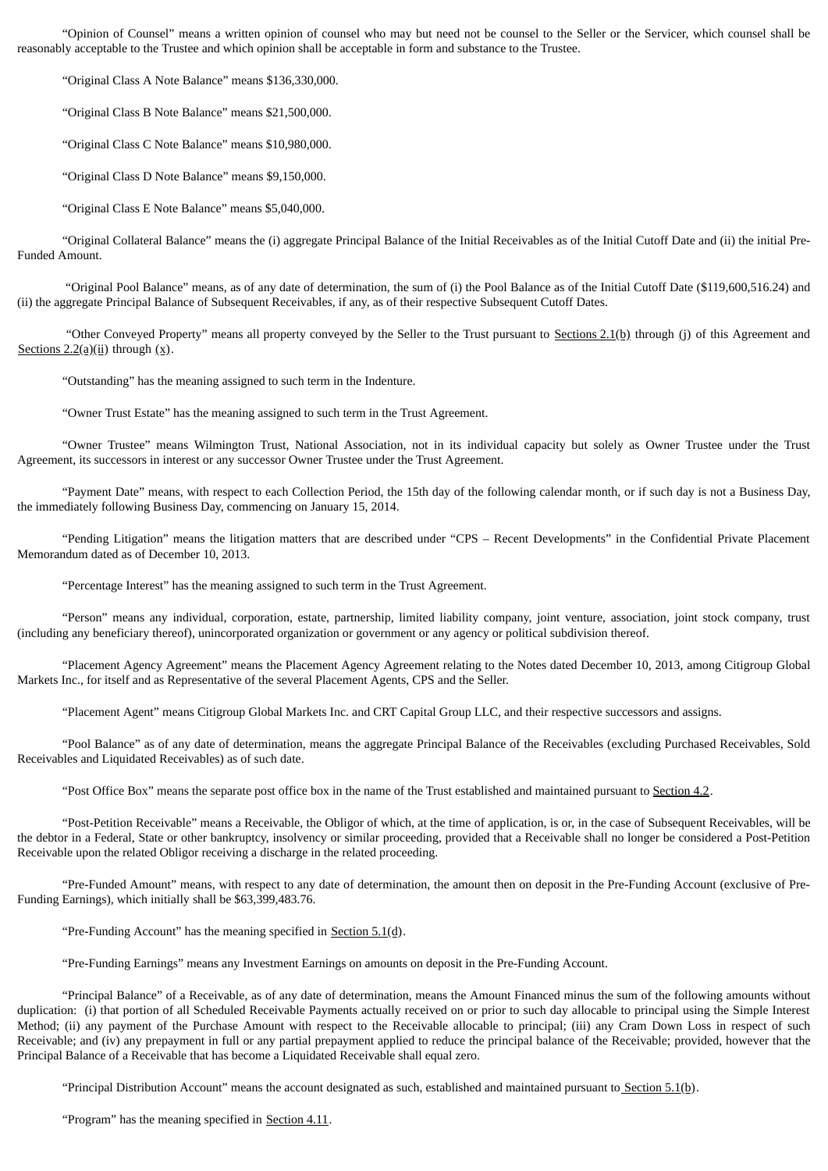"Opinion of Counsel" means a written opinion of counsel who may but need not be counsel to the Seller or the Servicer, which counsel shall be reasonably acceptable to the Trustee and which opinion shall be acceptable in form and substance to the Trustee.

"Original Class A Note Balance" means \$136,330,000.

"Original Class B Note Balance" means \$21,500,000.

"Original Class C Note Balance" means \$10,980,000.

"Original Class D Note Balance" means \$9,150,000.

"Original Class E Note Balance" means \$5,040,000.

"Original Collateral Balance" means the (i) aggregate Principal Balance of the Initial Receivables as of the Initial Cutoff Date and (ii) the initial Pre-Funded Amount.

"Original Pool Balance" means, as of any date of determination, the sum of (i) the Pool Balance as of the Initial Cutoff Date (\$119,600,516.24) and (ii) the aggregate Principal Balance of Subsequent Receivables, if any, as of their respective Subsequent Cutoff Dates.

"Other Conveyed Property" means all property conveyed by the Seller to the Trust pursuant to Sections  $2.1(p)$  through (j) of this Agreement and Sections  $2.2(a)(ii)$  through  $(x)$ .

"Outstanding" has the meaning assigned to such term in the Indenture.

"Owner Trust Estate" has the meaning assigned to such term in the Trust Agreement.

"Owner Trustee" means Wilmington Trust, National Association, not in its individual capacity but solely as Owner Trustee under the Trust Agreement, its successors in interest or any successor Owner Trustee under the Trust Agreement.

"Payment Date" means, with respect to each Collection Period, the 15th day of the following calendar month, or if such day is not a Business Day, the immediately following Business Day, commencing on January 15, 2014.

"Pending Litigation" means the litigation matters that are described under "CPS – Recent Developments" in the Confidential Private Placement Memorandum dated as of December 10, 2013.

"Percentage Interest" has the meaning assigned to such term in the Trust Agreement.

"Person" means any individual, corporation, estate, partnership, limited liability company, joint venture, association, joint stock company, trust (including any beneficiary thereof), unincorporated organization or government or any agency or political subdivision thereof.

"Placement Agency Agreement" means the Placement Agency Agreement relating to the Notes dated December 10, 2013, among Citigroup Global Markets Inc., for itself and as Representative of the several Placement Agents, CPS and the Seller.

"Placement Agent" means Citigroup Global Markets Inc. and CRT Capital Group LLC, and their respective successors and assigns.

"Pool Balance" as of any date of determination, means the aggregate Principal Balance of the Receivables (excluding Purchased Receivables, Sold Receivables and Liquidated Receivables) as of such date.

"Post Office Box" means the separate post office box in the name of the Trust established and maintained pursuant to Section 4.2.

"Post-Petition Receivable" means a Receivable, the Obligor of which, at the time of application, is or, in the case of Subsequent Receivables, will be the debtor in a Federal, State or other bankruptcy, insolvency or similar proceeding, provided that a Receivable shall no longer be considered a Post-Petition Receivable upon the related Obligor receiving a discharge in the related proceeding.

"Pre-Funded Amount" means, with respect to any date of determination, the amount then on deposit in the Pre-Funding Account (exclusive of Pre-Funding Earnings), which initially shall be \$63,399,483.76.

"Pre-Funding Account" has the meaning specified in Section  $5.1(d)$ .

"Pre-Funding Earnings" means any Investment Earnings on amounts on deposit in the Pre-Funding Account.

"Principal Balance" of a Receivable, as of any date of determination, means the Amount Financed minus the sum of the following amounts without duplication: (i) that portion of all Scheduled Receivable Payments actually received on or prior to such day allocable to principal using the Simple Interest Method; (ii) any payment of the Purchase Amount with respect to the Receivable allocable to principal; (iii) any Cram Down Loss in respect of such Receivable; and (iv) any prepayment in full or any partial prepayment applied to reduce the principal balance of the Receivable; provided, however that the Principal Balance of a Receivable that has become a Liquidated Receivable shall equal zero.

"Principal Distribution Account" means the account designated as such, established and maintained pursuant to Section  $5.1(b)$ .

"Program" has the meaning specified in Section 4.11.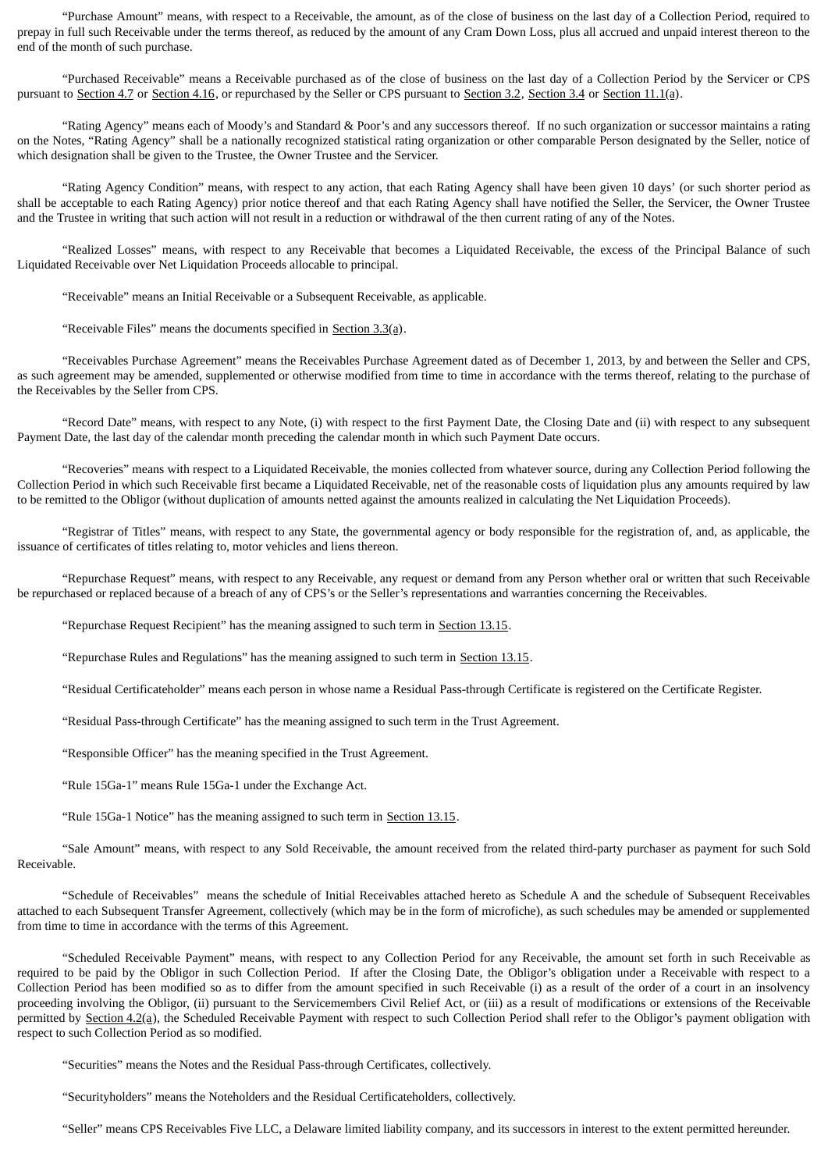"Purchase Amount" means, with respect to a Receivable, the amount, as of the close of business on the last day of a Collection Period, required to prepay in full such Receivable under the terms thereof, as reduced by the amount of any Cram Down Loss, plus all accrued and unpaid interest thereon to the end of the month of such purchase.

"Purchased Receivable" means a Receivable purchased as of the close of business on the last day of a Collection Period by the Servicer or CPS pursuant to Section 4.7 or Section 4.16, or repurchased by the Seller or CPS pursuant to Section 3.2, Section 3.4 or Section 11.1(a).

"Rating Agency" means each of Moody's and Standard & Poor's and any successors thereof. If no such organization or successor maintains a rating on the Notes, "Rating Agency" shall be a nationally recognized statistical rating organization or other comparable Person designated by the Seller, notice of which designation shall be given to the Trustee, the Owner Trustee and the Servicer.

"Rating Agency Condition" means, with respect to any action, that each Rating Agency shall have been given 10 days' (or such shorter period as shall be acceptable to each Rating Agency) prior notice thereof and that each Rating Agency shall have notified the Seller, the Servicer, the Owner Trustee and the Trustee in writing that such action will not result in a reduction or withdrawal of the then current rating of any of the Notes.

"Realized Losses" means, with respect to any Receivable that becomes a Liquidated Receivable, the excess of the Principal Balance of such Liquidated Receivable over Net Liquidation Proceeds allocable to principal.

"Receivable" means an Initial Receivable or a Subsequent Receivable, as applicable.

"Receivable Files" means the documents specified in Section 3.3(a).

"Receivables Purchase Agreement" means the Receivables Purchase Agreement dated as of December 1, 2013, by and between the Seller and CPS, as such agreement may be amended, supplemented or otherwise modified from time to time in accordance with the terms thereof, relating to the purchase of the Receivables by the Seller from CPS.

"Record Date" means, with respect to any Note, (i) with respect to the first Payment Date, the Closing Date and (ii) with respect to any subsequent Payment Date, the last day of the calendar month preceding the calendar month in which such Payment Date occurs.

"Recoveries" means with respect to a Liquidated Receivable, the monies collected from whatever source, during any Collection Period following the Collection Period in which such Receivable first became a Liquidated Receivable, net of the reasonable costs of liquidation plus any amounts required by law to be remitted to the Obligor (without duplication of amounts netted against the amounts realized in calculating the Net Liquidation Proceeds).

"Registrar of Titles" means, with respect to any State, the governmental agency or body responsible for the registration of, and, as applicable, the issuance of certificates of titles relating to, motor vehicles and liens thereon.

"Repurchase Request" means, with respect to any Receivable, any request or demand from any Person whether oral or written that such Receivable be repurchased or replaced because of a breach of any of CPS's or the Seller's representations and warranties concerning the Receivables.

"Repurchase Request Recipient" has the meaning assigned to such term in Section 13.15.

"Repurchase Rules and Regulations" has the meaning assigned to such term in Section 13.15.

"Residual Certificateholder" means each person in whose name a Residual Pass-through Certificate is registered on the Certificate Register.

"Residual Pass-through Certificate" has the meaning assigned to such term in the Trust Agreement.

"Responsible Officer" has the meaning specified in the Trust Agreement.

"Rule 15Ga-1" means Rule 15Ga-1 under the Exchange Act.

"Rule 15Ga-1 Notice" has the meaning assigned to such term in Section 13.15.

"Sale Amount" means, with respect to any Sold Receivable, the amount received from the related third-party purchaser as payment for such Sold Receivable.

"Schedule of Receivables" means the schedule of Initial Receivables attached hereto as Schedule A and the schedule of Subsequent Receivables attached to each Subsequent Transfer Agreement, collectively (which may be in the form of microfiche), as such schedules may be amended or supplemented from time to time in accordance with the terms of this Agreement.

"Scheduled Receivable Payment" means, with respect to any Collection Period for any Receivable, the amount set forth in such Receivable as required to be paid by the Obligor in such Collection Period. If after the Closing Date, the Obligor's obligation under a Receivable with respect to a Collection Period has been modified so as to differ from the amount specified in such Receivable (i) as a result of the order of a court in an insolvency proceeding involving the Obligor, (ii) pursuant to the Servicemembers Civil Relief Act, or (iii) as a result of modifications or extensions of the Receivable permitted by Section 4.2(a), the Scheduled Receivable Payment with respect to such Collection Period shall refer to the Obligor's payment obligation with respect to such Collection Period as so modified.

"Securities" means the Notes and the Residual Pass-through Certificates, collectively.

"Securityholders" means the Noteholders and the Residual Certificateholders, collectively.

"Seller" means CPS Receivables Five LLC, a Delaware limited liability company, and its successors in interest to the extent permitted hereunder.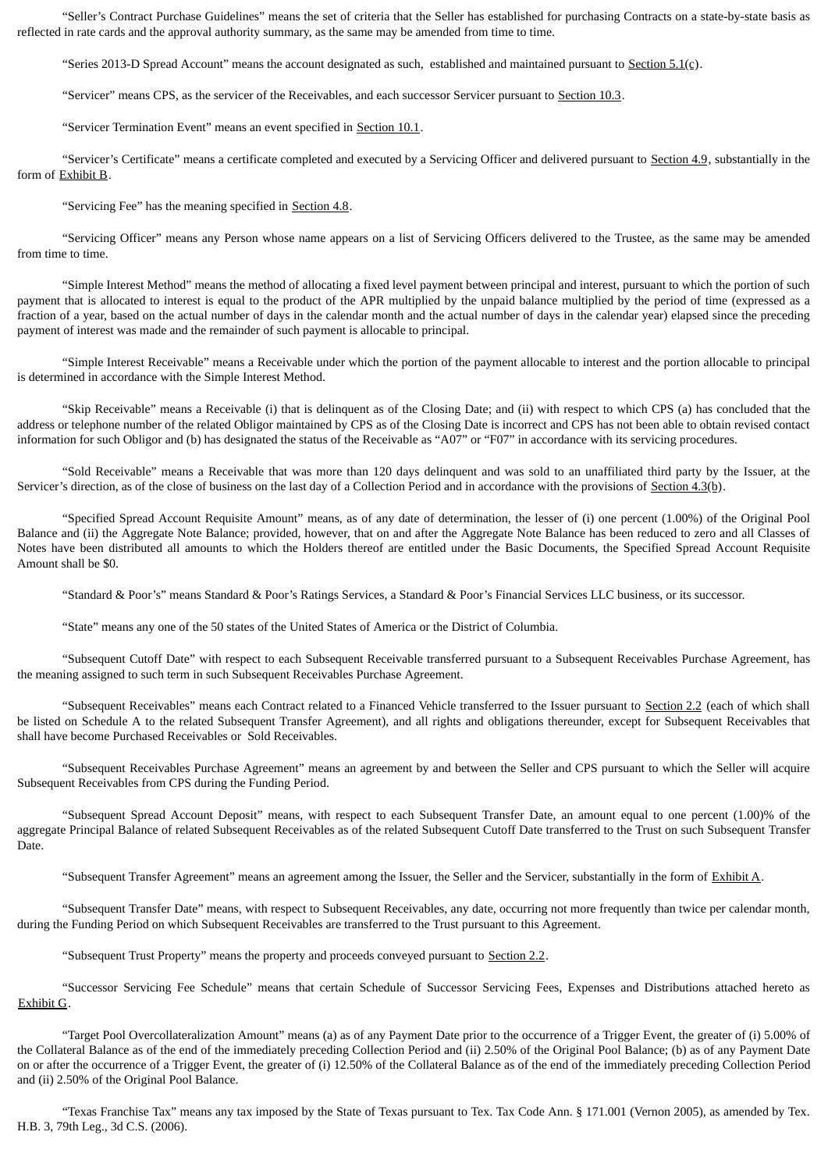"Seller's Contract Purchase Guidelines" means the set of criteria that the Seller has established for purchasing Contracts on a state-by-state basis as reflected in rate cards and the approval authority summary, as the same may be amended from time to time.

"Series 2013-D Spread Account" means the account designated as such, established and maintained pursuant to Section  $5.1(c)$ .

"Servicer" means CPS, as the servicer of the Receivables, and each successor Servicer pursuant to Section 10.3.

"Servicer Termination Event" means an event specified in Section 10.1.

"Servicer's Certificate" means a certificate completed and executed by a Servicing Officer and delivered pursuant to Section 4.9, substantially in the form of Exhibit B.

"Servicing Fee" has the meaning specified in Section 4.8.

"Servicing Officer" means any Person whose name appears on a list of Servicing Officers delivered to the Trustee, as the same may be amended from time to time.

"Simple Interest Method" means the method of allocating a fixed level payment between principal and interest, pursuant to which the portion of such payment that is allocated to interest is equal to the product of the APR multiplied by the unpaid balance multiplied by the period of time (expressed as a fraction of a year, based on the actual number of days in the calendar month and the actual number of days in the calendar year) elapsed since the preceding payment of interest was made and the remainder of such payment is allocable to principal.

"Simple Interest Receivable" means a Receivable under which the portion of the payment allocable to interest and the portion allocable to principal is determined in accordance with the Simple Interest Method.

"Skip Receivable" means a Receivable (i) that is delinquent as of the Closing Date; and (ii) with respect to which CPS (a) has concluded that the address or telephone number of the related Obligor maintained by CPS as of the Closing Date is incorrect and CPS has not been able to obtain revised contact information for such Obligor and (b) has designated the status of the Receivable as "A07" or "F07" in accordance with its servicing procedures.

"Sold Receivable" means a Receivable that was more than 120 days delinquent and was sold to an unaffiliated third party by the Issuer, at the Servicer's direction, as of the close of business on the last day of a Collection Period and in accordance with the provisions of Section 4.3(b).

"Specified Spread Account Requisite Amount" means, as of any date of determination, the lesser of (i) one percent (1.00%) of the Original Pool Balance and (ii) the Aggregate Note Balance; provided, however, that on and after the Aggregate Note Balance has been reduced to zero and all Classes of Notes have been distributed all amounts to which the Holders thereof are entitled under the Basic Documents, the Specified Spread Account Requisite Amount shall be \$0.

"Standard & Poor's" means Standard & Poor's Ratings Services, a Standard & Poor's Financial Services LLC business, or its successor.

"State" means any one of the 50 states of the United States of America or the District of Columbia.

"Subsequent Cutoff Date" with respect to each Subsequent Receivable transferred pursuant to a Subsequent Receivables Purchase Agreement, has the meaning assigned to such term in such Subsequent Receivables Purchase Agreement.

"Subsequent Receivables" means each Contract related to a Financed Vehicle transferred to the Issuer pursuant to Section 2.2 (each of which shall be listed on Schedule A to the related Subsequent Transfer Agreement), and all rights and obligations thereunder, except for Subsequent Receivables that shall have become Purchased Receivables or Sold Receivables.

"Subsequent Receivables Purchase Agreement" means an agreement by and between the Seller and CPS pursuant to which the Seller will acquire Subsequent Receivables from CPS during the Funding Period.

"Subsequent Spread Account Deposit" means, with respect to each Subsequent Transfer Date, an amount equal to one percent (1.00)% of the aggregate Principal Balance of related Subsequent Receivables as of the related Subsequent Cutoff Date transferred to the Trust on such Subsequent Transfer Date.

"Subsequent Transfer Agreement" means an agreement among the Issuer, the Seller and the Servicer, substantially in the form of Exhibit A.

"Subsequent Transfer Date" means, with respect to Subsequent Receivables, any date, occurring not more frequently than twice per calendar month, during the Funding Period on which Subsequent Receivables are transferred to the Trust pursuant to this Agreement.

"Subsequent Trust Property" means the property and proceeds conveyed pursuant to Section 2.2.

"Successor Servicing Fee Schedule" means that certain Schedule of Successor Servicing Fees, Expenses and Distributions attached hereto as Exhibit G.

"Target Pool Overcollateralization Amount" means (a) as of any Payment Date prior to the occurrence of a Trigger Event, the greater of (i) 5.00% of the Collateral Balance as of the end of the immediately preceding Collection Period and (ii) 2.50% of the Original Pool Balance; (b) as of any Payment Date on or after the occurrence of a Trigger Event, the greater of (i) 12.50% of the Collateral Balance as of the end of the immediately preceding Collection Period and (ii) 2.50% of the Original Pool Balance.

"Texas Franchise Tax" means any tax imposed by the State of Texas pursuant to Tex. Tax Code Ann. § 171.001 (Vernon 2005), as amended by Tex. H.B. 3, 79th Leg., 3d C.S. (2006).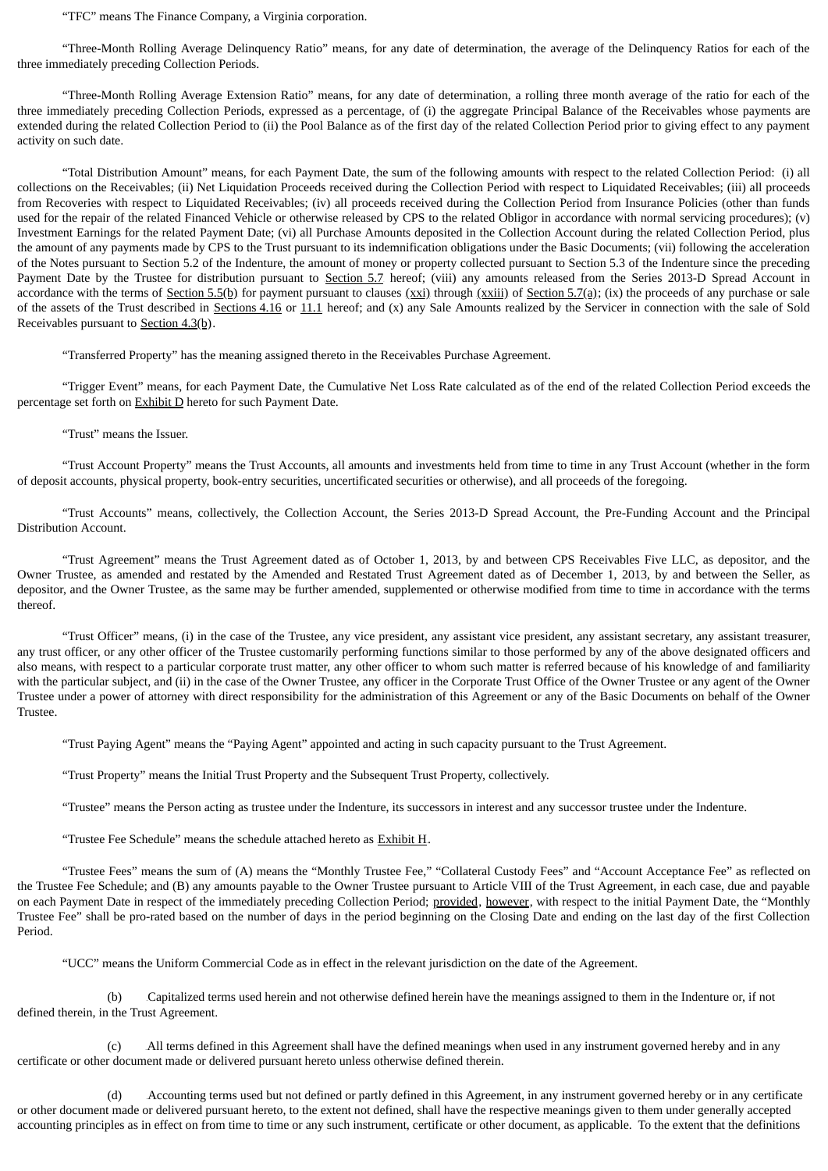"TFC" means The Finance Company, a Virginia corporation.

"Three-Month Rolling Average Delinquency Ratio" means, for any date of determination, the average of the Delinquency Ratios for each of the three immediately preceding Collection Periods.

"Three-Month Rolling Average Extension Ratio" means, for any date of determination, a rolling three month average of the ratio for each of the three immediately preceding Collection Periods, expressed as a percentage, of (i) the aggregate Principal Balance of the Receivables whose payments are extended during the related Collection Period to (ii) the Pool Balance as of the first day of the related Collection Period prior to giving effect to any payment activity on such date.

"Total Distribution Amount" means, for each Payment Date, the sum of the following amounts with respect to the related Collection Period: (i) all collections on the Receivables; (ii) Net Liquidation Proceeds received during the Collection Period with respect to Liquidated Receivables; (iii) all proceeds from Recoveries with respect to Liquidated Receivables; (iv) all proceeds received during the Collection Period from Insurance Policies (other than funds used for the repair of the related Financed Vehicle or otherwise released by CPS to the related Obligor in accordance with normal servicing procedures); (v) Investment Earnings for the related Payment Date; (vi) all Purchase Amounts deposited in the Collection Account during the related Collection Period, plus the amount of any payments made by CPS to the Trust pursuant to its indemnification obligations under the Basic Documents; (vii) following the acceleration of the Notes pursuant to Section 5.2 of the Indenture, the amount of money or property collected pursuant to Section 5.3 of the Indenture since the preceding Payment Date by the Trustee for distribution pursuant to Section 5.7 hereof; (viii) any amounts released from the Series 2013-D Spread Account in accordance with the terms of Section 5.5(b) for payment pursuant to clauses  $(xxi)$  through  $(xxiii)$  of Section 5.7(a); (ix) the proceeds of any purchase or sale of the assets of the Trust described in Sections 4.16 or 11.1 hereof; and  $(x)$  any Sale Amounts realized by the Servicer in connection with the sale of Sold Receivables pursuant to  $Section 4.3(b)$ .

"Transferred Property" has the meaning assigned thereto in the Receivables Purchase Agreement.

"Trigger Event" means, for each Payment Date, the Cumulative Net Loss Rate calculated as of the end of the related Collection Period exceeds the percentage set forth on Exhibit D hereto for such Payment Date.

"Trust" means the Issuer.

"Trust Account Property" means the Trust Accounts, all amounts and investments held from time to time in any Trust Account (whether in the form of deposit accounts, physical property, book-entry securities, uncertificated securities or otherwise), and all proceeds of the foregoing.

"Trust Accounts" means, collectively, the Collection Account, the Series 2013-D Spread Account, the Pre-Funding Account and the Principal Distribution Account.

"Trust Agreement" means the Trust Agreement dated as of October 1, 2013, by and between CPS Receivables Five LLC, as depositor, and the Owner Trustee, as amended and restated by the Amended and Restated Trust Agreement dated as of December 1, 2013, by and between the Seller, as depositor, and the Owner Trustee, as the same may be further amended, supplemented or otherwise modified from time to time in accordance with the terms thereof.

"Trust Officer" means, (i) in the case of the Trustee, any vice president, any assistant vice president, any assistant secretary, any assistant treasurer, any trust officer, or any other officer of the Trustee customarily performing functions similar to those performed by any of the above designated officers and also means, with respect to a particular corporate trust matter, any other officer to whom such matter is referred because of his knowledge of and familiarity with the particular subject, and (ii) in the case of the Owner Trustee, any officer in the Corporate Trust Office of the Owner Trustee or any agent of the Owner Trustee under a power of attorney with direct responsibility for the administration of this Agreement or any of the Basic Documents on behalf of the Owner Trustee.

"Trust Paying Agent" means the "Paying Agent" appointed and acting in such capacity pursuant to the Trust Agreement.

"Trust Property" means the Initial Trust Property and the Subsequent Trust Property, collectively.

"Trustee" means the Person acting as trustee under the Indenture, its successors in interest and any successor trustee under the Indenture.

"Trustee Fee Schedule" means the schedule attached hereto as Exhibit H.

"Trustee Fees" means the sum of (A) means the "Monthly Trustee Fee," "Collateral Custody Fees" and "Account Acceptance Fee" as reflected on the Trustee Fee Schedule; and (B) any amounts payable to the Owner Trustee pursuant to Article VIII of the Trust Agreement, in each case, due and payable on each Payment Date in respect of the immediately preceding Collection Period; provided, however, with respect to the initial Payment Date, the "Monthly Trustee Fee" shall be pro-rated based on the number of days in the period beginning on the Closing Date and ending on the last day of the first Collection Period.

"UCC" means the Uniform Commercial Code as in effect in the relevant jurisdiction on the date of the Agreement.

(b) Capitalized terms used herein and not otherwise defined herein have the meanings assigned to them in the Indenture or, if not defined therein, in the Trust Agreement.

(c) 1BAll terms defined in this Agreement shall have the defined meanings when used in any instrument governed hereby and in any certificate or other document made or delivered pursuant hereto unless otherwise defined therein.

(d) 2BAccounting terms used but not defined or partly defined in this Agreement, in any instrument governed hereby or in any certificate or other document made or delivered pursuant hereto, to the extent not defined, shall have the respective meanings given to them under generally accepted accounting principles as in effect on from time to time or any such instrument, certificate or other document, as applicable. To the extent that the definitions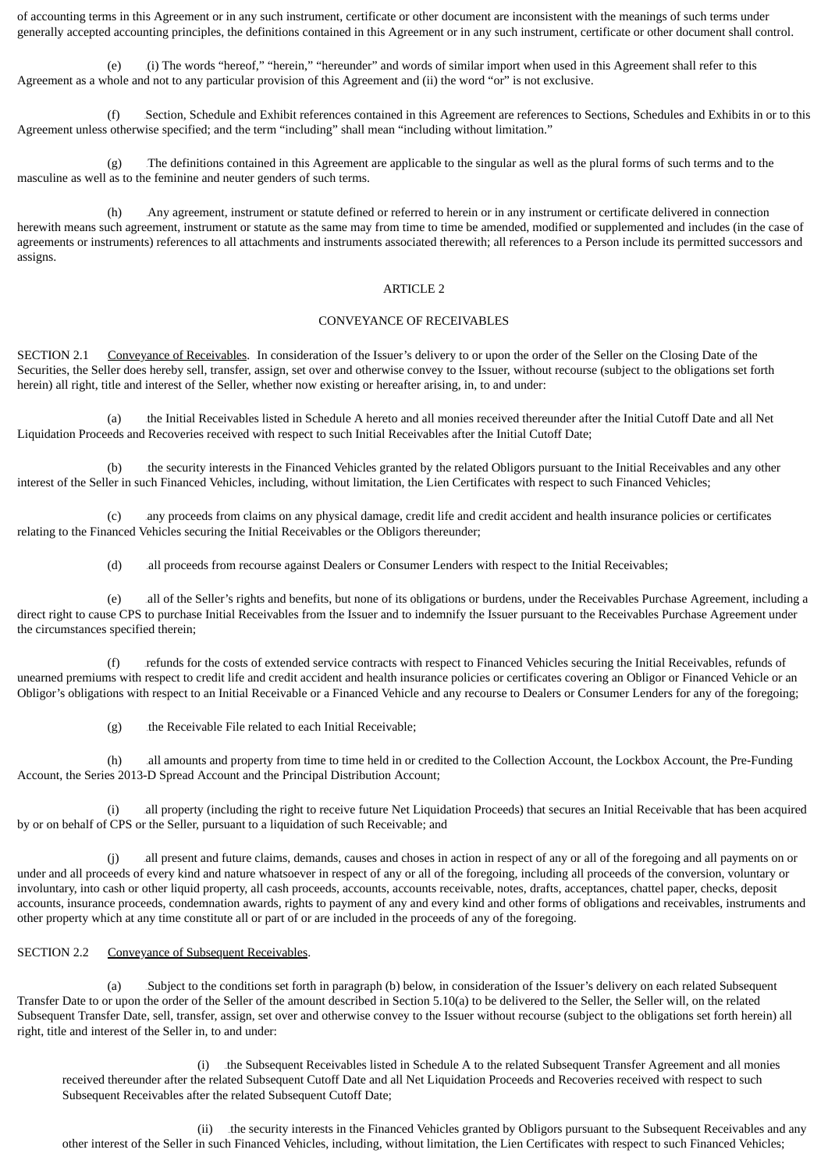of accounting terms in this Agreement or in any such instrument, certificate or other document are inconsistent with the meanings of such terms under generally accepted accounting principles, the definitions contained in this Agreement or in any such instrument, certificate or other document shall control.

(i) The words "hereof," "herein," "hereunder" and words of similar import when used in this Agreement shall refer to this Agreement as a whole and not to any particular provision of this Agreement and (ii) the word "or" is not exclusive.

(f) 4BSection, Schedule and Exhibit references contained in this Agreement are references to Sections, Schedules and Exhibits in or to this Agreement unless otherwise specified; and the term "including" shall mean "including without limitation."

 $(g)$  The definitions contained in this Agreement are applicable to the singular as well as the plural forms of such terms and to the masculine as well as to the feminine and neuter genders of such terms.

(h) 6BAny agreement, instrument or statute defined or referred to herein or in any instrument or certificate delivered in connection herewith means such agreement, instrument or statute as the same may from time to time be amended, modified or supplemented and includes (in the case of agreements or instruments) references to all attachments and instruments associated therewith; all references to a Person include its permitted successors and assigns.

#### ARTICLE 2

### CONVEYANCE OF RECEIVABLES

SECTION 2.1 Conveyance of Receivables. In consideration of the Issuer's delivery to or upon the order of the Seller on the Closing Date of the Securities, the Seller does hereby sell, transfer, assign, set over and otherwise convey to the Issuer, without recourse (subject to the obligations set forth herein) all right, title and interest of the Seller, whether now existing or hereafter arising, in, to and under:

(a) 7Bthe Initial Receivables listed in Schedule A hereto and all monies received thereunder after the Initial Cutoff Date and all Net Liquidation Proceeds and Recoveries received with respect to such Initial Receivables after the Initial Cutoff Date;

(b) the security interests in the Financed Vehicles granted by the related Obligors pursuant to the Initial Receivables and any other interest of the Seller in such Financed Vehicles, including, without limitation, the Lien Certificates with respect to such Financed Vehicles;

(c) 9Bany proceeds from claims on any physical damage, credit life and credit accident and health insurance policies or certificates relating to the Financed Vehicles securing the Initial Receivables or the Obligors thereunder;

(d) all proceeds from recourse against Dealers or Consumer Lenders with respect to the Initial Receivables;

all of the Seller's rights and benefits, but none of its obligations or burdens, under the Receivables Purchase Agreement, including a direct right to cause CPS to purchase Initial Receivables from the Issuer and to indemnify the Issuer pursuant to the Receivables Purchase Agreement under the circumstances specified therein;

(f) 12Brefunds for the costs of extended service contracts with respect to Financed Vehicles securing the Initial Receivables, refunds of unearned premiums with respect to credit life and credit accident and health insurance policies or certificates covering an Obligor or Financed Vehicle or an Obligor's obligations with respect to an Initial Receivable or a Financed Vehicle and any recourse to Dealers or Consumer Lenders for any of the foregoing;

 $(g)$  the Receivable File related to each Initial Receivable;

(h) all amounts and property from time to time held in or credited to the Collection Account, the Lockbox Account, the Pre-Funding Account, the Series 2013-D Spread Account and the Principal Distribution Account;

(i) all property (including the right to receive future Net Liquidation Proceeds) that secures an Initial Receivable that has been acquired by or on behalf of CPS or the Seller, pursuant to a liquidation of such Receivable; and

(j) all present and future claims, demands, causes and choses in action in respect of any or all of the foregoing and all payments on or under and all proceeds of every kind and nature whatsoever in respect of any or all of the foregoing, including all proceeds of the conversion, voluntary or involuntary, into cash or other liquid property, all cash proceeds, accounts, accounts receivable, notes, drafts, acceptances, chattel paper, checks, deposit accounts, insurance proceeds, condemnation awards, rights to payment of any and every kind and other forms of obligations and receivables, instruments and other property which at any time constitute all or part of or are included in the proceeds of any of the foregoing.

# SECTION 2.2 Conveyance of Subsequent Receivables.

(a) 17BSubject to the conditions set forth in paragraph (b) below, in consideration of the Issuer's delivery on each related Subsequent Transfer Date to or upon the order of the Seller of the amount described in Section 5.10(a) to be delivered to the Seller, the Seller will, on the related Subsequent Transfer Date, sell, transfer, assign, set over and otherwise convey to the Issuer without recourse (subject to the obligations set forth herein) all right, title and interest of the Seller in, to and under:

(i) the Subsequent Receivables listed in Schedule A to the related Subsequent Transfer Agreement and all monies received thereunder after the related Subsequent Cutoff Date and all Net Liquidation Proceeds and Recoveries received with respect to such Subsequent Receivables after the related Subsequent Cutoff Date;

(ii) the security interests in the Financed Vehicles granted by Obligors pursuant to the Subsequent Receivables and any other interest of the Seller in such Financed Vehicles, including, without limitation, the Lien Certificates with respect to such Financed Vehicles;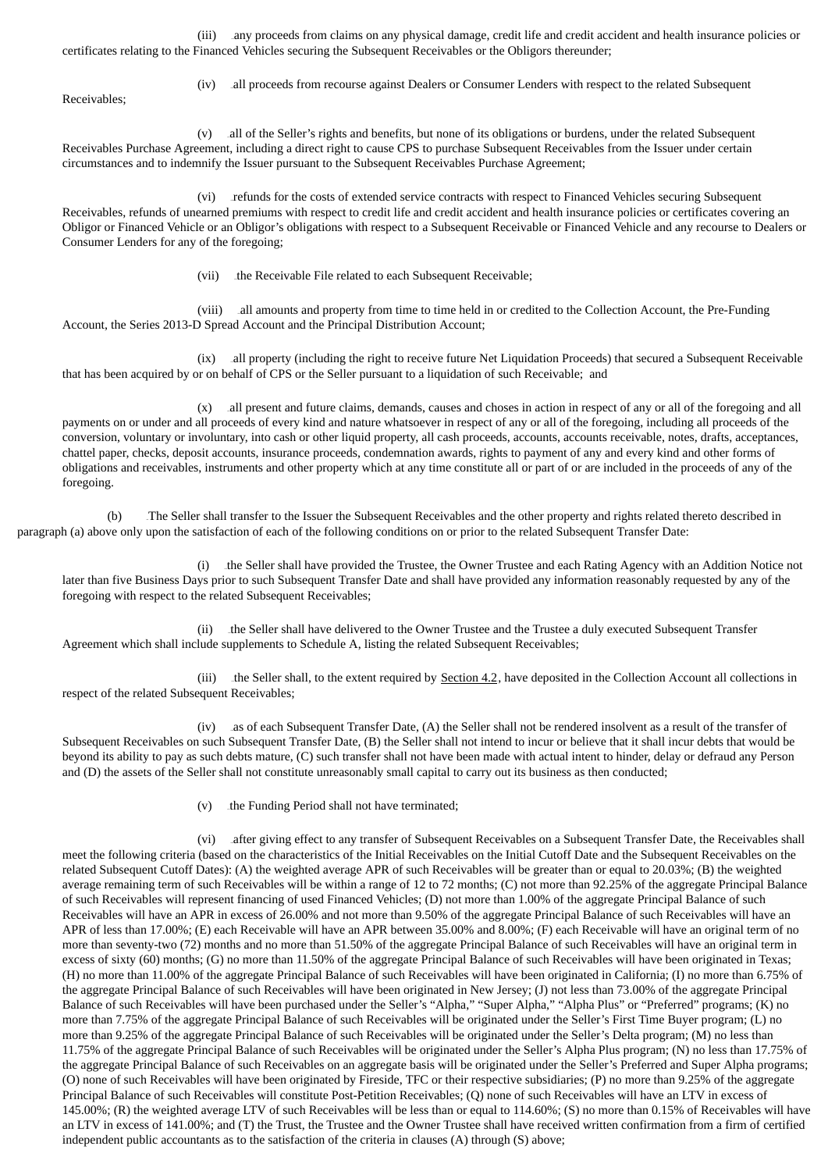(iii) 185Bany proceeds from claims on any physical damage, credit life and credit accident and health insurance policies or certificates relating to the Financed Vehicles securing the Subsequent Receivables or the Obligors thereunder;

Receivables;

(iv) 186Ball proceeds from recourse against Dealers or Consumer Lenders with respect to the related Subsequent

(v) 187Ball of the Seller's rights and benefits, but none of its obligations or burdens, under the related Subsequent Receivables Purchase Agreement, including a direct right to cause CPS to purchase Subsequent Receivables from the Issuer under certain circumstances and to indemnify the Issuer pursuant to the Subsequent Receivables Purchase Agreement;

(vi) refunds for the costs of extended service contracts with respect to Financed Vehicles securing Subsequent Receivables, refunds of unearned premiums with respect to credit life and credit accident and health insurance policies or certificates covering an Obligor or Financed Vehicle or an Obligor's obligations with respect to a Subsequent Receivable or Financed Vehicle and any recourse to Dealers or Consumer Lenders for any of the foregoing;

(vii) the Receivable File related to each Subsequent Receivable;

(viii) all amounts and property from time to time held in or credited to the Collection Account, the Pre-Funding Account, the Series 2013-D Spread Account and the Principal Distribution Account;

(ix) all property (including the right to receive future Net Liquidation Proceeds) that secured a Subsequent Receivable that has been acquired by or on behalf of CPS or the Seller pursuant to a liquidation of such Receivable; and

(x) all present and future claims, demands, causes and choses in action in respect of any or all of the foregoing and all payments on or under and all proceeds of every kind and nature whatsoever in respect of any or all of the foregoing, including all proceeds of the conversion, voluntary or involuntary, into cash or other liquid property, all cash proceeds, accounts, accounts receivable, notes, drafts, acceptances, chattel paper, checks, deposit accounts, insurance proceeds, condemnation awards, rights to payment of any and every kind and other forms of obligations and receivables, instruments and other property which at any time constitute all or part of or are included in the proceeds of any of the foregoing.

(b) The Seller shall transfer to the Issuer the Subsequent Receivables and the other property and rights related thereto described in paragraph (a) above only upon the satisfaction of each of the following conditions on or prior to the related Subsequent Transfer Date:

(i) the Seller shall have provided the Trustee, the Owner Trustee and each Rating Agency with an Addition Notice not later than five Business Days prior to such Subsequent Transfer Date and shall have provided any information reasonably requested by any of the foregoing with respect to the related Subsequent Receivables;

(ii) the Seller shall have delivered to the Owner Trustee and the Trustee a duly executed Subsequent Transfer Agreement which shall include supplements to Schedule A, listing the related Subsequent Receivables;

(iii) the Seller shall, to the extent required by Section  $4.2$ , have deposited in the Collection Account all collections in respect of the related Subsequent Receivables;

(iv) as of each Subsequent Transfer Date, (A) the Seller shall not be rendered insolvent as a result of the transfer of Subsequent Receivables on such Subsequent Transfer Date, (B) the Seller shall not intend to incur or believe that it shall incur debts that would be beyond its ability to pay as such debts mature, (C) such transfer shall not have been made with actual intent to hinder, delay or defraud any Person and (D) the assets of the Seller shall not constitute unreasonably small capital to carry out its business as then conducted;

(v) the Funding Period shall not have terminated;

(vi) after giving effect to any transfer of Subsequent Receivables on a Subsequent Transfer Date, the Receivables shall meet the following criteria (based on the characteristics of the Initial Receivables on the Initial Cutoff Date and the Subsequent Receivables on the related Subsequent Cutoff Dates): (A) the weighted average APR of such Receivables will be greater than or equal to 20.03%; (B) the weighted average remaining term of such Receivables will be within a range of 12 to 72 months; (C) not more than 92.25% of the aggregate Principal Balance of such Receivables will represent financing of used Financed Vehicles; (D) not more than 1.00% of the aggregate Principal Balance of such Receivables will have an APR in excess of 26.00% and not more than 9.50% of the aggregate Principal Balance of such Receivables will have an APR of less than 17.00%; (E) each Receivable will have an APR between 35.00% and 8.00%; (F) each Receivable will have an original term of no more than seventy-two (72) months and no more than 51.50% of the aggregate Principal Balance of such Receivables will have an original term in excess of sixty (60) months; (G) no more than 11.50% of the aggregate Principal Balance of such Receivables will have been originated in Texas; (H) no more than 11.00% of the aggregate Principal Balance of such Receivables will have been originated in California; (I) no more than 6.75% of the aggregate Principal Balance of such Receivables will have been originated in New Jersey; (J) not less than 73.00% of the aggregate Principal Balance of such Receivables will have been purchased under the Seller's "Alpha," "Super Alpha," "Alpha Plus" or "Preferred" programs; (K) no more than 7.75% of the aggregate Principal Balance of such Receivables will be originated under the Seller's First Time Buyer program; (L) no more than 9.25% of the aggregate Principal Balance of such Receivables will be originated under the Seller's Delta program; (M) no less than 11.75% of the aggregate Principal Balance of such Receivables will be originated under the Seller's Alpha Plus program; (N) no less than 17.75% of the aggregate Principal Balance of such Receivables on an aggregate basis will be originated under the Seller's Preferred and Super Alpha programs; (O) none of such Receivables will have been originated by Fireside, TFC or their respective subsidiaries; (P) no more than 9.25% of the aggregate Principal Balance of such Receivables will constitute Post-Petition Receivables; (Q) none of such Receivables will have an LTV in excess of 145.00%; (R) the weighted average LTV of such Receivables will be less than or equal to 114.60%; (S) no more than 0.15% of Receivables will have an LTV in excess of 141.00%; and (T) the Trust, the Trustee and the Owner Trustee shall have received written confirmation from a firm of certified independent public accountants as to the satisfaction of the criteria in clauses (A) through (S) above;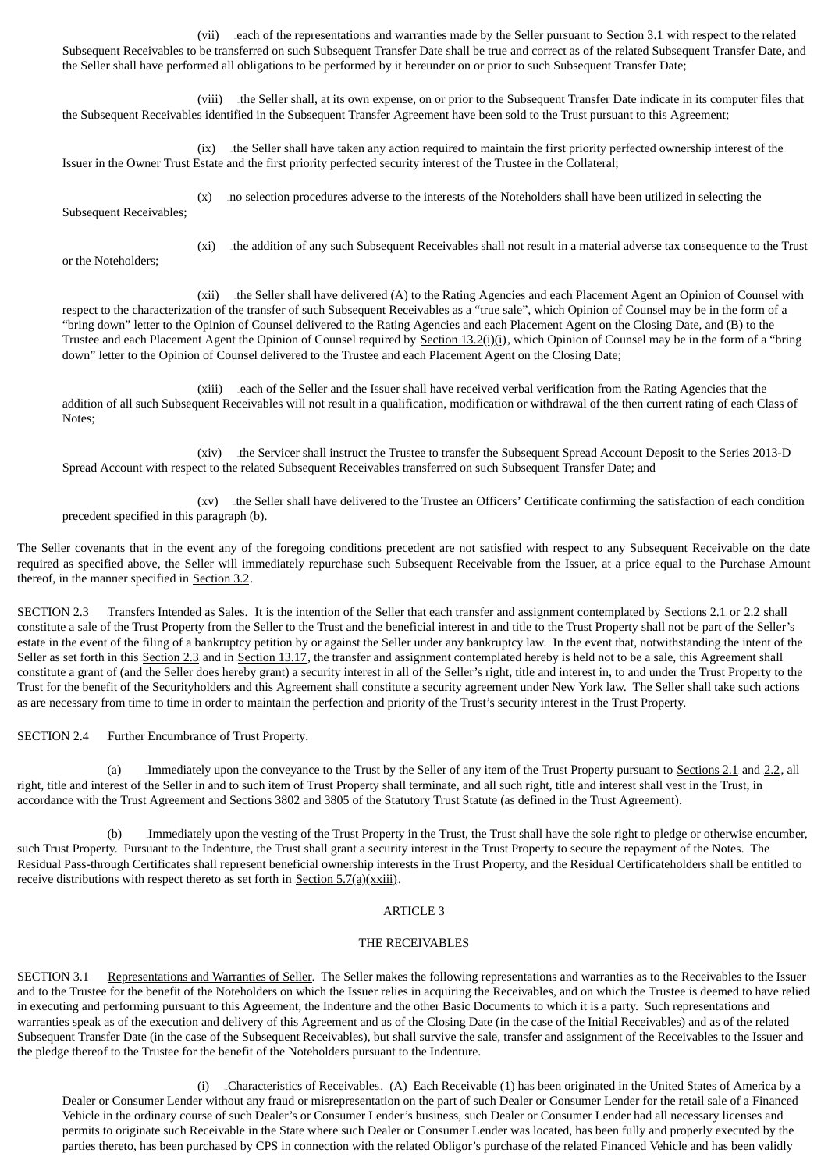(vii) each of the representations and warranties made by the Seller pursuant to Section 3.1 with respect to the related Subsequent Receivables to be transferred on such Subsequent Transfer Date shall be true and correct as of the related Subsequent Transfer Date, and the Seller shall have performed all obligations to be performed by it hereunder on or prior to such Subsequent Transfer Date;

(viii) the Seller shall, at its own expense, on or prior to the Subsequent Transfer Date indicate in its computer files that the Subsequent Receivables identified in the Subsequent Transfer Agreement have been sold to the Trust pursuant to this Agreement;

(ix) the Seller shall have taken any action required to maintain the first priority perfected ownership interest of the Issuer in the Owner Trust Estate and the first priority perfected security interest of the Trustee in the Collateral;

(x) and selection procedures adverse to the interests of the Noteholders shall have been utilized in selecting the Subsequent Receivables:

or the Noteholders;

(xi) the addition of any such Subsequent Receivables shall not result in a material adverse tax consequence to the Trust

(xii) the Seller shall have delivered (A) to the Rating Agencies and each Placement Agent an Opinion of Counsel with respect to the characterization of the transfer of such Subsequent Receivables as a "true sale", which Opinion of Counsel may be in the form of a "bring down" letter to the Opinion of Counsel delivered to the Rating Agencies and each Placement Agent on the Closing Date, and (B) to the Trustee and each Placement Agent the Opinion of Counsel required by Section  $13.2(i)(i)$ , which Opinion of Counsel may be in the form of a "bring down" letter to the Opinion of Counsel delivered to the Trustee and each Placement Agent on the Closing Date;

(xiii) each of the Seller and the Issuer shall have received verbal verification from the Rating Agencies that the addition of all such Subsequent Receivables will not result in a qualification, modification or withdrawal of the then current rating of each Class of Notes;

(xiv) the Servicer shall instruct the Trustee to transfer the Subsequent Spread Account Deposit to the Series 2013-D Spread Account with respect to the related Subsequent Receivables transferred on such Subsequent Transfer Date; and

(xv) the Seller shall have delivered to the Trustee an Officers' Certificate confirming the satisfaction of each condition precedent specified in this paragraph (b).

The Seller covenants that in the event any of the foregoing conditions precedent are not satisfied with respect to any Subsequent Receivable on the date required as specified above, the Seller will immediately repurchase such Subsequent Receivable from the Issuer, at a price equal to the Purchase Amount thereof, in the manner specified in Section 3.2.

SECTION 2.3 Transfers Intended as Sales. It is the intention of the Seller that each transfer and assignment contemplated by Sections 2.1 or 2.2 shall constitute a sale of the Trust Property from the Seller to the Trust and the beneficial interest in and title to the Trust Property shall not be part of the Seller's estate in the event of the filing of a bankruptcy petition by or against the Seller under any bankruptcy law. In the event that, notwithstanding the intent of the Seller as set forth in this Section 2.3 and in Section 13.17, the transfer and assignment contemplated hereby is held not to be a sale, this Agreement shall constitute a grant of (and the Seller does hereby grant) a security interest in all of the Seller's right, title and interest in, to and under the Trust Property to the Trust for the benefit of the Securityholders and this Agreement shall constitute a security agreement under New York law. The Seller shall take such actions as are necessary from time to time in order to maintain the perfection and priority of the Trust's security interest in the Trust Property.

## SECTION 2.4 Further Encumbrance of Trust Property.

(a) Immediately upon the conveyance to the Trust by the Seller of any item of the Trust Property pursuant to Sections 2.1 and 2.2, all right, title and interest of the Seller in and to such item of Trust Property shall terminate, and all such right, title and interest shall vest in the Trust, in accordance with the Trust Agreement and Sections 3802 and 3805 of the Statutory Trust Statute (as defined in the Trust Agreement).

Immediately upon the vesting of the Trust Property in the Trust, the Trust shall have the sole right to pledge or otherwise encumber, such Trust Property. Pursuant to the Indenture, the Trust shall grant a security interest in the Trust Property to secure the repayment of the Notes. The Residual Pass-through Certificates shall represent beneficial ownership interests in the Trust Property, and the Residual Certificateholders shall be entitled to receive distributions with respect thereto as set forth in Section  $5.7(a)(xxiii)$ .

## ARTICLE 3

## THE RECEIVABLES

SECTION 3.1 Representations and Warranties of Seller. The Seller makes the following representations and warranties as to the Receivables to the Issuer and to the Trustee for the benefit of the Noteholders on which the Issuer relies in acquiring the Receivables, and on which the Trustee is deemed to have relied in executing and performing pursuant to this Agreement, the Indenture and the other Basic Documents to which it is a party. Such representations and warranties speak as of the execution and delivery of this Agreement and as of the Closing Date (in the case of the Initial Receivables) and as of the related Subsequent Transfer Date (in the case of the Subsequent Receivables), but shall survive the sale, transfer and assignment of the Receivables to the Issuer and the pledge thereof to the Trustee for the benefit of the Noteholders pursuant to the Indenture.

(i) Characteristics of Receivables. (A) Each Receivable (1) has been originated in the United States of America by a Dealer or Consumer Lender without any fraud or misrepresentation on the part of such Dealer or Consumer Lender for the retail sale of a Financed Vehicle in the ordinary course of such Dealer's or Consumer Lender's business, such Dealer or Consumer Lender had all necessary licenses and permits to originate such Receivable in the State where such Dealer or Consumer Lender was located, has been fully and properly executed by the parties thereto, has been purchased by CPS in connection with the related Obligor's purchase of the related Financed Vehicle and has been validly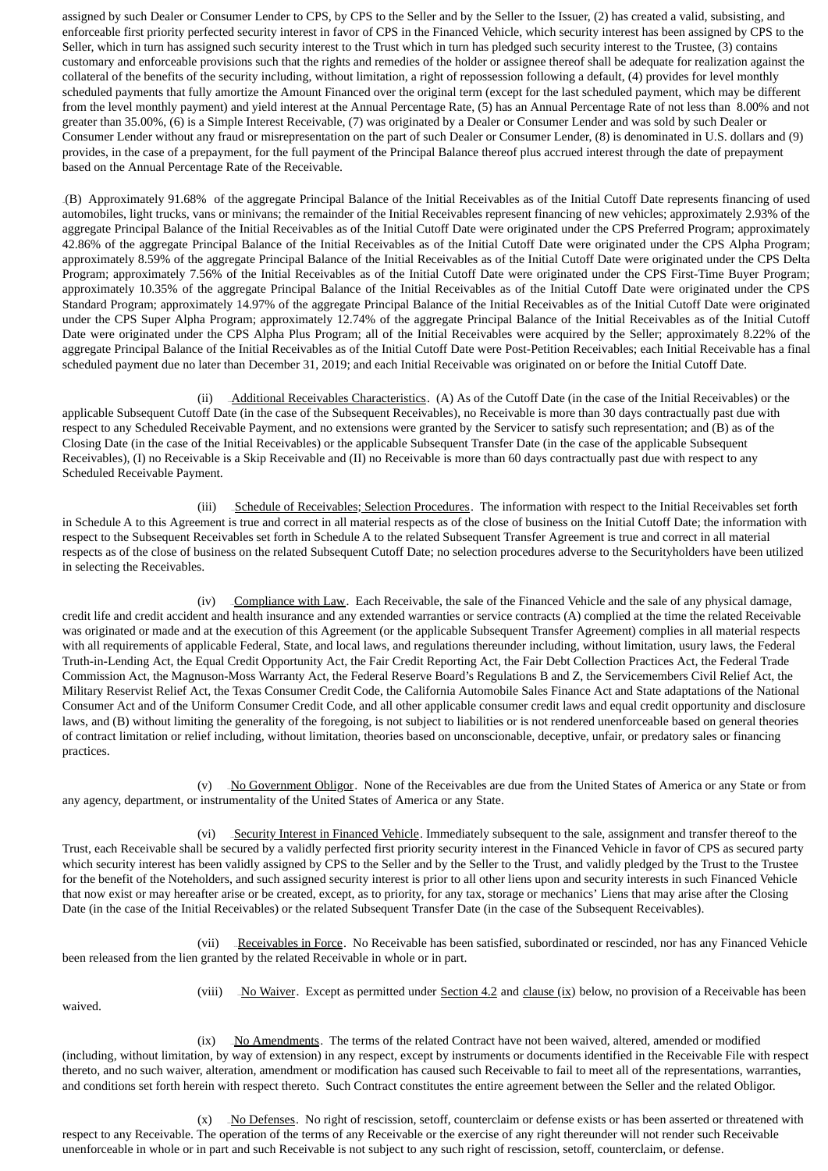assigned by such Dealer or Consumer Lender to CPS, by CPS to the Seller and by the Seller to the Issuer, (2) has created a valid, subsisting, and enforceable first priority perfected security interest in favor of CPS in the Financed Vehicle, which security interest has been assigned by CPS to the Seller, which in turn has assigned such security interest to the Trust which in turn has pledged such security interest to the Trustee, (3) contains customary and enforceable provisions such that the rights and remedies of the holder or assignee thereof shall be adequate for realization against the collateral of the benefits of the security including, without limitation, a right of repossession following a default, (4) provides for level monthly scheduled payments that fully amortize the Amount Financed over the original term (except for the last scheduled payment, which may be different from the level monthly payment) and yield interest at the Annual Percentage Rate, (5) has an Annual Percentage Rate of not less than 8.00% and not greater than 35.00%, (6) is a Simple Interest Receivable, (7) was originated by a Dealer or Consumer Lender and was sold by such Dealer or Consumer Lender without any fraud or misrepresentation on the part of such Dealer or Consumer Lender, (8) is denominated in U.S. dollars and (9) provides, in the case of a prepayment, for the full payment of the Principal Balance thereof plus accrued interest through the date of prepayment based on the Annual Percentage Rate of the Receivable.

209B(B) Approximately 91.68% of the aggregate Principal Balance of the Initial Receivables as of the Initial Cutoff Date represents financing of used automobiles, light trucks, vans or minivans; the remainder of the Initial Receivables represent financing of new vehicles; approximately 2.93% of the aggregate Principal Balance of the Initial Receivables as of the Initial Cutoff Date were originated under the CPS Preferred Program; approximately 42.86% of the aggregate Principal Balance of the Initial Receivables as of the Initial Cutoff Date were originated under the CPS Alpha Program; approximately 8.59% of the aggregate Principal Balance of the Initial Receivables as of the Initial Cutoff Date were originated under the CPS Delta Program; approximately 7.56% of the Initial Receivables as of the Initial Cutoff Date were originated under the CPS First-Time Buyer Program; approximately 10.35% of the aggregate Principal Balance of the Initial Receivables as of the Initial Cutoff Date were originated under the CPS Standard Program; approximately 14.97% of the aggregate Principal Balance of the Initial Receivables as of the Initial Cutoff Date were originated under the CPS Super Alpha Program; approximately 12.74% of the aggregate Principal Balance of the Initial Receivables as of the Initial Cutoff Date were originated under the CPS Alpha Plus Program; all of the Initial Receivables were acquired by the Seller; approximately 8.22% of the aggregate Principal Balance of the Initial Receivables as of the Initial Cutoff Date were Post-Petition Receivables; each Initial Receivable has a final scheduled payment due no later than December 31, 2019; and each Initial Receivable was originated on or before the Initial Cutoff Date.

(ii) Additional Receivables Characteristics. (A) As of the Cutoff Date (in the case of the Initial Receivables) or the applicable Subsequent Cutoff Date (in the case of the Subsequent Receivables), no Receivable is more than 30 days contractually past due with respect to any Scheduled Receivable Payment, and no extensions were granted by the Servicer to satisfy such representation; and (B) as of the Closing Date (in the case of the Initial Receivables) or the applicable Subsequent Transfer Date (in the case of the applicable Subsequent Receivables), (I) no Receivable is a Skip Receivable and (II) no Receivable is more than 60 days contractually past due with respect to any Scheduled Receivable Payment.

(iii) Schedule of Receivables; Selection Procedures. The information with respect to the Initial Receivables set forth in Schedule A to this Agreement is true and correct in all material respects as of the close of business on the Initial Cutoff Date; the information with respect to the Subsequent Receivables set forth in Schedule A to the related Subsequent Transfer Agreement is true and correct in all material respects as of the close of business on the related Subsequent Cutoff Date; no selection procedures adverse to the Securityholders have been utilized in selecting the Receivables.

 $(iv)$  *Compliance with Law.* Each Receivable, the sale of the Financed Vehicle and the sale of any physical damage, credit life and credit accident and health insurance and any extended warranties or service contracts (A) complied at the time the related Receivable was originated or made and at the execution of this Agreement (or the applicable Subsequent Transfer Agreement) complies in all material respects with all requirements of applicable Federal, State, and local laws, and regulations thereunder including, without limitation, usury laws, the Federal Truth-in-Lending Act, the Equal Credit Opportunity Act, the Fair Credit Reporting Act, the Fair Debt Collection Practices Act, the Federal Trade Commission Act, the Magnuson-Moss Warranty Act, the Federal Reserve Board's Regulations B and Z, the Servicemembers Civil Relief Act, the Military Reservist Relief Act, the Texas Consumer Credit Code, the California Automobile Sales Finance Act and State adaptations of the National Consumer Act and of the Uniform Consumer Credit Code, and all other applicable consumer credit laws and equal credit opportunity and disclosure laws, and (B) without limiting the generality of the foregoing, is not subject to liabilities or is not rendered unenforceable based on general theories of contract limitation or relief including, without limitation, theories based on unconscionable, deceptive, unfair, or predatory sales or financing practices.

(v) No Government Obligor. None of the Receivables are due from the United States of America or any State or from any agency, department, or instrumentality of the United States of America or any State.

(vi) Security Interest in Financed Vehicle. Immediately subsequent to the sale, assignment and transfer thereof to the Trust, each Receivable shall be secured by a validly perfected first priority security interest in the Financed Vehicle in favor of CPS as secured party which security interest has been validly assigned by CPS to the Seller and by the Seller to the Trust, and validly pledged by the Trust to the Trustee for the benefit of the Noteholders, and such assigned security interest is prior to all other liens upon and security interests in such Financed Vehicle that now exist or may hereafter arise or be created, except, as to priority, for any tax, storage or mechanics' Liens that may arise after the Closing Date (in the case of the Initial Receivables) or the related Subsequent Transfer Date (in the case of the Subsequent Receivables).

(vii) Receivables in Force. No Receivable has been satisfied, subordinated or rescinded, nor has any Financed Vehicle been released from the lien granted by the related Receivable in whole or in part.

waived.

(viii) \_ No Waiver. Except as permitted under Section 4.2 and clause (ix) below, no provision of a Receivable has been

(ix) DO Amendments. The terms of the related Contract have not been waived, altered, amended or modified (including, without limitation, by way of extension) in any respect, except by instruments or documents identified in the Receivable File with respect thereto, and no such waiver, alteration, amendment or modification has caused such Receivable to fail to meet all of the representations, warranties, and conditions set forth herein with respect thereto. Such Contract constitutes the entire agreement between the Seller and the related Obligor.

 $(x)$  2No Defenses. No right of rescission, setoff, counterclaim or defense exists or has been asserted or threatened with respect to any Receivable. The operation of the terms of any Receivable or the exercise of any right thereunder will not render such Receivable unenforceable in whole or in part and such Receivable is not subject to any such right of rescission, setoff, counterclaim, or defense.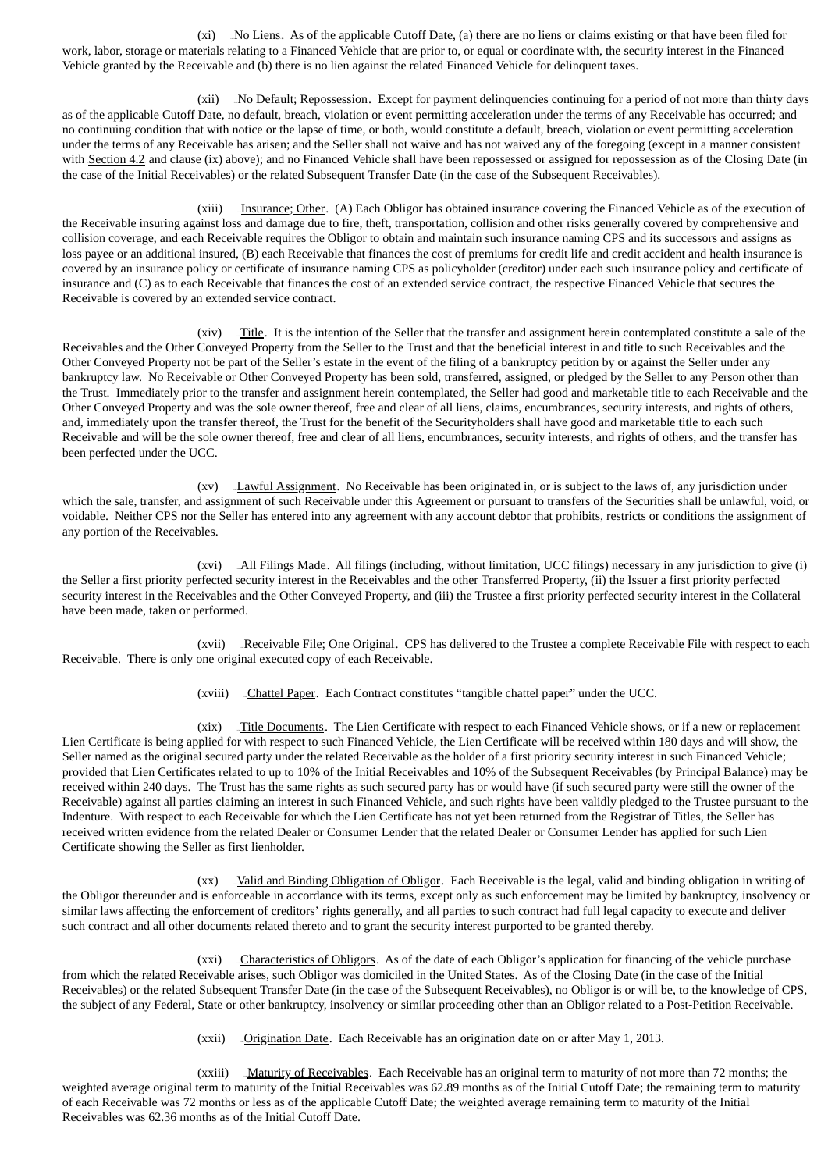$(xi)$  -No Liens. As of the applicable Cutoff Date, (a) there are no liens or claims existing or that have been filed for work, labor, storage or materials relating to a Financed Vehicle that are prior to, or equal or coordinate with, the security interest in the Financed Vehicle granted by the Receivable and (b) there is no lien against the related Financed Vehicle for delinquent taxes.

(xii) No Default; Repossession. Except for payment delinquencies continuing for a period of not more than thirty days as of the applicable Cutoff Date, no default, breach, violation or event permitting acceleration under the terms of any Receivable has occurred; and no continuing condition that with notice or the lapse of time, or both, would constitute a default, breach, violation or event permitting acceleration under the terms of any Receivable has arisen; and the Seller shall not waive and has not waived any of the foregoing (except in a manner consistent with Section 4.2 and clause (ix) above); and no Financed Vehicle shall have been repossessed or assigned for repossession as of the Closing Date (in the case of the Initial Receivables) or the related Subsequent Transfer Date (in the case of the Subsequent Receivables).

(xiii) Insurance; Other. (A) Each Obligor has obtained insurance covering the Financed Vehicle as of the execution of the Receivable insuring against loss and damage due to fire, theft, transportation, collision and other risks generally covered by comprehensive and collision coverage, and each Receivable requires the Obligor to obtain and maintain such insurance naming CPS and its successors and assigns as loss payee or an additional insured, (B) each Receivable that finances the cost of premiums for credit life and credit accident and health insurance is covered by an insurance policy or certificate of insurance naming CPS as policyholder (creditor) under each such insurance policy and certificate of insurance and (C) as to each Receivable that finances the cost of an extended service contract, the respective Financed Vehicle that secures the Receivable is covered by an extended service contract.

 $(xiv)$  Title. It is the intention of the Seller that the transfer and assignment herein contemplated constitute a sale of the Receivables and the Other Conveyed Property from the Seller to the Trust and that the beneficial interest in and title to such Receivables and the Other Conveyed Property not be part of the Seller's estate in the event of the filing of a bankruptcy petition by or against the Seller under any bankruptcy law. No Receivable or Other Conveyed Property has been sold, transferred, assigned, or pledged by the Seller to any Person other than the Trust. Immediately prior to the transfer and assignment herein contemplated, the Seller had good and marketable title to each Receivable and the Other Conveyed Property and was the sole owner thereof, free and clear of all liens, claims, encumbrances, security interests, and rights of others, and, immediately upon the transfer thereof, the Trust for the benefit of the Securityholders shall have good and marketable title to each such Receivable and will be the sole owner thereof, free and clear of all liens, encumbrances, security interests, and rights of others, and the transfer has been perfected under the UCC.

 $(xv)$  -Lawful Assignment. No Receivable has been originated in, or is subject to the laws of, any jurisdiction under which the sale, transfer, and assignment of such Receivable under this Agreement or pursuant to transfers of the Securities shall be unlawful, void, or voidable. Neither CPS nor the Seller has entered into any agreement with any account debtor that prohibits, restricts or conditions the assignment of any portion of the Receivables.

(xvi) \_All Filings Made. All filings (including, without limitation, UCC filings) necessary in any jurisdiction to give (i) the Seller a first priority perfected security interest in the Receivables and the other Transferred Property, (ii) the Issuer a first priority perfected security interest in the Receivables and the Other Conveyed Property, and (iii) the Trustee a first priority perfected security interest in the Collateral have been made, taken or performed.

(xvii) \_Receivable File; One Original. CPS has delivered to the Trustee a complete Receivable File with respect to each Receivable. There is only one original executed copy of each Receivable.

(xviii) \_ Chattel Paper. Each Contract constitutes "tangible chattel paper" under the UCC.

(xix) Title Documents. The Lien Certificate with respect to each Financed Vehicle shows, or if a new or replacement Lien Certificate is being applied for with respect to such Financed Vehicle, the Lien Certificate will be received within 180 days and will show, the Seller named as the original secured party under the related Receivable as the holder of a first priority security interest in such Financed Vehicle; provided that Lien Certificates related to up to 10% of the Initial Receivables and 10% of the Subsequent Receivables (by Principal Balance) may be received within 240 days. The Trust has the same rights as such secured party has or would have (if such secured party were still the owner of the Receivable) against all parties claiming an interest in such Financed Vehicle, and such rights have been validly pledged to the Trustee pursuant to the Indenture. With respect to each Receivable for which the Lien Certificate has not yet been returned from the Registrar of Titles, the Seller has received written evidence from the related Dealer or Consumer Lender that the related Dealer or Consumer Lender has applied for such Lien Certificate showing the Seller as first lienholder.

(xx) \_Valid and Binding Obligation of Obligor. Each Receivable is the legal, valid and binding obligation in writing of the Obligor thereunder and is enforceable in accordance with its terms, except only as such enforcement may be limited by bankruptcy, insolvency or similar laws affecting the enforcement of creditors' rights generally, and all parties to such contract had full legal capacity to execute and deliver such contract and all other documents related thereto and to grant the security interest purported to be granted thereby.

 $(xxi)$   $\Box$ Characteristics of Obligors. As of the date of each Obligor's application for financing of the vehicle purchase from which the related Receivable arises, such Obligor was domiciled in the United States. As of the Closing Date (in the case of the Initial Receivables) or the related Subsequent Transfer Date (in the case of the Subsequent Receivables), no Obligor is or will be, to the knowledge of CPS, the subject of any Federal, State or other bankruptcy, insolvency or similar proceeding other than an Obligor related to a Post-Petition Receivable.

(xxii) \_ Origination Date. Each Receivable has an origination date on or after May 1, 2013.

(xxiii) \_Maturity of Receivables. Each Receivable has an original term to maturity of not more than 72 months; the weighted average original term to maturity of the Initial Receivables was 62.89 months as of the Initial Cutoff Date; the remaining term to maturity of each Receivable was 72 months or less as of the applicable Cutoff Date; the weighted average remaining term to maturity of the Initial Receivables was 62.36 months as of the Initial Cutoff Date.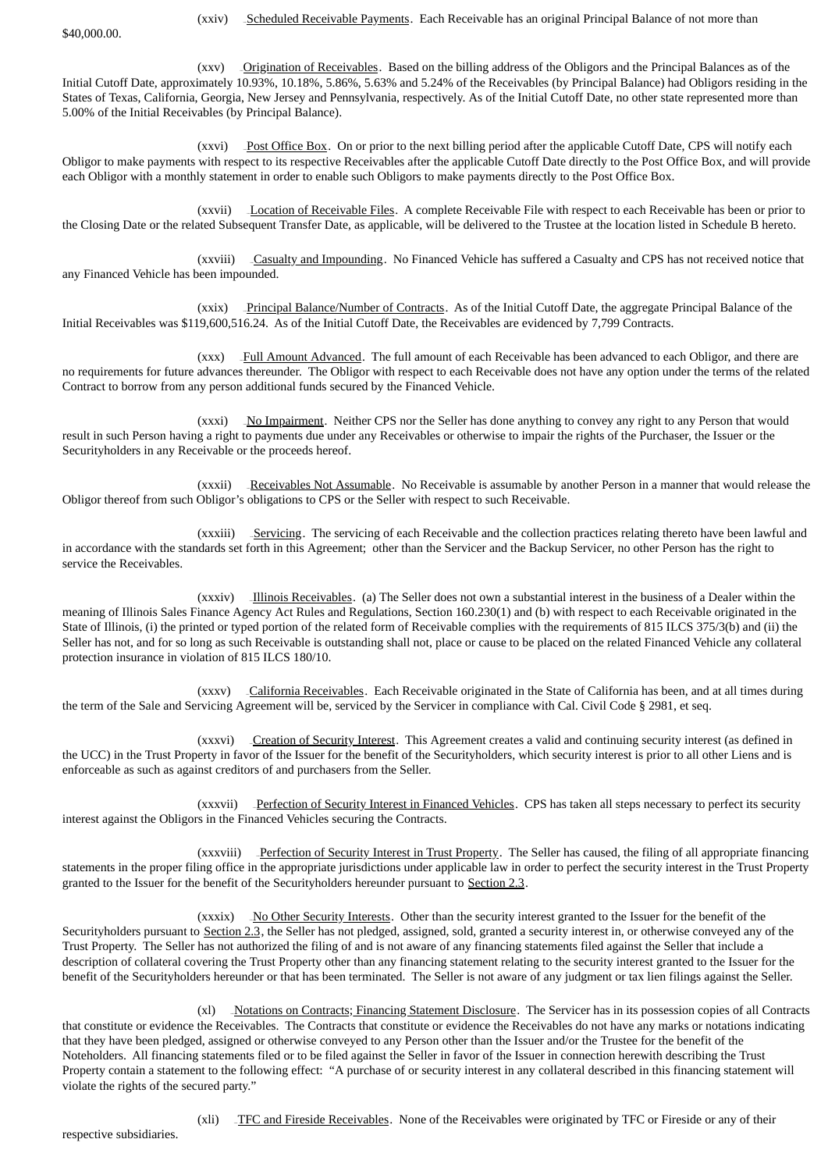\$40,000.00.

(xxv) \_\_ Origination of Receivables. Based on the billing address of the Obligors and the Principal Balances as of the Initial Cutoff Date, approximately 10.93%, 10.18%, 5.86%, 5.63% and 5.24% of the Receivables (by Principal Balance) had Obligors residing in the States of Texas, California, Georgia, New Jersey and Pennsylvania, respectively. As of the Initial Cutoff Date, no other state represented more than 5.00% of the Initial Receivables (by Principal Balance).

(xxvi) Post Office Box. On or prior to the next billing period after the applicable Cutoff Date, CPS will notify each Obligor to make payments with respect to its respective Receivables after the applicable Cutoff Date directly to the Post Office Box, and will provide each Obligor with a monthly statement in order to enable such Obligors to make payments directly to the Post Office Box.

(xxvii) Location of Receivable Files. A complete Receivable File with respect to each Receivable has been or prior to the Closing Date or the related Subsequent Transfer Date, as applicable, will be delivered to the Trustee at the location listed in Schedule B hereto.

(xxviii) Casualty and Impounding. No Financed Vehicle has suffered a Casualty and CPS has not received notice that any Financed Vehicle has been impounded.

(xxix) Principal Balance/Number of Contracts. As of the Initial Cutoff Date, the aggregate Principal Balance of the Initial Receivables was \$119,600,516.24. As of the Initial Cutoff Date, the Receivables are evidenced by 7,799 Contracts.

(xxx) Full Amount Advanced. The full amount of each Receivable has been advanced to each Obligor, and there are no requirements for future advances thereunder. The Obligor with respect to each Receivable does not have any option under the terms of the related Contract to borrow from any person additional funds secured by the Financed Vehicle.

(xxxi) No Impairment. Neither CPS nor the Seller has done anything to convey any right to any Person that would result in such Person having a right to payments due under any Receivables or otherwise to impair the rights of the Purchaser, the Issuer or the Securityholders in any Receivable or the proceeds hereof.

(xxxii) - Receivables Not Assumable. No Receivable is assumable by another Person in a manner that would release the Obligor thereof from such Obligor's obligations to CPS or the Seller with respect to such Receivable.

(xxxiii) Servicing. The servicing of each Receivable and the collection practices relating thereto have been lawful and in accordance with the standards set forth in this Agreement; other than the Servicer and the Backup Servicer, no other Person has the right to service the Receivables.

(xxxiv) Illinois Receivables. (a) The Seller does not own a substantial interest in the business of a Dealer within the meaning of Illinois Sales Finance Agency Act Rules and Regulations, Section 160.230(1) and (b) with respect to each Receivable originated in the State of Illinois, (i) the printed or typed portion of the related form of Receivable complies with the requirements of 815 ILCS 375/3(b) and (ii) the Seller has not, and for so long as such Receivable is outstanding shall not, place or cause to be placed on the related Financed Vehicle any collateral protection insurance in violation of 815 ILCS 180/10.

(xxxv) California Receivables. Each Receivable originated in the State of California has been, and at all times during the term of the Sale and Servicing Agreement will be, serviced by the Servicer in compliance with Cal. Civil Code § 2981, et seq.

(xxxvi) Creation of Security Interest. This Agreement creates a valid and continuing security interest (as defined in the UCC) in the Trust Property in favor of the Issuer for the benefit of the Securityholders, which security interest is prior to all other Liens and is enforceable as such as against creditors of and purchasers from the Seller.

(xxxvii) Perfection of Security Interest in Financed Vehicles. CPS has taken all steps necessary to perfect its security interest against the Obligors in the Financed Vehicles securing the Contracts.

(xxxviii) Perfection of Security Interest in Trust Property. The Seller has caused, the filing of all appropriate financing statements in the proper filing office in the appropriate jurisdictions under applicable law in order to perfect the security interest in the Trust Property granted to the Issuer for the benefit of the Securityholders hereunder pursuant to Section 2.3.

(xxxix) \_No Other Security Interests. Other than the security interest granted to the Issuer for the benefit of the Securityholders pursuant to Section 2.3, the Seller has not pledged, assigned, sold, granted a security interest in, or otherwise conveyed any of the Trust Property. The Seller has not authorized the filing of and is not aware of any financing statements filed against the Seller that include a description of collateral covering the Trust Property other than any financing statement relating to the security interest granted to the Issuer for the benefit of the Securityholders hereunder or that has been terminated. The Seller is not aware of any judgment or tax lien filings against the Seller.

(xl) \_Notations on Contracts; Financing Statement Disclosure. The Servicer has in its possession copies of all Contracts that constitute or evidence the Receivables. The Contracts that constitute or evidence the Receivables do not have any marks or notations indicating that they have been pledged, assigned or otherwise conveyed to any Person other than the Issuer and/or the Trustee for the benefit of the Noteholders. All financing statements filed or to be filed against the Seller in favor of the Issuer in connection herewith describing the Trust Property contain a statement to the following effect: "A purchase of or security interest in any collateral described in this financing statement will violate the rights of the secured party."

(xli) TFC and Fireside Receivables. None of the Receivables were originated by TFC or Fireside or any of their

respective subsidiaries.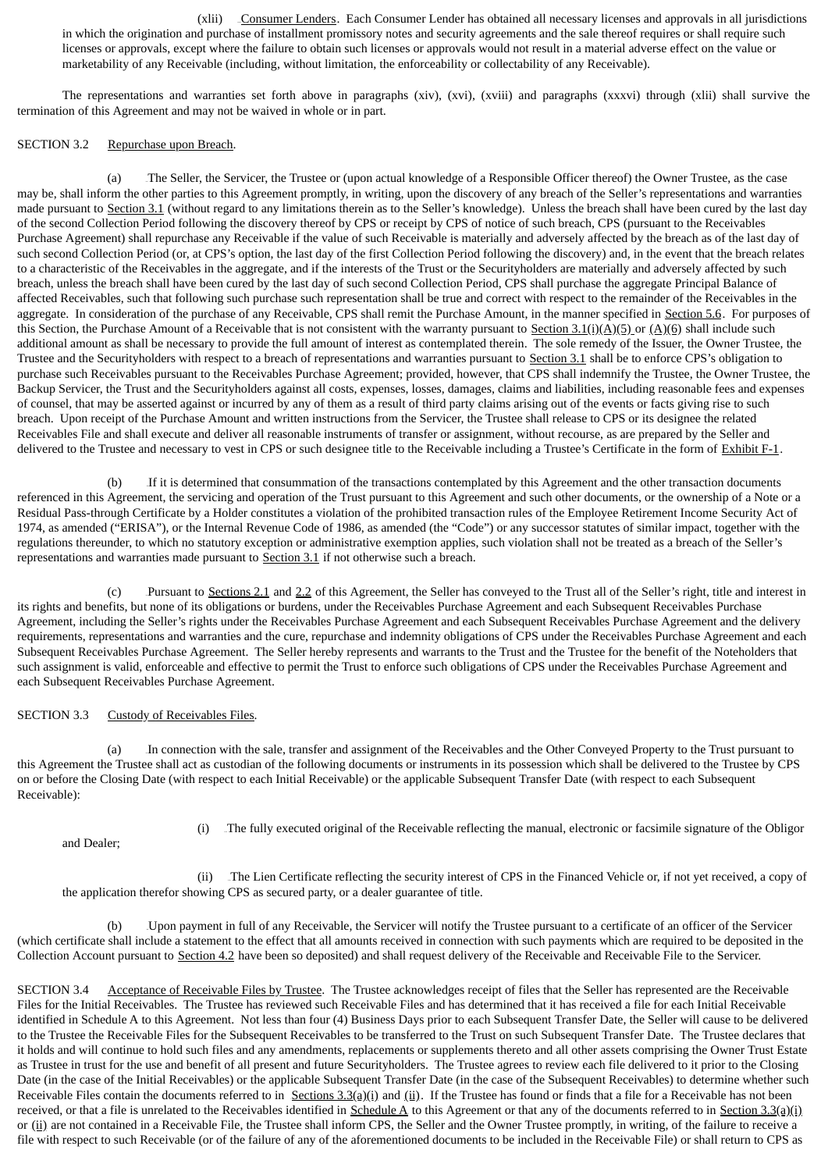-Consumer Lenders. Each Consumer Lender has obtained all necessary licenses and approvals in all jurisdictions in which the origination and purchase of installment promissory notes and security agreements and the sale thereof requires or shall require such licenses or approvals, except where the failure to obtain such licenses or approvals would not result in a material adverse effect on the value or marketability of any Receivable (including, without limitation, the enforceability or collectability of any Receivable).

The representations and warranties set forth above in paragraphs (xiv), (xvi), (xviii) and paragraphs (xxxvi) through (xlii) shall survive the termination of this Agreement and may not be waived in whole or in part.

## SECTION 3.2 Repurchase upon Breach.

(a) 21BThe Seller, the Servicer, the Trustee or (upon actual knowledge of a Responsible Officer thereof) the Owner Trustee, as the case may be, shall inform the other parties to this Agreement promptly, in writing, upon the discovery of any breach of the Seller's representations and warranties made pursuant to Section 3.1 (without regard to any limitations therein as to the Seller's knowledge). Unless the breach shall have been cured by the last day of the second Collection Period following the discovery thereof by CPS or receipt by CPS of notice of such breach, CPS (pursuant to the Receivables Purchase Agreement) shall repurchase any Receivable if the value of such Receivable is materially and adversely affected by the breach as of the last day of such second Collection Period (or, at CPS's option, the last day of the first Collection Period following the discovery) and, in the event that the breach relates to a characteristic of the Receivables in the aggregate, and if the interests of the Trust or the Securityholders are materially and adversely affected by such breach, unless the breach shall have been cured by the last day of such second Collection Period, CPS shall purchase the aggregate Principal Balance of affected Receivables, such that following such purchase such representation shall be true and correct with respect to the remainder of the Receivables in the aggregate. In consideration of the purchase of any Receivable, CPS shall remit the Purchase Amount, in the manner specified in Section 5.6. For purposes of this Section, the Purchase Amount of a Receivable that is not consistent with the warranty pursuant to Section 3.1(i)(A)(5) or (A)(6) shall include such additional amount as shall be necessary to provide the full amount of interest as contemplated therein. The sole remedy of the Issuer, the Owner Trustee, the Trustee and the Securityholders with respect to a breach of representations and warranties pursuant to Section 3.1 shall be to enforce CPS's obligation to purchase such Receivables pursuant to the Receivables Purchase Agreement; provided, however, that CPS shall indemnify the Trustee, the Owner Trustee, the Backup Servicer, the Trust and the Securityholders against all costs, expenses, losses, damages, claims and liabilities, including reasonable fees and expenses of counsel, that may be asserted against or incurred by any of them as a result of third party claims arising out of the events or facts giving rise to such breach. Upon receipt of the Purchase Amount and written instructions from the Servicer, the Trustee shall release to CPS or its designee the related Receivables File and shall execute and deliver all reasonable instruments of transfer or assignment, without recourse, as are prepared by the Seller and delivered to the Trustee and necessary to vest in CPS or such designee title to the Receivable including a Trustee's Certificate in the form of Exhibit F-1.

(b) If it is determined that consummation of the transactions contemplated by this Agreement and the other transaction documents referenced in this Agreement, the servicing and operation of the Trust pursuant to this Agreement and such other documents, or the ownership of a Note or a Residual Pass-through Certificate by a Holder constitutes a violation of the prohibited transaction rules of the Employee Retirement Income Security Act of 1974, as amended ("ERISA"), or the Internal Revenue Code of 1986, as amended (the "Code") or any successor statutes of similar impact, together with the regulations thereunder, to which no statutory exception or administrative exemption applies, such violation shall not be treated as a breach of the Seller's representations and warranties made pursuant to  $Section 3.1$  if not otherwise such a breach.

(c) Pursuant to Sections 2.1 and 2.2 of this Agreement, the Seller has conveyed to the Trust all of the Seller's right, title and interest in its rights and benefits, but none of its obligations or burdens, under the Receivables Purchase Agreement and each Subsequent Receivables Purchase Agreement, including the Seller's rights under the Receivables Purchase Agreement and each Subsequent Receivables Purchase Agreement and the delivery requirements, representations and warranties and the cure, repurchase and indemnity obligations of CPS under the Receivables Purchase Agreement and each Subsequent Receivables Purchase Agreement. The Seller hereby represents and warrants to the Trust and the Trustee for the benefit of the Noteholders that such assignment is valid, enforceable and effective to permit the Trust to enforce such obligations of CPS under the Receivables Purchase Agreement and each Subsequent Receivables Purchase Agreement.

## SECTION 3.3 Custody of Receivables Files.

(a) 25BIn connection with the sale, transfer and assignment of the Receivables and the Other Conveyed Property to the Trust pursuant to this Agreement the Trustee shall act as custodian of the following documents or instruments in its possession which shall be delivered to the Trustee by CPS on or before the Closing Date (with respect to each Initial Receivable) or the applicable Subsequent Transfer Date (with respect to each Subsequent Receivable):

and Dealer;

(i) The fully executed original of the Receivable reflecting the manual, electronic or facsimile signature of the Obligor

(ii) The Lien Certificate reflecting the security interest of CPS in the Financed Vehicle or, if not yet received, a copy of the application therefor showing CPS as secured party, or a dealer guarantee of title.

(b) 26BUpon payment in full of any Receivable, the Servicer will notify the Trustee pursuant to a certificate of an officer of the Servicer (which certificate shall include a statement to the effect that all amounts received in connection with such payments which are required to be deposited in the Collection Account pursuant to Section 4.2 have been so deposited) and shall request delivery of the Receivable and Receivable File to the Servicer.

SECTION 3.4 Acceptance of Receivable Files by Trustee. The Trustee acknowledges receipt of files that the Seller has represented are the Receivable Files for the Initial Receivables. The Trustee has reviewed such Receivable Files and has determined that it has received a file for each Initial Receivable identified in Schedule A to this Agreement. Not less than four (4) Business Days prior to each Subsequent Transfer Date, the Seller will cause to be delivered to the Trustee the Receivable Files for the Subsequent Receivables to be transferred to the Trust on such Subsequent Transfer Date. The Trustee declares that it holds and will continue to hold such files and any amendments, replacements or supplements thereto and all other assets comprising the Owner Trust Estate as Trustee in trust for the use and benefit of all present and future Securityholders. The Trustee agrees to review each file delivered to it prior to the Closing Date (in the case of the Initial Receivables) or the applicable Subsequent Transfer Date (in the case of the Subsequent Receivables) to determine whether such Receivable Files contain the documents referred to in Sections  $3.3(a)(i)$  and  $(ii)$ . If the Trustee has found or finds that a file for a Receivable has not been received, or that a file is unrelated to the Receivables identified in  $Schedule A$  to this Agreement or that any of the documents referred to in Section 3.3(a)(i) or (ii) are not contained in a Receivable File, the Trustee shall inform CPS, the Seller and the Owner Trustee promptly, in writing, of the failure to receive a file with respect to such Receivable (or of the failure of any of the aforementioned documents to be included in the Receivable File) or shall return to CPS as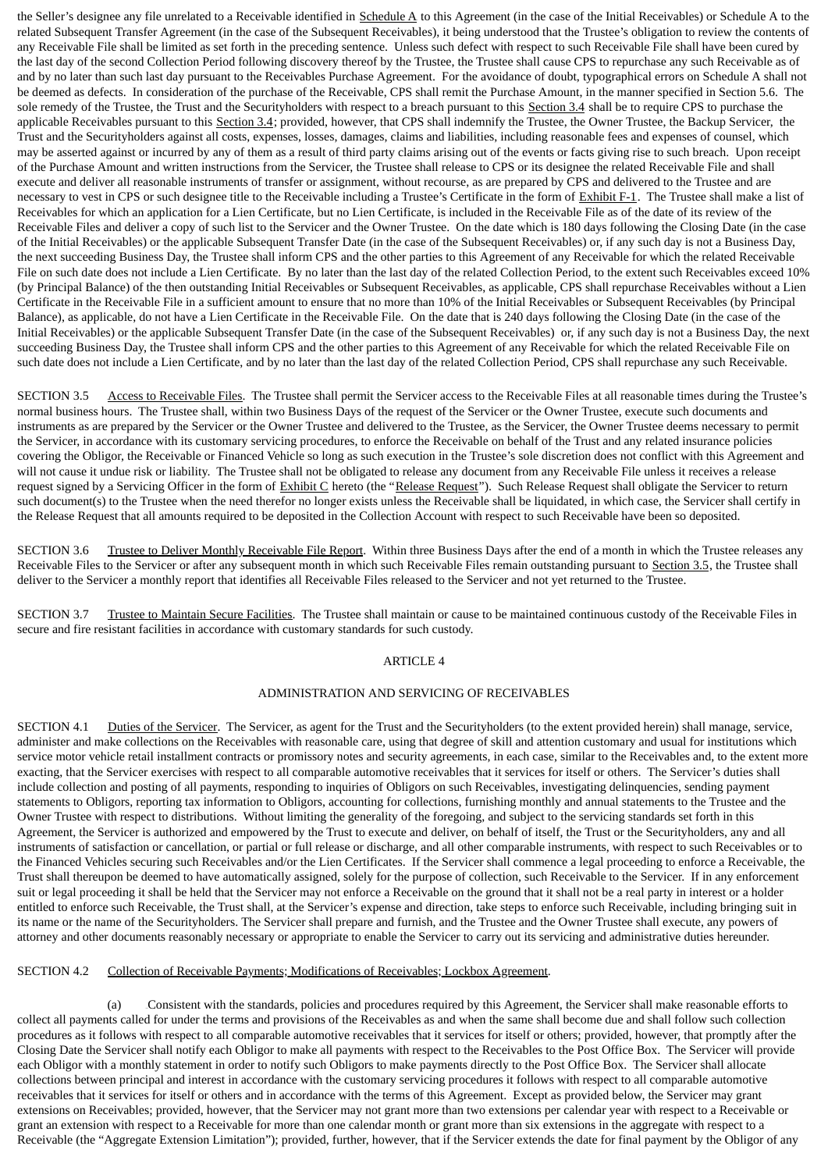the Seller's designee any file unrelated to a Receivable identified in  $Schedule A$  to this Agreement (in the case of the Initial Receivables) or Schedule A to the related Subsequent Transfer Agreement (in the case of the Subsequent Receivables), it being understood that the Trustee's obligation to review the contents of any Receivable File shall be limited as set forth in the preceding sentence. Unless such defect with respect to such Receivable File shall have been cured by the last day of the second Collection Period following discovery thereof by the Trustee, the Trustee shall cause CPS to repurchase any such Receivable as of and by no later than such last day pursuant to the Receivables Purchase Agreement. For the avoidance of doubt, typographical errors on Schedule A shall not be deemed as defects. In consideration of the purchase of the Receivable, CPS shall remit the Purchase Amount, in the manner specified in Section 5.6. The sole remedy of the Trustee, the Trust and the Securityholders with respect to a breach pursuant to this Section 3.4 shall be to require CPS to purchase the applicable Receivables pursuant to this Section 3.4; provided, however, that CPS shall indemnify the Trustee, the Owner Trustee, the Backup Servicer, the Trust and the Securityholders against all costs, expenses, losses, damages, claims and liabilities, including reasonable fees and expenses of counsel, which may be asserted against or incurred by any of them as a result of third party claims arising out of the events or facts giving rise to such breach. Upon receipt of the Purchase Amount and written instructions from the Servicer, the Trustee shall release to CPS or its designee the related Receivable File and shall execute and deliver all reasonable instruments of transfer or assignment, without recourse, as are prepared by CPS and delivered to the Trustee and are necessary to vest in CPS or such designee title to the Receivable including a Trustee's Certificate in the form of Exhibit F-1. The Trustee shall make a list of Receivables for which an application for a Lien Certificate, but no Lien Certificate, is included in the Receivable File as of the date of its review of the Receivable Files and deliver a copy of such list to the Servicer and the Owner Trustee. On the date which is 180 days following the Closing Date (in the case of the Initial Receivables) or the applicable Subsequent Transfer Date (in the case of the Subsequent Receivables) or, if any such day is not a Business Day, the next succeeding Business Day, the Trustee shall inform CPS and the other parties to this Agreement of any Receivable for which the related Receivable File on such date does not include a Lien Certificate. By no later than the last day of the related Collection Period, to the extent such Receivables exceed 10% (by Principal Balance) of the then outstanding Initial Receivables or Subsequent Receivables, as applicable, CPS shall repurchase Receivables without a Lien Certificate in the Receivable File in a sufficient amount to ensure that no more than 10% of the Initial Receivables or Subsequent Receivables (by Principal Balance), as applicable, do not have a Lien Certificate in the Receivable File. On the date that is 240 days following the Closing Date (in the case of the Initial Receivables) or the applicable Subsequent Transfer Date (in the case of the Subsequent Receivables) or, if any such day is not a Business Day, the next succeeding Business Day, the Trustee shall inform CPS and the other parties to this Agreement of any Receivable for which the related Receivable File on such date does not include a Lien Certificate, and by no later than the last day of the related Collection Period, CPS shall repurchase any such Receivable.

SECTION 3.5 Access to Receivable Files. The Trustee shall permit the Servicer access to the Receivable Files at all reasonable times during the Trustee's normal business hours. The Trustee shall, within two Business Days of the request of the Servicer or the Owner Trustee, execute such documents and instruments as are prepared by the Servicer or the Owner Trustee and delivered to the Trustee, as the Servicer, the Owner Trustee deems necessary to permit the Servicer, in accordance with its customary servicing procedures, to enforce the Receivable on behalf of the Trust and any related insurance policies covering the Obligor, the Receivable or Financed Vehicle so long as such execution in the Trustee's sole discretion does not conflict with this Agreement and will not cause it undue risk or liability. The Trustee shall not be obligated to release any document from any Receivable File unless it receives a release request signed by a Servicing Officer in the form of  $Exhibit C$  hereto (the "Release Request"). Such Release Request shall obligate the Servicer to return such document(s) to the Trustee when the need therefor no longer exists unless the Receivable shall be liquidated, in which case, the Servicer shall certify in the Release Request that all amounts required to be deposited in the Collection Account with respect to such Receivable have been so deposited.

SECTION 3.6 Trustee to Deliver Monthly Receivable File Report. Within three Business Days after the end of a month in which the Trustee releases any Receivable Files to the Servicer or after any subsequent month in which such Receivable Files remain outstanding pursuant to Section 3.5, the Trustee shall deliver to the Servicer a monthly report that identifies all Receivable Files released to the Servicer and not yet returned to the Trustee.

SECTION 3.7 Trustee to Maintain Secure Facilities. The Trustee shall maintain or cause to be maintained continuous custody of the Receivable Files in secure and fire resistant facilities in accordance with customary standards for such custody.

#### ARTICLE 4

## ADMINISTRATION AND SERVICING OF RECEIVABLES

SECTION 4.1 Duties of the Servicer. The Servicer, as agent for the Trust and the Securityholders (to the extent provided herein) shall manage, service, administer and make collections on the Receivables with reasonable care, using that degree of skill and attention customary and usual for institutions which service motor vehicle retail installment contracts or promissory notes and security agreements, in each case, similar to the Receivables and, to the extent more exacting, that the Servicer exercises with respect to all comparable automotive receivables that it services for itself or others. The Servicer's duties shall include collection and posting of all payments, responding to inquiries of Obligors on such Receivables, investigating delinquencies, sending payment statements to Obligors, reporting tax information to Obligors, accounting for collections, furnishing monthly and annual statements to the Trustee and the Owner Trustee with respect to distributions. Without limiting the generality of the foregoing, and subject to the servicing standards set forth in this Agreement, the Servicer is authorized and empowered by the Trust to execute and deliver, on behalf of itself, the Trust or the Securityholders, any and all instruments of satisfaction or cancellation, or partial or full release or discharge, and all other comparable instruments, with respect to such Receivables or to the Financed Vehicles securing such Receivables and/or the Lien Certificates. If the Servicer shall commence a legal proceeding to enforce a Receivable, the Trust shall thereupon be deemed to have automatically assigned, solely for the purpose of collection, such Receivable to the Servicer. If in any enforcement suit or legal proceeding it shall be held that the Servicer may not enforce a Receivable on the ground that it shall not be a real party in interest or a holder entitled to enforce such Receivable, the Trust shall, at the Servicer's expense and direction, take steps to enforce such Receivable, including bringing suit in its name or the name of the Securityholders. The Servicer shall prepare and furnish, and the Trustee and the Owner Trustee shall execute, any powers of attorney and other documents reasonably necessary or appropriate to enable the Servicer to carry out its servicing and administrative duties hereunder.

## SECTION 4.2 Collection of Receivable Payments; Modifications of Receivables; Lockbox Agreement.

(a) 27BConsistent with the standards, policies and procedures required by this Agreement, the Servicer shall make reasonable efforts to collect all payments called for under the terms and provisions of the Receivables as and when the same shall become due and shall follow such collection procedures as it follows with respect to all comparable automotive receivables that it services for itself or others; provided, however, that promptly after the Closing Date the Servicer shall notify each Obligor to make all payments with respect to the Receivables to the Post Office Box. The Servicer will provide each Obligor with a monthly statement in order to notify such Obligors to make payments directly to the Post Office Box. The Servicer shall allocate collections between principal and interest in accordance with the customary servicing procedures it follows with respect to all comparable automotive receivables that it services for itself or others and in accordance with the terms of this Agreement. Except as provided below, the Servicer may grant extensions on Receivables; provided, however, that the Servicer may not grant more than two extensions per calendar year with respect to a Receivable or grant an extension with respect to a Receivable for more than one calendar month or grant more than six extensions in the aggregate with respect to a Receivable (the "Aggregate Extension Limitation"); provided, further, however, that if the Servicer extends the date for final payment by the Obligor of any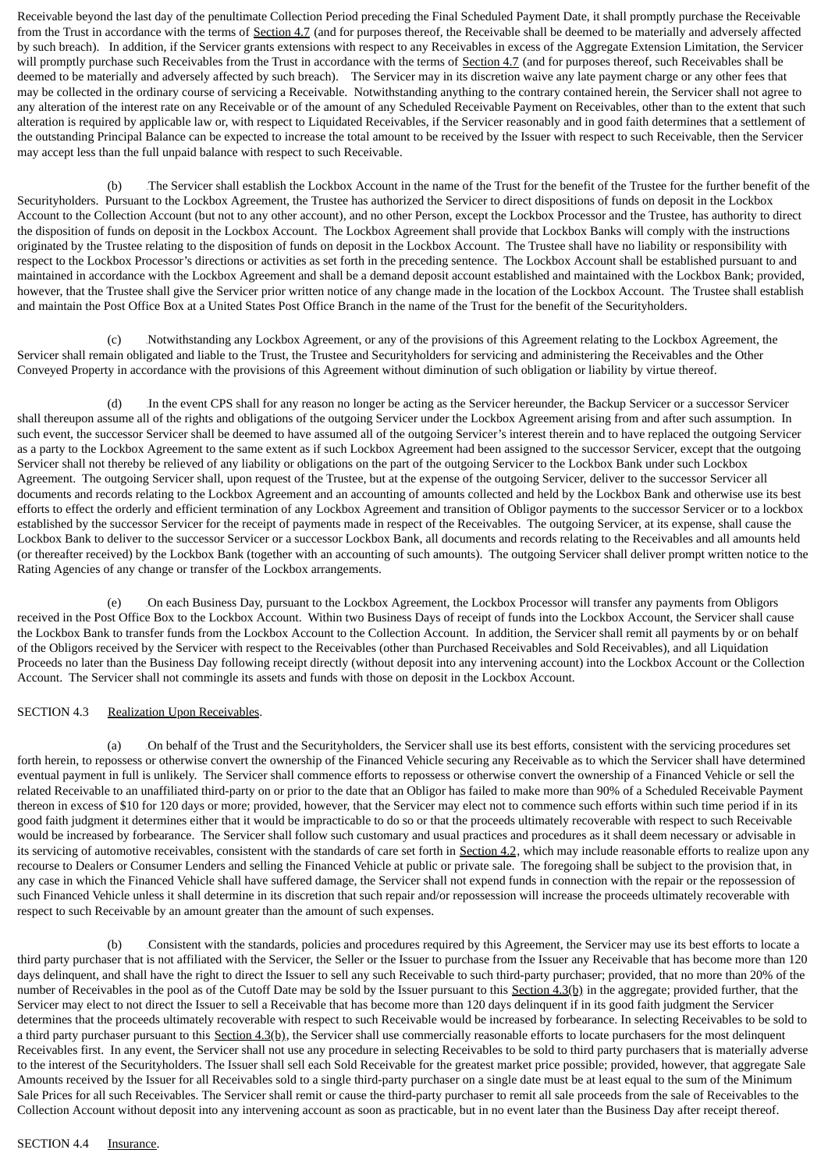Receivable beyond the last day of the penultimate Collection Period preceding the Final Scheduled Payment Date, it shall promptly purchase the Receivable from the Trust in accordance with the terms of Section 4.7 (and for purposes thereof, the Receivable shall be deemed to be materially and adversely affected by such breach). In addition, if the Servicer grants extensions with respect to any Receivables in excess of the Aggregate Extension Limitation, the Servicer will promptly purchase such Receivables from the Trust in accordance with the terms of Section 4.7 (and for purposes thereof, such Receivables shall be deemed to be materially and adversely affected by such breach). The Servicer may in its discretion waive any late payment charge or any other fees that may be collected in the ordinary course of servicing a Receivable. Notwithstanding anything to the contrary contained herein, the Servicer shall not agree to any alteration of the interest rate on any Receivable or of the amount of any Scheduled Receivable Payment on Receivables, other than to the extent that such alteration is required by applicable law or, with respect to Liquidated Receivables, if the Servicer reasonably and in good faith determines that a settlement of the outstanding Principal Balance can be expected to increase the total amount to be received by the Issuer with respect to such Receivable, then the Servicer may accept less than the full unpaid balance with respect to such Receivable.

(b) The Servicer shall establish the Lockbox Account in the name of the Trust for the benefit of the Trustee for the further benefit of the Securityholders. Pursuant to the Lockbox Agreement, the Trustee has authorized the Servicer to direct dispositions of funds on deposit in the Lockbox Account to the Collection Account (but not to any other account), and no other Person, except the Lockbox Processor and the Trustee, has authority to direct the disposition of funds on deposit in the Lockbox Account. The Lockbox Agreement shall provide that Lockbox Banks will comply with the instructions originated by the Trustee relating to the disposition of funds on deposit in the Lockbox Account. The Trustee shall have no liability or responsibility with respect to the Lockbox Processor's directions or activities as set forth in the preceding sentence. The Lockbox Account shall be established pursuant to and maintained in accordance with the Lockbox Agreement and shall be a demand deposit account established and maintained with the Lockbox Bank; provided, however, that the Trustee shall give the Servicer prior written notice of any change made in the location of the Lockbox Account. The Trustee shall establish and maintain the Post Office Box at a United States Post Office Branch in the name of the Trust for the benefit of the Securityholders.

(c) 29BNotwithstanding any Lockbox Agreement, or any of the provisions of this Agreement relating to the Lockbox Agreement, the Servicer shall remain obligated and liable to the Trust, the Trustee and Securityholders for servicing and administering the Receivables and the Other Conveyed Property in accordance with the provisions of this Agreement without diminution of such obligation or liability by virtue thereof.

(d) 30BIn the event CPS shall for any reason no longer be acting as the Servicer hereunder, the Backup Servicer or a successor Servicer shall thereupon assume all of the rights and obligations of the outgoing Servicer under the Lockbox Agreement arising from and after such assumption. In such event, the successor Servicer shall be deemed to have assumed all of the outgoing Servicer's interest therein and to have replaced the outgoing Servicer as a party to the Lockbox Agreement to the same extent as if such Lockbox Agreement had been assigned to the successor Servicer, except that the outgoing Servicer shall not thereby be relieved of any liability or obligations on the part of the outgoing Servicer to the Lockbox Bank under such Lockbox Agreement. The outgoing Servicer shall, upon request of the Trustee, but at the expense of the outgoing Servicer, deliver to the successor Servicer all documents and records relating to the Lockbox Agreement and an accounting of amounts collected and held by the Lockbox Bank and otherwise use its best efforts to effect the orderly and efficient termination of any Lockbox Agreement and transition of Obligor payments to the successor Servicer or to a lockbox established by the successor Servicer for the receipt of payments made in respect of the Receivables. The outgoing Servicer, at its expense, shall cause the Lockbox Bank to deliver to the successor Servicer or a successor Lockbox Bank, all documents and records relating to the Receivables and all amounts held (or thereafter received) by the Lockbox Bank (together with an accounting of such amounts). The outgoing Servicer shall deliver prompt written notice to the Rating Agencies of any change or transfer of the Lockbox arrangements.

(e) 31BOn each Business Day, pursuant to the Lockbox Agreement, the Lockbox Processor will transfer any payments from Obligors received in the Post Office Box to the Lockbox Account. Within two Business Days of receipt of funds into the Lockbox Account, the Servicer shall cause the Lockbox Bank to transfer funds from the Lockbox Account to the Collection Account. In addition, the Servicer shall remit all payments by or on behalf of the Obligors received by the Servicer with respect to the Receivables (other than Purchased Receivables and Sold Receivables), and all Liquidation Proceeds no later than the Business Day following receipt directly (without deposit into any intervening account) into the Lockbox Account or the Collection Account. The Servicer shall not commingle its assets and funds with those on deposit in the Lockbox Account.

## SECTION 4.3 Realization Upon Receivables.

(a) 32BOn behalf of the Trust and the Securityholders, the Servicer shall use its best efforts, consistent with the servicing procedures set forth herein, to repossess or otherwise convert the ownership of the Financed Vehicle securing any Receivable as to which the Servicer shall have determined eventual payment in full is unlikely. The Servicer shall commence efforts to repossess or otherwise convert the ownership of a Financed Vehicle or sell the related Receivable to an unaffiliated third-party on or prior to the date that an Obligor has failed to make more than 90% of a Scheduled Receivable Payment thereon in excess of \$10 for 120 days or more; provided, however, that the Servicer may elect not to commence such efforts within such time period if in its good faith judgment it determines either that it would be impracticable to do so or that the proceeds ultimately recoverable with respect to such Receivable would be increased by forbearance. The Servicer shall follow such customary and usual practices and procedures as it shall deem necessary or advisable in its servicing of automotive receivables, consistent with the standards of care set forth in Section 4.2, which may include reasonable efforts to realize upon any recourse to Dealers or Consumer Lenders and selling the Financed Vehicle at public or private sale. The foregoing shall be subject to the provision that, in any case in which the Financed Vehicle shall have suffered damage, the Servicer shall not expend funds in connection with the repair or the repossession of such Financed Vehicle unless it shall determine in its discretion that such repair and/or repossession will increase the proceeds ultimately recoverable with respect to such Receivable by an amount greater than the amount of such expenses.

(b) 33BConsistent with the standards, policies and procedures required by this Agreement, the Servicer may use its best efforts to locate a third party purchaser that is not affiliated with the Servicer, the Seller or the Issuer to purchase from the Issuer any Receivable that has become more than 120 days delinquent, and shall have the right to direct the Issuer to sell any such Receivable to such third-party purchaser; provided, that no more than 20% of the number of Receivables in the pool as of the Cutoff Date may be sold by the Issuer pursuant to this Section 4.3(b) in the aggregate; provided further, that the Servicer may elect to not direct the Issuer to sell a Receivable that has become more than 120 days delinquent if in its good faith judgment the Servicer determines that the proceeds ultimately recoverable with respect to such Receivable would be increased by forbearance. In selecting Receivables to be sold to a third party purchaser pursuant to this Section 4.3(b), the Servicer shall use commercially reasonable efforts to locate purchasers for the most delinquent Receivables first. In any event, the Servicer shall not use any procedure in selecting Receivables to be sold to third party purchasers that is materially adverse to the interest of the Securityholders. The Issuer shall sell each Sold Receivable for the greatest market price possible; provided, however, that aggregate Sale Amounts received by the Issuer for all Receivables sold to a single third-party purchaser on a single date must be at least equal to the sum of the Minimum Sale Prices for all such Receivables. The Servicer shall remit or cause the third-party purchaser to remit all sale proceeds from the sale of Receivables to the Collection Account without deposit into any intervening account as soon as practicable, but in no event later than the Business Day after receipt thereof.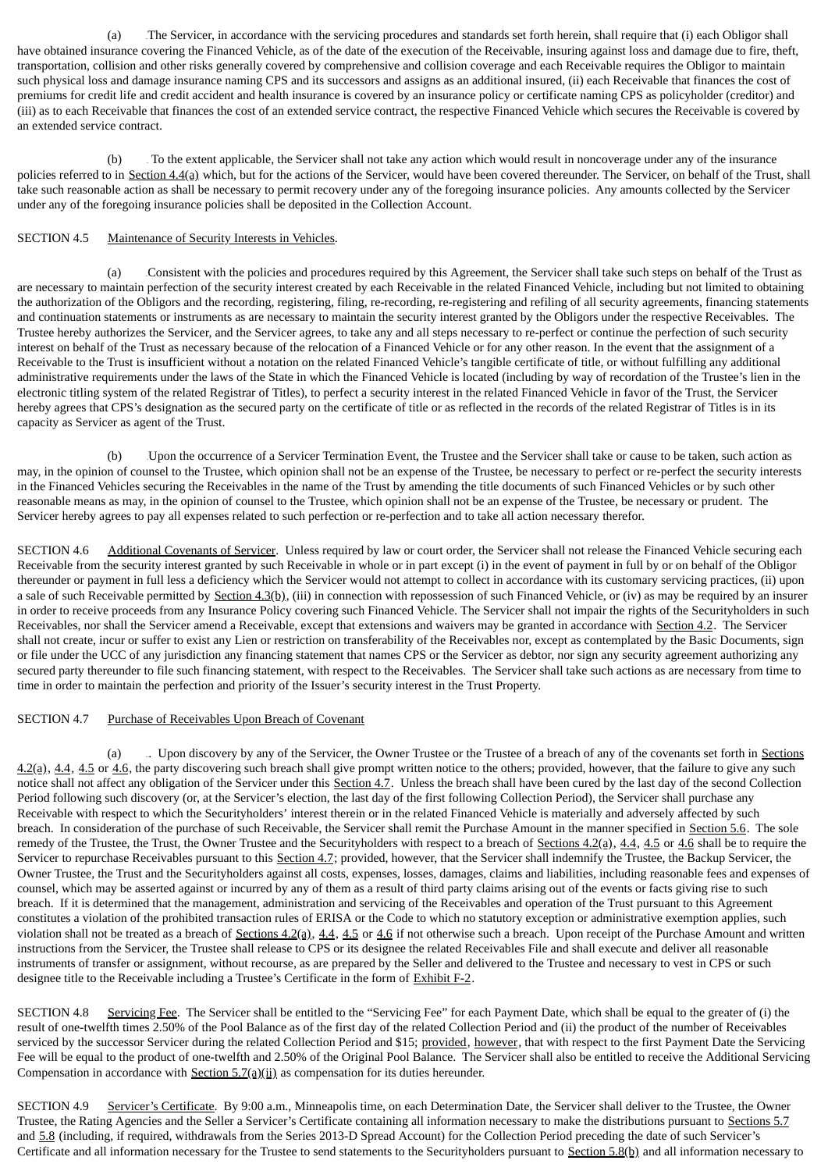(a) 34BThe Servicer, in accordance with the servicing procedures and standards set forth herein, shall require that (i) each Obligor shall have obtained insurance covering the Financed Vehicle, as of the date of the execution of the Receivable, insuring against loss and damage due to fire, theft, transportation, collision and other risks generally covered by comprehensive and collision coverage and each Receivable requires the Obligor to maintain such physical loss and damage insurance naming CPS and its successors and assigns as an additional insured, (ii) each Receivable that finances the cost of premiums for credit life and credit accident and health insurance is covered by an insurance policy or certificate naming CPS as policyholder (creditor) and (iii) as to each Receivable that finances the cost of an extended service contract, the respective Financed Vehicle which secures the Receivable is covered by an extended service contract.

(b) 35B To the extent applicable, the Servicer shall not take any action which would result in noncoverage under any of the insurance policies referred to in Section 4.4(a) which, but for the actions of the Servicer, would have been covered thereunder. The Servicer, on behalf of the Trust, shall take such reasonable action as shall be necessary to permit recovery under any of the foregoing insurance policies. Any amounts collected by the Servicer under any of the foregoing insurance policies shall be deposited in the Collection Account.

## SECTION 4.5 Maintenance of Security Interests in Vehicles.

(a) 36BConsistent with the policies and procedures required by this Agreement, the Servicer shall take such steps on behalf of the Trust as are necessary to maintain perfection of the security interest created by each Receivable in the related Financed Vehicle, including but not limited to obtaining the authorization of the Obligors and the recording, registering, filing, re-recording, re-registering and refiling of all security agreements, financing statements and continuation statements or instruments as are necessary to maintain the security interest granted by the Obligors under the respective Receivables. The Trustee hereby authorizes the Servicer, and the Servicer agrees, to take any and all steps necessary to re-perfect or continue the perfection of such security interest on behalf of the Trust as necessary because of the relocation of a Financed Vehicle or for any other reason. In the event that the assignment of a Receivable to the Trust is insufficient without a notation on the related Financed Vehicle's tangible certificate of title, or without fulfilling any additional administrative requirements under the laws of the State in which the Financed Vehicle is located (including by way of recordation of the Trustee's lien in the electronic titling system of the related Registrar of Titles), to perfect a security interest in the related Financed Vehicle in favor of the Trust, the Servicer hereby agrees that CPS's designation as the secured party on the certificate of title or as reflected in the records of the related Registrar of Titles is in its capacity as Servicer as agent of the Trust.

(b) 37BUpon the occurrence of a Servicer Termination Event, the Trustee and the Servicer shall take or cause to be taken, such action as may, in the opinion of counsel to the Trustee, which opinion shall not be an expense of the Trustee, be necessary to perfect or re-perfect the security interests in the Financed Vehicles securing the Receivables in the name of the Trust by amending the title documents of such Financed Vehicles or by such other reasonable means as may, in the opinion of counsel to the Trustee, which opinion shall not be an expense of the Trustee, be necessary or prudent. The Servicer hereby agrees to pay all expenses related to such perfection or re-perfection and to take all action necessary therefor.

SECTION 4.6 Additional Covenants of Servicer. Unless required by law or court order, the Servicer shall not release the Financed Vehicle securing each Receivable from the security interest granted by such Receivable in whole or in part except (i) in the event of payment in full by or on behalf of the Obligor thereunder or payment in full less a deficiency which the Servicer would not attempt to collect in accordance with its customary servicing practices, (ii) upon a sale of such Receivable permitted by Section 4.3(b), (iii) in connection with repossession of such Financed Vehicle, or (iv) as may be required by an insurer in order to receive proceeds from any Insurance Policy covering such Financed Vehicle. The Servicer shall not impair the rights of the Securityholders in such Receivables, nor shall the Servicer amend a Receivable, except that extensions and waivers may be granted in accordance with Section 4.2. The Servicer shall not create, incur or suffer to exist any Lien or restriction on transferability of the Receivables nor, except as contemplated by the Basic Documents, sign or file under the UCC of any jurisdiction any financing statement that names CPS or the Servicer as debtor, nor sign any security agreement authorizing any secured party thereunder to file such financing statement, with respect to the Receivables. The Servicer shall take such actions as are necessary from time to time in order to maintain the perfection and priority of the Issuer's security interest in the Trust Property.

# SECTION 4.7 Purchase of Receivables Upon Breach of Covenant

(a) Lupon discovery by any of the Servicer, the Owner Trustee or the Trustee of a breach of any of the covenants set forth in Sections  $4.2$ (a),  $4.4$ ,  $4.5$  or  $4.6$ , the party discovering such breach shall give prompt written notice to the others; provided, however, that the failure to give any such notice shall not affect any obligation of the Servicer under this **Section 4.7**. Unless the breach shall have been cured by the last day of the second Collection Period following such discovery (or, at the Servicer's election, the last day of the first following Collection Period), the Servicer shall purchase any Receivable with respect to which the Securityholders' interest therein or in the related Financed Vehicle is materially and adversely affected by such breach. In consideration of the purchase of such Receivable, the Servicer shall remit the Purchase Amount in the manner specified in Section 5.6. The sole remedy of the Trustee, the Trust, the Owner Trustee and the Securityholders with respect to a breach of Sections  $4.2(a)$ ,  $4.4$ ,  $4.5$  or  $4.6$  shall be to require the Servicer to repurchase Receivables pursuant to this Section 4.7; provided, however, that the Servicer shall indemnify the Trustee, the Backup Servicer, the Owner Trustee, the Trust and the Securityholders against all costs, expenses, losses, damages, claims and liabilities, including reasonable fees and expenses of counsel, which may be asserted against or incurred by any of them as a result of third party claims arising out of the events or facts giving rise to such breach. If it is determined that the management, administration and servicing of the Receivables and operation of the Trust pursuant to this Agreement constitutes a violation of the prohibited transaction rules of ERISA or the Code to which no statutory exception or administrative exemption applies, such violation shall not be treated as a breach of  $S_{\text{ections 4.2(a), 4.4, 4.5}}$  or  $4.6$  if not otherwise such a breach. Upon receipt of the Purchase Amount and written instructions from the Servicer, the Trustee shall release to CPS or its designee the related Receivables File and shall execute and deliver all reasonable instruments of transfer or assignment, without recourse, as are prepared by the Seller and delivered to the Trustee and necessary to vest in CPS or such designee title to the Receivable including a Trustee's Certificate in the form of Exhibit F-2.

SECTION 4.8 Servicing Fee. The Servicer shall be entitled to the "Servicing Fee" for each Payment Date, which shall be equal to the greater of (i) the result of one-twelfth times 2.50% of the Pool Balance as of the first day of the related Collection Period and (ii) the product of the number of Receivables serviced by the successor Servicer during the related Collection Period and \$15; provided, however, that with respect to the first Payment Date the Servicing Fee will be equal to the product of one-twelfth and 2.50% of the Original Pool Balance. The Servicer shall also be entitled to receive the Additional Servicing Compensation in accordance with  $Section 5.7(a)(ii)$  as compensation for its duties hereunder.

SECTION 4.9 Servicer's Certificate. By 9:00 a.m., Minneapolis time, on each Determination Date, the Servicer shall deliver to the Trustee, the Owner Trustee, the Rating Agencies and the Seller a Servicer's Certificate containing all information necessary to make the distributions pursuant to Sections 5.7 and 5.8 (including, if required, withdrawals from the Series 2013-D Spread Account) for the Collection Period preceding the date of such Servicer's Certificate and all information necessary for the Trustee to send statements to the Securityholders pursuant to  $S$ ection  $5.8(b)$  and all information necessary to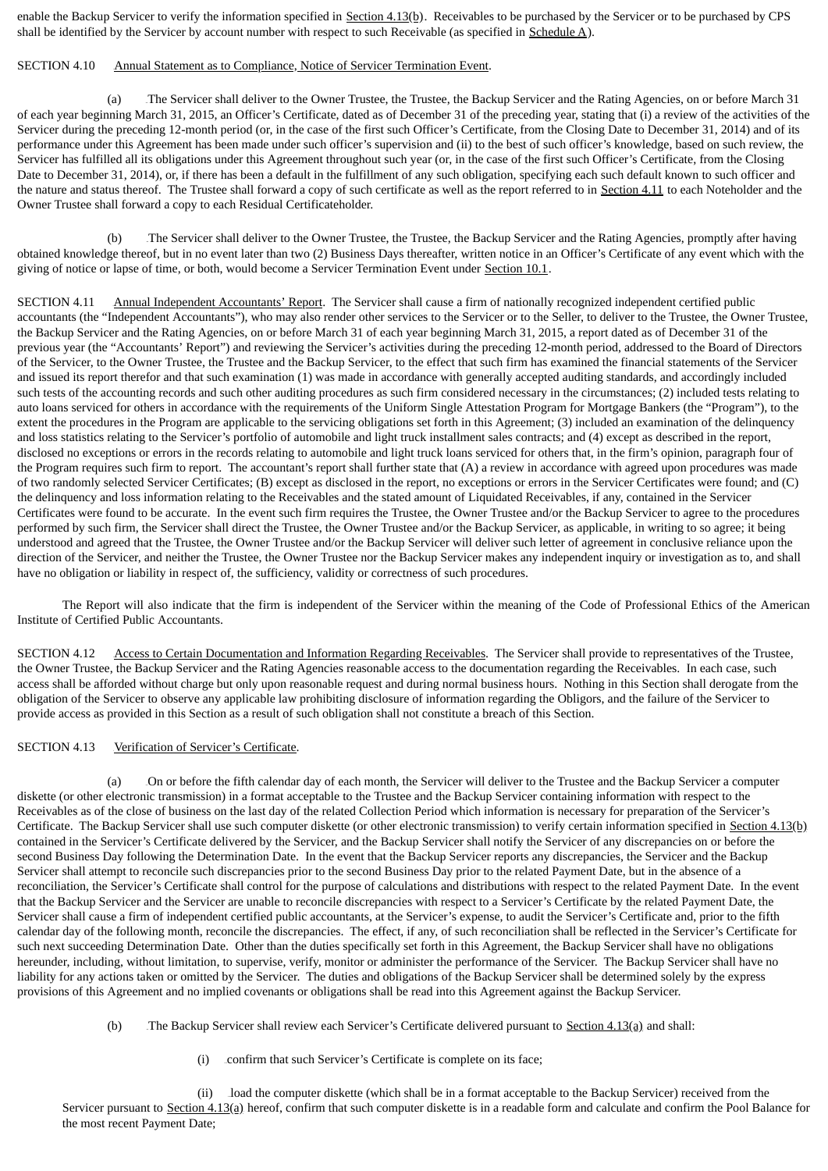enable the Backup Servicer to verify the information specified in Section 4.13(b). Receivables to be purchased by the Servicer or to be purchased by CPS shall be identified by the Servicer by account number with respect to such Receivable (as specified in  $Schedule A$ ).

### SECTION 4.10 Annual Statement as to Compliance, Notice of Servicer Termination Event.

(a) The Servicer shall deliver to the Owner Trustee, the Trustee, the Backup Servicer and the Rating Agencies, on or before March 31 of each year beginning March 31, 2015, an Officer's Certificate, dated as of December 31 of the preceding year, stating that (i) a review of the activities of the Servicer during the preceding 12-month period (or, in the case of the first such Officer's Certificate, from the Closing Date to December 31, 2014) and of its performance under this Agreement has been made under such officer's supervision and (ii) to the best of such officer's knowledge, based on such review, the Servicer has fulfilled all its obligations under this Agreement throughout such year (or, in the case of the first such Officer's Certificate, from the Closing Date to December 31, 2014), or, if there has been a default in the fulfillment of any such obligation, specifying each such default known to such officer and the nature and status thereof. The Trustee shall forward a copy of such certificate as well as the report referred to in Section 4.11 to each Noteholder and the Owner Trustee shall forward a copy to each Residual Certificateholder.

(b) The Servicer shall deliver to the Owner Trustee, the Trustee, the Backup Servicer and the Rating Agencies, promptly after having obtained knowledge thereof, but in no event later than two (2) Business Days thereafter, written notice in an Officer's Certificate of any event which with the giving of notice or lapse of time, or both, would become a Servicer Termination Event under Section 10.1.

SECTION 4.11 Annual Independent Accountants' Report. The Servicer shall cause a firm of nationally recognized independent certified public accountants (the "Independent Accountants"), who may also render other services to the Servicer or to the Seller, to deliver to the Trustee, the Owner Trustee, the Backup Servicer and the Rating Agencies, on or before March 31 of each year beginning March 31, 2015, a report dated as of December 31 of the previous year (the "Accountants' Report") and reviewing the Servicer's activities during the preceding 12-month period, addressed to the Board of Directors of the Servicer, to the Owner Trustee, the Trustee and the Backup Servicer, to the effect that such firm has examined the financial statements of the Servicer and issued its report therefor and that such examination (1) was made in accordance with generally accepted auditing standards, and accordingly included such tests of the accounting records and such other auditing procedures as such firm considered necessary in the circumstances; (2) included tests relating to auto loans serviced for others in accordance with the requirements of the Uniform Single Attestation Program for Mortgage Bankers (the "Program"), to the extent the procedures in the Program are applicable to the servicing obligations set forth in this Agreement; (3) included an examination of the delinquency and loss statistics relating to the Servicer's portfolio of automobile and light truck installment sales contracts; and (4) except as described in the report, disclosed no exceptions or errors in the records relating to automobile and light truck loans serviced for others that, in the firm's opinion, paragraph four of the Program requires such firm to report. The accountant's report shall further state that (A) a review in accordance with agreed upon procedures was made of two randomly selected Servicer Certificates; (B) except as disclosed in the report, no exceptions or errors in the Servicer Certificates were found; and (C) the delinquency and loss information relating to the Receivables and the stated amount of Liquidated Receivables, if any, contained in the Servicer Certificates were found to be accurate. In the event such firm requires the Trustee, the Owner Trustee and/or the Backup Servicer to agree to the procedures performed by such firm, the Servicer shall direct the Trustee, the Owner Trustee and/or the Backup Servicer, as applicable, in writing to so agree; it being understood and agreed that the Trustee, the Owner Trustee and/or the Backup Servicer will deliver such letter of agreement in conclusive reliance upon the direction of the Servicer, and neither the Trustee, the Owner Trustee nor the Backup Servicer makes any independent inquiry or investigation as to, and shall have no obligation or liability in respect of, the sufficiency, validity or correctness of such procedures.

The Report will also indicate that the firm is independent of the Servicer within the meaning of the Code of Professional Ethics of the American Institute of Certified Public Accountants.

SECTION 4.12 Access to Certain Documentation and Information Regarding Receivables. The Servicer shall provide to representatives of the Trustee, the Owner Trustee, the Backup Servicer and the Rating Agencies reasonable access to the documentation regarding the Receivables. In each case, such access shall be afforded without charge but only upon reasonable request and during normal business hours. Nothing in this Section shall derogate from the obligation of the Servicer to observe any applicable law prohibiting disclosure of information regarding the Obligors, and the failure of the Servicer to provide access as provided in this Section as a result of such obligation shall not constitute a breach of this Section.

## SECTION 4.13 Verification of Servicer's Certificate.

(a) 41BOn or before the fifth calendar day of each month, the Servicer will deliver to the Trustee and the Backup Servicer a computer diskette (or other electronic transmission) in a format acceptable to the Trustee and the Backup Servicer containing information with respect to the Receivables as of the close of business on the last day of the related Collection Period which information is necessary for preparation of the Servicer's Certificate. The Backup Servicer shall use such computer diskette (or other electronic transmission) to verify certain information specified in Section 4.13(b) contained in the Servicer's Certificate delivered by the Servicer, and the Backup Servicer shall notify the Servicer of any discrepancies on or before the second Business Day following the Determination Date. In the event that the Backup Servicer reports any discrepancies, the Servicer and the Backup Servicer shall attempt to reconcile such discrepancies prior to the second Business Day prior to the related Payment Date, but in the absence of a reconciliation, the Servicer's Certificate shall control for the purpose of calculations and distributions with respect to the related Payment Date. In the event that the Backup Servicer and the Servicer are unable to reconcile discrepancies with respect to a Servicer's Certificate by the related Payment Date, the Servicer shall cause a firm of independent certified public accountants, at the Servicer's expense, to audit the Servicer's Certificate and, prior to the fifth calendar day of the following month, reconcile the discrepancies. The effect, if any, of such reconciliation shall be reflected in the Servicer's Certificate for such next succeeding Determination Date. Other than the duties specifically set forth in this Agreement, the Backup Servicer shall have no obligations hereunder, including, without limitation, to supervise, verify, monitor or administer the performance of the Servicer. The Backup Servicer shall have no liability for any actions taken or omitted by the Servicer. The duties and obligations of the Backup Servicer shall be determined solely by the express provisions of this Agreement and no implied covenants or obligations shall be read into this Agreement against the Backup Servicer.

- (b) The Backup Servicer shall review each Servicer's Certificate delivered pursuant to Section  $4.13(q)$  and shall:
	- (i) confirm that such Servicer's Certificate is complete on its face;

(ii) load the computer diskette (which shall be in a format acceptable to the Backup Servicer) received from the Servicer pursuant to Section  $4.13(a)$  hereof, confirm that such computer diskette is in a readable form and calculate and confirm the Pool Balance for the most recent Payment Date;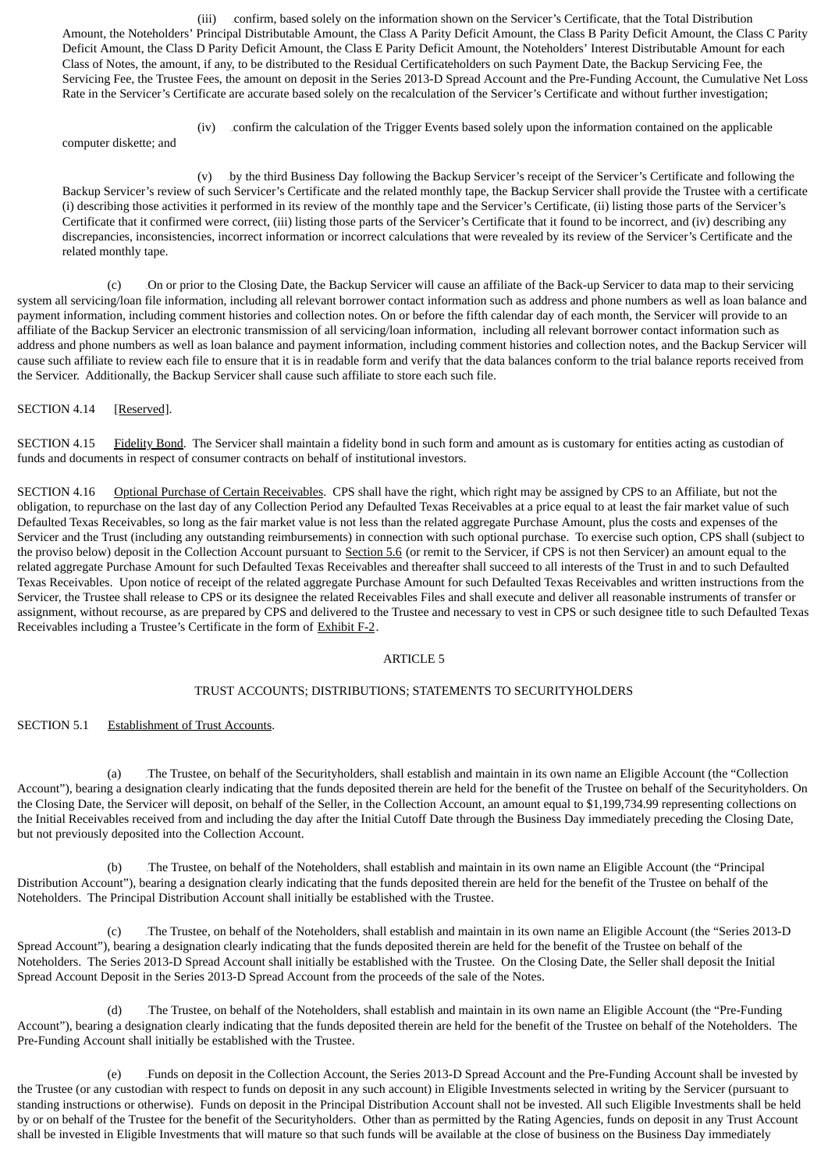(iii) 255Bconfirm, based solely on the information shown on the Servicer's Certificate, that the Total Distribution Amount, the Noteholders' Principal Distributable Amount, the Class A Parity Deficit Amount, the Class B Parity Deficit Amount, the Class C Parity Deficit Amount, the Class D Parity Deficit Amount, the Class E Parity Deficit Amount, the Noteholders' Interest Distributable Amount for each Class of Notes, the amount, if any, to be distributed to the Residual Certificateholders on such Payment Date, the Backup Servicing Fee, the Servicing Fee, the Trustee Fees, the amount on deposit in the Series 2013-D Spread Account and the Pre-Funding Account, the Cumulative Net Loss Rate in the Servicer's Certificate are accurate based solely on the recalculation of the Servicer's Certificate and without further investigation;

(iv) 256Bconfirm the calculation of the Trigger Events based solely upon the information contained on the applicable

computer diskette; and

(v) by the third Business Day following the Backup Servicer's receipt of the Servicer's Certificate and following the Backup Servicer's review of such Servicer's Certificate and the related monthly tape, the Backup Servicer shall provide the Trustee with a certificate (i) describing those activities it performed in its review of the monthly tape and the Servicer's Certificate, (ii) listing those parts of the Servicer's Certificate that it confirmed were correct, (iii) listing those parts of the Servicer's Certificate that it found to be incorrect, and (iv) describing any discrepancies, inconsistencies, incorrect information or incorrect calculations that were revealed by its review of the Servicer's Certificate and the related monthly tape.

(c) 43BOn or prior to the Closing Date, the Backup Servicer will cause an affiliate of the Back-up Servicer to data map to their servicing system all servicing/loan file information, including all relevant borrower contact information such as address and phone numbers as well as loan balance and payment information, including comment histories and collection notes. On or before the fifth calendar day of each month, the Servicer will provide to an affiliate of the Backup Servicer an electronic transmission of all servicing/loan information, including all relevant borrower contact information such as address and phone numbers as well as loan balance and payment information, including comment histories and collection notes, and the Backup Servicer will cause such affiliate to review each file to ensure that it is in readable form and verify that the data balances conform to the trial balance reports received from the Servicer. Additionally, the Backup Servicer shall cause such affiliate to store each such file.

SECTION 4.14 [Reserved].

SECTION 4.15 Fidelity Bond. The Servicer shall maintain a fidelity bond in such form and amount as is customary for entities acting as custodian of funds and documents in respect of consumer contracts on behalf of institutional investors.

SECTION 4.16 Optional Purchase of Certain Receivables. CPS shall have the right, which right may be assigned by CPS to an Affiliate, but not the obligation, to repurchase on the last day of any Collection Period any Defaulted Texas Receivables at a price equal to at least the fair market value of such Defaulted Texas Receivables, so long as the fair market value is not less than the related aggregate Purchase Amount, plus the costs and expenses of the Servicer and the Trust (including any outstanding reimbursements) in connection with such optional purchase. To exercise such option, CPS shall (subject to the proviso below) deposit in the Collection Account pursuant to Section 5.6 (or remit to the Servicer, if CPS is not then Servicer) an amount equal to the related aggregate Purchase Amount for such Defaulted Texas Receivables and thereafter shall succeed to all interests of the Trust in and to such Defaulted Texas Receivables. Upon notice of receipt of the related aggregate Purchase Amount for such Defaulted Texas Receivables and written instructions from the Servicer, the Trustee shall release to CPS or its designee the related Receivables Files and shall execute and deliver all reasonable instruments of transfer or assignment, without recourse, as are prepared by CPS and delivered to the Trustee and necessary to vest in CPS or such designee title to such Defaulted Texas Receivables including a Trustee's Certificate in the form of Exhibit F-2.

## ARTICLE 5

## TRUST ACCOUNTS; DISTRIBUTIONS; STATEMENTS TO SECURITYHOLDERS

## SECTION 5.1 Establishment of Trust Accounts.

(a) 44BThe Trustee, on behalf of the Securityholders, shall establish and maintain in its own name an Eligible Account (the "Collection Account"), bearing a designation clearly indicating that the funds deposited therein are held for the benefit of the Trustee on behalf of the Securityholders. On the Closing Date, the Servicer will deposit, on behalf of the Seller, in the Collection Account, an amount equal to \$1,199,734.99 representing collections on the Initial Receivables received from and including the day after the Initial Cutoff Date through the Business Day immediately preceding the Closing Date, but not previously deposited into the Collection Account.

(b) 45BThe Trustee, on behalf of the Noteholders, shall establish and maintain in its own name an Eligible Account (the "Principal Distribution Account"), bearing a designation clearly indicating that the funds deposited therein are held for the benefit of the Trustee on behalf of the Noteholders. The Principal Distribution Account shall initially be established with the Trustee.

(c) 46BThe Trustee, on behalf of the Noteholders, shall establish and maintain in its own name an Eligible Account (the "Series 2013-D Spread Account"), bearing a designation clearly indicating that the funds deposited therein are held for the benefit of the Trustee on behalf of the Noteholders. The Series 2013-D Spread Account shall initially be established with the Trustee. On the Closing Date, the Seller shall deposit the Initial Spread Account Deposit in the Series 2013-D Spread Account from the proceeds of the sale of the Notes.

(d) 47BThe Trustee, on behalf of the Noteholders, shall establish and maintain in its own name an Eligible Account (the "Pre-Funding Account"), bearing a designation clearly indicating that the funds deposited therein are held for the benefit of the Trustee on behalf of the Noteholders. The Pre-Funding Account shall initially be established with the Trustee.

(e) 48BFunds on deposit in the Collection Account, the Series 2013-D Spread Account and the Pre-Funding Account shall be invested by the Trustee (or any custodian with respect to funds on deposit in any such account) in Eligible Investments selected in writing by the Servicer (pursuant to standing instructions or otherwise). Funds on deposit in the Principal Distribution Account shall not be invested. All such Eligible Investments shall be held by or on behalf of the Trustee for the benefit of the Securityholders. Other than as permitted by the Rating Agencies, funds on deposit in any Trust Account shall be invested in Eligible Investments that will mature so that such funds will be available at the close of business on the Business Day immediately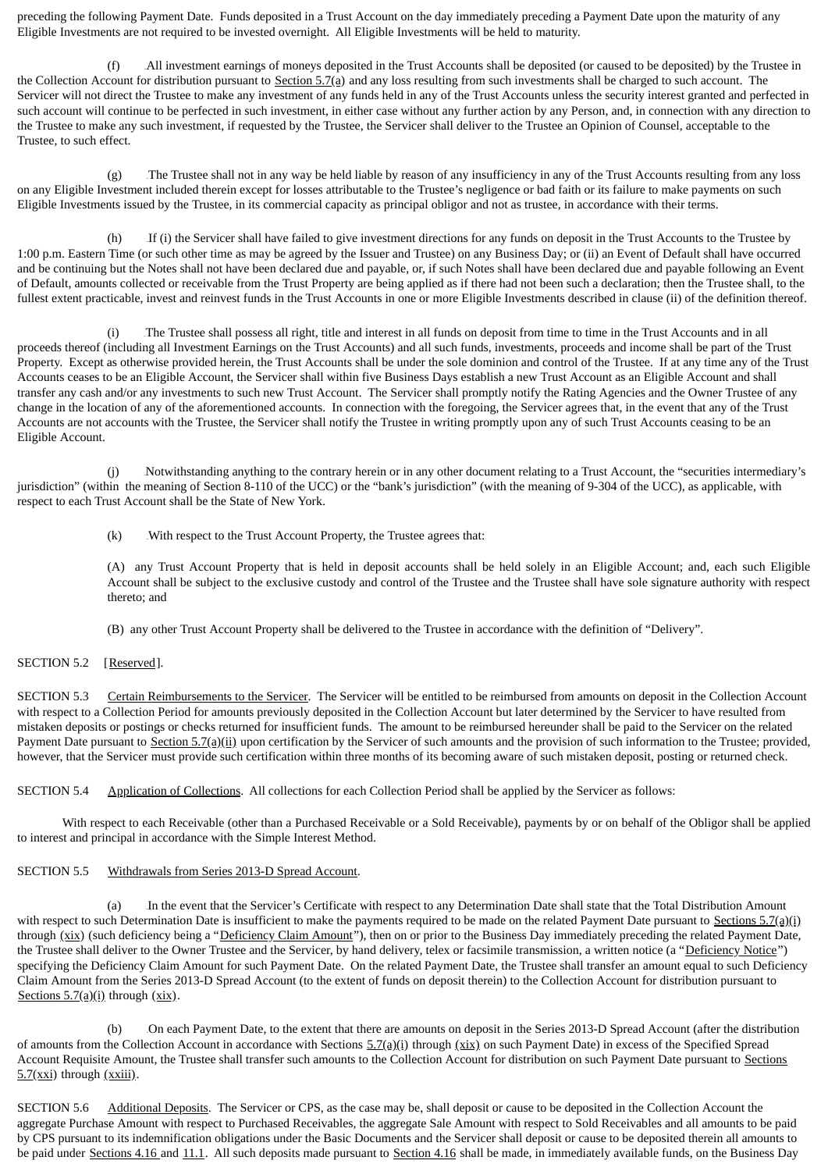preceding the following Payment Date. Funds deposited in a Trust Account on the day immediately preceding a Payment Date upon the maturity of any Eligible Investments are not required to be invested overnight. All Eligible Investments will be held to maturity.

(f) 49BAll investment earnings of moneys deposited in the Trust Accounts shall be deposited (or caused to be deposited) by the Trustee in the Collection Account for distribution pursuant to Section 5.7(a) and any loss resulting from such investments shall be charged to such account. The Servicer will not direct the Trustee to make any investment of any funds held in any of the Trust Accounts unless the security interest granted and perfected in such account will continue to be perfected in such investment, in either case without any further action by any Person, and, in connection with any direction to the Trustee to make any such investment, if requested by the Trustee, the Servicer shall deliver to the Trustee an Opinion of Counsel, acceptable to the Trustee, to such effect.

(g) The Trustee shall not in any way be held liable by reason of any insufficiency in any of the Trust Accounts resulting from any loss on any Eligible Investment included therein except for losses attributable to the Trustee's negligence or bad faith or its failure to make payments on such Eligible Investments issued by the Trustee, in its commercial capacity as principal obligor and not as trustee, in accordance with their terms.

(h) If (i) the Servicer shall have failed to give investment directions for any funds on deposit in the Trust Accounts to the Trustee by 1:00 p.m. Eastern Time (or such other time as may be agreed by the Issuer and Trustee) on any Business Day; or (ii) an Event of Default shall have occurred and be continuing but the Notes shall not have been declared due and payable, or, if such Notes shall have been declared due and payable following an Event of Default, amounts collected or receivable from the Trust Property are being applied as if there had not been such a declaration; then the Trustee shall, to the fullest extent practicable, invest and reinvest funds in the Trust Accounts in one or more Eligible Investments described in clause (ii) of the definition thereof.

(i) 52BThe Trustee shall possess all right, title and interest in all funds on deposit from time to time in the Trust Accounts and in all proceeds thereof (including all Investment Earnings on the Trust Accounts) and all such funds, investments, proceeds and income shall be part of the Trust Property. Except as otherwise provided herein, the Trust Accounts shall be under the sole dominion and control of the Trustee. If at any time any of the Trust Accounts ceases to be an Eligible Account, the Servicer shall within five Business Days establish a new Trust Account as an Eligible Account and shall transfer any cash and/or any investments to such new Trust Account. The Servicer shall promptly notify the Rating Agencies and the Owner Trustee of any change in the location of any of the aforementioned accounts. In connection with the foregoing, the Servicer agrees that, in the event that any of the Trust Accounts are not accounts with the Trustee, the Servicer shall notify the Trustee in writing promptly upon any of such Trust Accounts ceasing to be an Eligible Account.

(j) Notwithstanding anything to the contrary herein or in any other document relating to a Trust Account, the "securities intermediary's jurisdiction" (within the meaning of Section 8-110 of the UCC) or the "bank's jurisdiction" (with the meaning of 9-304 of the UCC), as applicable, with respect to each Trust Account shall be the State of New York.

 $(k)$  With respect to the Trust Account Property, the Trustee agrees that:

(A) any Trust Account Property that is held in deposit accounts shall be held solely in an Eligible Account; and, each such Eligible Account shall be subject to the exclusive custody and control of the Trustee and the Trustee shall have sole signature authority with respect thereto; and

(B) any other Trust Account Property shall be delivered to the Trustee in accordance with the definition of "Delivery".

## SECTION 5.2 [Reserved].

SECTION 5.3 Certain Reimbursements to the Servicer. The Servicer will be entitled to be reimbursed from amounts on deposit in the Collection Account with respect to a Collection Period for amounts previously deposited in the Collection Account but later determined by the Servicer to have resulted from mistaken deposits or postings or checks returned for insufficient funds. The amount to be reimbursed hereunder shall be paid to the Servicer on the related Payment Date pursuant to Section 5.7(a)(ii) upon certification by the Servicer of such amounts and the provision of such information to the Trustee; provided, however, that the Servicer must provide such certification within three months of its becoming aware of such mistaken deposit, posting or returned check.

SECTION 5.4 Application of Collections. All collections for each Collection Period shall be applied by the Servicer as follows:

With respect to each Receivable (other than a Purchased Receivable or a Sold Receivable), payments by or on behalf of the Obligor shall be applied to interest and principal in accordance with the Simple Interest Method.

#### SECTION 5.5 Withdrawals from Series 2013-D Spread Account.

(a) 55BIn the event that the Servicer's Certificate with respect to any Determination Date shall state that the Total Distribution Amount with respect to such Determination Date is insufficient to make the payments required to be made on the related Payment Date pursuant to Sections  $5.7(q)(i)$ through (xix) (such deficiency being a "Deficiency Claim Amount"), then on or prior to the Business Day immediately preceding the related Payment Date, the Trustee shall deliver to the Owner Trustee and the Servicer, by hand delivery, telex or facsimile transmission, a written notice (a "Deficiency Notice") specifying the Deficiency Claim Amount for such Payment Date. On the related Payment Date, the Trustee shall transfer an amount equal to such Deficiency Claim Amount from the Series 2013-D Spread Account (to the extent of funds on deposit therein) to the Collection Account for distribution pursuant to Sections  $5.7(a)(i)$  through  $(xix)$ .

(On each Payment Date, to the extent that there are amounts on deposit in the Series 2013-D Spread Account (after the distribution of amounts from the Collection Account in accordance with Sections  $5.7(a)(i)$  through  $(xix)$  on such Payment Date) in excess of the Specified Spread Account Requisite Amount, the Trustee shall transfer such amounts to the Collection Account for distribution on such Payment Date pursuant to Sections  $5.7(xxi)$  through  $(xxiii)$ .

SECTION 5.6 Additional Deposits. The Servicer or CPS, as the case may be, shall deposit or cause to be deposited in the Collection Account the aggregate Purchase Amount with respect to Purchased Receivables, the aggregate Sale Amount with respect to Sold Receivables and all amounts to be paid by CPS pursuant to its indemnification obligations under the Basic Documents and the Servicer shall deposit or cause to be deposited therein all amounts to be paid under Sections 4.16 and 11.1. All such deposits made pursuant to Section 4.16 shall be made, in immediately available funds, on the Business Day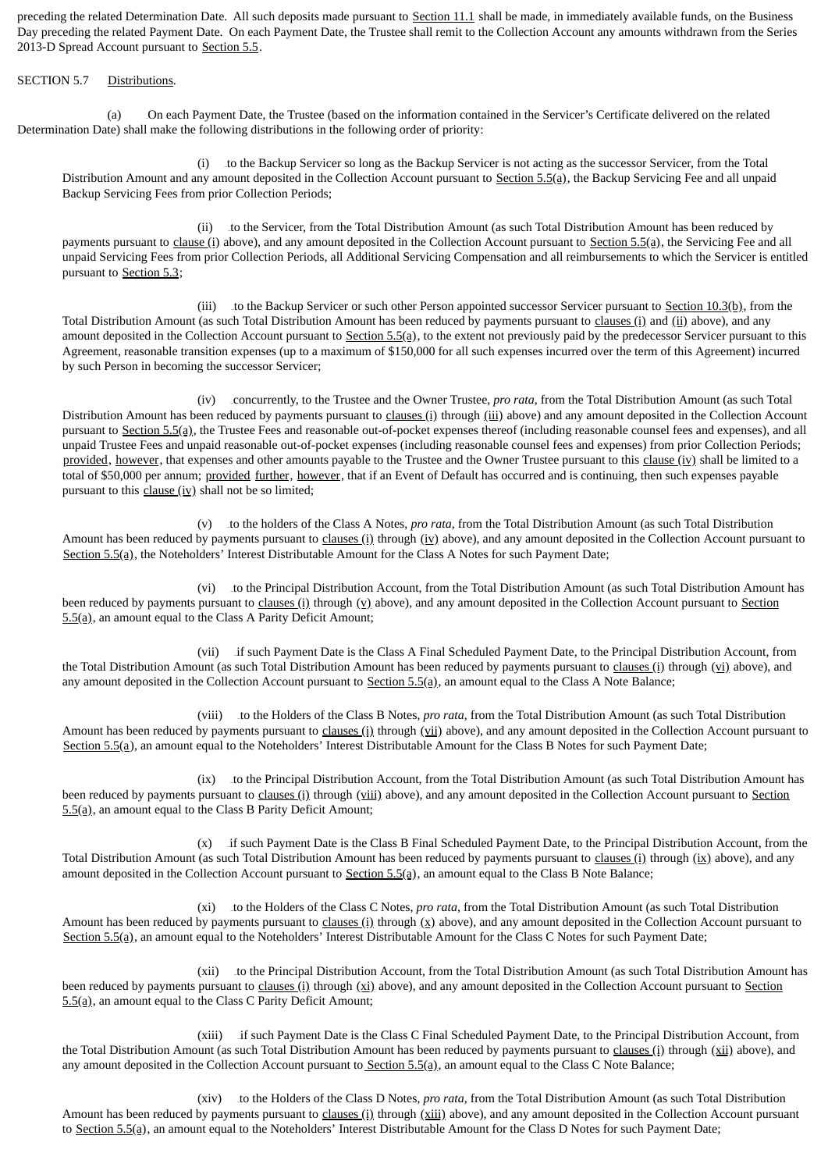preceding the related Determination Date. All such deposits made pursuant to Section 11.1 shall be made, in immediately available funds, on the Business Day preceding the related Payment Date. On each Payment Date, the Trustee shall remit to the Collection Account any amounts withdrawn from the Series 2013-D Spread Account pursuant to Section 5.5.

#### SECTION 5.7 Distributions.

(a) 57BOn each Payment Date, the Trustee (based on the information contained in the Servicer's Certificate delivered on the related Determination Date) shall make the following distributions in the following order of priority:

(i) to the Backup Servicer so long as the Backup Servicer is not acting as the successor Servicer, from the Total Distribution Amount and any amount deposited in the Collection Account pursuant to Section 5.5(a), the Backup Servicing Fee and all unpaid Backup Servicing Fees from prior Collection Periods;

(ii) 259Bto the Servicer, from the Total Distribution Amount (as such Total Distribution Amount has been reduced by payments pursuant to clause (i) above), and any amount deposited in the Collection Account pursuant to Section 5.5(a), the Servicing Fee and all unpaid Servicing Fees from prior Collection Periods, all Additional Servicing Compensation and all reimbursements to which the Servicer is entitled pursuant to Section 5.3;

(iii) to the Backup Servicer or such other Person appointed successor Servicer pursuant to  $Section 10.3(b)$ , from the</u> Total Distribution Amount (as such Total Distribution Amount has been reduced by payments pursuant to clauses (i) and (ii) above), and any amount deposited in the Collection Account pursuant to Section 5.5(a), to the extent not previously paid by the predecessor Servicer pursuant to this Agreement, reasonable transition expenses (up to a maximum of \$150,000 for all such expenses incurred over the term of this Agreement) incurred by such Person in becoming the successor Servicer;

(iv) 261Bconcurrently, to the Trustee and the Owner Trustee, *pro rata*, from the Total Distribution Amount (as such Total Distribution Amount has been reduced by payments pursuant to clauses (i) through (iii) above) and any amount deposited in the Collection Account pursuant to Section 5.5(a), the Trustee Fees and reasonable out-of-pocket expenses thereof (including reasonable counsel fees and expenses), and all unpaid Trustee Fees and unpaid reasonable out-of-pocket expenses (including reasonable counsel fees and expenses) from prior Collection Periods; provided, however, that expenses and other amounts payable to the Trustee and the Owner Trustee pursuant to this clause  $(iv)$  shall be limited to a total of \$50,000 per annum; provided further, however, that if an Event of Default has occurred and is continuing, then such expenses payable pursuant to this  $clause (iv)$  shall not be so limited;

(v) 262Bto the holders of the Class A Notes, *pro rata*, from the Total Distribution Amount (as such Total Distribution Amount has been reduced by payments pursuant to clauses (i) through (iv) above), and any amount deposited in the Collection Account pursuant to Section 5.5(a), the Noteholders' Interest Distributable Amount for the Class A Notes for such Payment Date;

(vi) to the Principal Distribution Account, from the Total Distribution Amount (as such Total Distribution Amount has been reduced by payments pursuant to clauses (i) through  $(y)$  above), and any amount deposited in the Collection Account pursuant to Section  $5.5(a)$ , an amount equal to the Class A Parity Deficit Amount;

(vii) if such Payment Date is the Class A Final Scheduled Payment Date, to the Principal Distribution Account, from the Total Distribution Amount (as such Total Distribution Amount has been reduced by payments pursuant to clauses (i) through (vi) above), and any amount deposited in the Collection Account pursuant to  $Section 5.5(q)$ , an amount equal to the Class A Note Balance;

(viii) 265Bto the Holders of the Class B Notes, *pro rata*, from the Total Distribution Amount (as such Total Distribution Amount has been reduced by payments pursuant to clauses (i) through (vii) above), and any amount deposited in the Collection Account pursuant to Section 5.5(a), an amount equal to the Noteholders' Interest Distributable Amount for the Class B Notes for such Payment Date;

(ix) to the Principal Distribution Account, from the Total Distribution Amount (as such Total Distribution Amount has been reduced by payments pursuant to clauses (i) through (viii) above), and any amount deposited in the Collection Account pursuant to Section  $5.5(a)$ , an amount equal to the Class B Parity Deficit Amount;

(x) if such Payment Date is the Class B Final Scheduled Payment Date, to the Principal Distribution Account, from the Total Distribution Amount (as such Total Distribution Amount has been reduced by payments pursuant to clauses (i) through (ix) above), and any amount deposited in the Collection Account pursuant to Section 5.5(a), an amount equal to the Class B Note Balance;

(xi) 268Bto the Holders of the Class C Notes, *pro rata*, from the Total Distribution Amount (as such Total Distribution Amount has been reduced by payments pursuant to clauses (i) through  $(x)$  above), and any amount deposited in the Collection Account pursuant to Section 5.5(a), an amount equal to the Noteholders' Interest Distributable Amount for the Class C Notes for such Payment Date;

(xii) to the Principal Distribution Account, from the Total Distribution Amount (as such Total Distribution Amount has been reduced by payments pursuant to  $\underline{clauses(i)}$  through  $(\underline{x_i})$  above), and any amount deposited in the Collection Account pursuant to Section  $5.5(a)$ , an amount equal to the Class C Parity Deficit Amount;

(xiii) if such Payment Date is the Class C Final Scheduled Payment Date, to the Principal Distribution Account, from the Total Distribution Amount (as such Total Distribution Amount has been reduced by payments pursuant to *clauses (i)* through (xii) above), and any amount deposited in the Collection Account pursuant to Section  $5.5(a)$ , an amount equal to the Class C Note Balance;

(xiv) 271Bto the Holders of the Class D Notes, *pro rata*, from the Total Distribution Amount (as such Total Distribution Amount has been reduced by payments pursuant to clauses (i) through (xiii) above), and any amount deposited in the Collection Account pursuant to Section 5.5(a), an amount equal to the Noteholders' Interest Distributable Amount for the Class D Notes for such Payment Date;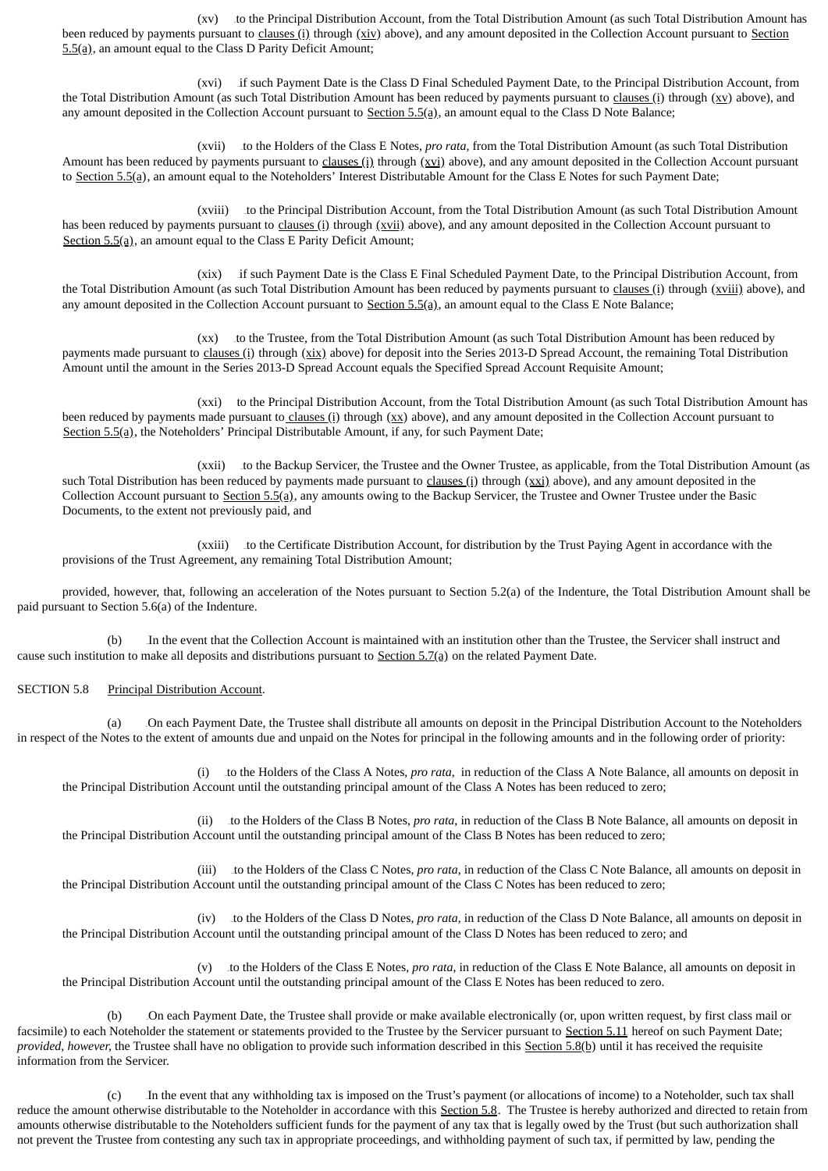(xv) to the Principal Distribution Account, from the Total Distribution Amount (as such Total Distribution Amount has been reduced by payments pursuant to clauses (i) through (xiv) above), and any amount deposited in the Collection Account pursuant to Section  $5.5(a)$ , an amount equal to the Class D Parity Deficit Amount;

(xvi) if such Payment Date is the Class D Final Scheduled Payment Date, to the Principal Distribution Account, from the Total Distribution Amount (as such Total Distribution Amount has been reduced by payments pursuant to clauses (i) through  $(xy)$  above), and any amount deposited in the Collection Account pursuant to  $Section 5.5(a)$ , an amount equal to the Class D Note Balance;

(xvii) 274Bto the Holders of the Class E Notes, *pro rata*, from the Total Distribution Amount (as such Total Distribution Amount has been reduced by payments pursuant to clauses (i) through (xvi) above), and any amount deposited in the Collection Account pursuant to Section 5.5(a), an amount equal to the Noteholders' Interest Distributable Amount for the Class E Notes for such Payment Date;

(xviii) to the Principal Distribution Account, from the Total Distribution Amount (as such Total Distribution Amount has been reduced by payments pursuant to clauses (i) through (xvii) above), and any amount deposited in the Collection Account pursuant to Section  $5.5(a)$ , an amount equal to the Class E Parity Deficit Amount;

(xix) 276Bif such Payment Date is the Class E Final Scheduled Payment Date, to the Principal Distribution Account, from the Total Distribution Amount (as such Total Distribution Amount has been reduced by payments pursuant to clauses (i) through (xviii) above), and any amount deposited in the Collection Account pursuant to  $Section 5.5(a)$ , an amount equal to the Class E Note Balance;

(xx) to the Trustee, from the Total Distribution Amount (as such Total Distribution Amount has been reduced by payments made pursuant to clauses (i) through (xix) above) for deposit into the Series 2013-D Spread Account, the remaining Total Distribution Amount until the amount in the Series 2013-D Spread Account equals the Specified Spread Account Requisite Amount;

(xxi) to the Principal Distribution Account, from the Total Distribution Amount (as such Total Distribution Amount has been reduced by payments made pursuant to clauses (i) through  $(xx)$  above), and any amount deposited in the Collection Account pursuant to Section  $5.5(a)$ , the Noteholders' Principal Distributable Amount, if any, for such Payment Date;

(xxii) to the Backup Servicer, the Trustee and the Owner Trustee, as applicable, from the Total Distribution Amount (as such Total Distribution has been reduced by payments made pursuant to clauses (i) through  $(xxi)$  above), and any amount deposited in the Collection Account pursuant to Section 5.5(a), any amounts owing to the Backup Servicer, the Trustee and Owner Trustee under the Basic Documents, to the extent not previously paid, and

(xxiii) to the Certificate Distribution Account, for distribution by the Trust Paying Agent in accordance with the provisions of the Trust Agreement, any remaining Total Distribution Amount;

provided, however, that, following an acceleration of the Notes pursuant to Section 5.2(a) of the Indenture, the Total Distribution Amount shall be paid pursuant to Section 5.6(a) of the Indenture.

(b) 58BIn the event that the Collection Account is maintained with an institution other than the Trustee, the Servicer shall instruct and cause such institution to make all deposits and distributions pursuant to Section  $5.7(a)$  on the related Payment Date.

## SECTION 5.8 Principal Distribution Account.

(a) 59BOn each Payment Date, the Trustee shall distribute all amounts on deposit in the Principal Distribution Account to the Noteholders in respect of the Notes to the extent of amounts due and unpaid on the Notes for principal in the following amounts and in the following order of priority:

(i) 281Bto the Holders of the Class A Notes, *pro rata*, in reduction of the Class A Note Balance, all amounts on deposit in the Principal Distribution Account until the outstanding principal amount of the Class A Notes has been reduced to zero;

(ii) 282Bto the Holders of the Class B Notes, *pro rata*, in reduction of the Class B Note Balance, all amounts on deposit in the Principal Distribution Account until the outstanding principal amount of the Class B Notes has been reduced to zero;

(iii) 283Bto the Holders of the Class C Notes, *pro rata*, in reduction of the Class C Note Balance, all amounts on deposit in the Principal Distribution Account until the outstanding principal amount of the Class C Notes has been reduced to zero;

(iv) 284Bto the Holders of the Class D Notes, *pro rata*, in reduction of the Class D Note Balance, all amounts on deposit in the Principal Distribution Account until the outstanding principal amount of the Class D Notes has been reduced to zero; and

(v) 285Bto the Holders of the Class E Notes, *pro rata*, in reduction of the Class E Note Balance, all amounts on deposit in the Principal Distribution Account until the outstanding principal amount of the Class E Notes has been reduced to zero.

(b) On each Payment Date, the Trustee shall provide or make available electronically (or, upon written request, by first class mail or facsimile) to each Noteholder the statement or statements provided to the Trustee by the Servicer pursuant to Section 5.11 hereof on such Payment Date; *provided, however,* the Trustee shall have no obligation to provide such information described in this Section 5.8(b) until it has received the requisite information from the Servicer.

(c) 61BIn the event that any withholding tax is imposed on the Trust's payment (or allocations of income) to a Noteholder, such tax shall reduce the amount otherwise distributable to the Noteholder in accordance with this Section 5.8. The Trustee is hereby authorized and directed to retain from amounts otherwise distributable to the Noteholders sufficient funds for the payment of any tax that is legally owed by the Trust (but such authorization shall not prevent the Trustee from contesting any such tax in appropriate proceedings, and withholding payment of such tax, if permitted by law, pending the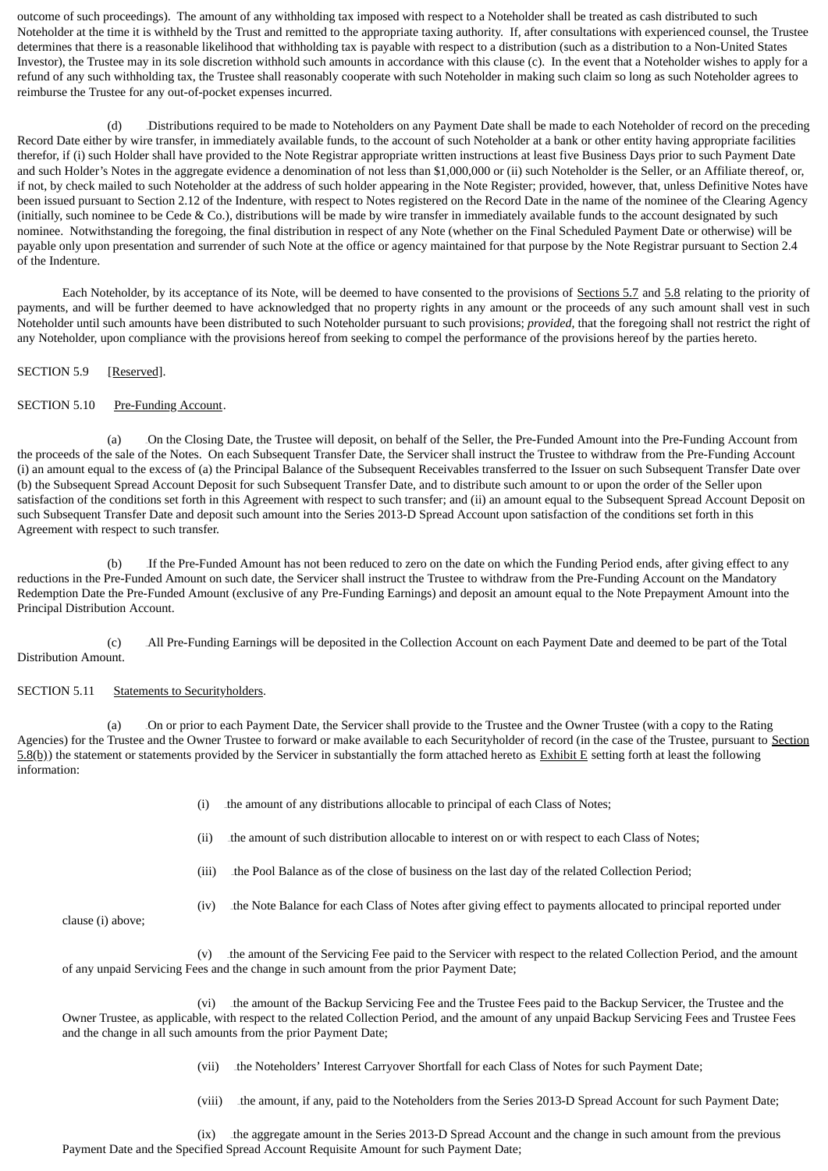outcome of such proceedings). The amount of any withholding tax imposed with respect to a Noteholder shall be treated as cash distributed to such Noteholder at the time it is withheld by the Trust and remitted to the appropriate taxing authority. If, after consultations with experienced counsel, the Trustee determines that there is a reasonable likelihood that withholding tax is payable with respect to a distribution (such as a distribution to a Non-United States Investor), the Trustee may in its sole discretion withhold such amounts in accordance with this clause (c). In the event that a Noteholder wishes to apply for a refund of any such withholding tax, the Trustee shall reasonably cooperate with such Noteholder in making such claim so long as such Noteholder agrees to reimburse the Trustee for any out-of-pocket expenses incurred.

(d) Distributions required to be made to Noteholders on any Payment Date shall be made to each Noteholder of record on the preceding Record Date either by wire transfer, in immediately available funds, to the account of such Noteholder at a bank or other entity having appropriate facilities therefor, if (i) such Holder shall have provided to the Note Registrar appropriate written instructions at least five Business Days prior to such Payment Date and such Holder's Notes in the aggregate evidence a denomination of not less than \$1,000,000 or (ii) such Noteholder is the Seller, or an Affiliate thereof, or, if not, by check mailed to such Noteholder at the address of such holder appearing in the Note Register; provided, however, that, unless Definitive Notes have been issued pursuant to Section 2.12 of the Indenture, with respect to Notes registered on the Record Date in the name of the nominee of the Clearing Agency (initially, such nominee to be Cede & Co.), distributions will be made by wire transfer in immediately available funds to the account designated by such nominee. Notwithstanding the foregoing, the final distribution in respect of any Note (whether on the Final Scheduled Payment Date or otherwise) will be payable only upon presentation and surrender of such Note at the office or agency maintained for that purpose by the Note Registrar pursuant to Section 2.4 of the Indenture.

Each Noteholder, by its acceptance of its Note, will be deemed to have consented to the provisions of Sections 5.7 and 5.8 relating to the priority of payments, and will be further deemed to have acknowledged that no property rights in any amount or the proceeds of any such amount shall vest in such Noteholder until such amounts have been distributed to such Noteholder pursuant to such provisions; *provided*, that the foregoing shall not restrict the right of any Noteholder, upon compliance with the provisions hereof from seeking to compel the performance of the provisions hereof by the parties hereto.

SECTION 5.9 [Reserved].

## SECTION 5.10 Pre-Funding Account.

(a) 63BOn the Closing Date, the Trustee will deposit, on behalf of the Seller, the Pre-Funded Amount into the Pre-Funding Account from the proceeds of the sale of the Notes. On each Subsequent Transfer Date, the Servicer shall instruct the Trustee to withdraw from the Pre-Funding Account (i) an amount equal to the excess of (a) the Principal Balance of the Subsequent Receivables transferred to the Issuer on such Subsequent Transfer Date over (b) the Subsequent Spread Account Deposit for such Subsequent Transfer Date, and to distribute such amount to or upon the order of the Seller upon satisfaction of the conditions set forth in this Agreement with respect to such transfer; and (ii) an amount equal to the Subsequent Spread Account Deposit on such Subsequent Transfer Date and deposit such amount into the Series 2013-D Spread Account upon satisfaction of the conditions set forth in this Agreement with respect to such transfer.

(b) If the Pre-Funded Amount has not been reduced to zero on the date on which the Funding Period ends, after giving effect to any reductions in the Pre-Funded Amount on such date, the Servicer shall instruct the Trustee to withdraw from the Pre-Funding Account on the Mandatory Redemption Date the Pre-Funded Amount (exclusive of any Pre-Funding Earnings) and deposit an amount equal to the Note Prepayment Amount into the Principal Distribution Account.

(c) All Pre-Funding Earnings will be deposited in the Collection Account on each Payment Date and deemed to be part of the Total Distribution Amount.

#### SECTION 5.11 Statements to Securityholders.

(a) Cn or prior to each Payment Date, the Servicer shall provide to the Trustee and the Owner Trustee (with a copy to the Rating Agencies) for the Trustee and the Owner Trustee to forward or make available to each Securityholder of record (in the case of the Trustee, pursuant to Section  $5.8(b)$ ) the statement or statements provided by the Servicer in substantially the form attached hereto as Exhibit E setting forth at least the following information:

- (i) the amount of any distributions allocable to principal of each Class of Notes;
- (ii) the amount of such distribution allocable to interest on or with respect to each Class of Notes;
- (iii) the Pool Balance as of the close of business on the last day of the related Collection Period;

clause (i) above;

(iv) the Note Balance for each Class of Notes after giving effect to payments allocated to principal reported under

(v) the amount of the Servicing Fee paid to the Servicer with respect to the related Collection Period, and the amount of any unpaid Servicing Fees and the change in such amount from the prior Payment Date;

(vi) the amount of the Backup Servicing Fee and the Trustee Fees paid to the Backup Servicer, the Trustee and the Owner Trustee, as applicable, with respect to the related Collection Period, and the amount of any unpaid Backup Servicing Fees and Trustee Fees and the change in all such amounts from the prior Payment Date;

- (vii) the Noteholders' Interest Carryover Shortfall for each Class of Notes for such Payment Date;
- (viii) the amount, if any, paid to the Noteholders from the Series 2013-D Spread Account for such Payment Date;

(ix) the aggregate amount in the Series 2013-D Spread Account and the change in such amount from the previous Payment Date and the Specified Spread Account Requisite Amount for such Payment Date;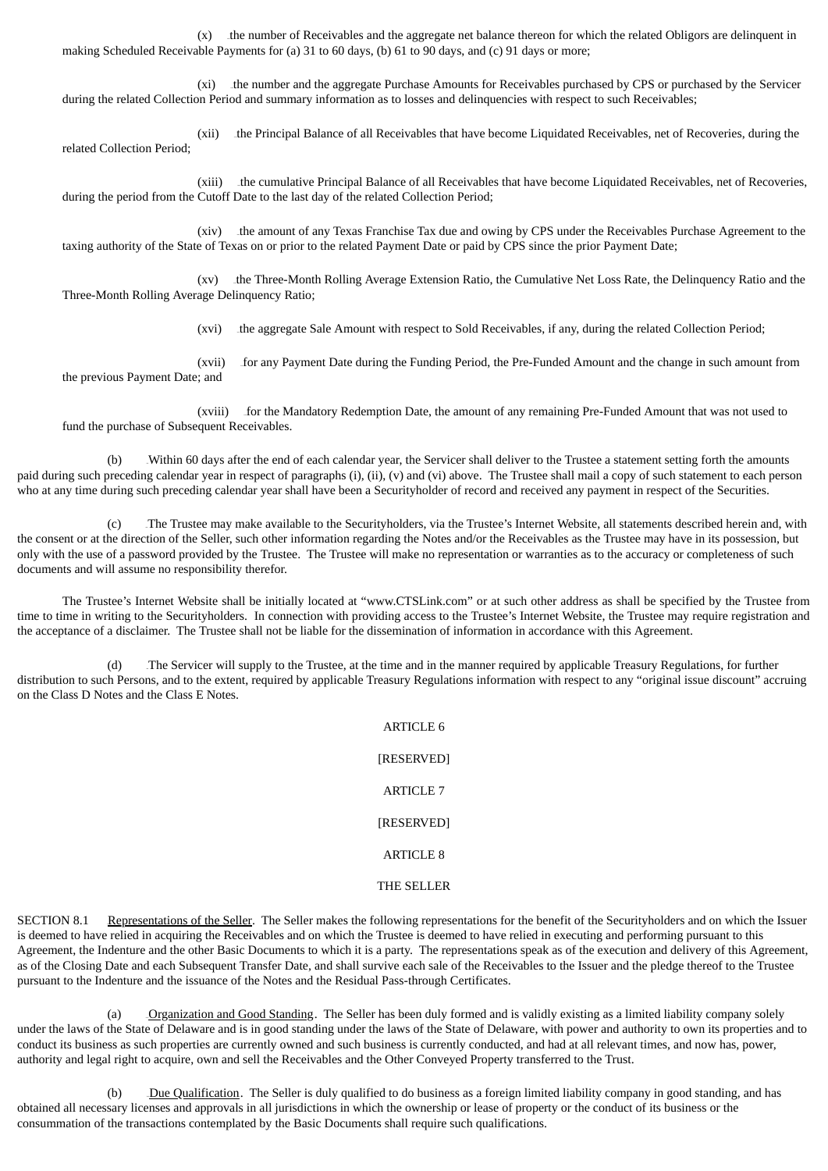$(x)$  the number of Receivables and the aggregate net balance thereon for which the related Obligors are delinquent in making Scheduled Receivable Payments for (a) 31 to 60 days, (b) 61 to 90 days, and (c) 91 days or more;

(xi) the number and the aggregate Purchase Amounts for Receivables purchased by CPS or purchased by the Servicer during the related Collection Period and summary information as to losses and delinquencies with respect to such Receivables;

(xii) the Principal Balance of all Receivables that have become Liquidated Receivables, net of Recoveries, during the related Collection Period;

(xiii) the cumulative Principal Balance of all Receivables that have become Liquidated Receivables, net of Recoveries, during the period from the Cutoff Date to the last day of the related Collection Period;

(xiv) the amount of any Texas Franchise Tax due and owing by CPS under the Receivables Purchase Agreement to the taxing authority of the State of Texas on or prior to the related Payment Date or paid by CPS since the prior Payment Date;

(xv) the Three-Month Rolling Average Extension Ratio, the Cumulative Net Loss Rate, the Delinquency Ratio and the Three-Month Rolling Average Delinquency Ratio;

(xvi) the aggregate Sale Amount with respect to Sold Receivables, if any, during the related Collection Period;

(xvii) for any Payment Date during the Funding Period, the Pre-Funded Amount and the change in such amount from the previous Payment Date; and

(xviii) for the Mandatory Redemption Date, the amount of any remaining Pre-Funded Amount that was not used to fund the purchase of Subsequent Receivables.

(b) Within 60 days after the end of each calendar year, the Servicer shall deliver to the Trustee a statement setting forth the amounts paid during such preceding calendar year in respect of paragraphs (i), (ii), (v) and (vi) above. The Trustee shall mail a copy of such statement to each person who at any time during such preceding calendar year shall have been a Securityholder of record and received any payment in respect of the Securities.

(c) 68BThe Trustee may make available to the Securityholders, via the Trustee's Internet Website, all statements described herein and, with the consent or at the direction of the Seller, such other information regarding the Notes and/or the Receivables as the Trustee may have in its possession, but only with the use of a password provided by the Trustee. The Trustee will make no representation or warranties as to the accuracy or completeness of such documents and will assume no responsibility therefor.

The Trustee's Internet Website shall be initially located at "www.CTSLink.com" or at such other address as shall be specified by the Trustee from time to time in writing to the Securityholders. In connection with providing access to the Trustee's Internet Website, the Trustee may require registration and the acceptance of a disclaimer. The Trustee shall not be liable for the dissemination of information in accordance with this Agreement.

(d) The Servicer will supply to the Trustee, at the time and in the manner required by applicable Treasury Regulations, for further distribution to such Persons, and to the extent, required by applicable Treasury Regulations information with respect to any "original issue discount" accruing on the Class D Notes and the Class E Notes.

> ARTICLE 6 [RESERVED] ARTICLE 7 [RESERVED] ARTICLE 8 THE SELLER

SECTION 8.1 Representations of the Seller. The Seller makes the following representations for the benefit of the Securityholders and on which the Issuer is deemed to have relied in acquiring the Receivables and on which the Trustee is deemed to have relied in executing and performing pursuant to this Agreement, the Indenture and the other Basic Documents to which it is a party. The representations speak as of the execution and delivery of this Agreement, as of the Closing Date and each Subsequent Transfer Date, and shall survive each sale of the Receivables to the Issuer and the pledge thereof to the Trustee pursuant to the Indenture and the issuance of the Notes and the Residual Pass-through Certificates.

(a) Crganization and Good Standing. The Seller has been duly formed and is validly existing as a limited liability company solely under the laws of the State of Delaware and is in good standing under the laws of the State of Delaware, with power and authority to own its properties and to conduct its business as such properties are currently owned and such business is currently conducted, and had at all relevant times, and now has, power, authority and legal right to acquire, own and sell the Receivables and the Other Conveyed Property transferred to the Trust.

(b) Due Qualification. The Seller is duly qualified to do business as a foreign limited liability company in good standing, and has obtained all necessary licenses and approvals in all jurisdictions in which the ownership or lease of property or the conduct of its business or the consummation of the transactions contemplated by the Basic Documents shall require such qualifications.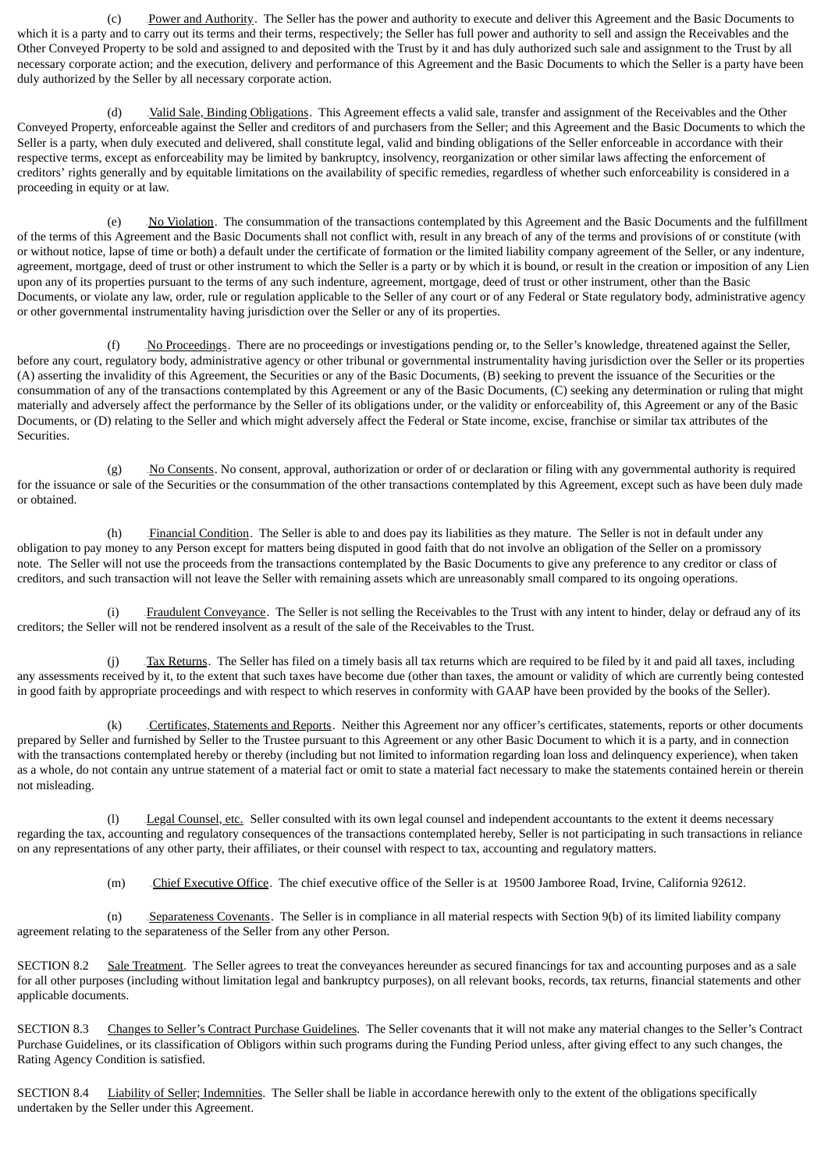(c) Power and Authority. The Seller has the power and authority to execute and deliver this Agreement and the Basic Documents to which it is a party and to carry out its terms and their terms, respectively; the Seller has full power and authority to sell and assign the Receivables and the Other Conveyed Property to be sold and assigned to and deposited with the Trust by it and has duly authorized such sale and assignment to the Trust by all necessary corporate action; and the execution, delivery and performance of this Agreement and the Basic Documents to which the Seller is a party have been duly authorized by the Seller by all necessary corporate action.

(d) Valid Sale, Binding Obligations. This Agreement effects a valid sale, transfer and assignment of the Receivables and the Other Conveyed Property, enforceable against the Seller and creditors of and purchasers from the Seller; and this Agreement and the Basic Documents to which the Seller is a party, when duly executed and delivered, shall constitute legal, valid and binding obligations of the Seller enforceable in accordance with their respective terms, except as enforceability may be limited by bankruptcy, insolvency, reorganization or other similar laws affecting the enforcement of creditors' rights generally and by equitable limitations on the availability of specific remedies, regardless of whether such enforceability is considered in a proceeding in equity or at law.

(e)  $\Delta$ No Violation. The consummation of the transactions contemplated by this Agreement and the Basic Documents and the fulfillment of the terms of this Agreement and the Basic Documents shall not conflict with, result in any breach of any of the terms and provisions of or constitute (with or without notice, lapse of time or both) a default under the certificate of formation or the limited liability company agreement of the Seller, or any indenture, agreement, mortgage, deed of trust or other instrument to which the Seller is a party or by which it is bound, or result in the creation or imposition of any Lien upon any of its properties pursuant to the terms of any such indenture, agreement, mortgage, deed of trust or other instrument, other than the Basic Documents, or violate any law, order, rule or regulation applicable to the Seller of any court or of any Federal or State regulatory body, administrative agency or other governmental instrumentality having jurisdiction over the Seller or any of its properties.

(f)  $\sqrt{N}$  Proceedings. There are no proceedings or investigations pending or, to the Seller's knowledge, threatened against the Seller, before any court, regulatory body, administrative agency or other tribunal or governmental instrumentality having jurisdiction over the Seller or its properties (A) asserting the invalidity of this Agreement, the Securities or any of the Basic Documents, (B) seeking to prevent the issuance of the Securities or the consummation of any of the transactions contemplated by this Agreement or any of the Basic Documents, (C) seeking any determination or ruling that might materially and adversely affect the performance by the Seller of its obligations under, or the validity or enforceability of, this Agreement or any of the Basic Documents, or (D) relating to the Seller and which might adversely affect the Federal or State income, excise, franchise or similar tax attributes of the Securities.

(g) No Consents. No consent, approval, authorization or order of or declaration or filing with any governmental authority is required for the issuance or sale of the Securities or the consummation of the other transactions contemplated by this Agreement, except such as have been duly made or obtained.

(h) Financial Condition. The Seller is able to and does pay its liabilities as they mature. The Seller is not in default under any obligation to pay money to any Person except for matters being disputed in good faith that do not involve an obligation of the Seller on a promissory note. The Seller will not use the proceeds from the transactions contemplated by the Basic Documents to give any preference to any creditor or class of creditors, and such transaction will not leave the Seller with remaining assets which are unreasonably small compared to its ongoing operations.

Fraudulent Conveyance. The Seller is not selling the Receivables to the Trust with any intent to hinder, delay or defraud any of its creditors; the Seller will not be rendered insolvent as a result of the sale of the Receivables to the Trust.

(j) Tax Returns. The Seller has filed on a timely basis all tax returns which are required to be filed by it and paid all taxes, including any assessments received by it, to the extent that such taxes have become due (other than taxes, the amount or validity of which are currently being contested in good faith by appropriate proceedings and with respect to which reserves in conformity with GAAP have been provided by the books of the Seller).

(k) Certificates, Statements and Reports. Neither this Agreement nor any officer's certificates, statements, reports or other documents prepared by Seller and furnished by Seller to the Trustee pursuant to this Agreement or any other Basic Document to which it is a party, and in connection with the transactions contemplated hereby or thereby (including but not limited to information regarding loan loss and delinquency experience), when taken as a whole, do not contain any untrue statement of a material fact or omit to state a material fact necessary to make the statements contained herein or therein not misleading.

(l) Legal Counsel, etc. Seller consulted with its own legal counsel and independent accountants to the extent it deems necessary regarding the tax, accounting and regulatory consequences of the transactions contemplated hereby, Seller is not participating in such transactions in reliance on any representations of any other party, their affiliates, or their counsel with respect to tax, accounting and regulatory matters.

(m) Chief Executive Office. The chief executive office of the Seller is at 19500 Jamboree Road, Irvine, California 92612.

(n) Separateness Covenants. The Seller is in compliance in all material respects with Section 9(b) of its limited liability company agreement relating to the separateness of the Seller from any other Person.

SECTION 8.2 Sale Treatment. The Seller agrees to treat the conveyances hereunder as secured financings for tax and accounting purposes and as a sale for all other purposes (including without limitation legal and bankruptcy purposes), on all relevant books, records, tax returns, financial statements and other applicable documents.

SECTION 8.3 Changes to Seller's Contract Purchase Guidelines. The Seller covenants that it will not make any material changes to the Seller's Contract Purchase Guidelines, or its classification of Obligors within such programs during the Funding Period unless, after giving effect to any such changes, the Rating Agency Condition is satisfied.

SECTION 8.4 <sup>U</sup>Liability of Seller; Indemnities. The Seller shall be liable in accordance herewith only to the extent of the obligations specifically undertaken by the Seller under this Agreement.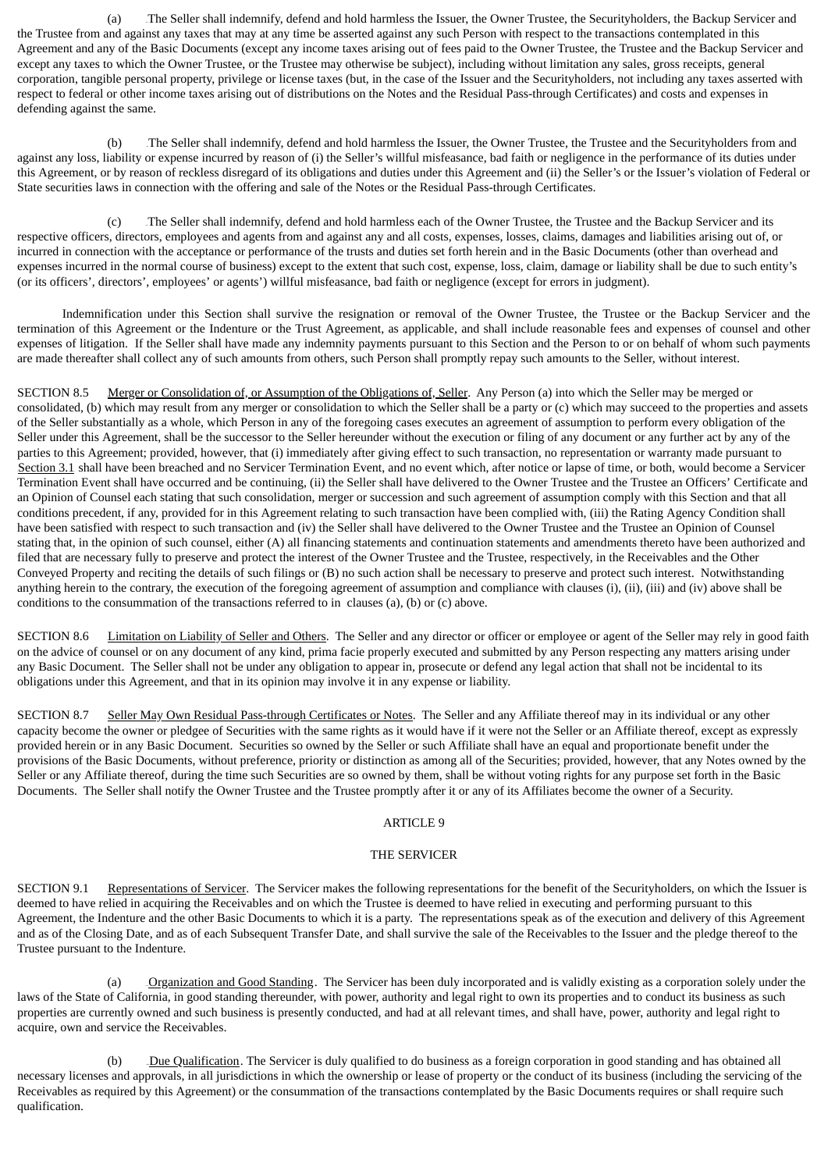(a) 84BThe Seller shall indemnify, defend and hold harmless the Issuer, the Owner Trustee, the Securityholders, the Backup Servicer and the Trustee from and against any taxes that may at any time be asserted against any such Person with respect to the transactions contemplated in this Agreement and any of the Basic Documents (except any income taxes arising out of fees paid to the Owner Trustee, the Trustee and the Backup Servicer and except any taxes to which the Owner Trustee, or the Trustee may otherwise be subject), including without limitation any sales, gross receipts, general corporation, tangible personal property, privilege or license taxes (but, in the case of the Issuer and the Securityholders, not including any taxes asserted with respect to federal or other income taxes arising out of distributions on the Notes and the Residual Pass-through Certificates) and costs and expenses in defending against the same.

(b) The Seller shall indemnify, defend and hold harmless the Issuer, the Owner Trustee, the Trustee and the Securityholders from and against any loss, liability or expense incurred by reason of (i) the Seller's willful misfeasance, bad faith or negligence in the performance of its duties under this Agreement, or by reason of reckless disregard of its obligations and duties under this Agreement and (ii) the Seller's or the Issuer's violation of Federal or State securities laws in connection with the offering and sale of the Notes or the Residual Pass-through Certificates.

(c) The Seller shall indemnify, defend and hold harmless each of the Owner Trustee, the Trustee and the Backup Servicer and its respective officers, directors, employees and agents from and against any and all costs, expenses, losses, claims, damages and liabilities arising out of, or incurred in connection with the acceptance or performance of the trusts and duties set forth herein and in the Basic Documents (other than overhead and expenses incurred in the normal course of business) except to the extent that such cost, expense, loss, claim, damage or liability shall be due to such entity's (or its officers', directors', employees' or agents') willful misfeasance, bad faith or negligence (except for errors in judgment).

Indemnification under this Section shall survive the resignation or removal of the Owner Trustee, the Trustee or the Backup Servicer and the termination of this Agreement or the Indenture or the Trust Agreement, as applicable, and shall include reasonable fees and expenses of counsel and other expenses of litigation. If the Seller shall have made any indemnity payments pursuant to this Section and the Person to or on behalf of whom such payments are made thereafter shall collect any of such amounts from others, such Person shall promptly repay such amounts to the Seller, without interest.

SECTION 8.5 Merger or Consolidation of, or Assumption of the Obligations of, Seller. Any Person (a) into which the Seller may be merged or consolidated, (b) which may result from any merger or consolidation to which the Seller shall be a party or (c) which may succeed to the properties and assets of the Seller substantially as a whole, which Person in any of the foregoing cases executes an agreement of assumption to perform every obligation of the Seller under this Agreement, shall be the successor to the Seller hereunder without the execution or filing of any document or any further act by any of the parties to this Agreement; provided, however, that (i) immediately after giving effect to such transaction, no representation or warranty made pursuant to Section 3.1 shall have been breached and no Servicer Termination Event, and no event which, after notice or lapse of time, or both, would become a Servicer Termination Event shall have occurred and be continuing, (ii) the Seller shall have delivered to the Owner Trustee and the Trustee an Officers' Certificate and an Opinion of Counsel each stating that such consolidation, merger or succession and such agreement of assumption comply with this Section and that all conditions precedent, if any, provided for in this Agreement relating to such transaction have been complied with, (iii) the Rating Agency Condition shall have been satisfied with respect to such transaction and (iv) the Seller shall have delivered to the Owner Trustee and the Trustee an Opinion of Counsel stating that, in the opinion of such counsel, either (A) all financing statements and continuation statements and amendments thereto have been authorized and filed that are necessary fully to preserve and protect the interest of the Owner Trustee and the Trustee, respectively, in the Receivables and the Other Conveyed Property and reciting the details of such filings or (B) no such action shall be necessary to preserve and protect such interest. Notwithstanding anything herein to the contrary, the execution of the foregoing agreement of assumption and compliance with clauses (i), (ii), (iii) and (iv) above shall be conditions to the consummation of the transactions referred to in clauses (a), (b) or (c) above.

SECTION 8.6 Limitation on Liability of Seller and Others. The Seller and any director or officer or employee or agent of the Seller may rely in good faith on the advice of counsel or on any document of any kind, prima facie properly executed and submitted by any Person respecting any matters arising under any Basic Document. The Seller shall not be under any obligation to appear in, prosecute or defend any legal action that shall not be incidental to its obligations under this Agreement, and that in its opinion may involve it in any expense or liability.

SECTION 8.7 Seller May Own Residual Pass-through Certificates or Notes. The Seller and any Affiliate thereof may in its individual or any other capacity become the owner or pledgee of Securities with the same rights as it would have if it were not the Seller or an Affiliate thereof, except as expressly provided herein or in any Basic Document. Securities so owned by the Seller or such Affiliate shall have an equal and proportionate benefit under the provisions of the Basic Documents, without preference, priority or distinction as among all of the Securities; provided, however, that any Notes owned by the Seller or any Affiliate thereof, during the time such Securities are so owned by them, shall be without voting rights for any purpose set forth in the Basic Documents. The Seller shall notify the Owner Trustee and the Trustee promptly after it or any of its Affiliates become the owner of a Security.

## ARTICLE 9

## THE SERVICER

SECTION 9.1 Representations of Servicer. The Servicer makes the following representations for the benefit of the Securityholders, on which the Issuer is deemed to have relied in acquiring the Receivables and on which the Trustee is deemed to have relied in executing and performing pursuant to this Agreement, the Indenture and the other Basic Documents to which it is a party. The representations speak as of the execution and delivery of this Agreement and as of the Closing Date, and as of each Subsequent Transfer Date, and shall survive the sale of the Receivables to the Issuer and the pledge thereof to the Trustee pursuant to the Indenture.

(a) Crganization and Good Standing. The Servicer has been duly incorporated and is validly existing as a corporation solely under the laws of the State of California, in good standing thereunder, with power, authority and legal right to own its properties and to conduct its business as such properties are currently owned and such business is presently conducted, and had at all relevant times, and shall have, power, authority and legal right to acquire, own and service the Receivables.

(b) Due Qualification. The Servicer is duly qualified to do business as a foreign corporation in good standing and has obtained all necessary licenses and approvals, in all jurisdictions in which the ownership or lease of property or the conduct of its business (including the servicing of the Receivables as required by this Agreement) or the consummation of the transactions contemplated by the Basic Documents requires or shall require such qualification.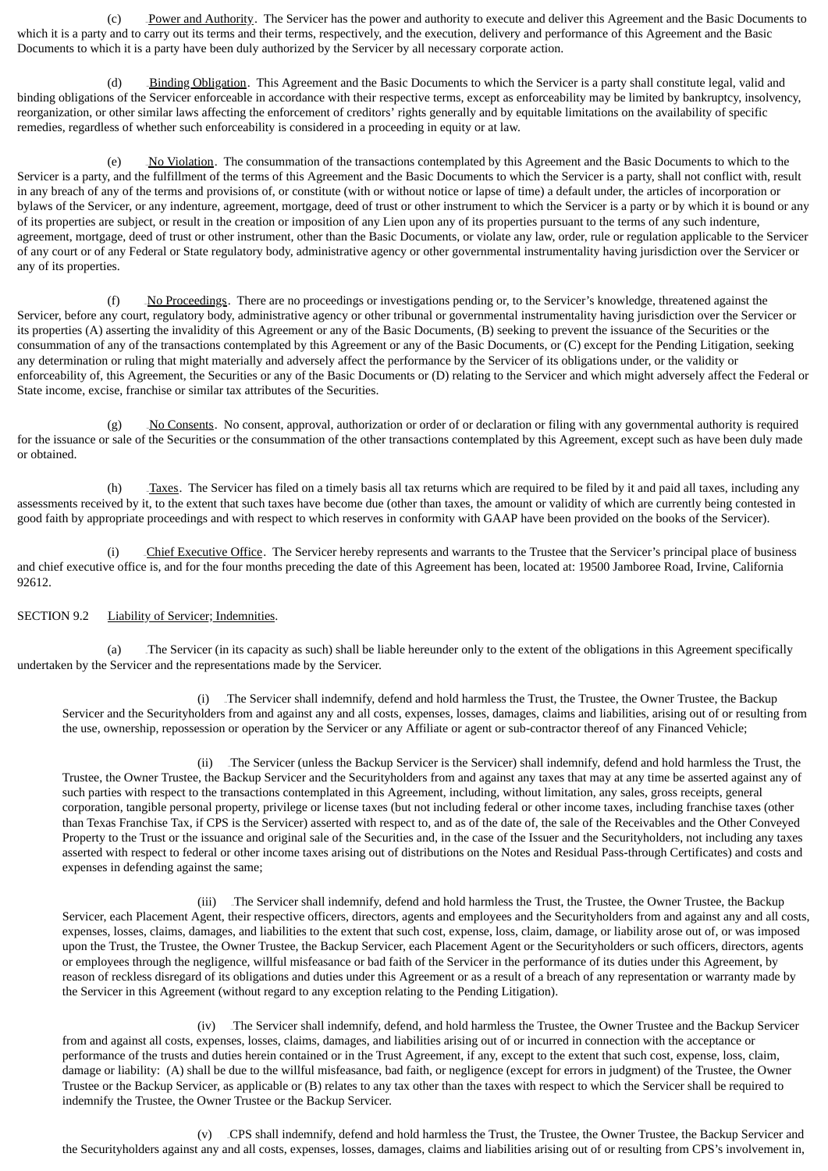(c) Power and Authority. The Servicer has the power and authority to execute and deliver this Agreement and the Basic Documents to which it is a party and to carry out its terms and their terms, respectively, and the execution, delivery and performance of this Agreement and the Basic Documents to which it is a party have been duly authorized by the Servicer by all necessary corporate action.

(d) Binding Obligation. This Agreement and the Basic Documents to which the Servicer is a party shall constitute legal, valid and binding obligations of the Servicer enforceable in accordance with their respective terms, except as enforceability may be limited by bankruptcy, insolvency, reorganization, or other similar laws affecting the enforcement of creditors' rights generally and by equitable limitations on the availability of specific remedies, regardless of whether such enforceability is considered in a proceeding in equity or at law.

(e) No Violation. The consummation of the transactions contemplated by this Agreement and the Basic Documents to which to the Servicer is a party, and the fulfillment of the terms of this Agreement and the Basic Documents to which the Servicer is a party, shall not conflict with, result in any breach of any of the terms and provisions of, or constitute (with or without notice or lapse of time) a default under, the articles of incorporation or bylaws of the Servicer, or any indenture, agreement, mortgage, deed of trust or other instrument to which the Servicer is a party or by which it is bound or any of its properties are subject, or result in the creation or imposition of any Lien upon any of its properties pursuant to the terms of any such indenture, agreement, mortgage, deed of trust or other instrument, other than the Basic Documents, or violate any law, order, rule or regulation applicable to the Servicer of any court or of any Federal or State regulatory body, administrative agency or other governmental instrumentality having jurisdiction over the Servicer or any of its properties.

 $(f)$  No Proceedings. There are no proceedings or investigations pending or, to the Servicer's knowledge, threatened against the Servicer, before any court, regulatory body, administrative agency or other tribunal or governmental instrumentality having jurisdiction over the Servicer or its properties (A) asserting the invalidity of this Agreement or any of the Basic Documents, (B) seeking to prevent the issuance of the Securities or the consummation of any of the transactions contemplated by this Agreement or any of the Basic Documents, or (C) except for the Pending Litigation, seeking any determination or ruling that might materially and adversely affect the performance by the Servicer of its obligations under, or the validity or enforceability of, this Agreement, the Securities or any of the Basic Documents or (D) relating to the Servicer and which might adversely affect the Federal or State income, excise, franchise or similar tax attributes of the Securities.

(g) No Consents. No consent, approval, authorization or order of or declaration or filing with any governmental authority is required for the issuance or sale of the Securities or the consummation of the other transactions contemplated by this Agreement, except such as have been duly made or obtained.

(h) Taxes. The Servicer has filed on a timely basis all tax returns which are required to be filed by it and paid all taxes, including any assessments received by it, to the extent that such taxes have become due (other than taxes, the amount or validity of which are currently being contested in good faith by appropriate proceedings and with respect to which reserves in conformity with GAAP have been provided on the books of the Servicer).

Chief Executive Office. The Servicer hereby represents and warrants to the Trustee that the Servicer's principal place of business and chief executive office is, and for the four months preceding the date of this Agreement has been, located at: 19500 Jamboree Road, Irvine, California 92612.

### SECTION 9.2 Liability of Servicer; Indemnities.

(a) The Servicer (in its capacity as such) shall be liable hereunder only to the extent of the obligations in this Agreement specifically undertaken by the Servicer and the representations made by the Servicer.

(i) The Servicer shall indemnify, defend and hold harmless the Trust, the Trustee, the Owner Trustee, the Backup Servicer and the Securityholders from and against any and all costs, expenses, losses, damages, claims and liabilities, arising out of or resulting from the use, ownership, repossession or operation by the Servicer or any Affiliate or agent or sub-contractor thereof of any Financed Vehicle;

(ii) The Servicer (unless the Backup Servicer is the Servicer) shall indemnify, defend and hold harmless the Trust, the Trustee, the Owner Trustee, the Backup Servicer and the Securityholders from and against any taxes that may at any time be asserted against any of such parties with respect to the transactions contemplated in this Agreement, including, without limitation, any sales, gross receipts, general corporation, tangible personal property, privilege or license taxes (but not including federal or other income taxes, including franchise taxes (other than Texas Franchise Tax, if CPS is the Servicer) asserted with respect to, and as of the date of, the sale of the Receivables and the Other Conveyed Property to the Trust or the issuance and original sale of the Securities and, in the case of the Issuer and the Securityholders, not including any taxes asserted with respect to federal or other income taxes arising out of distributions on the Notes and Residual Pass-through Certificates) and costs and expenses in defending against the same;

(iii) The Servicer shall indemnify, defend and hold harmless the Trust, the Trustee, the Owner Trustee, the Backup Servicer, each Placement Agent, their respective officers, directors, agents and employees and the Securityholders from and against any and all costs, expenses, losses, claims, damages, and liabilities to the extent that such cost, expense, loss, claim, damage, or liability arose out of, or was imposed upon the Trust, the Trustee, the Owner Trustee, the Backup Servicer, each Placement Agent or the Securityholders or such officers, directors, agents or employees through the negligence, willful misfeasance or bad faith of the Servicer in the performance of its duties under this Agreement, by reason of reckless disregard of its obligations and duties under this Agreement or as a result of a breach of any representation or warranty made by the Servicer in this Agreement (without regard to any exception relating to the Pending Litigation).

(iv) The Servicer shall indemnify, defend, and hold harmless the Trustee, the Owner Trustee and the Backup Servicer from and against all costs, expenses, losses, claims, damages, and liabilities arising out of or incurred in connection with the acceptance or performance of the trusts and duties herein contained or in the Trust Agreement, if any, except to the extent that such cost, expense, loss, claim, damage or liability: (A) shall be due to the willful misfeasance, bad faith, or negligence (except for errors in judgment) of the Trustee, the Owner Trustee or the Backup Servicer, as applicable or (B) relates to any tax other than the taxes with respect to which the Servicer shall be required to indemnify the Trustee, the Owner Trustee or the Backup Servicer.

(v) CPS shall indemnify, defend and hold harmless the Trust, the Trustee, the Owner Trustee, the Backup Servicer and the Securityholders against any and all costs, expenses, losses, damages, claims and liabilities arising out of or resulting from CPS's involvement in,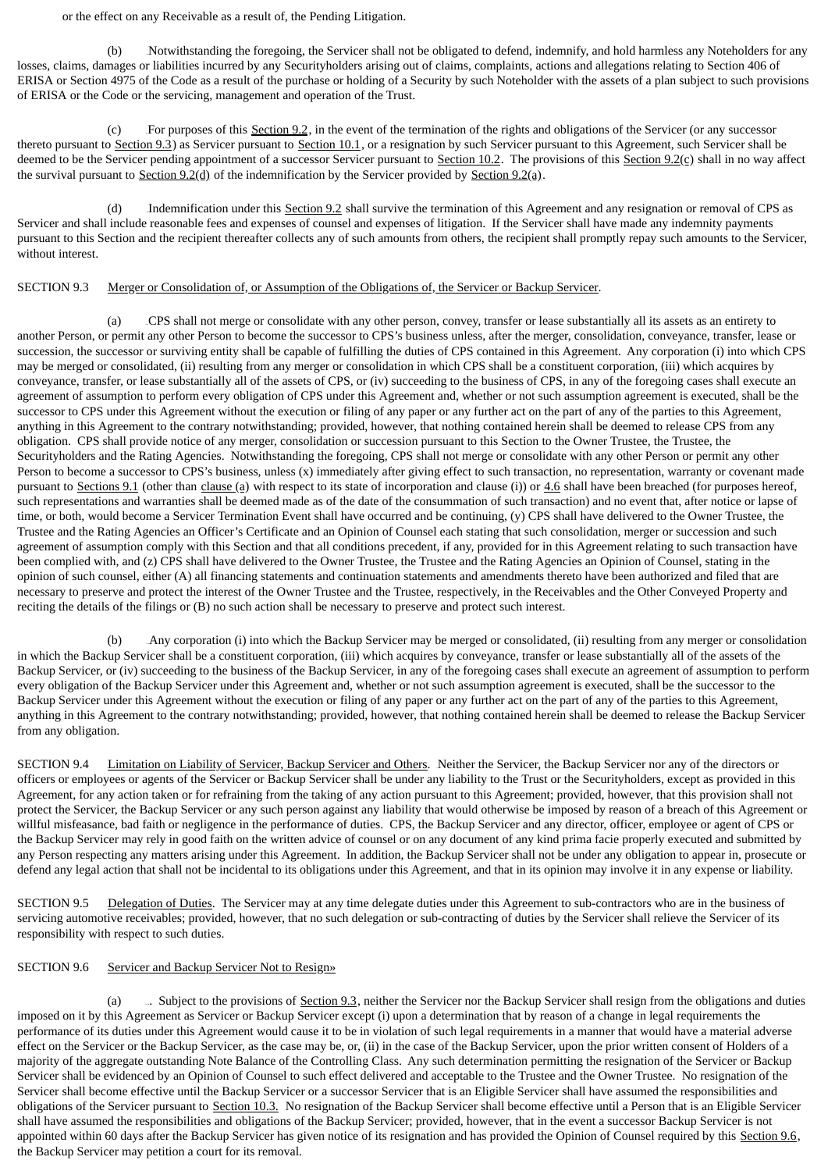or the effect on any Receivable as a result of, the Pending Litigation.

(b) Notwithstanding the foregoing, the Servicer shall not be obligated to defend, indemnify, and hold harmless any Noteholders for any losses, claims, damages or liabilities incurred by any Securityholders arising out of claims, complaints, actions and allegations relating to Section 406 of ERISA or Section 4975 of the Code as a result of the purchase or holding of a Security by such Noteholder with the assets of a plan subject to such provisions of ERISA or the Code or the servicing, management and operation of the Trust.

(c) For purposes of this Section 9.2, in the event of the termination of the rights and obligations of the Servicer (or any successor thereto pursuant to Section 9.3) as Servicer pursuant to Section 10.1, or a resignation by such Servicer pursuant to this Agreement, such Servicer shall be deemed to be the Servicer pending appointment of a successor Servicer pursuant to Section 10.2. The provisions of this Section 9.2(c) shall in no way affect the survival pursuant to Section  $9.2(d)$  of the indemnification by the Servicer provided by Section  $9.2(d)$ .

(d) Indemnification under this Section 9.2 shall survive the termination of this Agreement and any resignation or removal of CPS as Servicer and shall include reasonable fees and expenses of counsel and expenses of litigation. If the Servicer shall have made any indemnity payments pursuant to this Section and the recipient thereafter collects any of such amounts from others, the recipient shall promptly repay such amounts to the Servicer, without interest.

### SECTION 9.3 Merger or Consolidation of, or Assumption of the Obligations of, the Servicer or Backup Servicer.

(a) 100BCPS shall not merge or consolidate with any other person, convey, transfer or lease substantially all its assets as an entirety to another Person, or permit any other Person to become the successor to CPS's business unless, after the merger, consolidation, conveyance, transfer, lease or succession, the successor or surviving entity shall be capable of fulfilling the duties of CPS contained in this Agreement. Any corporation (i) into which CPS may be merged or consolidated, (ii) resulting from any merger or consolidation in which CPS shall be a constituent corporation, (iii) which acquires by conveyance, transfer, or lease substantially all of the assets of CPS, or (iv) succeeding to the business of CPS, in any of the foregoing cases shall execute an agreement of assumption to perform every obligation of CPS under this Agreement and, whether or not such assumption agreement is executed, shall be the successor to CPS under this Agreement without the execution or filing of any paper or any further act on the part of any of the parties to this Agreement, anything in this Agreement to the contrary notwithstanding; provided, however, that nothing contained herein shall be deemed to release CPS from any obligation. CPS shall provide notice of any merger, consolidation or succession pursuant to this Section to the Owner Trustee, the Trustee, the Securityholders and the Rating Agencies. Notwithstanding the foregoing, CPS shall not merge or consolidate with any other Person or permit any other Person to become a successor to CPS's business, unless (x) immediately after giving effect to such transaction, no representation, warranty or covenant made pursuant to Sections 9.1 (other than clause (a) with respect to its state of incorporation and clause (i)) or  $4.6$  shall have been breached (for purposes hereof, such representations and warranties shall be deemed made as of the date of the consummation of such transaction) and no event that, after notice or lapse of time, or both, would become a Servicer Termination Event shall have occurred and be continuing, (y) CPS shall have delivered to the Owner Trustee, the Trustee and the Rating Agencies an Officer's Certificate and an Opinion of Counsel each stating that such consolidation, merger or succession and such agreement of assumption comply with this Section and that all conditions precedent, if any, provided for in this Agreement relating to such transaction have been complied with, and (z) CPS shall have delivered to the Owner Trustee, the Trustee and the Rating Agencies an Opinion of Counsel, stating in the opinion of such counsel, either (A) all financing statements and continuation statements and amendments thereto have been authorized and filed that are necessary to preserve and protect the interest of the Owner Trustee and the Trustee, respectively, in the Receivables and the Other Conveyed Property and reciting the details of the filings or (B) no such action shall be necessary to preserve and protect such interest.

(b) Any corporation (i) into which the Backup Servicer may be merged or consolidated, (ii) resulting from any merger or consolidation in which the Backup Servicer shall be a constituent corporation, (iii) which acquires by conveyance, transfer or lease substantially all of the assets of the Backup Servicer, or (iv) succeeding to the business of the Backup Servicer, in any of the foregoing cases shall execute an agreement of assumption to perform every obligation of the Backup Servicer under this Agreement and, whether or not such assumption agreement is executed, shall be the successor to the Backup Servicer under this Agreement without the execution or filing of any paper or any further act on the part of any of the parties to this Agreement, anything in this Agreement to the contrary notwithstanding; provided, however, that nothing contained herein shall be deemed to release the Backup Servicer from any obligation.

SECTION 9.4 Limitation on Liability of Servicer, Backup Servicer and Others. Neither the Servicer, the Backup Servicer nor any of the directors or officers or employees or agents of the Servicer or Backup Servicer shall be under any liability to the Trust or the Securityholders, except as provided in this Agreement, for any action taken or for refraining from the taking of any action pursuant to this Agreement; provided, however, that this provision shall not protect the Servicer, the Backup Servicer or any such person against any liability that would otherwise be imposed by reason of a breach of this Agreement or willful misfeasance, bad faith or negligence in the performance of duties. CPS, the Backup Servicer and any director, officer, employee or agent of CPS or the Backup Servicer may rely in good faith on the written advice of counsel or on any document of any kind prima facie properly executed and submitted by any Person respecting any matters arising under this Agreement. In addition, the Backup Servicer shall not be under any obligation to appear in, prosecute or defend any legal action that shall not be incidental to its obligations under this Agreement, and that in its opinion may involve it in any expense or liability.

SECTION 9.5 Delegation of Duties. The Servicer may at any time delegate duties under this Agreement to sub-contractors who are in the business of servicing automotive receivables; provided, however, that no such delegation or sub-contracting of duties by the Servicer shall relieve the Servicer of its responsibility with respect to such duties.

## SECTION 9.6 Servicer and Backup Servicer Not to Resign»

(a) - Nubject to the provisions of Section 9.3, neither the Servicer nor the Backup Servicer shall resign from the obligations and duties imposed on it by this Agreement as Servicer or Backup Servicer except (i) upon a determination that by reason of a change in legal requirements the performance of its duties under this Agreement would cause it to be in violation of such legal requirements in a manner that would have a material adverse effect on the Servicer or the Backup Servicer, as the case may be, or, (ii) in the case of the Backup Servicer, upon the prior written consent of Holders of a majority of the aggregate outstanding Note Balance of the Controlling Class. Any such determination permitting the resignation of the Servicer or Backup Servicer shall be evidenced by an Opinion of Counsel to such effect delivered and acceptable to the Trustee and the Owner Trustee. No resignation of the Servicer shall become effective until the Backup Servicer or a successor Servicer that is an Eligible Servicer shall have assumed the responsibilities and obligations of the Servicer pursuant to Section 10.3. No resignation of the Backup Servicer shall become effective until a Person that is an Eligible Servicer shall have assumed the responsibilities and obligations of the Backup Servicer; provided, however, that in the event a successor Backup Servicer is not appointed within 60 days after the Backup Servicer has given notice of its resignation and has provided the Opinion of Counsel required by this Section 9.6, the Backup Servicer may petition a court for its removal.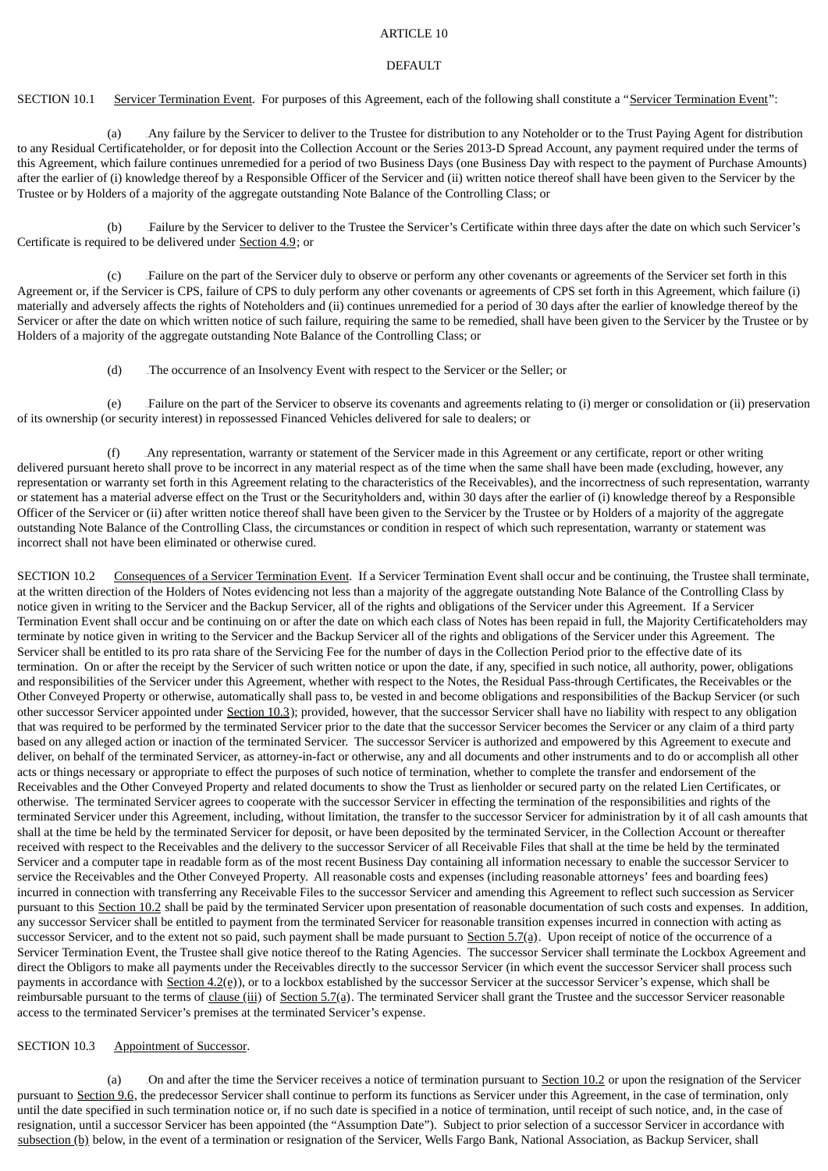### ARTICLE 10

#### DEFAULT

SECTION 10.1 Servicer Termination Event. For purposes of this Agreement, each of the following shall constitute a "Servicer Termination Event":

(a) Any failure by the Servicer to deliver to the Trustee for distribution to any Noteholder or to the Trust Paying Agent for distribution to any Residual Certificateholder, or for deposit into the Collection Account or the Series 2013-D Spread Account, any payment required under the terms of this Agreement, which failure continues unremedied for a period of two Business Days (one Business Day with respect to the payment of Purchase Amounts) after the earlier of (i) knowledge thereof by a Responsible Officer of the Servicer and (ii) written notice thereof shall have been given to the Servicer by the Trustee or by Holders of a majority of the aggregate outstanding Note Balance of the Controlling Class; or

(b) 104BFailure by the Servicer to deliver to the Trustee the Servicer's Certificate within three days after the date on which such Servicer's Certificate is required to be delivered under Section 4.9; or

Failure on the part of the Servicer duly to observe or perform any other covenants or agreements of the Servicer set forth in this Agreement or, if the Servicer is CPS, failure of CPS to duly perform any other covenants or agreements of CPS set forth in this Agreement, which failure (i) materially and adversely affects the rights of Noteholders and (ii) continues unremedied for a period of 30 days after the earlier of knowledge thereof by the Servicer or after the date on which written notice of such failure, requiring the same to be remedied, shall have been given to the Servicer by the Trustee or by Holders of a majority of the aggregate outstanding Note Balance of the Controlling Class; or

(d) The occurrence of an Insolvency Event with respect to the Servicer or the Seller; or

(e) 107BFailure on the part of the Servicer to observe its covenants and agreements relating to (i) merger or consolidation or (ii) preservation of its ownership (or security interest) in repossessed Financed Vehicles delivered for sale to dealers; or

(f) 108BAny representation, warranty or statement of the Servicer made in this Agreement or any certificate, report or other writing delivered pursuant hereto shall prove to be incorrect in any material respect as of the time when the same shall have been made (excluding, however, any representation or warranty set forth in this Agreement relating to the characteristics of the Receivables), and the incorrectness of such representation, warranty or statement has a material adverse effect on the Trust or the Securityholders and, within 30 days after the earlier of (i) knowledge thereof by a Responsible Officer of the Servicer or (ii) after written notice thereof shall have been given to the Servicer by the Trustee or by Holders of a majority of the aggregate outstanding Note Balance of the Controlling Class, the circumstances or condition in respect of which such representation, warranty or statement was incorrect shall not have been eliminated or otherwise cured.

SECTION 10.2 Consequences of a Servicer Termination Event. If a Servicer Termination Event shall occur and be continuing, the Trustee shall terminate, at the written direction of the Holders of Notes evidencing not less than a majority of the aggregate outstanding Note Balance of the Controlling Class by notice given in writing to the Servicer and the Backup Servicer, all of the rights and obligations of the Servicer under this Agreement. If a Servicer Termination Event shall occur and be continuing on or after the date on which each class of Notes has been repaid in full, the Majority Certificateholders may terminate by notice given in writing to the Servicer and the Backup Servicer all of the rights and obligations of the Servicer under this Agreement. The Servicer shall be entitled to its pro rata share of the Servicing Fee for the number of days in the Collection Period prior to the effective date of its termination. On or after the receipt by the Servicer of such written notice or upon the date, if any, specified in such notice, all authority, power, obligations and responsibilities of the Servicer under this Agreement, whether with respect to the Notes, the Residual Pass-through Certificates, the Receivables or the Other Conveyed Property or otherwise, automatically shall pass to, be vested in and become obligations and responsibilities of the Backup Servicer (or such other successor Servicer appointed under Section 10.3); provided, however, that the successor Servicer shall have no liability with respect to any obligation that was required to be performed by the terminated Servicer prior to the date that the successor Servicer becomes the Servicer or any claim of a third party based on any alleged action or inaction of the terminated Servicer. The successor Servicer is authorized and empowered by this Agreement to execute and deliver, on behalf of the terminated Servicer, as attorney-in-fact or otherwise, any and all documents and other instruments and to do or accomplish all other acts or things necessary or appropriate to effect the purposes of such notice of termination, whether to complete the transfer and endorsement of the Receivables and the Other Conveyed Property and related documents to show the Trust as lienholder or secured party on the related Lien Certificates, or otherwise. The terminated Servicer agrees to cooperate with the successor Servicer in effecting the termination of the responsibilities and rights of the terminated Servicer under this Agreement, including, without limitation, the transfer to the successor Servicer for administration by it of all cash amounts that shall at the time be held by the terminated Servicer for deposit, or have been deposited by the terminated Servicer, in the Collection Account or thereafter received with respect to the Receivables and the delivery to the successor Servicer of all Receivable Files that shall at the time be held by the terminated Servicer and a computer tape in readable form as of the most recent Business Day containing all information necessary to enable the successor Servicer to service the Receivables and the Other Conveyed Property. All reasonable costs and expenses (including reasonable attorneys' fees and boarding fees) incurred in connection with transferring any Receivable Files to the successor Servicer and amending this Agreement to reflect such succession as Servicer pursuant to this Section 10.2 shall be paid by the terminated Servicer upon presentation of reasonable documentation of such costs and expenses. In addition, any successor Servicer shall be entitled to payment from the terminated Servicer for reasonable transition expenses incurred in connection with acting as successor Servicer, and to the extent not so paid, such payment shall be made pursuant to Section 5.7(a). Upon receipt of notice of the occurrence of a Servicer Termination Event, the Trustee shall give notice thereof to the Rating Agencies. The successor Servicer shall terminate the Lockbox Agreement and direct the Obligors to make all payments under the Receivables directly to the successor Servicer (in which event the successor Servicer shall process such payments in accordance with Section 4.2(e)), or to a lockbox established by the successor Servicer at the successor Servicer's expense, which shall be reimbursable pursuant to the terms of clause (iii) of Section 5.7(a). The terminated Servicer shall grant the Trustee and the successor Servicer reasonable access to the terminated Servicer's premises at the terminated Servicer's expense.

## SECTION 10.3 Appointment of Successor.

(a) On and after the time the Servicer receives a notice of termination pursuant to  $Section 10.2$  or upon the resignation of the Servicer pursuant to Section 9.6, the predecessor Servicer shall continue to perform its functions as Servicer under this Agreement, in the case of termination, only until the date specified in such termination notice or, if no such date is specified in a notice of termination, until receipt of such notice, and, in the case of resignation, until a successor Servicer has been appointed (the "Assumption Date"). Subject to prior selection of a successor Servicer in accordance with subsection (b) below, in the event of a termination or resignation of the Servicer, Wells Fargo Bank, National Association, as Backup Servicer, shall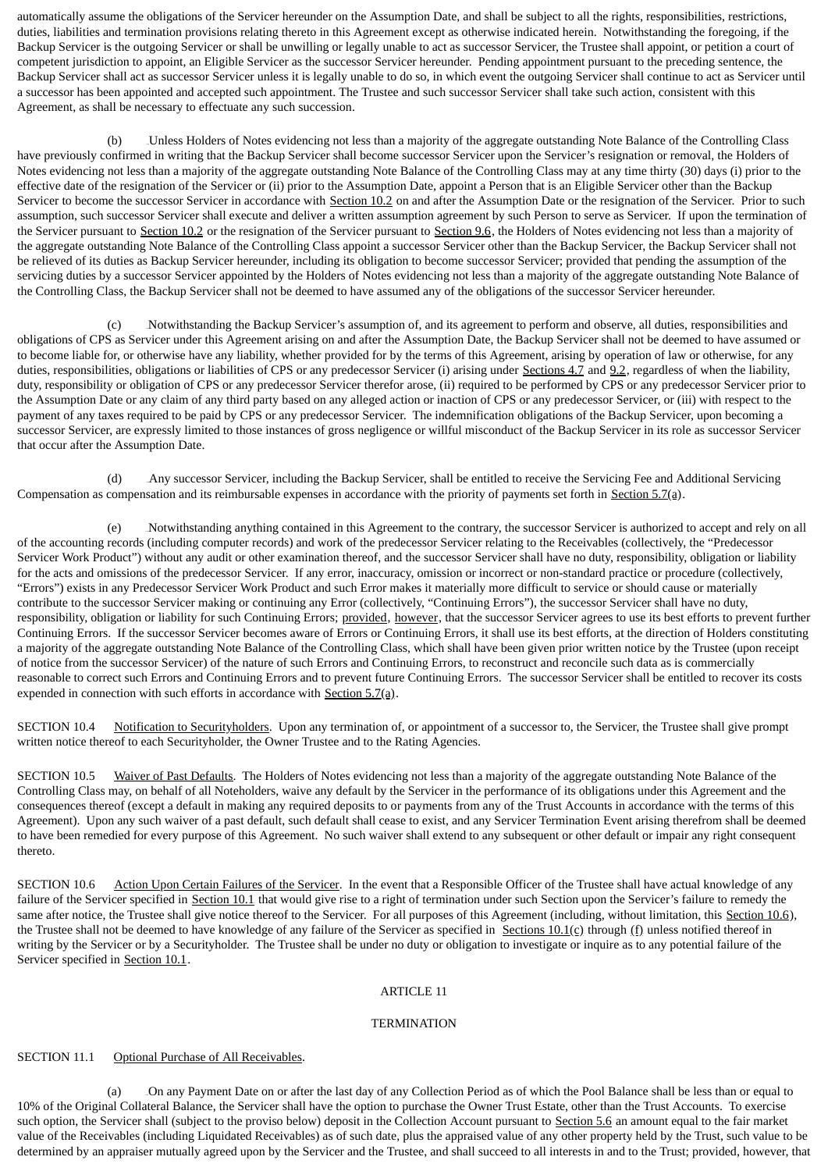automatically assume the obligations of the Servicer hereunder on the Assumption Date, and shall be subject to all the rights, responsibilities, restrictions, duties, liabilities and termination provisions relating thereto in this Agreement except as otherwise indicated herein. Notwithstanding the foregoing, if the Backup Servicer is the outgoing Servicer or shall be unwilling or legally unable to act as successor Servicer, the Trustee shall appoint, or petition a court of competent jurisdiction to appoint, an Eligible Servicer as the successor Servicer hereunder. Pending appointment pursuant to the preceding sentence, the Backup Servicer shall act as successor Servicer unless it is legally unable to do so, in which event the outgoing Servicer shall continue to act as Servicer until a successor has been appointed and accepted such appointment. The Trustee and such successor Servicer shall take such action, consistent with this Agreement, as shall be necessary to effectuate any such succession.

(b) Unless Holders of Notes evidencing not less than a majority of the aggregate outstanding Note Balance of the Controlling Class have previously confirmed in writing that the Backup Servicer shall become successor Servicer upon the Servicer's resignation or removal, the Holders of Notes evidencing not less than a majority of the aggregate outstanding Note Balance of the Controlling Class may at any time thirty (30) days (i) prior to the effective date of the resignation of the Servicer or (ii) prior to the Assumption Date, appoint a Person that is an Eligible Servicer other than the Backup Servicer to become the successor Servicer in accordance with Section 10.2 on and after the Assumption Date or the resignation of the Servicer. Prior to such assumption, such successor Servicer shall execute and deliver a written assumption agreement by such Person to serve as Servicer. If upon the termination of the Servicer pursuant to Section 10.2 or the resignation of the Servicer pursuant to Section 9.6, the Holders of Notes evidencing not less than a majority of the aggregate outstanding Note Balance of the Controlling Class appoint a successor Servicer other than the Backup Servicer, the Backup Servicer shall not be relieved of its duties as Backup Servicer hereunder, including its obligation to become successor Servicer; provided that pending the assumption of the servicing duties by a successor Servicer appointed by the Holders of Notes evidencing not less than a majority of the aggregate outstanding Note Balance of the Controlling Class, the Backup Servicer shall not be deemed to have assumed any of the obligations of the successor Servicer hereunder.

(c) 111BNotwithstanding the Backup Servicer's assumption of, and its agreement to perform and observe, all duties, responsibilities and obligations of CPS as Servicer under this Agreement arising on and after the Assumption Date, the Backup Servicer shall not be deemed to have assumed or to become liable for, or otherwise have any liability, whether provided for by the terms of this Agreement, arising by operation of law or otherwise, for any duties, responsibilities, obligations or liabilities of CPS or any predecessor Servicer (i) arising under Sections 4.7 and 9.2, regardless of when the liability, duty, responsibility or obligation of CPS or any predecessor Servicer therefor arose, (ii) required to be performed by CPS or any predecessor Servicer prior to the Assumption Date or any claim of any third party based on any alleged action or inaction of CPS or any predecessor Servicer, or (iii) with respect to the payment of any taxes required to be paid by CPS or any predecessor Servicer. The indemnification obligations of the Backup Servicer, upon becoming a successor Servicer, are expressly limited to those instances of gross negligence or willful misconduct of the Backup Servicer in its role as successor Servicer that occur after the Assumption Date.

(d) Any successor Servicer, including the Backup Servicer, shall be entitled to receive the Servicing Fee and Additional Servicing Compensation as compensation and its reimbursable expenses in accordance with the priority of payments set forth in  $Secti(1)$ .

(e) 113BNotwithstanding anything contained in this Agreement to the contrary, the successor Servicer is authorized to accept and rely on all of the accounting records (including computer records) and work of the predecessor Servicer relating to the Receivables (collectively, the "Predecessor Servicer Work Product") without any audit or other examination thereof, and the successor Servicer shall have no duty, responsibility, obligation or liability for the acts and omissions of the predecessor Servicer. If any error, inaccuracy, omission or incorrect or non-standard practice or procedure (collectively, "Errors") exists in any Predecessor Servicer Work Product and such Error makes it materially more difficult to service or should cause or materially contribute to the successor Servicer making or continuing any Error (collectively, "Continuing Errors"), the successor Servicer shall have no duty, responsibility, obligation or liability for such Continuing Errors; provided, however, that the successor Servicer agrees to use its best efforts to prevent further Continuing Errors. If the successor Servicer becomes aware of Errors or Continuing Errors, it shall use its best efforts, at the direction of Holders constituting a majority of the aggregate outstanding Note Balance of the Controlling Class, which shall have been given prior written notice by the Trustee (upon receipt of notice from the successor Servicer) of the nature of such Errors and Continuing Errors, to reconstruct and reconcile such data as is commercially reasonable to correct such Errors and Continuing Errors and to prevent future Continuing Errors. The successor Servicer shall be entitled to recover its costs expended in connection with such efforts in accordance with  $Section 5.7(a)$ .

SECTION 10.4 Notification to Securityholders. Upon any termination of, or appointment of a successor to, the Servicer, the Trustee shall give prompt written notice thereof to each Securityholder, the Owner Trustee and to the Rating Agencies.

SECTION 10.5 Waiver of Past Defaults. The Holders of Notes evidencing not less than a majority of the aggregate outstanding Note Balance of the Controlling Class may, on behalf of all Noteholders, waive any default by the Servicer in the performance of its obligations under this Agreement and the consequences thereof (except a default in making any required deposits to or payments from any of the Trust Accounts in accordance with the terms of this Agreement). Upon any such waiver of a past default, such default shall cease to exist, and any Servicer Termination Event arising therefrom shall be deemed to have been remedied for every purpose of this Agreement. No such waiver shall extend to any subsequent or other default or impair any right consequent thereto.

SECTION 10.6 Action Upon Certain Failures of the Servicer. In the event that a Responsible Officer of the Trustee shall have actual knowledge of any failure of the Servicer specified in Section 10.1 that would give rise to a right of termination under such Section upon the Servicer's failure to remedy the same after notice, the Trustee shall give notice thereof to the Servicer. For all purposes of this Agreement (including, without limitation, this Section 10.6), the Trustee shall not be deemed to have knowledge of any failure of the Servicer as specified in Sections  $10.1(c)$  through (f) unless notified thereof in writing by the Servicer or by a Securityholder. The Trustee shall be under no duty or obligation to investigate or inquire as to any potential failure of the Servicer specified in Section 10.1.

## ARTICLE 11

#### **TERMINATION**

## SECTION 11.1 Optional Purchase of All Receivables.

On any Payment Date on or after the last day of any Collection Period as of which the Pool Balance shall be less than or equal to 10% of the Original Collateral Balance, the Servicer shall have the option to purchase the Owner Trust Estate, other than the Trust Accounts. To exercise such option, the Servicer shall (subject to the proviso below) deposit in the Collection Account pursuant to Section 5.6 an amount equal to the fair market value of the Receivables (including Liquidated Receivables) as of such date, plus the appraised value of any other property held by the Trust, such value to be determined by an appraiser mutually agreed upon by the Servicer and the Trustee, and shall succeed to all interests in and to the Trust; provided, however, that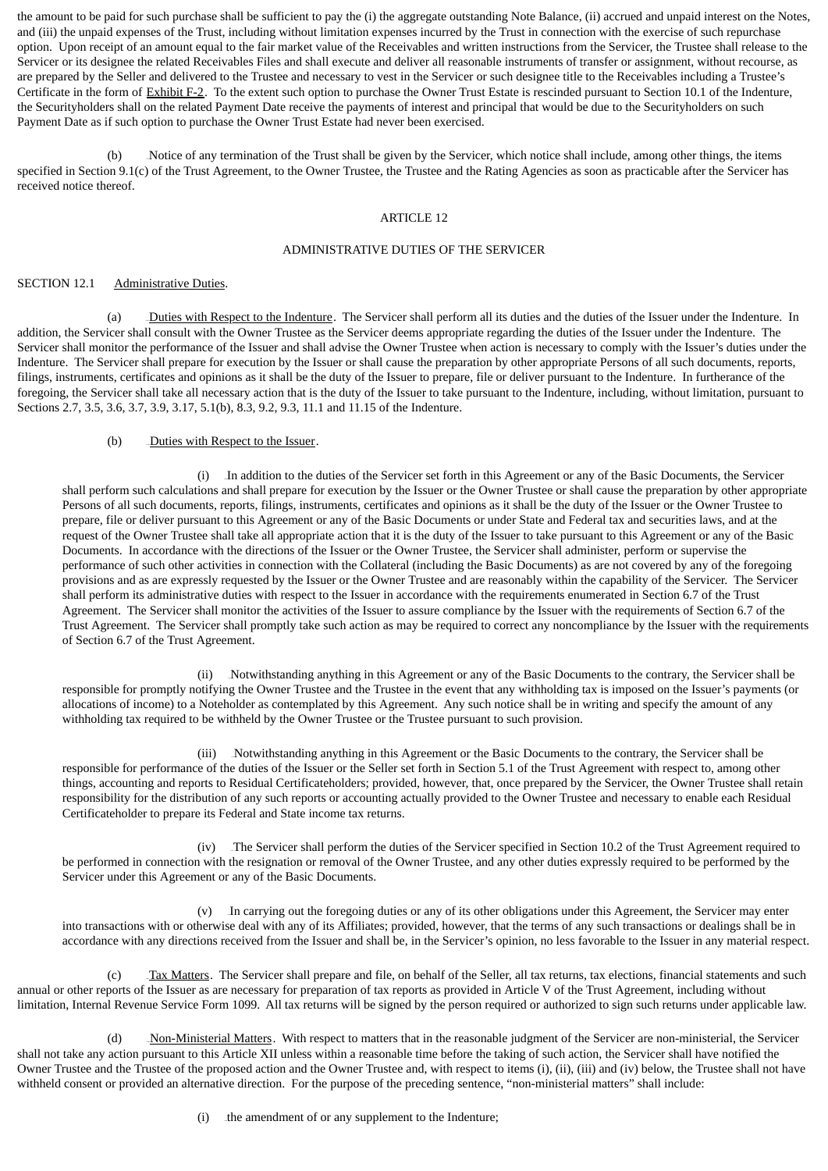the amount to be paid for such purchase shall be sufficient to pay the (i) the aggregate outstanding Note Balance, (ii) accrued and unpaid interest on the Notes, and (iii) the unpaid expenses of the Trust, including without limitation expenses incurred by the Trust in connection with the exercise of such repurchase option. Upon receipt of an amount equal to the fair market value of the Receivables and written instructions from the Servicer, the Trustee shall release to the Servicer or its designee the related Receivables Files and shall execute and deliver all reasonable instruments of transfer or assignment, without recourse, as are prepared by the Seller and delivered to the Trustee and necessary to vest in the Servicer or such designee title to the Receivables including a Trustee's Certificate in the form of Exhibit F-2. To the extent such option to purchase the Owner Trust Estate is rescinded pursuant to Section 10.1 of the Indenture, the Securityholders shall on the related Payment Date receive the payments of interest and principal that would be due to the Securityholders on such Payment Date as if such option to purchase the Owner Trust Estate had never been exercised.

(b) Notice of any termination of the Trust shall be given by the Servicer, which notice shall include, among other things, the items specified in Section 9.1(c) of the Trust Agreement, to the Owner Trustee, the Trustee and the Rating Agencies as soon as practicable after the Servicer has received notice thereof.

#### ARTICLE 12

# ADMINISTRATIVE DUTIES OF THE SERVICER

## SECTION 12.1 Administrative Duties.

(a) Duties with Respect to the Indenture. The Servicer shall perform all its duties and the duties of the Issuer under the Indenture. In addition, the Servicer shall consult with the Owner Trustee as the Servicer deems appropriate regarding the duties of the Issuer under the Indenture. The Servicer shall monitor the performance of the Issuer and shall advise the Owner Trustee when action is necessary to comply with the Issuer's duties under the Indenture. The Servicer shall prepare for execution by the Issuer or shall cause the preparation by other appropriate Persons of all such documents, reports, filings, instruments, certificates and opinions as it shall be the duty of the Issuer to prepare, file or deliver pursuant to the Indenture. In furtherance of the foregoing, the Servicer shall take all necessary action that is the duty of the Issuer to take pursuant to the Indenture, including, without limitation, pursuant to Sections 2.7, 3.5, 3.6, 3.7, 3.9, 3.17, 5.1(b), 8.3, 9.2, 9.3, 11.1 and 11.15 of the Indenture.

## (b) Duties with Respect to the Issuer.

(i) 309BIn addition to the duties of the Servicer set forth in this Agreement or any of the Basic Documents, the Servicer shall perform such calculations and shall prepare for execution by the Issuer or the Owner Trustee or shall cause the preparation by other appropriate Persons of all such documents, reports, filings, instruments, certificates and opinions as it shall be the duty of the Issuer or the Owner Trustee to prepare, file or deliver pursuant to this Agreement or any of the Basic Documents or under State and Federal tax and securities laws, and at the request of the Owner Trustee shall take all appropriate action that it is the duty of the Issuer to take pursuant to this Agreement or any of the Basic Documents. In accordance with the directions of the Issuer or the Owner Trustee, the Servicer shall administer, perform or supervise the performance of such other activities in connection with the Collateral (including the Basic Documents) as are not covered by any of the foregoing provisions and as are expressly requested by the Issuer or the Owner Trustee and are reasonably within the capability of the Servicer. The Servicer shall perform its administrative duties with respect to the Issuer in accordance with the requirements enumerated in Section 6.7 of the Trust Agreement. The Servicer shall monitor the activities of the Issuer to assure compliance by the Issuer with the requirements of Section 6.7 of the Trust Agreement. The Servicer shall promptly take such action as may be required to correct any noncompliance by the Issuer with the requirements of Section 6.7 of the Trust Agreement.

(ii) 310BNotwithstanding anything in this Agreement or any of the Basic Documents to the contrary, the Servicer shall be responsible for promptly notifying the Owner Trustee and the Trustee in the event that any withholding tax is imposed on the Issuer's payments (or allocations of income) to a Noteholder as contemplated by this Agreement. Any such notice shall be in writing and specify the amount of any withholding tax required to be withheld by the Owner Trustee or the Trustee pursuant to such provision.

(iii) Notwithstanding anything in this Agreement or the Basic Documents to the contrary, the Servicer shall be responsible for performance of the duties of the Issuer or the Seller set forth in Section 5.1 of the Trust Agreement with respect to, among other things, accounting and reports to Residual Certificateholders; provided, however, that, once prepared by the Servicer, the Owner Trustee shall retain responsibility for the distribution of any such reports or accounting actually provided to the Owner Trustee and necessary to enable each Residual Certificateholder to prepare its Federal and State income tax returns.

(iv) The Servicer shall perform the duties of the Servicer specified in Section 10.2 of the Trust Agreement required to be performed in connection with the resignation or removal of the Owner Trustee, and any other duties expressly required to be performed by the Servicer under this Agreement or any of the Basic Documents.

(v) In carrying out the foregoing duties or any of its other obligations under this Agreement, the Servicer may enter into transactions with or otherwise deal with any of its Affiliates; provided, however, that the terms of any such transactions or dealings shall be in accordance with any directions received from the Issuer and shall be, in the Servicer's opinion, no less favorable to the Issuer in any material respect.

(c) Tax Matters. The Servicer shall prepare and file, on behalf of the Seller, all tax returns, tax elections, financial statements and such annual or other reports of the Issuer as are necessary for preparation of tax reports as provided in Article V of the Trust Agreement, including without limitation, Internal Revenue Service Form 1099. All tax returns will be signed by the person required or authorized to sign such returns under applicable law.

(d) Mon-Ministerial Matters. With respect to matters that in the reasonable judgment of the Servicer are non-ministerial, the Servicer shall not take any action pursuant to this Article XII unless within a reasonable time before the taking of such action, the Servicer shall have notified the Owner Trustee and the Trustee of the proposed action and the Owner Trustee and, with respect to items (i), (ii), (iii) and (iv) below, the Trustee shall not have withheld consent or provided an alternative direction. For the purpose of the preceding sentence, "non-ministerial matters" shall include: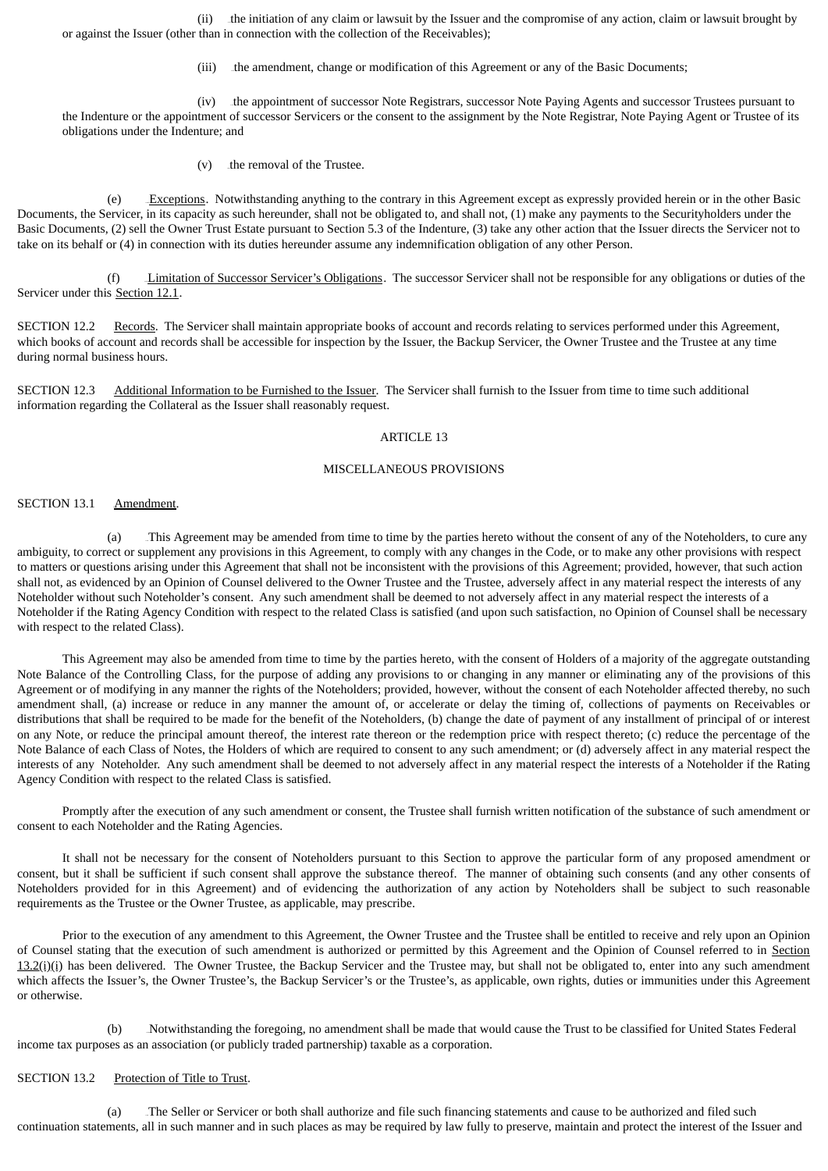(ii) 315Bthe initiation of any claim or lawsuit by the Issuer and the compromise of any action, claim or lawsuit brought by or against the Issuer (other than in connection with the collection of the Receivables);

(iii) the amendment, change or modification of this Agreement or any of the Basic Documents;

(iv) the appointment of successor Note Registrars, successor Note Paying Agents and successor Trustees pursuant to the Indenture or the appointment of successor Servicers or the consent to the assignment by the Note Registrar, Note Paying Agent or Trustee of its obligations under the Indenture; and

 $(v)$  the removal of the Trustee.

(e)  $\quad$  Exceptions. Notwithstanding anything to the contrary in this Agreement except as expressly provided herein or in the other Basic Documents, the Servicer, in its capacity as such hereunder, shall not be obligated to, and shall not, (1) make any payments to the Securityholders under the Basic Documents, (2) sell the Owner Trust Estate pursuant to Section 5.3 of the Indenture, (3) take any other action that the Issuer directs the Servicer not to take on its behalf or (4) in connection with its duties hereunder assume any indemnification obligation of any other Person.

(f) Limitation of Successor Servicer's Obligations. The successor Servicer shall not be responsible for any obligations or duties of the Servicer under this Section 12.1.

SECTION 12.2 Records. The Servicer shall maintain appropriate books of account and records relating to services performed under this Agreement, which books of account and records shall be accessible for inspection by the Issuer, the Backup Servicer, the Owner Trustee and the Trustee at any time during normal business hours.

SECTION 12.3 Additional Information to be Furnished to the Issuer. The Servicer shall furnish to the Issuer from time to time such additional information regarding the Collateral as the Issuer shall reasonably request.

# ARTICLE 13

# MISCELLANEOUS PROVISIONS

### SECTION 13.1 Amendment.

(a) This Agreement may be amended from time to time by the parties hereto without the consent of any of the Noteholders, to cure any ambiguity, to correct or supplement any provisions in this Agreement, to comply with any changes in the Code, or to make any other provisions with respect to matters or questions arising under this Agreement that shall not be inconsistent with the provisions of this Agreement; provided, however, that such action shall not, as evidenced by an Opinion of Counsel delivered to the Owner Trustee and the Trustee, adversely affect in any material respect the interests of any Noteholder without such Noteholder's consent. Any such amendment shall be deemed to not adversely affect in any material respect the interests of a Noteholder if the Rating Agency Condition with respect to the related Class is satisfied (and upon such satisfaction, no Opinion of Counsel shall be necessary with respect to the related Class).

This Agreement may also be amended from time to time by the parties hereto, with the consent of Holders of a majority of the aggregate outstanding Note Balance of the Controlling Class, for the purpose of adding any provisions to or changing in any manner or eliminating any of the provisions of this Agreement or of modifying in any manner the rights of the Noteholders; provided, however, without the consent of each Noteholder affected thereby, no such amendment shall, (a) increase or reduce in any manner the amount of, or accelerate or delay the timing of, collections of payments on Receivables or distributions that shall be required to be made for the benefit of the Noteholders, (b) change the date of payment of any installment of principal of or interest on any Note, or reduce the principal amount thereof, the interest rate thereon or the redemption price with respect thereto; (c) reduce the percentage of the Note Balance of each Class of Notes, the Holders of which are required to consent to any such amendment; or (d) adversely affect in any material respect the interests of any Noteholder. Any such amendment shall be deemed to not adversely affect in any material respect the interests of a Noteholder if the Rating Agency Condition with respect to the related Class is satisfied.

Promptly after the execution of any such amendment or consent, the Trustee shall furnish written notification of the substance of such amendment or consent to each Noteholder and the Rating Agencies.

It shall not be necessary for the consent of Noteholders pursuant to this Section to approve the particular form of any proposed amendment or consent, but it shall be sufficient if such consent shall approve the substance thereof. The manner of obtaining such consents (and any other consents of Noteholders provided for in this Agreement) and of evidencing the authorization of any action by Noteholders shall be subject to such reasonable requirements as the Trustee or the Owner Trustee, as applicable, may prescribe.

Prior to the execution of any amendment to this Agreement, the Owner Trustee and the Trustee shall be entitled to receive and rely upon an Opinion of Counsel stating that the execution of such amendment is authorized or permitted by this Agreement and the Opinion of Counsel referred to in Section  $13.2(i)$ (i) has been delivered. The Owner Trustee, the Backup Servicer and the Trustee may, but shall not be obligated to, enter into any such amendment which affects the Issuer's, the Owner Trustee's, the Backup Servicer's or the Trustee's, as applicable, own rights, duties or immunities under this Agreement or otherwise.

(b) 123BNotwithstanding the foregoing, no amendment shall be made that would cause the Trust to be classified for United States Federal income tax purposes as an association (or publicly traded partnership) taxable as a corporation.

### SECTION 13.2 Protection of Title to Trust.

(a) The Seller or Servicer or both shall authorize and file such financing statements and cause to be authorized and filed such continuation statements, all in such manner and in such places as may be required by law fully to preserve, maintain and protect the interest of the Issuer and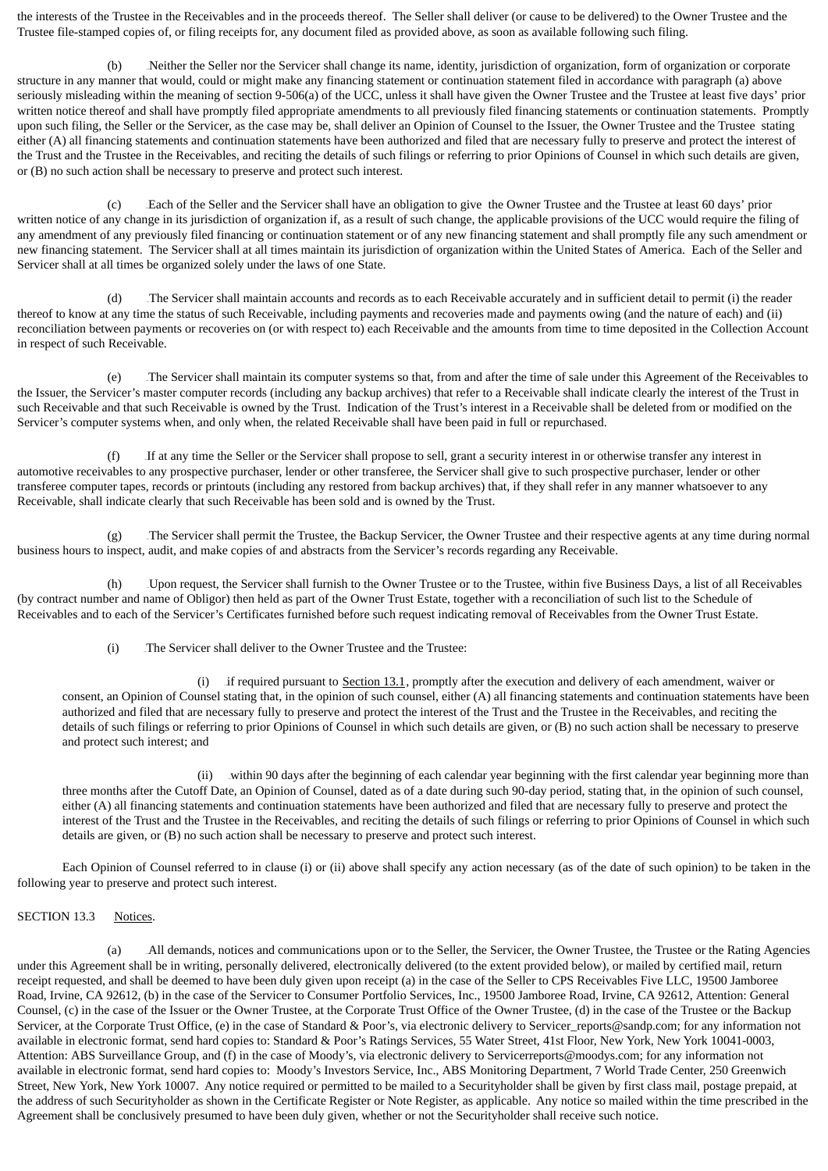the interests of the Trustee in the Receivables and in the proceeds thereof. The Seller shall deliver (or cause to be delivered) to the Owner Trustee and the Trustee file-stamped copies of, or filing receipts for, any document filed as provided above, as soon as available following such filing.

(b) Neither the Seller nor the Servicer shall change its name, identity, jurisdiction of organization, form of organization or corporate structure in any manner that would, could or might make any financing statement or continuation statement filed in accordance with paragraph (a) above seriously misleading within the meaning of section 9-506(a) of the UCC, unless it shall have given the Owner Trustee and the Trustee at least five days' prior written notice thereof and shall have promptly filed appropriate amendments to all previously filed financing statements or continuation statements. Promptly upon such filing, the Seller or the Servicer, as the case may be, shall deliver an Opinion of Counsel to the Issuer, the Owner Trustee and the Trustee stating either (A) all financing statements and continuation statements have been authorized and filed that are necessary fully to preserve and protect the interest of the Trust and the Trustee in the Receivables, and reciting the details of such filings or referring to prior Opinions of Counsel in which such details are given, or (B) no such action shall be necessary to preserve and protect such interest.

(c) 126BEach of the Seller and the Servicer shall have an obligation to give the Owner Trustee and the Trustee at least 60 days' prior written notice of any change in its jurisdiction of organization if, as a result of such change, the applicable provisions of the UCC would require the filing of any amendment of any previously filed financing or continuation statement or of any new financing statement and shall promptly file any such amendment or new financing statement. The Servicer shall at all times maintain its jurisdiction of organization within the United States of America. Each of the Seller and Servicer shall at all times be organized solely under the laws of one State.

(d) The Servicer shall maintain accounts and records as to each Receivable accurately and in sufficient detail to permit (i) the reader thereof to know at any time the status of such Receivable, including payments and recoveries made and payments owing (and the nature of each) and (ii) reconciliation between payments or recoveries on (or with respect to) each Receivable and the amounts from time to time deposited in the Collection Account in respect of such Receivable.

(e) 128BThe Servicer shall maintain its computer systems so that, from and after the time of sale under this Agreement of the Receivables to the Issuer, the Servicer's master computer records (including any backup archives) that refer to a Receivable shall indicate clearly the interest of the Trust in such Receivable and that such Receivable is owned by the Trust. Indication of the Trust's interest in a Receivable shall be deleted from or modified on the Servicer's computer systems when, and only when, the related Receivable shall have been paid in full or repurchased.

(f) 129BIf at any time the Seller or the Servicer shall propose to sell, grant a security interest in or otherwise transfer any interest in automotive receivables to any prospective purchaser, lender or other transferee, the Servicer shall give to such prospective purchaser, lender or other transferee computer tapes, records or printouts (including any restored from backup archives) that, if they shall refer in any manner whatsoever to any Receivable, shall indicate clearly that such Receivable has been sold and is owned by the Trust.

(g) 130BThe Servicer shall permit the Trustee, the Backup Servicer, the Owner Trustee and their respective agents at any time during normal business hours to inspect, audit, and make copies of and abstracts from the Servicer's records regarding any Receivable.

(h) 131BUpon request, the Servicer shall furnish to the Owner Trustee or to the Trustee, within five Business Days, a list of all Receivables (by contract number and name of Obligor) then held as part of the Owner Trust Estate, together with a reconciliation of such list to the Schedule of Receivables and to each of the Servicer's Certificates furnished before such request indicating removal of Receivables from the Owner Trust Estate.

(i) The Servicer shall deliver to the Owner Trustee and the Trustee:

(i) if required pursuant to  $Section 13.1$ , promptly after the execution and delivery of each amendment, waiver or consent, an Opinion of Counsel stating that, in the opinion of such counsel, either (A) all financing statements and continuation statements have been authorized and filed that are necessary fully to preserve and protect the interest of the Trust and the Trustee in the Receivables, and reciting the details of such filings or referring to prior Opinions of Counsel in which such details are given, or (B) no such action shall be necessary to preserve and protect such interest; and

(ii) vithin 90 days after the beginning of each calendar year beginning with the first calendar year beginning more than three months after the Cutoff Date, an Opinion of Counsel, dated as of a date during such 90-day period, stating that, in the opinion of such counsel, either (A) all financing statements and continuation statements have been authorized and filed that are necessary fully to preserve and protect the interest of the Trust and the Trustee in the Receivables, and reciting the details of such filings or referring to prior Opinions of Counsel in which such details are given, or (B) no such action shall be necessary to preserve and protect such interest.

Each Opinion of Counsel referred to in clause (i) or (ii) above shall specify any action necessary (as of the date of such opinion) to be taken in the following year to preserve and protect such interest.

## SECTION 13.3 Notices.

(a) All demands, notices and communications upon or to the Seller, the Servicer, the Owner Trustee, the Trustee or the Rating Agencies under this Agreement shall be in writing, personally delivered, electronically delivered (to the extent provided below), or mailed by certified mail, return receipt requested, and shall be deemed to have been duly given upon receipt (a) in the case of the Seller to CPS Receivables Five LLC, 19500 Jamboree Road, Irvine, CA 92612, (b) in the case of the Servicer to Consumer Portfolio Services, Inc., 19500 Jamboree Road, Irvine, CA 92612, Attention: General Counsel, (c) in the case of the Issuer or the Owner Trustee, at the Corporate Trust Office of the Owner Trustee, (d) in the case of the Trustee or the Backup Servicer, at the Corporate Trust Office, (e) in the case of Standard & Poor's, via electronic delivery to Servicer\_reports@sandp.com; for any information not available in electronic format, send hard copies to: Standard & Poor's Ratings Services, 55 Water Street, 41st Floor, New York, New York 10041-0003, Attention: ABS Surveillance Group, and (f) in the case of Moody's, via electronic delivery to Servicerreports@moodys.com; for any information not available in electronic format, send hard copies to: Moody's Investors Service, Inc., ABS Monitoring Department, 7 World Trade Center, 250 Greenwich Street, New York, New York 10007. Any notice required or permitted to be mailed to a Securityholder shall be given by first class mail, postage prepaid, at the address of such Securityholder as shown in the Certificate Register or Note Register, as applicable. Any notice so mailed within the time prescribed in the Agreement shall be conclusively presumed to have been duly given, whether or not the Securityholder shall receive such notice.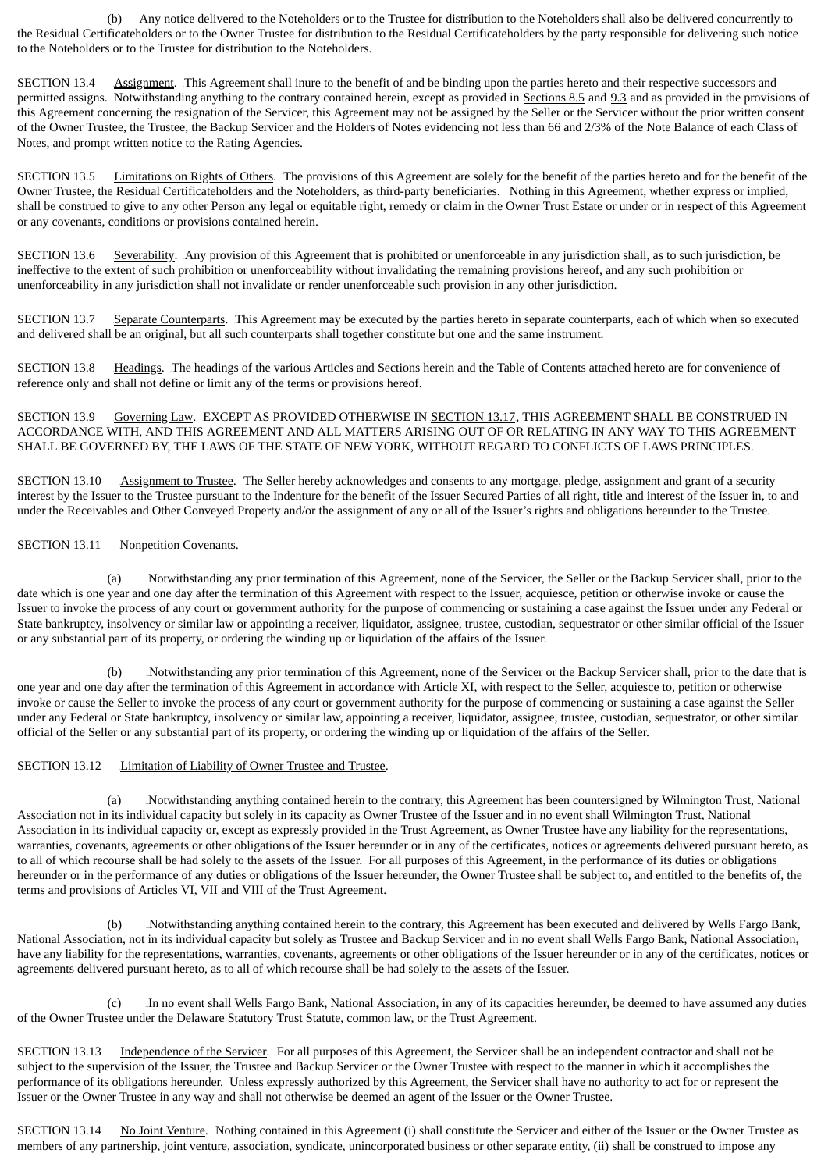(b) Any notice delivered to the Noteholders or to the Trustee for distribution to the Noteholders shall also be delivered concurrently to the Residual Certificateholders or to the Owner Trustee for distribution to the Residual Certificateholders by the party responsible for delivering such notice to the Noteholders or to the Trustee for distribution to the Noteholders.

SECTION 13.4 Assignment. This Agreement shall inure to the benefit of and be binding upon the parties hereto and their respective successors and permitted assigns. Notwithstanding anything to the contrary contained herein, except as provided in Sections 8.5 and 9.3 and as provided in the provisions of this Agreement concerning the resignation of the Servicer, this Agreement may not be assigned by the Seller or the Servicer without the prior written consent of the Owner Trustee, the Trustee, the Backup Servicer and the Holders of Notes evidencing not less than 66 and 2/3% of the Note Balance of each Class of Notes, and prompt written notice to the Rating Agencies.

SECTION 13.5 Limitations on Rights of Others. The provisions of this Agreement are solely for the benefit of the parties hereto and for the benefit of the Owner Trustee, the Residual Certificateholders and the Noteholders, as third-party beneficiaries. Nothing in this Agreement, whether express or implied, shall be construed to give to any other Person any legal or equitable right, remedy or claim in the Owner Trust Estate or under or in respect of this Agreement or any covenants, conditions or provisions contained herein.

SECTION 13.6 Severability. Any provision of this Agreement that is prohibited or unenforceable in any jurisdiction shall, as to such jurisdiction, be ineffective to the extent of such prohibition or unenforceability without invalidating the remaining provisions hereof, and any such prohibition or unenforceability in any jurisdiction shall not invalidate or render unenforceable such provision in any other jurisdiction.

SECTION 13.7 Separate Counterparts. This Agreement may be executed by the parties hereto in separate counterparts, each of which when so executed and delivered shall be an original, but all such counterparts shall together constitute but one and the same instrument.

SECTION 13.8 Headings. The headings of the various Articles and Sections herein and the Table of Contents attached hereto are for convenience of reference only and shall not define or limit any of the terms or provisions hereof.

SECTION 13.9 Governing Law. EXCEPT AS PROVIDED OTHERWISE IN SECTION 13.17, THIS AGREEMENT SHALL BE CONSTRUED IN ACCORDANCE WITH, AND THIS AGREEMENT AND ALL MATTERS ARISING OUT OF OR RELATING IN ANY WAY TO THIS AGREEMENT SHALL BE GOVERNED BY, THE LAWS OF THE STATE OF NEW YORK, WITHOUT REGARD TO CONFLICTS OF LAWS PRINCIPLES.

SECTION 13.10 Assignment to Trustee. The Seller hereby acknowledges and consents to any mortgage, pledge, assignment and grant of a security interest by the Issuer to the Trustee pursuant to the Indenture for the benefit of the Issuer Secured Parties of all right, title and interest of the Issuer in, to and under the Receivables and Other Conveyed Property and/or the assignment of any or all of the Issuer's rights and obligations hereunder to the Trustee.

## SECTION 13.11 Nonpetition Covenants.

(a) 135BNotwithstanding any prior termination of this Agreement, none of the Servicer, the Seller or the Backup Servicer shall, prior to the date which is one year and one day after the termination of this Agreement with respect to the Issuer, acquiesce, petition or otherwise invoke or cause the Issuer to invoke the process of any court or government authority for the purpose of commencing or sustaining a case against the Issuer under any Federal or State bankruptcy, insolvency or similar law or appointing a receiver, liquidator, assignee, trustee, custodian, sequestrator or other similar official of the Issuer or any substantial part of its property, or ordering the winding up or liquidation of the affairs of the Issuer.

(b) Notwithstanding any prior termination of this Agreement, none of the Servicer or the Backup Servicer shall, prior to the date that is one year and one day after the termination of this Agreement in accordance with Article XI, with respect to the Seller, acquiesce to, petition or otherwise invoke or cause the Seller to invoke the process of any court or government authority for the purpose of commencing or sustaining a case against the Seller under any Federal or State bankruptcy, insolvency or similar law, appointing a receiver, liquidator, assignee, trustee, custodian, sequestrator, or other similar official of the Seller or any substantial part of its property, or ordering the winding up or liquidation of the affairs of the Seller.

## SECTION 13.12 Limitation of Liability of Owner Trustee and Trustee.

(a) 137BNotwithstanding anything contained herein to the contrary, this Agreement has been countersigned by Wilmington Trust, National Association not in its individual capacity but solely in its capacity as Owner Trustee of the Issuer and in no event shall Wilmington Trust, National Association in its individual capacity or, except as expressly provided in the Trust Agreement, as Owner Trustee have any liability for the representations, warranties, covenants, agreements or other obligations of the Issuer hereunder or in any of the certificates, notices or agreements delivered pursuant hereto, as to all of which recourse shall be had solely to the assets of the Issuer. For all purposes of this Agreement, in the performance of its duties or obligations hereunder or in the performance of any duties or obligations of the Issuer hereunder, the Owner Trustee shall be subject to, and entitled to the benefits of, the terms and provisions of Articles VI, VII and VIII of the Trust Agreement.

(b) Notwithstanding anything contained herein to the contrary, this Agreement has been executed and delivered by Wells Fargo Bank, National Association, not in its individual capacity but solely as Trustee and Backup Servicer and in no event shall Wells Fargo Bank, National Association, have any liability for the representations, warranties, covenants, agreements or other obligations of the Issuer hereunder or in any of the certificates, notices or agreements delivered pursuant hereto, as to all of which recourse shall be had solely to the assets of the Issuer.

(c) 139BIn no event shall Wells Fargo Bank, National Association, in any of its capacities hereunder, be deemed to have assumed any duties of the Owner Trustee under the Delaware Statutory Trust Statute, common law, or the Trust Agreement.

SECTION 13.13 Independence of the Servicer. For all purposes of this Agreement, the Servicer shall be an independent contractor and shall not be subject to the supervision of the Issuer, the Trustee and Backup Servicer or the Owner Trustee with respect to the manner in which it accomplishes the performance of its obligations hereunder. Unless expressly authorized by this Agreement, the Servicer shall have no authority to act for or represent the Issuer or the Owner Trustee in any way and shall not otherwise be deemed an agent of the Issuer or the Owner Trustee.

SECTION 13.14 No Joint Venture. Nothing contained in this Agreement (i) shall constitute the Servicer and either of the Issuer or the Owner Trustee as members of any partnership, joint venture, association, syndicate, unincorporated business or other separate entity, (ii) shall be construed to impose any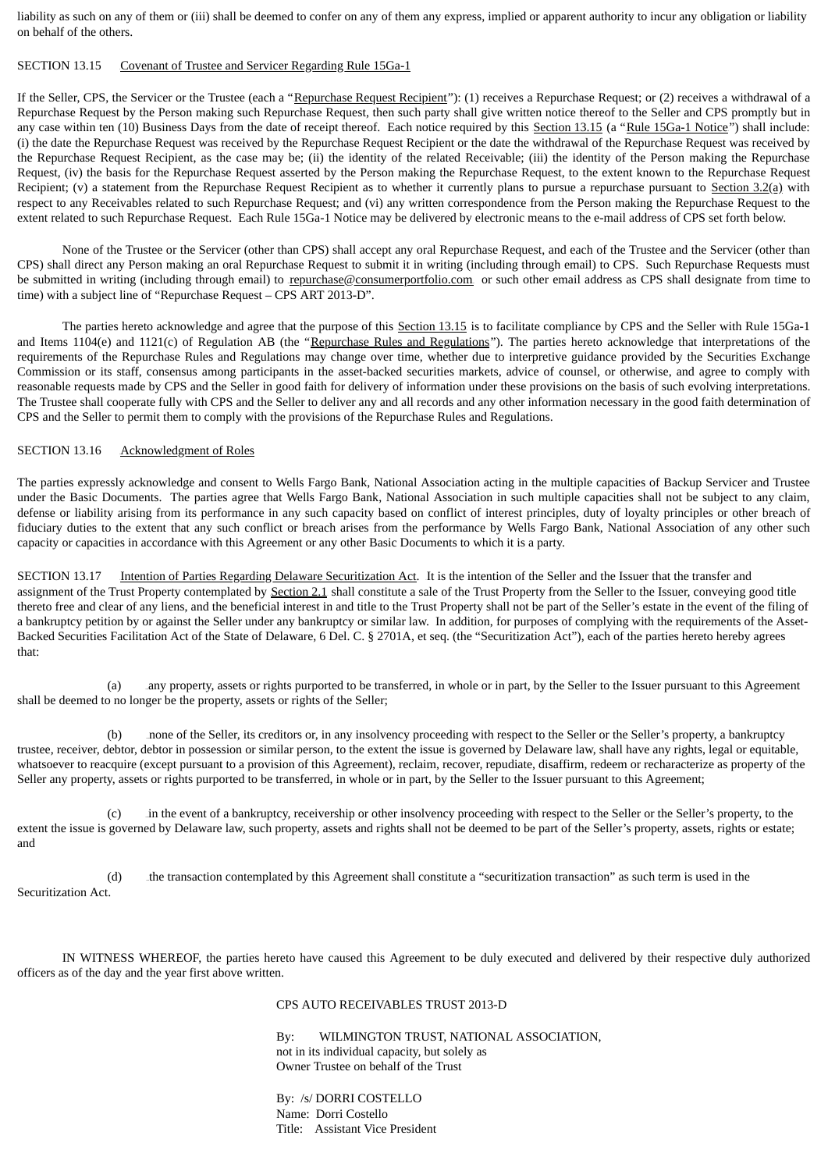liability as such on any of them or (iii) shall be deemed to confer on any of them any express, implied or apparent authority to incur any obligation or liability on behalf of the others.

### SECTION 13.15 Covenant of Trustee and Servicer Regarding Rule 15Ga-1

If the Seller, CPS, the Servicer or the Trustee (each a "Repurchase Request Recipient"): (1) receives a Repurchase Request; or (2) receives a withdrawal of a Repurchase Request by the Person making such Repurchase Request, then such party shall give written notice thereof to the Seller and CPS promptly but in any case within ten (10) Business Days from the date of receipt thereof. Each notice required by this Section 13.15 (a "Rule 15Ga-1 Notice") shall include: (i) the date the Repurchase Request was received by the Repurchase Request Recipient or the date the withdrawal of the Repurchase Request was received by the Repurchase Request Recipient, as the case may be; (ii) the identity of the related Receivable; (iii) the identity of the Person making the Repurchase Request, (iv) the basis for the Repurchase Request asserted by the Person making the Repurchase Request, to the extent known to the Repurchase Request Recipient; (v) a statement from the Repurchase Request Recipient as to whether it currently plans to pursue a repurchase pursuant to Section 3.2(a) with respect to any Receivables related to such Repurchase Request; and (vi) any written correspondence from the Person making the Repurchase Request to the extent related to such Repurchase Request. Each Rule 15Ga-1 Notice may be delivered by electronic means to the e-mail address of CPS set forth below.

None of the Trustee or the Servicer (other than CPS) shall accept any oral Repurchase Request, and each of the Trustee and the Servicer (other than CPS) shall direct any Person making an oral Repurchase Request to submit it in writing (including through email) to CPS. Such Repurchase Requests must be submitted in writing (including through email) to repurchase@consumerportfolio.com or such other email address as CPS shall designate from time to time) with a subject line of "Repurchase Request – CPS ART 2013-D".

The parties hereto acknowledge and agree that the purpose of this Section 13.15 is to facilitate compliance by CPS and the Seller with Rule 15Ga-1 and Items 1104(e) and 1121(c) of Regulation AB (the "Repurchase Rules and Regulations"). The parties hereto acknowledge that interpretations of the requirements of the Repurchase Rules and Regulations may change over time, whether due to interpretive guidance provided by the Securities Exchange Commission or its staff, consensus among participants in the asset-backed securities markets, advice of counsel, or otherwise, and agree to comply with reasonable requests made by CPS and the Seller in good faith for delivery of information under these provisions on the basis of such evolving interpretations. The Trustee shall cooperate fully with CPS and the Seller to deliver any and all records and any other information necessary in the good faith determination of CPS and the Seller to permit them to comply with the provisions of the Repurchase Rules and Regulations.

### SECTION 13.16 Acknowledgment of Roles

The parties expressly acknowledge and consent to Wells Fargo Bank, National Association acting in the multiple capacities of Backup Servicer and Trustee under the Basic Documents. The parties agree that Wells Fargo Bank, National Association in such multiple capacities shall not be subject to any claim, defense or liability arising from its performance in any such capacity based on conflict of interest principles, duty of loyalty principles or other breach of fiduciary duties to the extent that any such conflict or breach arises from the performance by Wells Fargo Bank, National Association of any other such capacity or capacities in accordance with this Agreement or any other Basic Documents to which it is a party.

SECTION 13.17 Intention of Parties Regarding Delaware Securitization Act. It is the intention of the Seller and the Issuer that the transfer and assignment of the Trust Property contemplated by Section 2.1 shall constitute a sale of the Trust Property from the Seller to the Issuer, conveying good title thereto free and clear of any liens, and the beneficial interest in and title to the Trust Property shall not be part of the Seller's estate in the event of the filing of a bankruptcy petition by or against the Seller under any bankruptcy or similar law. In addition, for purposes of complying with the requirements of the Asset-Backed Securities Facilitation Act of the State of Delaware, 6 Del. C. § 2701A, et seq. (the "Securitization Act"), each of the parties hereto hereby agrees that:

(a) 140Bany property, assets or rights purported to be transferred, in whole or in part, by the Seller to the Issuer pursuant to this Agreement shall be deemed to no longer be the property, assets or rights of the Seller;

(b) none of the Seller, its creditors or, in any insolvency proceeding with respect to the Seller or the Seller's property, a bankruptcy trustee, receiver, debtor, debtor in possession or similar person, to the extent the issue is governed by Delaware law, shall have any rights, legal or equitable, whatsoever to reacquire (except pursuant to a provision of this Agreement), reclaim, recover, repudiate, disaffirm, redeem or recharacterize as property of the Seller any property, assets or rights purported to be transferred, in whole or in part, by the Seller to the Issuer pursuant to this Agreement;

(c) 142Bin the event of a bankruptcy, receivership or other insolvency proceeding with respect to the Seller or the Seller's property, to the extent the issue is governed by Delaware law, such property, assets and rights shall not be deemed to be part of the Seller's property, assets, rights or estate; and

(d) 143Bthe transaction contemplated by this Agreement shall constitute a "securitization transaction" as such term is used in the Securitization Act.

IN WITNESS WHEREOF, the parties hereto have caused this Agreement to be duly executed and delivered by their respective duly authorized officers as of the day and the year first above written.

#### CPS AUTO RECEIVABLES TRUST 2013-D

By: WILMINGTON TRUST, NATIONAL ASSOCIATION, not in its individual capacity, but solely as Owner Trustee on behalf of the Trust

By: /s/ DORRI COSTELLO Name: Dorri Costello Title: Assistant Vice President